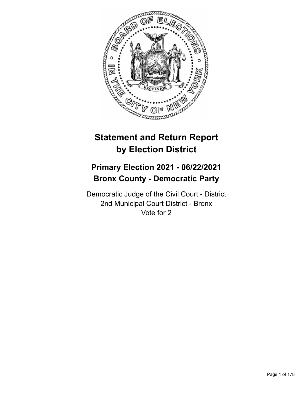

# **Statement and Return Report by Election District**

# **Primary Election 2021 - 06/22/2021 Bronx County - Democratic Party**

Democratic Judge of the Civil Court - District 2nd Municipal Court District - Bronx Vote for 2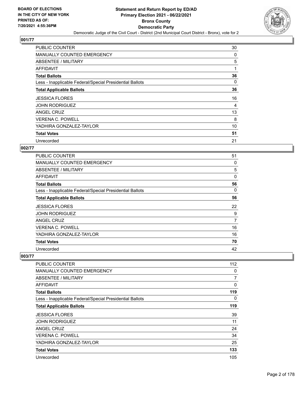

| <b>PUBLIC COUNTER</b>                                    | 30 |
|----------------------------------------------------------|----|
| MANUALLY COUNTED EMERGENCY                               | 0  |
| ABSENTEE / MILITARY                                      | 5  |
| AFFIDAVIT                                                | 1  |
| <b>Total Ballots</b>                                     | 36 |
| Less - Inapplicable Federal/Special Presidential Ballots | 0  |
| <b>Total Applicable Ballots</b>                          | 36 |
| <b>JESSICA FLORES</b>                                    | 16 |
| <b>JOHN RODRIGUEZ</b>                                    | 4  |
| ANGEL CRUZ                                               | 13 |
| <b>VERENA C. POWELL</b>                                  | 8  |
|                                                          |    |
| YADHIRA GONZALEZ-TAYLOR                                  | 10 |
| <b>Total Votes</b>                                       | 51 |

## **002/77**

| <b>PUBLIC COUNTER</b>                                    | 51 |
|----------------------------------------------------------|----|
| MANUALLY COUNTED EMERGENCY                               | 0  |
| ABSENTEE / MILITARY                                      | 5  |
| <b>AFFIDAVIT</b>                                         | 0  |
| <b>Total Ballots</b>                                     | 56 |
| Less - Inapplicable Federal/Special Presidential Ballots | 0  |
| <b>Total Applicable Ballots</b>                          | 56 |
| <b>JESSICA FLORES</b>                                    | 22 |
| <b>JOHN RODRIGUEZ</b>                                    | 9  |
| ANGEL CRUZ                                               | 7  |
| <b>VERENA C. POWELL</b>                                  | 16 |
| YADHIRA GONZALEZ-TAYLOR                                  | 16 |
| <b>Total Votes</b>                                       | 70 |
| Unrecorded                                               | 42 |

| PUBLIC COUNTER                                           | 112      |
|----------------------------------------------------------|----------|
| MANUALLY COUNTED EMERGENCY                               | 0        |
| ABSENTEE / MILITARY                                      | 7        |
| AFFIDAVIT                                                | $\Omega$ |
| <b>Total Ballots</b>                                     | 119      |
| Less - Inapplicable Federal/Special Presidential Ballots | $\Omega$ |
| <b>Total Applicable Ballots</b>                          | 119      |
| <b>JESSICA FLORES</b>                                    | 39       |
| <b>JOHN RODRIGUEZ</b>                                    | 11       |
| ANGEL CRUZ                                               | 24       |
| <b>VERENA C. POWELL</b>                                  | 34       |
| YADHIRA GONZALEZ-TAYLOR                                  | 25       |
| <b>Total Votes</b>                                       | 133      |
| Unrecorded                                               | 105      |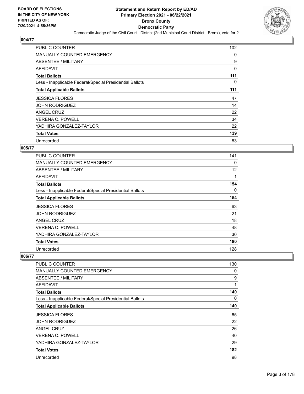

| PUBLIC COUNTER                                           | 102 |
|----------------------------------------------------------|-----|
| <b>MANUALLY COUNTED EMERGENCY</b>                        | 0   |
| ABSENTEE / MILITARY                                      | 9   |
| AFFIDAVIT                                                | 0   |
| <b>Total Ballots</b>                                     | 111 |
| Less - Inapplicable Federal/Special Presidential Ballots | 0   |
| <b>Total Applicable Ballots</b>                          | 111 |
| <b>JESSICA FLORES</b>                                    | 47  |
| <b>JOHN RODRIGUEZ</b>                                    | 14  |
| ANGEL CRUZ                                               | 22  |
| <b>VERENA C. POWELL</b>                                  | 34  |
| YADHIRA GONZALEZ-TAYLOR                                  | 22  |
| <b>Total Votes</b>                                       | 139 |
| Unrecorded                                               | 83  |

#### **005/77**

| <b>PUBLIC COUNTER</b>                                    | 141 |
|----------------------------------------------------------|-----|
| <b>MANUALLY COUNTED EMERGENCY</b>                        | 0   |
| <b>ABSENTEE / MILITARY</b>                               | 12  |
| AFFIDAVIT                                                | 1   |
| <b>Total Ballots</b>                                     | 154 |
| Less - Inapplicable Federal/Special Presidential Ballots | 0   |
| <b>Total Applicable Ballots</b>                          | 154 |
| <b>JESSICA FLORES</b>                                    | 63  |
| <b>JOHN RODRIGUEZ</b>                                    | 21  |
| ANGEL CRUZ                                               | 18  |
| <b>VERENA C. POWELL</b>                                  | 48  |
| YADHIRA GONZALEZ-TAYLOR                                  | 30  |
| <b>Total Votes</b>                                       | 180 |
| Unrecorded                                               | 128 |

| PUBLIC COUNTER                                           | 130 |
|----------------------------------------------------------|-----|
| <b>MANUALLY COUNTED EMERGENCY</b>                        | 0   |
| ABSENTEE / MILITARY                                      | 9   |
| <b>AFFIDAVIT</b>                                         | 1   |
| <b>Total Ballots</b>                                     | 140 |
| Less - Inapplicable Federal/Special Presidential Ballots | 0   |
| <b>Total Applicable Ballots</b>                          | 140 |
| <b>JESSICA FLORES</b>                                    | 65  |
| JOHN RODRIGUEZ                                           | 22  |
| ANGEL CRUZ                                               | 26  |
| <b>VERENA C. POWELL</b>                                  | 40  |
| YADHIRA GONZALEZ-TAYLOR                                  | 29  |
| <b>Total Votes</b>                                       | 182 |
| Unrecorded                                               | 98  |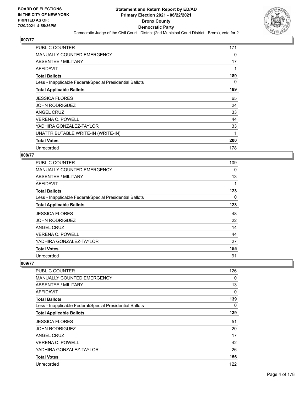

| <b>PUBLIC COUNTER</b>                                    | 171 |
|----------------------------------------------------------|-----|
| <b>MANUALLY COUNTED EMERGENCY</b>                        | 0   |
| ABSENTEE / MILITARY                                      | 17  |
| AFFIDAVIT                                                |     |
| <b>Total Ballots</b>                                     | 189 |
| Less - Inapplicable Federal/Special Presidential Ballots | 0   |
| <b>Total Applicable Ballots</b>                          | 189 |
| <b>JESSICA FLORES</b>                                    | 65  |
| <b>JOHN RODRIGUEZ</b>                                    | 24  |
| <b>ANGEL CRUZ</b>                                        | 33  |
| <b>VERENA C. POWELL</b>                                  | 44  |
| YADHIRA GONZALEZ-TAYLOR                                  | 33  |
| UNATTRIBUTABLE WRITE-IN (WRITE-IN)                       | 1   |
| <b>Total Votes</b>                                       | 200 |
| Unrecorded                                               | 178 |

## **008/77**

| PUBLIC COUNTER                                           | 109 |
|----------------------------------------------------------|-----|
| MANUALLY COUNTED EMERGENCY                               | 0   |
| ABSENTEE / MILITARY                                      | 13  |
| AFFIDAVIT                                                | 1   |
| <b>Total Ballots</b>                                     | 123 |
| Less - Inapplicable Federal/Special Presidential Ballots | 0   |
| <b>Total Applicable Ballots</b>                          | 123 |
| <b>JESSICA FLORES</b>                                    | 48  |
| <b>JOHN RODRIGUEZ</b>                                    | 22  |
| ANGEL CRUZ                                               | 14  |
| <b>VERENA C. POWELL</b>                                  | 44  |
| YADHIRA GONZALEZ-TAYLOR                                  | 27  |
| <b>Total Votes</b>                                       | 155 |
| Unrecorded                                               | 91  |

| PUBLIC COUNTER                                           | 126      |
|----------------------------------------------------------|----------|
| <b>MANUALLY COUNTED EMERGENCY</b>                        | 0        |
| ABSENTEE / MILITARY                                      | 13       |
| <b>AFFIDAVIT</b>                                         | $\Omega$ |
| <b>Total Ballots</b>                                     | 139      |
| Less - Inapplicable Federal/Special Presidential Ballots | 0        |
| <b>Total Applicable Ballots</b>                          | 139      |
| <b>JESSICA FLORES</b>                                    | 51       |
| <b>JOHN RODRIGUEZ</b>                                    | 20       |
| <b>ANGEL CRUZ</b>                                        | 17       |
| <b>VERENA C. POWELL</b>                                  | 42       |
| YADHIRA GONZALEZ-TAYLOR                                  | 26       |
| <b>Total Votes</b>                                       | 156      |
| Unrecorded                                               | 122      |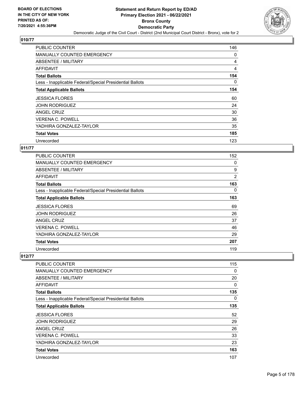

| PUBLIC COUNTER                                           | 146 |
|----------------------------------------------------------|-----|
| <b>MANUALLY COUNTED EMERGENCY</b>                        | 0   |
| ABSENTEE / MILITARY                                      | 4   |
| AFFIDAVIT                                                | 4   |
| <b>Total Ballots</b>                                     | 154 |
| Less - Inapplicable Federal/Special Presidential Ballots | 0   |
| <b>Total Applicable Ballots</b>                          | 154 |
| <b>JESSICA FLORES</b>                                    | 60  |
| <b>JOHN RODRIGUEZ</b>                                    | 24  |
| ANGEL CRUZ                                               | 30  |
| <b>VERENA C. POWELL</b>                                  | 36  |
| YADHIRA GONZALEZ-TAYLOR                                  | 35  |
| <b>Total Votes</b>                                       | 185 |
| Unrecorded                                               | 123 |

#### **011/77**

| <b>PUBLIC COUNTER</b>                                    | 152            |
|----------------------------------------------------------|----------------|
| <b>MANUALLY COUNTED EMERGENCY</b>                        | 0              |
| <b>ABSENTEE / MILITARY</b>                               | 9              |
| AFFIDAVIT                                                | $\overline{2}$ |
| <b>Total Ballots</b>                                     | 163            |
| Less - Inapplicable Federal/Special Presidential Ballots | 0              |
| <b>Total Applicable Ballots</b>                          | 163            |
| <b>JESSICA FLORES</b>                                    | 69             |
| <b>JOHN RODRIGUEZ</b>                                    | 26             |
| ANGEL CRUZ                                               | 37             |
| <b>VERENA C. POWELL</b>                                  | 46             |
| YADHIRA GONZALEZ-TAYLOR                                  | 29             |
| <b>Total Votes</b>                                       | 207            |
| Unrecorded                                               | 119            |

| PUBLIC COUNTER                                           | 115 |
|----------------------------------------------------------|-----|
| <b>MANUALLY COUNTED EMERGENCY</b>                        | 0   |
| ABSENTEE / MILITARY                                      | 20  |
| <b>AFFIDAVIT</b>                                         | 0   |
| <b>Total Ballots</b>                                     | 135 |
| Less - Inapplicable Federal/Special Presidential Ballots | 0   |
| <b>Total Applicable Ballots</b>                          | 135 |
| <b>JESSICA FLORES</b>                                    | 52  |
| JOHN RODRIGUEZ                                           | 29  |
| ANGEL CRUZ                                               | 26  |
| <b>VERENA C. POWELL</b>                                  | 33  |
| YADHIRA GONZALEZ-TAYLOR                                  | 23  |
| <b>Total Votes</b>                                       | 163 |
| Unrecorded                                               | 107 |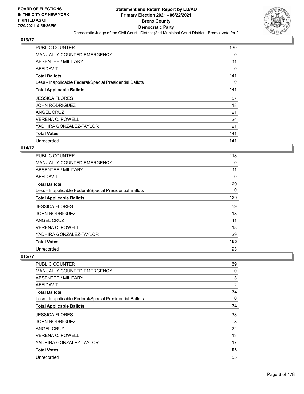

| PUBLIC COUNTER                                           | 130 |
|----------------------------------------------------------|-----|
| <b>MANUALLY COUNTED EMERGENCY</b>                        | 0   |
| ABSENTEE / MILITARY                                      | 11  |
| AFFIDAVIT                                                | 0   |
| <b>Total Ballots</b>                                     | 141 |
| Less - Inapplicable Federal/Special Presidential Ballots | 0   |
| <b>Total Applicable Ballots</b>                          | 141 |
| <b>JESSICA FLORES</b>                                    | 57  |
| <b>JOHN RODRIGUEZ</b>                                    | 18  |
| ANGEL CRUZ                                               | 21  |
| <b>VERENA C. POWELL</b>                                  | 24  |
| YADHIRA GONZALEZ-TAYLOR                                  | 21  |
|                                                          |     |
| <b>Total Votes</b>                                       | 141 |

#### **014/77**

| <b>PUBLIC COUNTER</b>                                    | 118 |
|----------------------------------------------------------|-----|
| <b>MANUALLY COUNTED EMERGENCY</b>                        | 0   |
| ABSENTEE / MILITARY                                      | 11  |
| <b>AFFIDAVIT</b>                                         | 0   |
| <b>Total Ballots</b>                                     | 129 |
| Less - Inapplicable Federal/Special Presidential Ballots | 0   |
| <b>Total Applicable Ballots</b>                          | 129 |
| <b>JESSICA FLORES</b>                                    | 59  |
| <b>JOHN RODRIGUEZ</b>                                    | 18  |
| <b>ANGEL CRUZ</b>                                        | 41  |
| <b>VERENA C. POWELL</b>                                  | 18  |
| YADHIRA GONZALEZ-TAYLOR                                  | 29  |
| <b>Total Votes</b>                                       | 165 |
| Unrecorded                                               | 93  |

| PUBLIC COUNTER                                           | 69             |
|----------------------------------------------------------|----------------|
| MANUALLY COUNTED EMERGENCY                               | 0              |
| ABSENTEE / MILITARY                                      | 3              |
| AFFIDAVIT                                                | $\overline{2}$ |
| <b>Total Ballots</b>                                     | 74             |
| Less - Inapplicable Federal/Special Presidential Ballots | 0              |
| <b>Total Applicable Ballots</b>                          | 74             |
| <b>JESSICA FLORES</b>                                    | 33             |
| <b>JOHN RODRIGUEZ</b>                                    | 8              |
| ANGEL CRUZ                                               | 22             |
| <b>VERENA C. POWELL</b>                                  | 13             |
| YADHIRA GONZALEZ-TAYLOR                                  | 17             |
| <b>Total Votes</b>                                       | 93             |
| Unrecorded                                               | 55             |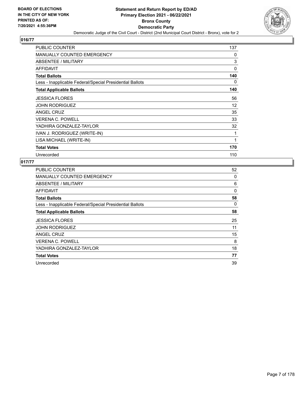

| PUBLIC COUNTER                                           | 137 |
|----------------------------------------------------------|-----|
| <b>MANUALLY COUNTED EMERGENCY</b>                        | 0   |
| ABSENTEE / MILITARY                                      | 3   |
| <b>AFFIDAVIT</b>                                         | 0   |
| <b>Total Ballots</b>                                     | 140 |
| Less - Inapplicable Federal/Special Presidential Ballots | 0   |
| <b>Total Applicable Ballots</b>                          | 140 |
| <b>JESSICA FLORES</b>                                    | 56  |
| JOHN RODRIGUEZ                                           | 12  |
| ANGEL CRUZ                                               | 35  |
| <b>VERENA C. POWELL</b>                                  | 33  |
| YADHIRA GONZALEZ-TAYLOR                                  | 32  |
| IVAN J. RODRIGUEZ (WRITE-IN)                             | 1   |
| LISA MICHAEL (WRITE-IN)                                  | 1   |
| <b>Total Votes</b>                                       | 170 |
| Unrecorded                                               | 110 |

| PUBLIC COUNTER                                           | 52 |
|----------------------------------------------------------|----|
| <b>MANUALLY COUNTED EMERGENCY</b>                        | 0  |
| ABSENTEE / MILITARY                                      | 6  |
| AFFIDAVIT                                                | 0  |
| <b>Total Ballots</b>                                     | 58 |
| Less - Inapplicable Federal/Special Presidential Ballots | 0  |
| <b>Total Applicable Ballots</b>                          | 58 |
| <b>JESSICA FLORES</b>                                    | 25 |
| <b>JOHN RODRIGUEZ</b>                                    | 11 |
| ANGEL CRUZ                                               | 15 |
| <b>VERENA C. POWELL</b>                                  | 8  |
| YADHIRA GONZALEZ-TAYLOR                                  | 18 |
| <b>Total Votes</b>                                       | 77 |
|                                                          |    |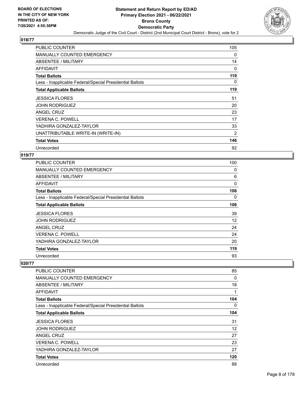

| <b>PUBLIC COUNTER</b>                                    | 105 |
|----------------------------------------------------------|-----|
| <b>MANUALLY COUNTED EMERGENCY</b>                        | 0   |
| ABSENTEE / MILITARY                                      | 14  |
| AFFIDAVIT                                                | 0   |
| <b>Total Ballots</b>                                     | 119 |
| Less - Inapplicable Federal/Special Presidential Ballots | 0   |
| <b>Total Applicable Ballots</b>                          | 119 |
| <b>JESSICA FLORES</b>                                    | 51  |
| <b>JOHN RODRIGUEZ</b>                                    | 20  |
| <b>ANGEL CRUZ</b>                                        | 23  |
| <b>VERENA C. POWELL</b>                                  | 17  |
| YADHIRA GONZALEZ-TAYLOR                                  | 33  |
| UNATTRIBUTABLE WRITE-IN (WRITE-IN)                       | 2   |
| <b>Total Votes</b>                                       | 146 |
| Unrecorded                                               | 92  |

## **019/77**

| PUBLIC COUNTER                                           | 100 |
|----------------------------------------------------------|-----|
| MANUALLY COUNTED EMERGENCY                               | 0   |
| ABSENTEE / MILITARY                                      | 6   |
| AFFIDAVIT                                                | 0   |
| <b>Total Ballots</b>                                     | 106 |
| Less - Inapplicable Federal/Special Presidential Ballots | 0   |
| <b>Total Applicable Ballots</b>                          | 106 |
| <b>JESSICA FLORES</b>                                    | 39  |
| <b>JOHN RODRIGUEZ</b>                                    | 12  |
| ANGEL CRUZ                                               | 24  |
| <b>VERENA C. POWELL</b>                                  | 24  |
| YADHIRA GONZALEZ-TAYLOR                                  | 20  |
| <b>Total Votes</b>                                       | 119 |
| Unrecorded                                               | 93  |

| PUBLIC COUNTER                                           | 85  |
|----------------------------------------------------------|-----|
| <b>MANUALLY COUNTED EMERGENCY</b>                        | 0   |
| ABSENTEE / MILITARY                                      | 18  |
| AFFIDAVIT                                                | 1   |
| <b>Total Ballots</b>                                     | 104 |
| Less - Inapplicable Federal/Special Presidential Ballots | 0   |
| <b>Total Applicable Ballots</b>                          | 104 |
| <b>JESSICA FLORES</b>                                    | 31  |
| <b>JOHN RODRIGUEZ</b>                                    | 12  |
| <b>ANGEL CRUZ</b>                                        | 27  |
| <b>VERENA C. POWELL</b>                                  | 23  |
| YADHIRA GONZALEZ-TAYLOR                                  | 27  |
| <b>Total Votes</b>                                       | 120 |
| Unrecorded                                               | 88  |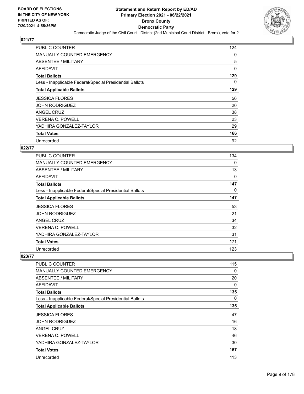

| PUBLIC COUNTER                                           | 124 |
|----------------------------------------------------------|-----|
| MANUALLY COUNTED EMERGENCY                               | 0   |
| <b>ABSENTEE / MILITARY</b>                               | 5   |
| AFFIDAVIT                                                | 0   |
| <b>Total Ballots</b>                                     | 129 |
| Less - Inapplicable Federal/Special Presidential Ballots | 0   |
| <b>Total Applicable Ballots</b>                          | 129 |
| <b>JESSICA FLORES</b>                                    | 56  |
| <b>JOHN RODRIGUEZ</b>                                    | 20  |
| ANGEL CRUZ                                               | 38  |
| <b>VERENA C. POWELL</b>                                  | 23  |
| YADHIRA GONZALEZ-TAYLOR                                  | 29  |
| <b>Total Votes</b>                                       | 166 |
| Unrecorded                                               | 92  |

#### **022/77**

| <b>PUBLIC COUNTER</b>                                    | 134      |
|----------------------------------------------------------|----------|
| MANUALLY COUNTED EMERGENCY                               | $\Omega$ |
| ABSENTEE / MILITARY                                      | 13       |
| AFFIDAVIT                                                | 0        |
| <b>Total Ballots</b>                                     | 147      |
| Less - Inapplicable Federal/Special Presidential Ballots | 0        |
| <b>Total Applicable Ballots</b>                          | 147      |
| <b>JESSICA FLORES</b>                                    | 53       |
| <b>JOHN RODRIGUEZ</b>                                    | 21       |
| ANGEL CRUZ                                               | 34       |
| <b>VERENA C. POWELL</b>                                  | 32       |
| YADHIRA GONZALEZ-TAYLOR                                  | 31       |
| <b>Total Votes</b>                                       | 171      |
| Unrecorded                                               | 123      |

| PUBLIC COUNTER                                           | 115      |
|----------------------------------------------------------|----------|
| <b>MANUALLY COUNTED EMERGENCY</b>                        | 0        |
| <b>ABSENTEE / MILITARY</b>                               | 20       |
| AFFIDAVIT                                                | 0        |
| <b>Total Ballots</b>                                     | 135      |
| Less - Inapplicable Federal/Special Presidential Ballots | $\Omega$ |
| <b>Total Applicable Ballots</b>                          | 135      |
| <b>JESSICA FLORES</b>                                    | 47       |
| <b>JOHN RODRIGUEZ</b>                                    | 16       |
| <b>ANGEL CRUZ</b>                                        | 18       |
| <b>VERENA C. POWELL</b>                                  | 46       |
| YADHIRA GONZALEZ-TAYLOR                                  | 30       |
| <b>Total Votes</b>                                       | 157      |
| Unrecorded                                               | 113      |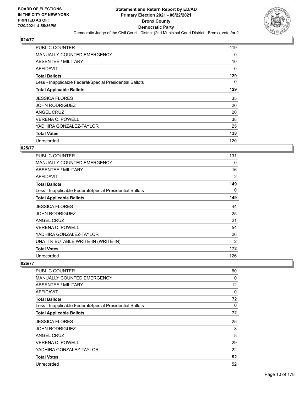

| PUBLIC COUNTER                                           | 119 |
|----------------------------------------------------------|-----|
| MANUALLY COUNTED EMERGENCY                               | 0   |
| ABSENTEE / MILITARY                                      | 10  |
| AFFIDAVIT                                                | 0   |
| <b>Total Ballots</b>                                     | 129 |
| Less - Inapplicable Federal/Special Presidential Ballots | 0   |
| <b>Total Applicable Ballots</b>                          | 129 |
| <b>JESSICA FLORES</b>                                    | 35  |
| <b>JOHN RODRIGUEZ</b>                                    | 20  |
| ANGEL CRUZ                                               | 20  |
| <b>VERENA C. POWELL</b>                                  | 38  |
| YADHIRA GONZALEZ-TAYLOR                                  | 25  |
| <b>Total Votes</b>                                       | 138 |
| Unrecorded                                               | 120 |

#### **025/77**

| <b>PUBLIC COUNTER</b>                                    | 131 |
|----------------------------------------------------------|-----|
| <b>MANUALLY COUNTED EMERGENCY</b>                        | 0   |
| <b>ABSENTEE / MILITARY</b>                               | 16  |
| AFFIDAVIT                                                | 2   |
| <b>Total Ballots</b>                                     | 149 |
| Less - Inapplicable Federal/Special Presidential Ballots | 0   |
| <b>Total Applicable Ballots</b>                          | 149 |
| <b>JESSICA FLORES</b>                                    | 44  |
| JOHN RODRIGUEZ                                           | 25  |
| <b>ANGEL CRUZ</b>                                        | 21  |
| VERENA C. POWELL                                         | 54  |
| YADHIRA GONZALEZ-TAYLOR                                  | 26  |
| UNATTRIBUTABLE WRITE-IN (WRITE-IN)                       | 2   |
| <b>Total Votes</b>                                       | 172 |
| Unrecorded                                               | 126 |

| PUBLIC COUNTER                                           | 60 |
|----------------------------------------------------------|----|
| <b>MANUALLY COUNTED EMERGENCY</b>                        | 0  |
| ABSENTEE / MILITARY                                      | 12 |
| AFFIDAVIT                                                | 0  |
| <b>Total Ballots</b>                                     | 72 |
| Less - Inapplicable Federal/Special Presidential Ballots | 0  |
| <b>Total Applicable Ballots</b>                          | 72 |
| <b>JESSICA FLORES</b>                                    | 25 |
| <b>JOHN RODRIGUEZ</b>                                    | 8  |
| ANGEL CRUZ                                               | 8  |
| <b>VERENA C. POWELL</b>                                  | 29 |
| YADHIRA GONZALEZ-TAYLOR                                  | 22 |
| <b>Total Votes</b>                                       | 92 |
| Unrecorded                                               | 52 |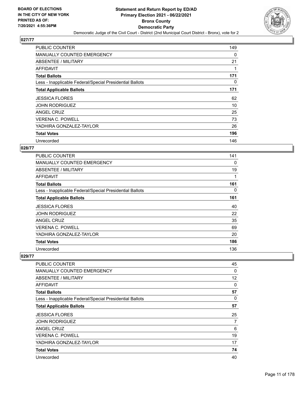

| PUBLIC COUNTER                                           | 149 |
|----------------------------------------------------------|-----|
| MANUALLY COUNTED EMERGENCY                               | 0   |
| <b>ABSENTEE / MILITARY</b>                               | 21  |
| AFFIDAVIT                                                |     |
| <b>Total Ballots</b>                                     | 171 |
| Less - Inapplicable Federal/Special Presidential Ballots | 0   |
| <b>Total Applicable Ballots</b>                          | 171 |
| <b>JESSICA FLORES</b>                                    | 62  |
| <b>JOHN RODRIGUEZ</b>                                    | 10  |
| ANGEL CRUZ                                               | 25  |
| <b>VERENA C. POWELL</b>                                  | 73  |
| YADHIRA GONZALEZ-TAYLOR                                  | 26  |
| <b>Total Votes</b>                                       | 196 |
| Unrecorded                                               | 146 |

#### **028/77**

| <b>PUBLIC COUNTER</b>                                    | 141 |
|----------------------------------------------------------|-----|
| <b>MANUALLY COUNTED EMERGENCY</b>                        | 0   |
| ABSENTEE / MILITARY                                      | 19  |
| <b>AFFIDAVIT</b>                                         | 1   |
| <b>Total Ballots</b>                                     | 161 |
| Less - Inapplicable Federal/Special Presidential Ballots | 0   |
| <b>Total Applicable Ballots</b>                          | 161 |
| <b>JESSICA FLORES</b>                                    | 40  |
| <b>JOHN RODRIGUEZ</b>                                    | 22  |
| <b>ANGEL CRUZ</b>                                        | 35  |
| <b>VERENA C. POWELL</b>                                  | 69  |
| YADHIRA GONZALEZ-TAYLOR                                  | 20  |
| <b>Total Votes</b>                                       | 186 |
| Unrecorded                                               | 136 |

| <b>PUBLIC COUNTER</b>                                    | 45 |
|----------------------------------------------------------|----|
| <b>MANUALLY COUNTED EMERGENCY</b>                        | 0  |
| <b>ABSENTEE / MILITARY</b>                               | 12 |
| <b>AFFIDAVIT</b>                                         | 0  |
| <b>Total Ballots</b>                                     | 57 |
| Less - Inapplicable Federal/Special Presidential Ballots | 0  |
| <b>Total Applicable Ballots</b>                          | 57 |
| <b>JESSICA FLORES</b>                                    | 25 |
| <b>JOHN RODRIGUEZ</b>                                    | 7  |
| ANGEL CRUZ                                               | 6  |
| <b>VERENA C. POWELL</b>                                  | 19 |
| YADHIRA GONZALEZ-TAYLOR                                  | 17 |
| <b>Total Votes</b>                                       | 74 |
| Unrecorded                                               | 40 |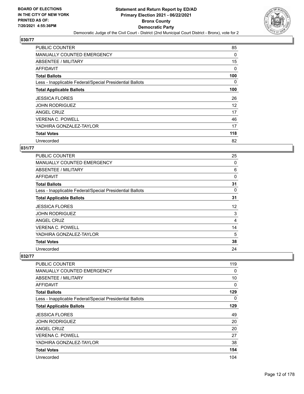

| <b>PUBLIC COUNTER</b>                                    | 85  |
|----------------------------------------------------------|-----|
| <b>MANUALLY COUNTED EMERGENCY</b>                        | 0   |
| ABSENTEE / MILITARY                                      | 15  |
| AFFIDAVIT                                                | 0   |
| <b>Total Ballots</b>                                     | 100 |
| Less - Inapplicable Federal/Special Presidential Ballots | 0   |
| <b>Total Applicable Ballots</b>                          | 100 |
| <b>JESSICA FLORES</b>                                    | 26  |
| <b>JOHN RODRIGUEZ</b>                                    | 12  |
| ANGEL CRUZ                                               | 17  |
| <b>VERENA C. POWELL</b>                                  | 46  |
| YADHIRA GONZALEZ-TAYLOR                                  | 17  |
| <b>Total Votes</b>                                       | 118 |
| Unrecorded                                               | 82  |

#### **031/77**

| <b>PUBLIC COUNTER</b>                                    | 25 |
|----------------------------------------------------------|----|
| <b>MANUALLY COUNTED EMERGENCY</b>                        | 0  |
| ABSENTEE / MILITARY                                      | 6  |
| AFFIDAVIT                                                | 0  |
| <b>Total Ballots</b>                                     | 31 |
| Less - Inapplicable Federal/Special Presidential Ballots | 0  |
| <b>Total Applicable Ballots</b>                          | 31 |
| <b>JESSICA FLORES</b>                                    | 12 |
| <b>JOHN RODRIGUEZ</b>                                    | 3  |
| <b>ANGEL CRUZ</b>                                        | 4  |
| VERENA C. POWELL                                         | 14 |
| YADHIRA GONZALEZ-TAYLOR                                  | 5  |
| <b>Total Votes</b>                                       | 38 |
| Unrecorded                                               | 24 |

| PUBLIC COUNTER                                           | 119 |
|----------------------------------------------------------|-----|
| <b>MANUALLY COUNTED EMERGENCY</b>                        | 0   |
| ABSENTEE / MILITARY                                      | 10  |
| AFFIDAVIT                                                | 0   |
| <b>Total Ballots</b>                                     | 129 |
| Less - Inapplicable Federal/Special Presidential Ballots | 0   |
| <b>Total Applicable Ballots</b>                          | 129 |
| <b>JESSICA FLORES</b>                                    | 49  |
| <b>JOHN RODRIGUEZ</b>                                    | 20  |
| ANGEL CRUZ                                               | 20  |
| <b>VERENA C. POWELL</b>                                  | 27  |
| YADHIRA GONZALEZ-TAYLOR                                  | 38  |
| <b>Total Votes</b>                                       | 154 |
| Unrecorded                                               | 104 |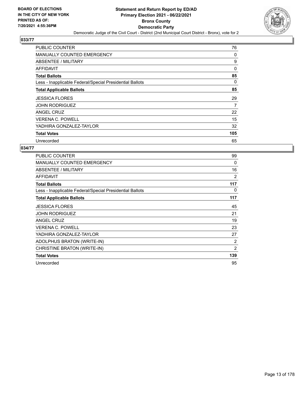

| PUBLIC COUNTER                                           | 76  |
|----------------------------------------------------------|-----|
| MANUALLY COUNTED EMERGENCY                               | 0   |
| ABSENTEE / MILITARY                                      | 9   |
| AFFIDAVIT                                                | 0   |
| <b>Total Ballots</b>                                     | 85  |
| Less - Inapplicable Federal/Special Presidential Ballots | 0   |
| <b>Total Applicable Ballots</b>                          | 85  |
| <b>JESSICA FLORES</b>                                    | 29  |
| <b>JOHN RODRIGUEZ</b>                                    | 7   |
| ANGEL CRUZ                                               | 22  |
| <b>VERENA C. POWELL</b>                                  | 15  |
| YADHIRA GONZALEZ-TAYLOR                                  | 32  |
| <b>Total Votes</b>                                       | 105 |
| Unrecorded                                               | 65  |

| PUBLIC COUNTER                                           | 99  |
|----------------------------------------------------------|-----|
| <b>MANUALLY COUNTED EMERGENCY</b>                        | 0   |
| ABSENTEE / MILITARY                                      | 16  |
| <b>AFFIDAVIT</b>                                         | 2   |
| <b>Total Ballots</b>                                     | 117 |
| Less - Inapplicable Federal/Special Presidential Ballots | 0   |
| <b>Total Applicable Ballots</b>                          | 117 |
| <b>JESSICA FLORES</b>                                    | 45  |
| JOHN RODRIGUEZ                                           | 21  |
| <b>ANGEL CRUZ</b>                                        | 19  |
| <b>VERENA C. POWELL</b>                                  | 23  |
| YADHIRA GONZALEZ-TAYLOR                                  | 27  |
| ADOLPHUS BRATON (WRITE-IN)                               | 2   |
| CHRISTINE BRATON (WRITE-IN)                              | 2   |
| <b>Total Votes</b>                                       | 139 |
| Unrecorded                                               | 95  |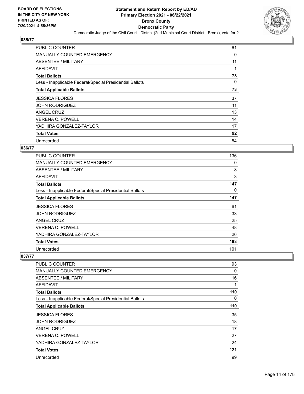

| <b>PUBLIC COUNTER</b>                                    | 61 |
|----------------------------------------------------------|----|
| <b>MANUALLY COUNTED EMERGENCY</b>                        | 0  |
| ABSENTEE / MILITARY                                      | 11 |
| AFFIDAVIT                                                |    |
| <b>Total Ballots</b>                                     | 73 |
| Less - Inapplicable Federal/Special Presidential Ballots | 0  |
| <b>Total Applicable Ballots</b>                          | 73 |
| <b>JESSICA FLORES</b>                                    | 37 |
| <b>JOHN RODRIGUEZ</b>                                    | 11 |
| ANGEL CRUZ                                               | 13 |
| <b>VERENA C. POWELL</b>                                  | 14 |
| YADHIRA GONZALEZ-TAYLOR                                  | 17 |
| <b>Total Votes</b>                                       | 92 |
| Unrecorded                                               | 54 |

#### **036/77**

| PUBLIC COUNTER                                           | 136 |
|----------------------------------------------------------|-----|
| <b>MANUALLY COUNTED EMERGENCY</b>                        | 0   |
| ABSENTEE / MILITARY                                      | 8   |
| AFFIDAVIT                                                | 3   |
| <b>Total Ballots</b>                                     | 147 |
| Less - Inapplicable Federal/Special Presidential Ballots | 0   |
| <b>Total Applicable Ballots</b>                          | 147 |
| <b>JESSICA FLORES</b>                                    | 61  |
| <b>JOHN RODRIGUEZ</b>                                    | 33  |
| <b>ANGEL CRUZ</b>                                        | 25  |
| VERENA C. POWELL                                         | 48  |
| YADHIRA GONZALEZ-TAYLOR                                  | 26  |
| <b>Total Votes</b>                                       | 193 |
| Unrecorded                                               | 101 |

| PUBLIC COUNTER                                           | 93       |
|----------------------------------------------------------|----------|
| <b>MANUALLY COUNTED EMERGENCY</b>                        | 0        |
| ABSENTEE / MILITARY                                      | 16       |
| AFFIDAVIT                                                | 1        |
| <b>Total Ballots</b>                                     | 110      |
| Less - Inapplicable Federal/Special Presidential Ballots | $\Omega$ |
| <b>Total Applicable Ballots</b>                          | 110      |
| <b>JESSICA FLORES</b>                                    | 35       |
| <b>JOHN RODRIGUEZ</b>                                    | 18       |
| ANGEL CRUZ                                               | 17       |
| <b>VERENA C. POWELL</b>                                  | 27       |
| YADHIRA GONZALEZ-TAYLOR                                  | 24       |
| <b>Total Votes</b>                                       | 121      |
| Unrecorded                                               | 99       |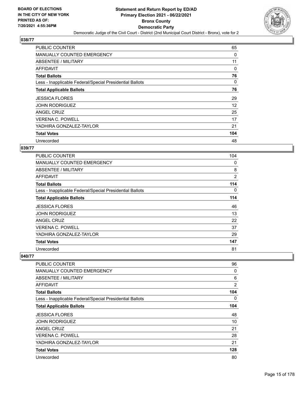

| <b>PUBLIC COUNTER</b>                                    | 65  |
|----------------------------------------------------------|-----|
| <b>MANUALLY COUNTED EMERGENCY</b>                        | 0   |
| ABSENTEE / MILITARY                                      | 11  |
| AFFIDAVIT                                                | 0   |
| <b>Total Ballots</b>                                     | 76  |
| Less - Inapplicable Federal/Special Presidential Ballots | 0   |
| <b>Total Applicable Ballots</b>                          | 76  |
| <b>JESSICA FLORES</b>                                    | 29  |
| <b>JOHN RODRIGUEZ</b>                                    | 12  |
| ANGEL CRUZ                                               | 25  |
| <b>VERENA C. POWELL</b>                                  | 17  |
| YADHIRA GONZALEZ-TAYLOR                                  | 21  |
| <b>Total Votes</b>                                       | 104 |
| Unrecorded                                               | 48  |

#### **039/77**

| PUBLIC COUNTER                                           | 104            |
|----------------------------------------------------------|----------------|
| <b>MANUALLY COUNTED EMERGENCY</b>                        | 0              |
| ABSENTEE / MILITARY                                      | 8              |
| AFFIDAVIT                                                | $\overline{2}$ |
| <b>Total Ballots</b>                                     | 114            |
| Less - Inapplicable Federal/Special Presidential Ballots | 0              |
| <b>Total Applicable Ballots</b>                          | 114            |
| <b>JESSICA FLORES</b>                                    | 46             |
| <b>JOHN RODRIGUEZ</b>                                    | 13             |
| <b>ANGEL CRUZ</b>                                        | 22             |
| VERENA C. POWELL                                         | 37             |
| YADHIRA GONZALEZ-TAYLOR                                  | 29             |
| <b>Total Votes</b>                                       | 147            |
| Unrecorded                                               | 81             |

| PUBLIC COUNTER                                           | 96             |
|----------------------------------------------------------|----------------|
| <b>MANUALLY COUNTED EMERGENCY</b>                        | 0              |
| ABSENTEE / MILITARY                                      | 6              |
| AFFIDAVIT                                                | $\overline{2}$ |
| <b>Total Ballots</b>                                     | 104            |
| Less - Inapplicable Federal/Special Presidential Ballots | 0              |
| <b>Total Applicable Ballots</b>                          | 104            |
| <b>JESSICA FLORES</b>                                    | 48             |
| <b>JOHN RODRIGUEZ</b>                                    | 10             |
| ANGEL CRUZ                                               | 21             |
| <b>VERENA C. POWELL</b>                                  | 28             |
| YADHIRA GONZALEZ-TAYLOR                                  | 21             |
| <b>Total Votes</b>                                       | 128            |
| Unrecorded                                               | 80             |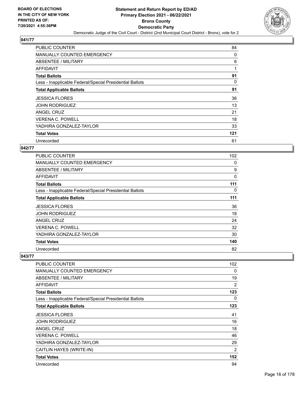

| <b>PUBLIC COUNTER</b>                                    | 84  |
|----------------------------------------------------------|-----|
| <b>MANUALLY COUNTED EMERGENCY</b>                        | 0   |
| ABSENTEE / MILITARY                                      | 6   |
| AFFIDAVIT                                                | 1   |
| <b>Total Ballots</b>                                     | 91  |
| Less - Inapplicable Federal/Special Presidential Ballots | 0   |
| <b>Total Applicable Ballots</b>                          | 91  |
| <b>JESSICA FLORES</b>                                    | 36  |
| <b>JOHN RODRIGUEZ</b>                                    | 13  |
| ANGEL CRUZ                                               | 21  |
| <b>VERENA C. POWELL</b>                                  | 18  |
| YADHIRA GONZALEZ-TAYLOR                                  | 33  |
| <b>Total Votes</b>                                       | 121 |
| Unrecorded                                               | 61  |

#### **042/77**

| <b>PUBLIC COUNTER</b>                                    | 102 |
|----------------------------------------------------------|-----|
| <b>MANUALLY COUNTED EMERGENCY</b>                        | 0   |
| ABSENTEE / MILITARY                                      | 9   |
| <b>AFFIDAVIT</b>                                         | 0   |
| <b>Total Ballots</b>                                     | 111 |
| Less - Inapplicable Federal/Special Presidential Ballots | 0   |
| <b>Total Applicable Ballots</b>                          | 111 |
| <b>JESSICA FLORES</b>                                    | 36  |
| <b>JOHN RODRIGUEZ</b>                                    | 18  |
| <b>ANGEL CRUZ</b>                                        | 24  |
| <b>VERENA C. POWELL</b>                                  | 32  |
| YADHIRA GONZALEZ-TAYLOR                                  | 30  |
| <b>Total Votes</b>                                       | 140 |
| Unrecorded                                               | 82  |

| PUBLIC COUNTER                                           | 102            |
|----------------------------------------------------------|----------------|
|                                                          |                |
| <b>MANUALLY COUNTED EMERGENCY</b>                        | 0              |
| ABSENTEE / MILITARY                                      | 19             |
| AFFIDAVIT                                                | 2              |
| <b>Total Ballots</b>                                     | 123            |
| Less - Inapplicable Federal/Special Presidential Ballots | 0              |
| <b>Total Applicable Ballots</b>                          | 123            |
| <b>JESSICA FLORES</b>                                    | 41             |
| <b>JOHN RODRIGUEZ</b>                                    | 16             |
| ANGEL CRUZ                                               | 18             |
| <b>VERENA C. POWELL</b>                                  | 46             |
| YADHIRA GONZALEZ-TAYLOR                                  | 29             |
| CAITLIN HAYES (WRITE-IN)                                 | $\overline{2}$ |
| <b>Total Votes</b>                                       | 152            |
| Unrecorded                                               | 94             |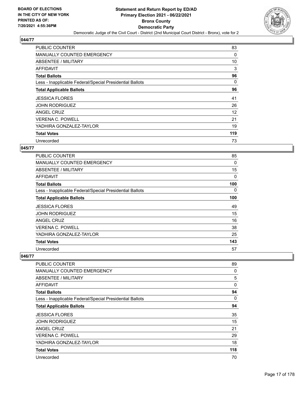

| <b>PUBLIC COUNTER</b>                                    | 83  |
|----------------------------------------------------------|-----|
| <b>MANUALLY COUNTED EMERGENCY</b>                        | 0   |
| ABSENTEE / MILITARY                                      | 10  |
| AFFIDAVIT                                                | 3   |
| <b>Total Ballots</b>                                     | 96  |
| Less - Inapplicable Federal/Special Presidential Ballots | 0   |
| <b>Total Applicable Ballots</b>                          | 96  |
| <b>JESSICA FLORES</b>                                    | 41  |
| <b>JOHN RODRIGUEZ</b>                                    | 26  |
| ANGEL CRUZ                                               | 12  |
| <b>VERENA C. POWELL</b>                                  | 21  |
| YADHIRA GONZALEZ-TAYLOR                                  | 19  |
| <b>Total Votes</b>                                       | 119 |
| Unrecorded                                               | 73  |

#### **045/77**

| <b>PUBLIC COUNTER</b>                                    | 85       |
|----------------------------------------------------------|----------|
| MANUALLY COUNTED EMERGENCY                               | $\Omega$ |
| ABSENTEE / MILITARY                                      | 15       |
| AFFIDAVIT                                                | 0        |
| <b>Total Ballots</b>                                     | 100      |
| Less - Inapplicable Federal/Special Presidential Ballots | 0        |
| <b>Total Applicable Ballots</b>                          | 100      |
| <b>JESSICA FLORES</b>                                    | 49       |
| <b>JOHN RODRIGUEZ</b>                                    | 15       |
| ANGEL CRUZ                                               | 16       |
| <b>VERENA C. POWELL</b>                                  | 38       |
| YADHIRA GONZALEZ-TAYLOR                                  | 25       |
| <b>Total Votes</b>                                       | 143      |
| Unrecorded                                               | 57       |

| PUBLIC COUNTER                                           | 89       |
|----------------------------------------------------------|----------|
| <b>MANUALLY COUNTED EMERGENCY</b>                        | 0        |
| <b>ABSENTEE / MILITARY</b>                               | 5        |
| <b>AFFIDAVIT</b>                                         | $\Omega$ |
| <b>Total Ballots</b>                                     | 94       |
| Less - Inapplicable Federal/Special Presidential Ballots | $\Omega$ |
| <b>Total Applicable Ballots</b>                          | 94       |
| <b>JESSICA FLORES</b>                                    | 35       |
| <b>JOHN RODRIGUEZ</b>                                    | 15       |
| ANGEL CRUZ                                               | 21       |
| <b>VERENA C. POWELL</b>                                  | 29       |
| YADHIRA GONZALEZ-TAYLOR                                  | 18       |
| <b>Total Votes</b>                                       | 118      |
| Unrecorded                                               | 70       |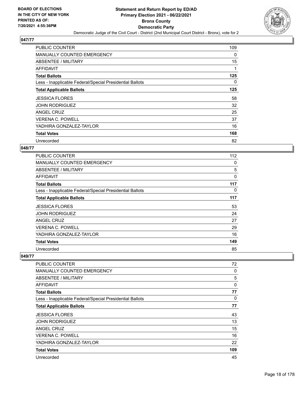

| PUBLIC COUNTER                                           | 109 |
|----------------------------------------------------------|-----|
| <b>MANUALLY COUNTED EMERGENCY</b>                        | 0   |
| ABSENTEE / MILITARY                                      | 15  |
| AFFIDAVIT                                                |     |
| <b>Total Ballots</b>                                     | 125 |
| Less - Inapplicable Federal/Special Presidential Ballots | 0   |
| <b>Total Applicable Ballots</b>                          | 125 |
| <b>JESSICA FLORES</b>                                    | 58  |
| <b>JOHN RODRIGUEZ</b>                                    | 32  |
| ANGEL CRUZ                                               | 25  |
| <b>VERENA C. POWELL</b>                                  | 37  |
| YADHIRA GONZALEZ-TAYLOR                                  | 16  |
| <b>Total Votes</b>                                       | 168 |
| Unrecorded                                               | 82  |

#### **048/77**

| <b>PUBLIC COUNTER</b>                                    | 112 |
|----------------------------------------------------------|-----|
| <b>MANUALLY COUNTED EMERGENCY</b>                        | 0   |
| ABSENTEE / MILITARY                                      | 5   |
| <b>AFFIDAVIT</b>                                         | 0   |
| <b>Total Ballots</b>                                     | 117 |
| Less - Inapplicable Federal/Special Presidential Ballots | 0   |
| <b>Total Applicable Ballots</b>                          | 117 |
| <b>JESSICA FLORES</b>                                    | 53  |
| <b>JOHN RODRIGUEZ</b>                                    | 24  |
| <b>ANGEL CRUZ</b>                                        | 27  |
| <b>VERENA C. POWELL</b>                                  | 29  |
| YADHIRA GONZALEZ-TAYLOR                                  | 16  |
| <b>Total Votes</b>                                       | 149 |
| Unrecorded                                               | 85  |

| PUBLIC COUNTER                                           | 72       |
|----------------------------------------------------------|----------|
| <b>MANUALLY COUNTED EMERGENCY</b>                        | 0        |
| ABSENTEE / MILITARY                                      | 5        |
| AFFIDAVIT                                                | 0        |
| <b>Total Ballots</b>                                     | 77       |
| Less - Inapplicable Federal/Special Presidential Ballots | $\Omega$ |
| <b>Total Applicable Ballots</b>                          | 77       |
| <b>JESSICA FLORES</b>                                    | 43       |
| <b>JOHN RODRIGUEZ</b>                                    | 13       |
| <b>ANGEL CRUZ</b>                                        | 15       |
| <b>VERENA C. POWELL</b>                                  | 16       |
| YADHIRA GONZALEZ-TAYLOR                                  | 22       |
| <b>Total Votes</b>                                       | 109      |
| Unrecorded                                               | 45       |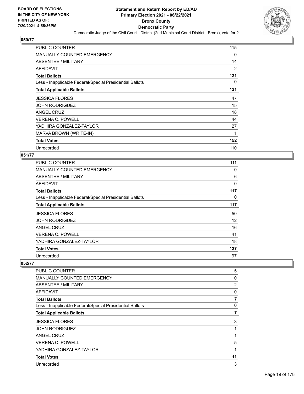

| PUBLIC COUNTER                                           | 115      |
|----------------------------------------------------------|----------|
| MANUALLY COUNTED EMERGENCY                               | $\Omega$ |
| ABSENTEE / MILITARY                                      | 14       |
| AFFIDAVIT                                                | 2        |
| <b>Total Ballots</b>                                     | 131      |
| Less - Inapplicable Federal/Special Presidential Ballots | 0        |
| <b>Total Applicable Ballots</b>                          | 131      |
| <b>JESSICA FLORES</b>                                    | 47       |
| <b>JOHN RODRIGUEZ</b>                                    | 15       |
| <b>ANGEL CRUZ</b>                                        | 18       |
| <b>VERENA C. POWELL</b>                                  | 44       |
| YADHIRA GONZALEZ-TAYLOR                                  | 27       |
| MARVA BROWN (WRITE-IN)                                   | 1        |
| <b>Total Votes</b>                                       | 152      |
| Unrecorded                                               | 110      |

## **051/77**

| PUBLIC COUNTER                                           | 111 |
|----------------------------------------------------------|-----|
| MANUALLY COUNTED EMERGENCY                               | 0   |
| ABSENTEE / MILITARY                                      | 6   |
| AFFIDAVIT                                                | 0   |
| <b>Total Ballots</b>                                     | 117 |
| Less - Inapplicable Federal/Special Presidential Ballots | 0   |
| <b>Total Applicable Ballots</b>                          | 117 |
| <b>JESSICA FLORES</b>                                    | 50  |
| <b>JOHN RODRIGUEZ</b>                                    | 12  |
| ANGEL CRUZ                                               | 16  |
| <b>VERENA C. POWELL</b>                                  | 41  |
| YADHIRA GONZALEZ-TAYLOR                                  | 18  |
| <b>Total Votes</b>                                       | 137 |
| Unrecorded                                               | 97  |

| PUBLIC COUNTER                                           | 5              |
|----------------------------------------------------------|----------------|
| MANUALLY COUNTED EMERGENCY                               | 0              |
| ABSENTEE / MILITARY                                      | $\overline{2}$ |
| AFFIDAVIT                                                | 0              |
| <b>Total Ballots</b>                                     | 7              |
| Less - Inapplicable Federal/Special Presidential Ballots | 0              |
| <b>Total Applicable Ballots</b>                          | 7              |
| <b>JESSICA FLORES</b>                                    | 3              |
| <b>JOHN RODRIGUEZ</b>                                    | 1              |
| ANGEL CRUZ                                               | 1              |
| <b>VERENA C. POWELL</b>                                  | 5              |
| YADHIRA GONZALEZ-TAYLOR                                  | 1              |
| <b>Total Votes</b>                                       | 11             |
| Unrecorded                                               | 3              |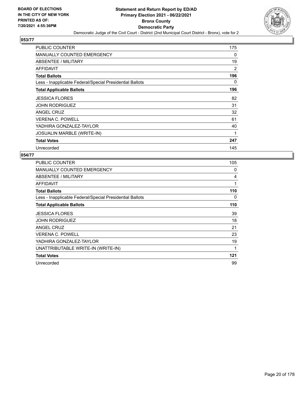

| PUBLIC COUNTER                                           | 175 |
|----------------------------------------------------------|-----|
| <b>MANUALLY COUNTED EMERGENCY</b>                        | 0   |
| ABSENTEE / MILITARY                                      | 19  |
| AFFIDAVIT                                                | 2   |
| <b>Total Ballots</b>                                     | 196 |
| Less - Inapplicable Federal/Special Presidential Ballots | 0   |
| <b>Total Applicable Ballots</b>                          | 196 |
| <b>JESSICA FLORES</b>                                    | 82  |
| <b>JOHN RODRIGUEZ</b>                                    | 31  |
| ANGEL CRUZ                                               | 32  |
| <b>VERENA C. POWELL</b>                                  | 61  |
| YADHIRA GONZALEZ-TAYLOR                                  | 40  |
| <b>JOSUALIN MARBLE (WRITE-IN)</b>                        | 1   |
| <b>Total Votes</b>                                       | 247 |
| Unrecorded                                               | 145 |

| PUBLIC COUNTER                                           | 105 |
|----------------------------------------------------------|-----|
| <b>MANUALLY COUNTED EMERGENCY</b>                        | 0   |
| <b>ABSENTEE / MILITARY</b>                               | 4   |
| AFFIDAVIT                                                | 1   |
| <b>Total Ballots</b>                                     | 110 |
| Less - Inapplicable Federal/Special Presidential Ballots | 0   |
| <b>Total Applicable Ballots</b>                          | 110 |
| <b>JESSICA FLORES</b>                                    | 39  |
| <b>JOHN RODRIGUEZ</b>                                    | 18  |
| <b>ANGEL CRUZ</b>                                        | 21  |
| <b>VERENA C. POWELL</b>                                  | 23  |
| YADHIRA GONZALEZ-TAYLOR                                  | 19  |
| UNATTRIBUTABLE WRITE-IN (WRITE-IN)                       | 1   |
| <b>Total Votes</b>                                       | 121 |
| Unrecorded                                               | 99  |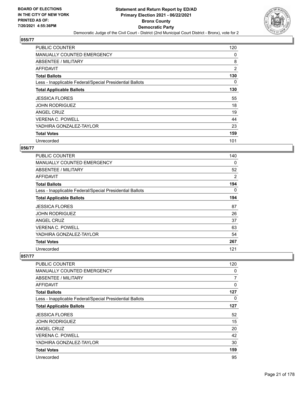

| PUBLIC COUNTER                                           | 120            |
|----------------------------------------------------------|----------------|
| <b>MANUALLY COUNTED EMERGENCY</b>                        | 0              |
| ABSENTEE / MILITARY                                      | 8              |
| AFFIDAVIT                                                | $\overline{2}$ |
| <b>Total Ballots</b>                                     | 130            |
| Less - Inapplicable Federal/Special Presidential Ballots | 0              |
| <b>Total Applicable Ballots</b>                          | 130            |
| <b>JESSICA FLORES</b>                                    | 55             |
| <b>JOHN RODRIGUEZ</b>                                    | 18             |
| ANGEL CRUZ                                               | 19             |
| <b>VERENA C. POWELL</b>                                  | 44             |
| YADHIRA GONZALEZ-TAYLOR                                  | 23             |
| <b>Total Votes</b>                                       | 159            |
| Unrecorded                                               | 101            |

#### **056/77**

| <b>PUBLIC COUNTER</b>                                    | 140 |
|----------------------------------------------------------|-----|
| <b>MANUALLY COUNTED EMERGENCY</b>                        | 0   |
| ABSENTEE / MILITARY                                      | 52  |
| <b>AFFIDAVIT</b>                                         | 2   |
| <b>Total Ballots</b>                                     | 194 |
| Less - Inapplicable Federal/Special Presidential Ballots | 0   |
| <b>Total Applicable Ballots</b>                          | 194 |
| <b>JESSICA FLORES</b>                                    | 87  |
| <b>JOHN RODRIGUEZ</b>                                    | 26  |
| <b>ANGEL CRUZ</b>                                        | 37  |
| <b>VERENA C. POWELL</b>                                  | 63  |
| YADHIRA GONZALEZ-TAYLOR                                  | 54  |
| <b>Total Votes</b>                                       | 267 |
| Unrecorded                                               | 121 |

| PUBLIC COUNTER                                           | 120      |
|----------------------------------------------------------|----------|
| <b>MANUALLY COUNTED EMERGENCY</b>                        | 0        |
| <b>ABSENTEE / MILITARY</b>                               | 7        |
| AFFIDAVIT                                                | $\Omega$ |
| <b>Total Ballots</b>                                     | 127      |
| Less - Inapplicable Federal/Special Presidential Ballots | 0        |
| <b>Total Applicable Ballots</b>                          | 127      |
| <b>JESSICA FLORES</b>                                    | 52       |
| <b>JOHN RODRIGUEZ</b>                                    | 15       |
| ANGEL CRUZ                                               | 20       |
| <b>VERENA C. POWELL</b>                                  | 42       |
| YADHIRA GONZALEZ-TAYLOR                                  | 30       |
| <b>Total Votes</b>                                       | 159      |
| Unrecorded                                               | 95       |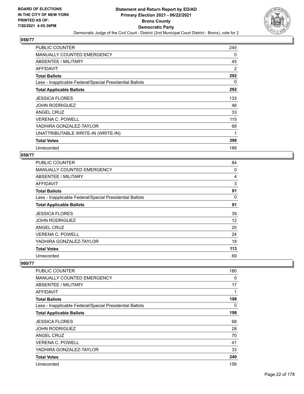

| PUBLIC COUNTER                                           | 245 |
|----------------------------------------------------------|-----|
| <b>MANUALLY COUNTED EMERGENCY</b>                        | 0   |
| ABSENTEE / MILITARY                                      | 45  |
| AFFIDAVIT                                                | 2   |
| <b>Total Ballots</b>                                     | 292 |
| Less - Inapplicable Federal/Special Presidential Ballots | 0   |
| <b>Total Applicable Ballots</b>                          | 292 |
| <b>JESSICA FLORES</b>                                    | 133 |
| <b>JOHN RODRIGUEZ</b>                                    | 46  |
| <b>ANGEL CRUZ</b>                                        | 33  |
| <b>VERENA C. POWELL</b>                                  | 115 |
| YADHIRA GONZALEZ-TAYLOR                                  | 68  |
| UNATTRIBUTABLE WRITE-IN (WRITE-IN)                       | 1   |
| <b>Total Votes</b>                                       | 396 |
| Unrecorded                                               | 188 |

#### **059/77**

| <b>PUBLIC COUNTER</b>                                    | 84             |
|----------------------------------------------------------|----------------|
| <b>MANUALLY COUNTED EMERGENCY</b>                        | 0              |
| ABSENTEE / MILITARY                                      | $\overline{4}$ |
| AFFIDAVIT                                                | 3              |
| <b>Total Ballots</b>                                     | 91             |
| Less - Inapplicable Federal/Special Presidential Ballots | 0              |
| <b>Total Applicable Ballots</b>                          | 91             |
| <b>JESSICA FLORES</b>                                    | 39             |
| <b>JOHN RODRIGUEZ</b>                                    | 12             |
| ANGEL CRUZ                                               | 20             |
| <b>VERENA C. POWELL</b>                                  | 24             |
| YADHIRA GONZALEZ-TAYLOR                                  | 18             |
| <b>Total Votes</b>                                       | 113            |
| Unrecorded                                               | 69             |

| PUBLIC COUNTER                                           | 180 |
|----------------------------------------------------------|-----|
| <b>MANUALLY COUNTED EMERGENCY</b>                        | 0   |
| ABSENTEE / MILITARY                                      | 17  |
| AFFIDAVIT                                                | 1   |
| <b>Total Ballots</b>                                     | 198 |
| Less - Inapplicable Federal/Special Presidential Ballots | 0   |
| <b>Total Applicable Ballots</b>                          | 198 |
| <b>JESSICA FLORES</b>                                    | 68  |
| <b>JOHN RODRIGUEZ</b>                                    | 28  |
| <b>ANGEL CRUZ</b>                                        | 70  |
| <b>VERENA C. POWELL</b>                                  | 41  |
| YADHIRA GONZALEZ-TAYLOR                                  | 33  |
| <b>Total Votes</b>                                       | 240 |
| Unrecorded                                               | 156 |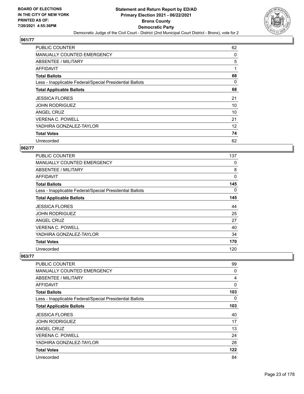

| <b>PUBLIC COUNTER</b>                                    | 62 |
|----------------------------------------------------------|----|
| <b>MANUALLY COUNTED EMERGENCY</b>                        | 0  |
| ABSENTEE / MILITARY                                      | 5  |
| AFFIDAVIT                                                | 1  |
| <b>Total Ballots</b>                                     | 68 |
| Less - Inapplicable Federal/Special Presidential Ballots | 0  |
| <b>Total Applicable Ballots</b>                          | 68 |
| <b>JESSICA FLORES</b>                                    | 21 |
| <b>JOHN RODRIGUEZ</b>                                    | 10 |
| ANGEL CRUZ                                               | 10 |
| <b>VERENA C. POWELL</b>                                  | 21 |
| YADHIRA GONZALEZ-TAYLOR                                  | 12 |
| <b>Total Votes</b>                                       | 74 |
| Unrecorded                                               | 62 |

#### **062/77**

| PUBLIC COUNTER                                           | 137 |
|----------------------------------------------------------|-----|
| <b>MANUALLY COUNTED EMERGENCY</b>                        | 0   |
| ABSENTEE / MILITARY                                      | 8   |
| AFFIDAVIT                                                | 0   |
| <b>Total Ballots</b>                                     | 145 |
| Less - Inapplicable Federal/Special Presidential Ballots | 0   |
| <b>Total Applicable Ballots</b>                          | 145 |
| <b>JESSICA FLORES</b>                                    | 44  |
| <b>JOHN RODRIGUEZ</b>                                    | 25  |
| <b>ANGEL CRUZ</b>                                        | 27  |
| VERENA C. POWELL                                         | 40  |
| YADHIRA GONZALEZ-TAYLOR                                  | 34  |
| <b>Total Votes</b>                                       | 170 |
| Unrecorded                                               | 120 |

| PUBLIC COUNTER                                           | 99       |
|----------------------------------------------------------|----------|
| <b>MANUALLY COUNTED EMERGENCY</b>                        | 0        |
| ABSENTEE / MILITARY                                      | 4        |
| <b>AFFIDAVIT</b>                                         | $\Omega$ |
| <b>Total Ballots</b>                                     | 103      |
| Less - Inapplicable Federal/Special Presidential Ballots | 0        |
| <b>Total Applicable Ballots</b>                          | 103      |
| <b>JESSICA FLORES</b>                                    | 40       |
| <b>JOHN RODRIGUEZ</b>                                    | 17       |
| ANGEL CRUZ                                               | 13       |
| VERENA C. POWELL                                         | 24       |
| YADHIRA GONZALEZ-TAYLOR                                  | 28       |
| <b>Total Votes</b>                                       | 122      |
| Unrecorded                                               | 84       |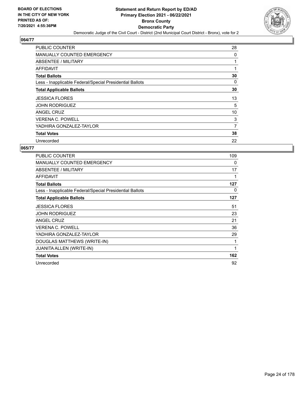

| <b>PUBLIC COUNTER</b>                                    | 28 |
|----------------------------------------------------------|----|
| <b>MANUALLY COUNTED EMERGENCY</b>                        | 0  |
| ABSENTEE / MILITARY                                      |    |
| AFFIDAVIT                                                | 1  |
| <b>Total Ballots</b>                                     | 30 |
| Less - Inapplicable Federal/Special Presidential Ballots | 0  |
| <b>Total Applicable Ballots</b>                          | 30 |
| <b>JESSICA FLORES</b>                                    | 13 |
| <b>JOHN RODRIGUEZ</b>                                    | 5  |
| ANGEL CRUZ                                               | 10 |
| <b>VERENA C. POWELL</b>                                  | 3  |
| YADHIRA GONZALEZ-TAYLOR                                  | 7  |
| <b>Total Votes</b>                                       | 38 |
| Unrecorded                                               | 22 |

| <b>PUBLIC COUNTER</b>                                    | 109 |
|----------------------------------------------------------|-----|
| <b>MANUALLY COUNTED EMERGENCY</b>                        | 0   |
| ABSENTEE / MILITARY                                      | 17  |
| <b>AFFIDAVIT</b>                                         | 1   |
| <b>Total Ballots</b>                                     | 127 |
| Less - Inapplicable Federal/Special Presidential Ballots | 0   |
| <b>Total Applicable Ballots</b>                          | 127 |
| <b>JESSICA FLORES</b>                                    | 51  |
| JOHN RODRIGUEZ                                           | 23  |
| <b>ANGEL CRUZ</b>                                        | 21  |
| <b>VERENA C. POWELL</b>                                  | 36  |
| YADHIRA GONZALEZ-TAYLOR                                  | 29  |
| DOUGLAS MATTHEWS (WRITE-IN)                              | 1   |
| JUANITA ALLEN (WRITE-IN)                                 | 1   |
| <b>Total Votes</b>                                       | 162 |
| Unrecorded                                               | 92  |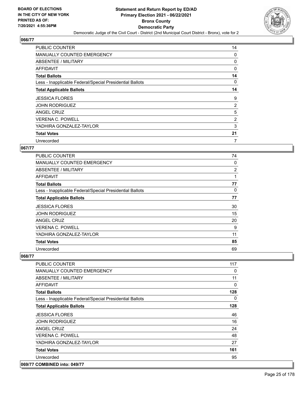

| PUBLIC COUNTER                                           | 14 |
|----------------------------------------------------------|----|
| <b>MANUALLY COUNTED EMERGENCY</b>                        | 0  |
| ABSENTEE / MILITARY                                      | 0  |
| AFFIDAVIT                                                | 0  |
| <b>Total Ballots</b>                                     | 14 |
| Less - Inapplicable Federal/Special Presidential Ballots | 0  |
| <b>Total Applicable Ballots</b>                          | 14 |
| <b>JESSICA FLORES</b>                                    | 9  |
| <b>JOHN RODRIGUEZ</b>                                    | 2  |
| ANGEL CRUZ                                               | 5  |
| <b>VERENA C. POWELL</b>                                  | 2  |
| YADHIRA GONZALEZ-TAYLOR                                  | 3  |
| <b>Total Votes</b>                                       | 21 |
| Unrecorded                                               | 7  |

#### **067/77**

| <b>PUBLIC COUNTER</b>                                    | 74 |
|----------------------------------------------------------|----|
| <b>MANUALLY COUNTED EMERGENCY</b>                        | 0  |
| ABSENTEE / MILITARY                                      | 2  |
| AFFIDAVIT                                                | 1  |
| <b>Total Ballots</b>                                     | 77 |
| Less - Inapplicable Federal/Special Presidential Ballots | 0  |
| <b>Total Applicable Ballots</b>                          | 77 |
| <b>JESSICA FLORES</b>                                    | 30 |
| <b>JOHN RODRIGUEZ</b>                                    | 15 |
| ANGEL CRUZ                                               | 20 |
| <b>VERENA C. POWELL</b>                                  | 9  |
| YADHIRA GONZALEZ-TAYLOR                                  | 11 |
| <b>Total Votes</b>                                       | 85 |
| Unrecorded                                               | 69 |

| PUBLIC COUNTER                                           | 117      |
|----------------------------------------------------------|----------|
| <b>MANUALLY COUNTED EMERGENCY</b>                        | 0        |
| ABSENTEE / MILITARY                                      | 11       |
| <b>AFFIDAVIT</b>                                         | 0        |
| <b>Total Ballots</b>                                     | 128      |
| Less - Inapplicable Federal/Special Presidential Ballots | $\Omega$ |
| <b>Total Applicable Ballots</b>                          | 128      |
| <b>JESSICA FLORES</b>                                    | 46       |
| <b>JOHN RODRIGUEZ</b>                                    | 16       |
| ANGEL CRUZ                                               | 24       |
| <b>VERENA C. POWELL</b>                                  | 48       |
| YADHIRA GONZALEZ-TAYLOR                                  | 27       |
| <b>Total Votes</b>                                       | 161      |
| Unrecorded                                               | 95       |
| 069/77 COMBINED into: 049/77                             |          |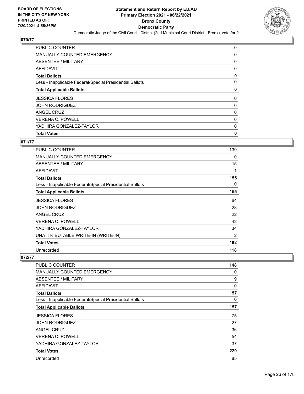

| <b>PUBLIC COUNTER</b>                                    | 0 |
|----------------------------------------------------------|---|
| <b>MANUALLY COUNTED EMERGENCY</b>                        | 0 |
| ABSENTEE / MILITARY                                      | 0 |
| AFFIDAVIT                                                | 0 |
| <b>Total Ballots</b>                                     | 0 |
| Less - Inapplicable Federal/Special Presidential Ballots | 0 |
| <b>Total Applicable Ballots</b>                          | 0 |
| <b>JESSICA FLORES</b>                                    | 0 |
| <b>JOHN RODRIGUEZ</b>                                    | 0 |
| ANGEL CRUZ                                               | 0 |
| <b>VERENA C. POWELL</b>                                  | 0 |
| YADHIRA GONZALEZ-TAYLOR                                  | 0 |
| <b>Total Votes</b>                                       | 0 |

## **071/77**

| PUBLIC COUNTER                                           | 139 |
|----------------------------------------------------------|-----|
| <b>MANUALLY COUNTED EMERGENCY</b>                        | 0   |
| ABSENTEE / MILITARY                                      | 15  |
| <b>AFFIDAVIT</b>                                         | 1   |
| <b>Total Ballots</b>                                     | 155 |
| Less - Inapplicable Federal/Special Presidential Ballots | 0   |
| <b>Total Applicable Ballots</b>                          | 155 |
| <b>JESSICA FLORES</b>                                    | 64  |
| <b>JOHN RODRIGUEZ</b>                                    | 28  |
| <b>ANGEL CRUZ</b>                                        | 22  |
| <b>VERENA C. POWELL</b>                                  | 42  |
| YADHIRA GONZALEZ-TAYLOR                                  | 34  |
| UNATTRIBUTABLE WRITE-IN (WRITE-IN)                       | 2   |
| <b>Total Votes</b>                                       | 192 |
| Unrecorded                                               | 118 |

| PUBLIC COUNTER                                           | 148 |
|----------------------------------------------------------|-----|
| <b>MANUALLY COUNTED EMERGENCY</b>                        | 0   |
| ABSENTEE / MILITARY                                      | 9   |
| <b>AFFIDAVIT</b>                                         | 0   |
| <b>Total Ballots</b>                                     | 157 |
| Less - Inapplicable Federal/Special Presidential Ballots | 0   |
| <b>Total Applicable Ballots</b>                          | 157 |
| <b>JESSICA FLORES</b>                                    | 75  |
| <b>JOHN RODRIGUEZ</b>                                    | 27  |
| <b>ANGEL CRUZ</b>                                        | 36  |
| <b>VERENA C. POWELL</b>                                  | 54  |
| YADHIRA GONZALEZ-TAYLOR                                  | 37  |
| <b>Total Votes</b>                                       | 229 |
| Unrecorded                                               | 85  |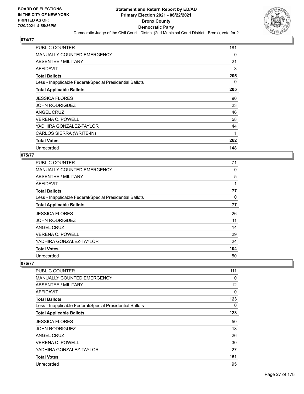

| <b>PUBLIC COUNTER</b>                                    | 181 |
|----------------------------------------------------------|-----|
| <b>MANUALLY COUNTED EMERGENCY</b>                        | 0   |
| ABSENTEE / MILITARY                                      | 21  |
| AFFIDAVIT                                                | 3   |
| <b>Total Ballots</b>                                     | 205 |
| Less - Inapplicable Federal/Special Presidential Ballots | 0   |
| <b>Total Applicable Ballots</b>                          | 205 |
| <b>JESSICA FLORES</b>                                    | 90  |
| <b>JOHN RODRIGUEZ</b>                                    | 23  |
| <b>ANGEL CRUZ</b>                                        | 46  |
| <b>VERENA C. POWELL</b>                                  | 58  |
| YADHIRA GONZALEZ-TAYLOR                                  | 44  |
| CARLOS SIERRA (WRITE-IN)                                 | 1   |
| <b>Total Votes</b>                                       | 262 |
| Unrecorded                                               | 148 |

#### **075/77**

| PUBLIC COUNTER                                           | 71  |
|----------------------------------------------------------|-----|
| MANUALLY COUNTED EMERGENCY                               | 0   |
| ABSENTEE / MILITARY                                      | 5   |
| AFFIDAVIT                                                |     |
| <b>Total Ballots</b>                                     | 77  |
| Less - Inapplicable Federal/Special Presidential Ballots | 0   |
| <b>Total Applicable Ballots</b>                          | 77  |
| <b>JESSICA FLORES</b>                                    | 26  |
| <b>JOHN RODRIGUEZ</b>                                    | 11  |
| ANGEL CRUZ                                               | 14  |
| <b>VERENA C. POWELL</b>                                  | 29  |
| YADHIRA GONZALEZ-TAYLOR                                  | 24  |
| <b>Total Votes</b>                                       | 104 |
| Unrecorded                                               | 50  |

| PUBLIC COUNTER                                           | 111          |
|----------------------------------------------------------|--------------|
| <b>MANUALLY COUNTED EMERGENCY</b>                        | 0            |
| ABSENTEE / MILITARY                                      | 12           |
| AFFIDAVIT                                                | $\mathbf{0}$ |
| <b>Total Ballots</b>                                     | 123          |
| Less - Inapplicable Federal/Special Presidential Ballots | 0            |
| <b>Total Applicable Ballots</b>                          | 123          |
| <b>JESSICA FLORES</b>                                    | 50           |
| <b>JOHN RODRIGUEZ</b>                                    | 18           |
| <b>ANGEL CRUZ</b>                                        | 26           |
| <b>VERENA C. POWELL</b>                                  | 30           |
| YADHIRA GONZALEZ-TAYLOR                                  | 27           |
| <b>Total Votes</b>                                       | 151          |
| Unrecorded                                               | 95           |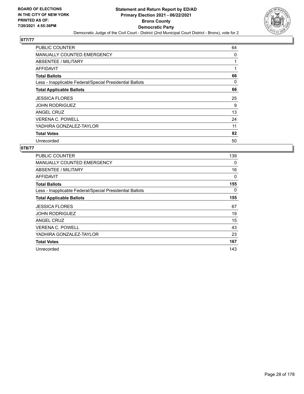

| <b>PUBLIC COUNTER</b>                                    | 64 |
|----------------------------------------------------------|----|
| <b>MANUALLY COUNTED EMERGENCY</b>                        | 0  |
| ABSENTEE / MILITARY                                      |    |
| AFFIDAVIT                                                |    |
| <b>Total Ballots</b>                                     | 66 |
| Less - Inapplicable Federal/Special Presidential Ballots | 0  |
| <b>Total Applicable Ballots</b>                          | 66 |
| <b>JESSICA FLORES</b>                                    | 25 |
| <b>JOHN RODRIGUEZ</b>                                    | 9  |
| ANGEL CRUZ                                               | 13 |
| <b>VERENA C. POWELL</b>                                  | 24 |
| YADHIRA GONZALEZ-TAYLOR                                  | 11 |
| <b>Total Votes</b>                                       | 82 |
| Unrecorded                                               | 50 |

| PUBLIC COUNTER                                           | 139 |
|----------------------------------------------------------|-----|
| <b>MANUALLY COUNTED EMERGENCY</b>                        | 0   |
| ABSENTEE / MILITARY                                      | 16  |
| AFFIDAVIT                                                | 0   |
| <b>Total Ballots</b>                                     | 155 |
| Less - Inapplicable Federal/Special Presidential Ballots | 0   |
| <b>Total Applicable Ballots</b>                          | 155 |
| <b>JESSICA FLORES</b>                                    | 67  |
| <b>JOHN RODRIGUEZ</b>                                    | 19  |
| <b>ANGEL CRUZ</b>                                        | 15  |
| <b>VERENA C. POWELL</b>                                  | 43  |
| YADHIRA GONZALEZ-TAYLOR                                  | 23  |
| <b>Total Votes</b>                                       | 167 |
| Unrecorded                                               | 143 |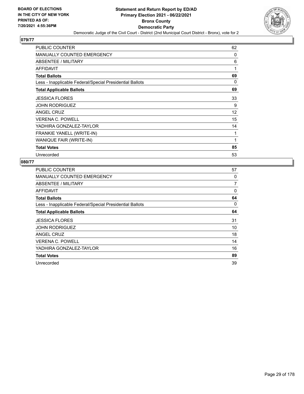

| PUBLIC COUNTER                                           | 62 |
|----------------------------------------------------------|----|
| <b>MANUALLY COUNTED EMERGENCY</b>                        | 0  |
| ABSENTEE / MILITARY                                      | 6  |
| <b>AFFIDAVIT</b>                                         | 1  |
| <b>Total Ballots</b>                                     | 69 |
| Less - Inapplicable Federal/Special Presidential Ballots | 0  |
| <b>Total Applicable Ballots</b>                          | 69 |
| <b>JESSICA FLORES</b>                                    | 33 |
| <b>JOHN RODRIGUEZ</b>                                    | 9  |
| <b>ANGEL CRUZ</b>                                        | 12 |
| <b>VERENA C. POWELL</b>                                  | 15 |
| YADHIRA GONZALEZ-TAYLOR                                  | 14 |
| FRANKIE YANELL (WRITE-IN)                                | 1  |
| WANIQUE FAIR (WRITE-IN)                                  | 1  |
| <b>Total Votes</b>                                       | 85 |
| Unrecorded                                               | 53 |

| <b>PUBLIC COUNTER</b>                                    | 57 |
|----------------------------------------------------------|----|
| MANUALLY COUNTED EMERGENCY                               | 0  |
| ABSENTEE / MILITARY                                      | 7  |
| AFFIDAVIT                                                | 0  |
| <b>Total Ballots</b>                                     | 64 |
| Less - Inapplicable Federal/Special Presidential Ballots | 0  |
| <b>Total Applicable Ballots</b>                          | 64 |
| <b>JESSICA FLORES</b>                                    | 31 |
| <b>JOHN RODRIGUEZ</b>                                    | 10 |
| ANGEL CRUZ                                               | 18 |
| <b>VERENA C. POWELL</b>                                  | 14 |
| YADHIRA GONZALEZ-TAYLOR                                  | 16 |
| <b>Total Votes</b>                                       | 89 |
| Unrecorded                                               | 39 |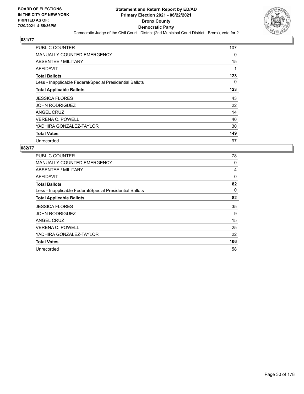

| <b>PUBLIC COUNTER</b>                                    | 107 |
|----------------------------------------------------------|-----|
| <b>MANUALLY COUNTED EMERGENCY</b>                        | 0   |
| ABSENTEE / MILITARY                                      | 15  |
| AFFIDAVIT                                                | 1   |
| <b>Total Ballots</b>                                     | 123 |
| Less - Inapplicable Federal/Special Presidential Ballots | 0   |
| <b>Total Applicable Ballots</b>                          | 123 |
| <b>JESSICA FLORES</b>                                    | 43  |
| <b>JOHN RODRIGUEZ</b>                                    | 22  |
| ANGEL CRUZ                                               | 14  |
| <b>VERENA C. POWELL</b>                                  | 40  |
| YADHIRA GONZALEZ-TAYLOR                                  | 30  |
| <b>Total Votes</b>                                       | 149 |
| Unrecorded                                               | 97  |

| <b>PUBLIC COUNTER</b>                                    | 78       |
|----------------------------------------------------------|----------|
| <b>MANUALLY COUNTED EMERGENCY</b>                        | 0        |
| ABSENTEE / MILITARY                                      | 4        |
| AFFIDAVIT                                                | $\Omega$ |
| <b>Total Ballots</b>                                     | 82       |
| Less - Inapplicable Federal/Special Presidential Ballots | 0        |
| <b>Total Applicable Ballots</b>                          | 82       |
| <b>JESSICA FLORES</b>                                    | 35       |
| <b>JOHN RODRIGUEZ</b>                                    | 9        |
| ANGEL CRUZ                                               | 15       |
| <b>VERENA C. POWELL</b>                                  | 25       |
| YADHIRA GONZALEZ-TAYLOR                                  | 22       |
| <b>Total Votes</b>                                       | 106      |
| Unrecorded                                               | 58       |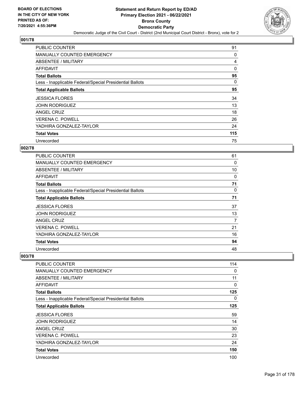

| <b>PUBLIC COUNTER</b>                                    | 91       |
|----------------------------------------------------------|----------|
| <b>MANUALLY COUNTED EMERGENCY</b>                        | 0        |
| ABSENTEE / MILITARY                                      | 4        |
| AFFIDAVIT                                                | $\Omega$ |
| <b>Total Ballots</b>                                     | 95       |
| Less - Inapplicable Federal/Special Presidential Ballots | 0        |
| <b>Total Applicable Ballots</b>                          | 95       |
| <b>JESSICA FLORES</b>                                    | 34       |
| <b>JOHN RODRIGUEZ</b>                                    | 13       |
| ANGEL CRUZ                                               | 18       |
| <b>VERENA C. POWELL</b>                                  | 26       |
| YADHIRA GONZALEZ-TAYLOR                                  | 24       |
| <b>Total Votes</b>                                       | 115      |
| Unrecorded                                               | 75       |

## **002/78**

| <b>PUBLIC COUNTER</b>                                    | 61 |
|----------------------------------------------------------|----|
| <b>MANUALLY COUNTED EMERGENCY</b>                        | 0  |
| ABSENTEE / MILITARY                                      | 10 |
| <b>AFFIDAVIT</b>                                         | 0  |
| <b>Total Ballots</b>                                     | 71 |
| Less - Inapplicable Federal/Special Presidential Ballots | 0  |
| <b>Total Applicable Ballots</b>                          | 71 |
| <b>JESSICA FLORES</b>                                    | 37 |
| <b>JOHN RODRIGUEZ</b>                                    | 13 |
| <b>ANGEL CRUZ</b>                                        | 7  |
| <b>VERENA C. POWELL</b>                                  | 21 |
| YADHIRA GONZALEZ-TAYLOR                                  | 16 |
| <b>Total Votes</b>                                       | 94 |
| Unrecorded                                               | 48 |

| PUBLIC COUNTER                                           | 114      |
|----------------------------------------------------------|----------|
| MANUALLY COUNTED EMERGENCY                               | 0        |
| ABSENTEE / MILITARY                                      | 11       |
| AFFIDAVIT                                                | $\Omega$ |
| <b>Total Ballots</b>                                     | 125      |
| Less - Inapplicable Federal/Special Presidential Ballots | $\Omega$ |
| <b>Total Applicable Ballots</b>                          | 125      |
| <b>JESSICA FLORES</b>                                    | 59       |
| <b>JOHN RODRIGUEZ</b>                                    | 14       |
| ANGEL CRUZ                                               | 30       |
| <b>VERENA C. POWELL</b>                                  | 23       |
| YADHIRA GONZALEZ-TAYLOR                                  | 24       |
| <b>Total Votes</b>                                       | 150      |
| Unrecorded                                               | 100      |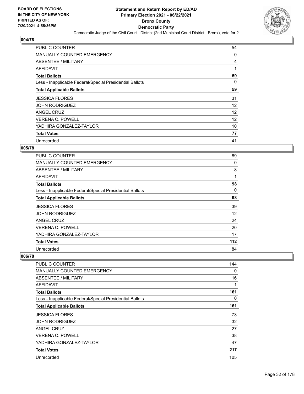

| PUBLIC COUNTER                                           | 54 |
|----------------------------------------------------------|----|
| <b>MANUALLY COUNTED EMERGENCY</b>                        | 0  |
| <b>ABSENTEE / MILITARY</b>                               | 4  |
| AFFIDAVIT                                                |    |
| <b>Total Ballots</b>                                     | 59 |
| Less - Inapplicable Federal/Special Presidential Ballots | 0  |
| <b>Total Applicable Ballots</b>                          | 59 |
| <b>JESSICA FLORES</b>                                    | 31 |
| <b>JOHN RODRIGUEZ</b>                                    | 12 |
| ANGEL CRUZ                                               | 12 |
| <b>VERENA C. POWELL</b>                                  | 12 |
| YADHIRA GONZALEZ-TAYLOR                                  | 10 |
| <b>Total Votes</b>                                       | 77 |
| Unrecorded                                               | 41 |

## **005/78**

| <b>PUBLIC COUNTER</b>                                    | 89  |
|----------------------------------------------------------|-----|
| <b>MANUALLY COUNTED EMERGENCY</b>                        | 0   |
| ABSENTEE / MILITARY                                      | 8   |
| AFFIDAVIT                                                | 1   |
| <b>Total Ballots</b>                                     | 98  |
| Less - Inapplicable Federal/Special Presidential Ballots | 0   |
| <b>Total Applicable Ballots</b>                          | 98  |
| <b>JESSICA FLORES</b>                                    | 39  |
| <b>JOHN RODRIGUEZ</b>                                    | 12  |
| <b>ANGEL CRUZ</b>                                        | 24  |
| <b>VERENA C. POWELL</b>                                  | 20  |
| YADHIRA GONZALEZ-TAYLOR                                  | 17  |
| <b>Total Votes</b>                                       | 112 |
| Unrecorded                                               | 84  |

| <b>PUBLIC COUNTER</b>                                    | 144 |
|----------------------------------------------------------|-----|
| <b>MANUALLY COUNTED EMERGENCY</b>                        | 0   |
| <b>ABSENTEE / MILITARY</b>                               | 16  |
| <b>AFFIDAVIT</b>                                         | 1   |
| <b>Total Ballots</b>                                     | 161 |
| Less - Inapplicable Federal/Special Presidential Ballots | 0   |
| <b>Total Applicable Ballots</b>                          | 161 |
| <b>JESSICA FLORES</b>                                    | 73  |
| <b>JOHN RODRIGUEZ</b>                                    | 32  |
| ANGEL CRUZ                                               | 27  |
| <b>VERENA C. POWELL</b>                                  | 38  |
| YADHIRA GONZALEZ-TAYLOR                                  | 47  |
| <b>Total Votes</b>                                       | 217 |
| Unrecorded                                               | 105 |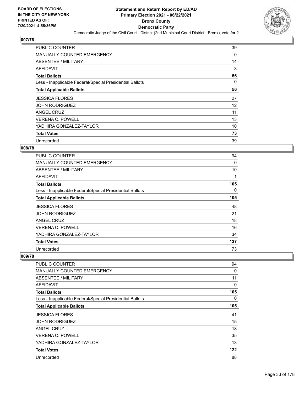

| <b>PUBLIC COUNTER</b>                                    | 39 |
|----------------------------------------------------------|----|
| <b>MANUALLY COUNTED EMERGENCY</b>                        | 0  |
| ABSENTEE / MILITARY                                      | 14 |
| AFFIDAVIT                                                | 3  |
| <b>Total Ballots</b>                                     | 56 |
| Less - Inapplicable Federal/Special Presidential Ballots | 0  |
| <b>Total Applicable Ballots</b>                          | 56 |
| <b>JESSICA FLORES</b>                                    | 27 |
| <b>JOHN RODRIGUEZ</b>                                    | 12 |
| ANGEL CRUZ                                               | 11 |
| <b>VERENA C. POWELL</b>                                  | 13 |
| YADHIRA GONZALEZ-TAYLOR                                  | 10 |
| <b>Total Votes</b>                                       | 73 |
| Unrecorded                                               | 39 |

## **008/78**

| <b>PUBLIC COUNTER</b>                                    | 94       |
|----------------------------------------------------------|----------|
| <b>MANUALLY COUNTED EMERGENCY</b>                        | $\Omega$ |
| ABSENTEE / MILITARY                                      | 10       |
| <b>AFFIDAVIT</b>                                         |          |
| <b>Total Ballots</b>                                     | 105      |
| Less - Inapplicable Federal/Special Presidential Ballots | 0        |
| <b>Total Applicable Ballots</b>                          | 105      |
| <b>JESSICA FLORES</b>                                    | 48       |
| <b>JOHN RODRIGUEZ</b>                                    | 21       |
| <b>ANGEL CRUZ</b>                                        | 18       |
| <b>VERENA C. POWELL</b>                                  | 16       |
| YADHIRA GONZALEZ-TAYLOR                                  | 34       |
| <b>Total Votes</b>                                       | 137      |
| Unrecorded                                               | 73       |

| PUBLIC COUNTER                                           | 94           |
|----------------------------------------------------------|--------------|
| <b>MANUALLY COUNTED EMERGENCY</b>                        | 0            |
| <b>ABSENTEE / MILITARY</b>                               | 11           |
| <b>AFFIDAVIT</b>                                         | $\mathbf{0}$ |
| <b>Total Ballots</b>                                     | 105          |
| Less - Inapplicable Federal/Special Presidential Ballots | 0            |
| <b>Total Applicable Ballots</b>                          | 105          |
| <b>JESSICA FLORES</b>                                    | 41           |
| <b>JOHN RODRIGUEZ</b>                                    | 15           |
| ANGEL CRUZ                                               | 18           |
| <b>VERENA C. POWELL</b>                                  | 35           |
| YADHIRA GONZALEZ-TAYLOR                                  | 13           |
| <b>Total Votes</b>                                       | 122          |
| Unrecorded                                               | 88           |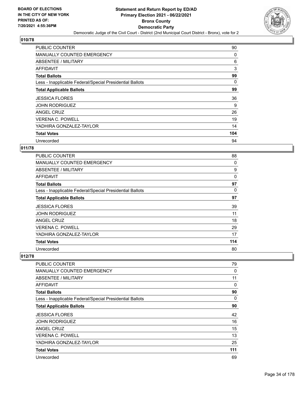

| <b>PUBLIC COUNTER</b>                                    | 90  |
|----------------------------------------------------------|-----|
| <b>MANUALLY COUNTED EMERGENCY</b>                        | 0   |
| ABSENTEE / MILITARY                                      | 6   |
| AFFIDAVIT                                                | 3   |
| <b>Total Ballots</b>                                     | 99  |
| Less - Inapplicable Federal/Special Presidential Ballots | 0   |
| <b>Total Applicable Ballots</b>                          | 99  |
| <b>JESSICA FLORES</b>                                    | 36  |
| <b>JOHN RODRIGUEZ</b>                                    | 9   |
| ANGEL CRUZ                                               | 26  |
| <b>VERENA C. POWELL</b>                                  | 19  |
| YADHIRA GONZALEZ-TAYLOR                                  | 14  |
| <b>Total Votes</b>                                       | 104 |
| Unrecorded                                               | 94  |

#### **011/78**

| <b>PUBLIC COUNTER</b>                                    | 88  |
|----------------------------------------------------------|-----|
| <b>MANUALLY COUNTED EMERGENCY</b>                        | 0   |
| ABSENTEE / MILITARY                                      | 9   |
| AFFIDAVIT                                                | 0   |
| <b>Total Ballots</b>                                     | 97  |
| Less - Inapplicable Federal/Special Presidential Ballots | 0   |
| <b>Total Applicable Ballots</b>                          | 97  |
| <b>JESSICA FLORES</b>                                    | 39  |
| <b>JOHN RODRIGUEZ</b>                                    | 11  |
| ANGEL CRUZ                                               | 18  |
| <b>VERENA C. POWELL</b>                                  | 29  |
| YADHIRA GONZALEZ-TAYLOR                                  | 17  |
| <b>Total Votes</b>                                       | 114 |
| Unrecorded                                               | 80  |

| <b>PUBLIC COUNTER</b>                                    | 79       |
|----------------------------------------------------------|----------|
| <b>MANUALLY COUNTED EMERGENCY</b>                        | 0        |
| <b>ABSENTEE / MILITARY</b>                               | 11       |
| <b>AFFIDAVIT</b>                                         | 0        |
| <b>Total Ballots</b>                                     | 90       |
| Less - Inapplicable Federal/Special Presidential Ballots | $\Omega$ |
| <b>Total Applicable Ballots</b>                          | 90       |
| <b>JESSICA FLORES</b>                                    | 42       |
| <b>JOHN RODRIGUEZ</b>                                    | 16       |
| ANGEL CRUZ                                               | 15       |
| <b>VERENA C. POWELL</b>                                  | 13       |
| YADHIRA GONZALEZ-TAYLOR                                  | 25       |
| <b>Total Votes</b>                                       | 111      |
| Unrecorded                                               | 69       |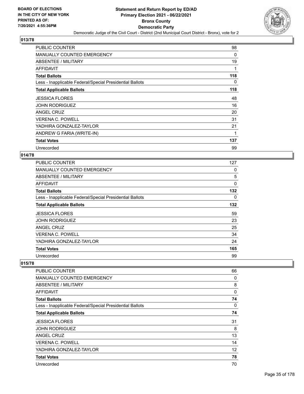

| <b>PUBLIC COUNTER</b>                                    | 98       |
|----------------------------------------------------------|----------|
| <b>MANUALLY COUNTED EMERGENCY</b>                        | 0        |
| ABSENTEE / MILITARY                                      | 19       |
| AFFIDAVIT                                                | 1        |
| <b>Total Ballots</b>                                     | 118      |
| Less - Inapplicable Federal/Special Presidential Ballots | $\Omega$ |
| <b>Total Applicable Ballots</b>                          | 118      |
| <b>JESSICA FLORES</b>                                    | 48       |
| <b>JOHN RODRIGUEZ</b>                                    | 16       |
| ANGEL CRUZ                                               | 20       |
| <b>VERENA C. POWELL</b>                                  | 31       |
| YADHIRA GONZALEZ-TAYLOR                                  | 21       |
| ANDREW G FARIA (WRITE-IN)                                | 1        |
| <b>Total Votes</b>                                       | 137      |
| Unrecorded                                               | 99       |

## **014/78**

| <b>PUBLIC COUNTER</b>                                    | 127 |
|----------------------------------------------------------|-----|
| <b>MANUALLY COUNTED EMERGENCY</b>                        | 0   |
| ABSENTEE / MILITARY                                      | 5   |
| AFFIDAVIT                                                | 0   |
| <b>Total Ballots</b>                                     | 132 |
| Less - Inapplicable Federal/Special Presidential Ballots | 0   |
| <b>Total Applicable Ballots</b>                          | 132 |
| <b>JESSICA FLORES</b>                                    | 59  |
| <b>JOHN RODRIGUEZ</b>                                    | 23  |
| ANGEL CRUZ                                               | 25  |
| <b>VERENA C. POWELL</b>                                  | 34  |
| YADHIRA GONZALEZ-TAYLOR                                  | 24  |
| <b>Total Votes</b>                                       | 165 |
| Unrecorded                                               | 99  |

| PUBLIC COUNTER                                           | 66           |
|----------------------------------------------------------|--------------|
| <b>MANUALLY COUNTED EMERGENCY</b>                        | 0            |
| <b>ABSENTEE / MILITARY</b>                               | 8            |
| AFFIDAVIT                                                | $\mathbf{0}$ |
| <b>Total Ballots</b>                                     | 74           |
| Less - Inapplicable Federal/Special Presidential Ballots | 0            |
| <b>Total Applicable Ballots</b>                          | 74           |
| <b>JESSICA FLORES</b>                                    | 31           |
| <b>JOHN RODRIGUEZ</b>                                    | 8            |
| <b>ANGEL CRUZ</b>                                        | 13           |
| <b>VERENA C. POWELL</b>                                  | 14           |
| YADHIRA GONZALEZ-TAYLOR                                  | 12           |
| <b>Total Votes</b>                                       | 78           |
| Unrecorded                                               | 70           |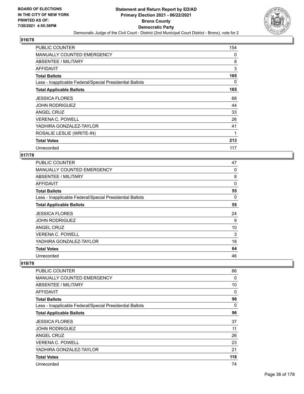

| <b>PUBLIC COUNTER</b>                                    | 154      |
|----------------------------------------------------------|----------|
| <b>MANUALLY COUNTED EMERGENCY</b>                        | 0        |
| ABSENTEE / MILITARY                                      | 8        |
| AFFIDAVIT                                                | 3        |
| <b>Total Ballots</b>                                     | 165      |
| Less - Inapplicable Federal/Special Presidential Ballots | $\Omega$ |
| <b>Total Applicable Ballots</b>                          | 165      |
| <b>JESSICA FLORES</b>                                    | 68       |
| <b>JOHN RODRIGUEZ</b>                                    | 44       |
| ANGEL CRUZ                                               | 33       |
| <b>VERENA C. POWELL</b>                                  | 26       |
| YADHIRA GONZALEZ-TAYLOR                                  | 41       |
| ROSALIE LESLIE (WRITE-IN)                                | 1        |
| <b>Total Votes</b>                                       | 213      |
| Unrecorded                                               | 117      |

## **017/78**

| PUBLIC COUNTER                                           | 47       |
|----------------------------------------------------------|----------|
| <b>MANUALLY COUNTED EMERGENCY</b>                        | 0        |
| ABSENTEE / MILITARY                                      | 8        |
| AFFIDAVIT                                                | 0        |
| <b>Total Ballots</b>                                     | 55       |
| Less - Inapplicable Federal/Special Presidential Ballots | $\Omega$ |
| <b>Total Applicable Ballots</b>                          | 55       |
| <b>JESSICA FLORES</b>                                    | 24       |
| <b>JOHN RODRIGUEZ</b>                                    | 9        |
| ANGEL CRUZ                                               | 10       |
| <b>VERENA C. POWELL</b>                                  | 3        |
| YADHIRA GONZALEZ-TAYLOR                                  | 18       |
| <b>Total Votes</b>                                       | 64       |
| Unrecorded                                               | 46       |

| PUBLIC COUNTER                                           | 86  |
|----------------------------------------------------------|-----|
| MANUALLY COUNTED EMERGENCY                               | 0   |
| ABSENTEE / MILITARY                                      | 10  |
| AFFIDAVIT                                                | 0   |
| <b>Total Ballots</b>                                     | 96  |
| Less - Inapplicable Federal/Special Presidential Ballots | 0   |
| <b>Total Applicable Ballots</b>                          | 96  |
| <b>JESSICA FLORES</b>                                    | 37  |
| <b>JOHN RODRIGUEZ</b>                                    | 11  |
| <b>ANGEL CRUZ</b>                                        | 26  |
| <b>VERENA C. POWELL</b>                                  | 23  |
| YADHIRA GONZALEZ-TAYLOR                                  | 21  |
| <b>Total Votes</b>                                       | 118 |
| Unrecorded                                               | 74  |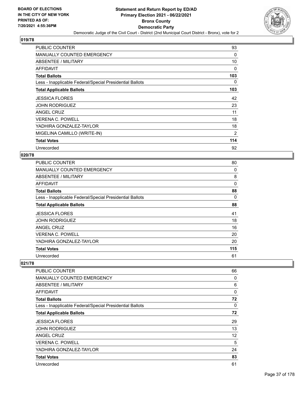

| PUBLIC COUNTER                                           | 93       |
|----------------------------------------------------------|----------|
| <b>MANUALLY COUNTED EMERGENCY</b>                        | 0        |
| ABSENTEE / MILITARY                                      | 10       |
| AFFIDAVIT                                                | 0        |
| <b>Total Ballots</b>                                     | 103      |
| Less - Inapplicable Federal/Special Presidential Ballots | $\Omega$ |
| <b>Total Applicable Ballots</b>                          | 103      |
| <b>JESSICA FLORES</b>                                    | 42       |
| <b>JOHN RODRIGUEZ</b>                                    | 23       |
| ANGEL CRUZ                                               | 11       |
| <b>VERENA C. POWELL</b>                                  | 18       |
| YADHIRA GONZALEZ-TAYLOR                                  | 18       |
| MIGELINA CAMILLO (WRITE-IN)                              | 2        |
| <b>Total Votes</b>                                       | 114      |
| Unrecorded                                               | 92       |

### **020/78**

| PUBLIC COUNTER                                           | 80       |
|----------------------------------------------------------|----------|
| MANUALLY COUNTED EMERGENCY                               | 0        |
| ABSENTEE / MILITARY                                      | 8        |
| AFFIDAVIT                                                | 0        |
| <b>Total Ballots</b>                                     | 88       |
| Less - Inapplicable Federal/Special Presidential Ballots | $\Omega$ |
| <b>Total Applicable Ballots</b>                          | 88       |
| <b>JESSICA FLORES</b>                                    | 41       |
| <b>JOHN RODRIGUEZ</b>                                    | 18       |
| ANGEL CRUZ                                               | 16       |
| <b>VERENA C. POWELL</b>                                  | 20       |
| YADHIRA GONZALEZ-TAYLOR                                  | 20       |
| <b>Total Votes</b>                                       | 115      |
| Unrecorded                                               | 61       |

| PUBLIC COUNTER                                           | 66                |
|----------------------------------------------------------|-------------------|
| <b>MANUALLY COUNTED EMERGENCY</b>                        | 0                 |
| <b>ABSENTEE / MILITARY</b>                               | 6                 |
| AFFIDAVIT                                                | $\mathbf{0}$      |
| <b>Total Ballots</b>                                     | 72                |
| Less - Inapplicable Federal/Special Presidential Ballots | 0                 |
| <b>Total Applicable Ballots</b>                          | 72                |
| <b>JESSICA FLORES</b>                                    | 29                |
| <b>JOHN RODRIGUEZ</b>                                    | 13                |
| <b>ANGEL CRUZ</b>                                        | $12 \overline{ }$ |
| <b>VERENA C. POWELL</b>                                  | 5                 |
| YADHIRA GONZALEZ-TAYLOR                                  | 24                |
| <b>Total Votes</b>                                       | 83                |
| Unrecorded                                               | 61                |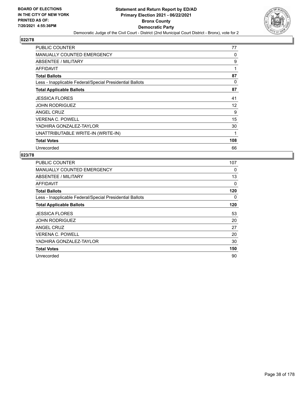

| <b>PUBLIC COUNTER</b>                                    | 77       |
|----------------------------------------------------------|----------|
| <b>MANUALLY COUNTED EMERGENCY</b>                        | 0        |
| ABSENTEE / MILITARY                                      | 9        |
| AFFIDAVIT                                                | 1        |
| <b>Total Ballots</b>                                     | 87       |
| Less - Inapplicable Federal/Special Presidential Ballots | $\Omega$ |
| <b>Total Applicable Ballots</b>                          | 87       |
| <b>JESSICA FLORES</b>                                    | 41       |
| <b>JOHN RODRIGUEZ</b>                                    | 12       |
| <b>ANGEL CRUZ</b>                                        | 9        |
| <b>VERENA C. POWELL</b>                                  | 15       |
| YADHIRA GONZALEZ-TAYLOR                                  | 30       |
| UNATTRIBUTABLE WRITE-IN (WRITE-IN)                       | 1        |
| <b>Total Votes</b>                                       | 108      |
| Unrecorded                                               | 66       |

| <b>PUBLIC COUNTER</b>                                    | 107 |
|----------------------------------------------------------|-----|
| MANUALLY COUNTED EMERGENCY                               | 0   |
| ABSENTEE / MILITARY                                      | 13  |
| AFFIDAVIT                                                | 0   |
| <b>Total Ballots</b>                                     | 120 |
| Less - Inapplicable Federal/Special Presidential Ballots | 0   |
| <b>Total Applicable Ballots</b>                          | 120 |
| <b>JESSICA FLORES</b>                                    | 53  |
|                                                          |     |
| <b>JOHN RODRIGUEZ</b>                                    | 20  |
| ANGEL CRUZ                                               | 27  |
| <b>VERENA C. POWELL</b>                                  | 20  |
| YADHIRA GONZALEZ-TAYLOR                                  | 30  |
| <b>Total Votes</b>                                       | 150 |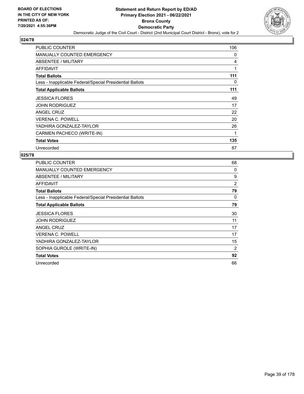

| PUBLIC COUNTER                                           | 106 |
|----------------------------------------------------------|-----|
| <b>MANUALLY COUNTED EMERGENCY</b>                        | 0   |
| ABSENTEE / MILITARY                                      | 4   |
| AFFIDAVIT                                                | 1   |
| <b>Total Ballots</b>                                     | 111 |
| Less - Inapplicable Federal/Special Presidential Ballots | 0   |
| <b>Total Applicable Ballots</b>                          | 111 |
| <b>JESSICA FLORES</b>                                    | 49  |
| <b>JOHN RODRIGUEZ</b>                                    | 17  |
| ANGEL CRUZ                                               | 22  |
| <b>VERENA C. POWELL</b>                                  | 20  |
| YADHIRA GONZALEZ-TAYLOR                                  | 26  |
| CARMEN PACHECO (WRITE-IN)                                | 1   |
| <b>Total Votes</b>                                       | 135 |
| Unrecorded                                               | 87  |

| PUBLIC COUNTER                                           | 68 |
|----------------------------------------------------------|----|
| <b>MANUALLY COUNTED EMERGENCY</b>                        | 0  |
| <b>ABSENTEE / MILITARY</b>                               | 9  |
| AFFIDAVIT                                                | 2  |
| <b>Total Ballots</b>                                     | 79 |
| Less - Inapplicable Federal/Special Presidential Ballots | 0  |
| <b>Total Applicable Ballots</b>                          | 79 |
| <b>JESSICA FLORES</b>                                    | 30 |
| JOHN RODRIGUEZ                                           | 11 |
| ANGEL CRUZ                                               | 17 |
| <b>VERENA C. POWELL</b>                                  | 17 |
| YADHIRA GONZALEZ-TAYLOR                                  | 15 |
| SOPHIA GUROLE (WRITE-IN)                                 | 2  |
| <b>Total Votes</b>                                       | 92 |
| Unrecorded                                               | 66 |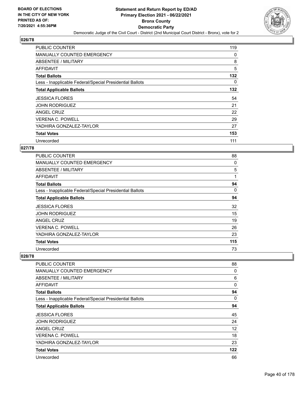

| PUBLIC COUNTER                                           | 119 |
|----------------------------------------------------------|-----|
| MANUALLY COUNTED EMERGENCY                               | 0   |
| ABSENTEE / MILITARY                                      | 8   |
| AFFIDAVIT                                                | 5   |
| <b>Total Ballots</b>                                     | 132 |
| Less - Inapplicable Federal/Special Presidential Ballots | 0   |
| <b>Total Applicable Ballots</b>                          | 132 |
| <b>JESSICA FLORES</b>                                    | 54  |
| <b>JOHN RODRIGUEZ</b>                                    | 21  |
| ANGEL CRUZ                                               | 22  |
| <b>VERENA C. POWELL</b>                                  | 29  |
| YADHIRA GONZALEZ-TAYLOR                                  | 27  |
| <b>Total Votes</b>                                       |     |
|                                                          | 153 |

### **027/78**

| <b>PUBLIC COUNTER</b>                                    | 88  |
|----------------------------------------------------------|-----|
| <b>MANUALLY COUNTED EMERGENCY</b>                        | 0   |
| ABSENTEE / MILITARY                                      | 5   |
| AFFIDAVIT                                                | 1   |
| <b>Total Ballots</b>                                     | 94  |
| Less - Inapplicable Federal/Special Presidential Ballots | 0   |
| <b>Total Applicable Ballots</b>                          | 94  |
| <b>JESSICA FLORES</b>                                    | 32  |
| <b>JOHN RODRIGUEZ</b>                                    | 15  |
| ANGEL CRUZ                                               | 19  |
| VERENA C. POWELL                                         | 26  |
| YADHIRA GONZALEZ-TAYLOR                                  | 23  |
| <b>Total Votes</b>                                       | 115 |
| Unrecorded                                               | 73  |

| PUBLIC COUNTER                                           | 88       |
|----------------------------------------------------------|----------|
| <b>MANUALLY COUNTED EMERGENCY</b>                        | 0        |
| ABSENTEE / MILITARY                                      | 6        |
| AFFIDAVIT                                                | $\Omega$ |
| <b>Total Ballots</b>                                     | 94       |
| Less - Inapplicable Federal/Special Presidential Ballots | $\Omega$ |
| <b>Total Applicable Ballots</b>                          | 94       |
| <b>JESSICA FLORES</b>                                    | 45       |
| <b>JOHN RODRIGUEZ</b>                                    | 24       |
| ANGEL CRUZ                                               | 12       |
| <b>VERENA C. POWELL</b>                                  | 18       |
| YADHIRA GONZALEZ-TAYLOR                                  | 23       |
| <b>Total Votes</b>                                       | 122      |
| Unrecorded                                               | 66       |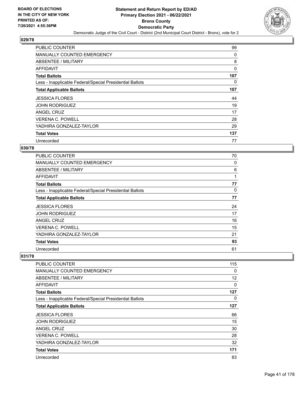

| PUBLIC COUNTER                                           | 99  |
|----------------------------------------------------------|-----|
| MANUALLY COUNTED EMERGENCY                               | 0   |
| ABSENTEE / MILITARY                                      | 8   |
| AFFIDAVIT                                                | 0   |
| <b>Total Ballots</b>                                     | 107 |
| Less - Inapplicable Federal/Special Presidential Ballots | 0   |
| <b>Total Applicable Ballots</b>                          | 107 |
| <b>JESSICA FLORES</b>                                    | 44  |
| <b>JOHN RODRIGUEZ</b>                                    | 19  |
| ANGEL CRUZ                                               | 17  |
| <b>VERENA C. POWELL</b>                                  | 28  |
| YADHIRA GONZALEZ-TAYLOR                                  | 29  |
| <b>Total Votes</b>                                       |     |
|                                                          | 137 |

# **030/78**

| <b>PUBLIC COUNTER</b>                                    | 70 |
|----------------------------------------------------------|----|
| <b>MANUALLY COUNTED EMERGENCY</b>                        | 0  |
| ABSENTEE / MILITARY                                      | 6  |
| AFFIDAVIT                                                | 1  |
| <b>Total Ballots</b>                                     | 77 |
| Less - Inapplicable Federal/Special Presidential Ballots | 0  |
| <b>Total Applicable Ballots</b>                          | 77 |
| <b>JESSICA FLORES</b>                                    | 24 |
| <b>JOHN RODRIGUEZ</b>                                    | 17 |
| ANGEL CRUZ                                               | 16 |
| <b>VERENA C. POWELL</b>                                  | 15 |
| YADHIRA GONZALEZ-TAYLOR                                  | 21 |
| <b>Total Votes</b>                                       | 93 |
| Unrecorded                                               | 61 |

| <b>PUBLIC COUNTER</b>                                    | 115 |
|----------------------------------------------------------|-----|
| <b>MANUALLY COUNTED EMERGENCY</b>                        | 0   |
| <b>ABSENTEE / MILITARY</b>                               | 12  |
| <b>AFFIDAVIT</b>                                         | 0   |
| <b>Total Ballots</b>                                     | 127 |
| Less - Inapplicable Federal/Special Presidential Ballots | 0   |
| <b>Total Applicable Ballots</b>                          | 127 |
| <b>JESSICA FLORES</b>                                    | 66  |
| <b>JOHN RODRIGUEZ</b>                                    | 15  |
| ANGEL CRUZ                                               | 30  |
| <b>VERENA C. POWELL</b>                                  | 28  |
| YADHIRA GONZALEZ-TAYLOR                                  | 32  |
| <b>Total Votes</b>                                       | 171 |
| Unrecorded                                               | 83  |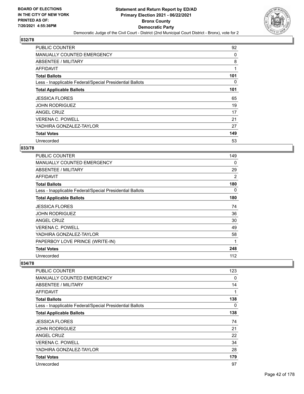

| PUBLIC COUNTER                                           | 92  |
|----------------------------------------------------------|-----|
| MANUALLY COUNTED EMERGENCY                               | 0   |
| <b>ABSENTEE / MILITARY</b>                               | 8   |
| AFFIDAVIT                                                | 1   |
| <b>Total Ballots</b>                                     | 101 |
| Less - Inapplicable Federal/Special Presidential Ballots | 0   |
| <b>Total Applicable Ballots</b>                          | 101 |
| <b>JESSICA FLORES</b>                                    | 65  |
| <b>JOHN RODRIGUEZ</b>                                    | 19  |
| ANGEL CRUZ                                               | 17  |
| <b>VERENA C. POWELL</b>                                  | 21  |
| YADHIRA GONZALEZ-TAYLOR                                  | 27  |
| <b>Total Votes</b>                                       | 149 |
| Unrecorded                                               | 53  |

### **033/78**

| PUBLIC COUNTER                                           | 149 |
|----------------------------------------------------------|-----|
| <b>MANUALLY COUNTED EMERGENCY</b>                        | 0   |
| <b>ABSENTEE / MILITARY</b>                               | 29  |
| <b>AFFIDAVIT</b>                                         | 2   |
| <b>Total Ballots</b>                                     | 180 |
| Less - Inapplicable Federal/Special Presidential Ballots | 0   |
| <b>Total Applicable Ballots</b>                          | 180 |
| <b>JESSICA FLORES</b>                                    | 74  |
| <b>JOHN RODRIGUEZ</b>                                    | 36  |
| ANGEL CRUZ                                               | 30  |
| <b>VERENA C. POWELL</b>                                  | 49  |
| YADHIRA GONZALEZ-TAYLOR                                  | 58  |
| PAPERBOY LOVE PRINCE (WRITE-IN)                          | 1   |
| <b>Total Votes</b>                                       | 248 |
| Unrecorded                                               | 112 |

| PUBLIC COUNTER                                           | 123 |
|----------------------------------------------------------|-----|
| MANUALLY COUNTED EMERGENCY                               | 0   |
| ABSENTEE / MILITARY                                      | 14  |
| AFFIDAVIT                                                | 1   |
| <b>Total Ballots</b>                                     | 138 |
| Less - Inapplicable Federal/Special Presidential Ballots | 0   |
| <b>Total Applicable Ballots</b>                          | 138 |
| <b>JESSICA FLORES</b>                                    | 74  |
| <b>JOHN RODRIGUEZ</b>                                    | 21  |
| <b>ANGEL CRUZ</b>                                        | 22  |
| <b>VERENA C. POWELL</b>                                  | 34  |
| YADHIRA GONZALEZ-TAYLOR                                  | 28  |
| <b>Total Votes</b>                                       | 179 |
| Unrecorded                                               | 97  |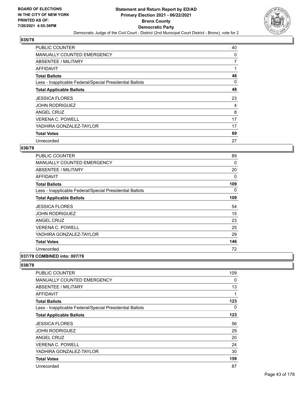

| PUBLIC COUNTER                                           | 40             |
|----------------------------------------------------------|----------------|
| MANUALLY COUNTED EMERGENCY                               | 0              |
| ABSENTEE / MILITARY                                      | $\overline{7}$ |
| AFFIDAVIT                                                |                |
| <b>Total Ballots</b>                                     | 48             |
| Less - Inapplicable Federal/Special Presidential Ballots | 0              |
| <b>Total Applicable Ballots</b>                          | 48             |
| <b>JESSICA FLORES</b>                                    | 23             |
| <b>JOHN RODRIGUEZ</b>                                    | 4              |
| ANGEL CRUZ                                               | 8              |
| <b>VERENA C. POWELL</b>                                  | 17             |
| YADHIRA GONZALEZ-TAYLOR                                  | 17             |
|                                                          |                |
| <b>Total Votes</b>                                       | 69             |

### **036/78**

| <b>PUBLIC COUNTER</b>                                    | 89       |
|----------------------------------------------------------|----------|
| <b>MANUALLY COUNTED EMERGENCY</b>                        | 0        |
| <b>ABSENTEE / MILITARY</b>                               | 20       |
| AFFIDAVIT                                                | 0        |
| <b>Total Ballots</b>                                     | 109      |
| Less - Inapplicable Federal/Special Presidential Ballots | $\Omega$ |
| <b>Total Applicable Ballots</b>                          | 109      |
| <b>JESSICA FLORES</b>                                    | 54       |
| <b>JOHN RODRIGUEZ</b>                                    | 15       |
| ANGEL CRUZ                                               | 23       |
| <b>VERENA C. POWELL</b>                                  | 25       |
| YADHIRA GONZALEZ-TAYLOR                                  | 29       |
| <b>Total Votes</b>                                       | 146      |
| Unrecorded                                               | 72       |
| 037/78 COMBINED into: 007/78                             |          |

| <b>PUBLIC COUNTER</b>                                    | 109      |
|----------------------------------------------------------|----------|
| <b>MANUALLY COUNTED EMERGENCY</b>                        | $\Omega$ |
| <b>ABSENTEE / MILITARY</b>                               | 13       |
| AFFIDAVIT                                                | 1        |
| <b>Total Ballots</b>                                     | 123      |
| Less - Inapplicable Federal/Special Presidential Ballots | 0        |
| <b>Total Applicable Ballots</b>                          | 123      |
| <b>JESSICA FLORES</b>                                    | 56       |
| <b>JOHN RODRIGUEZ</b>                                    | 29       |
| ANGEL CRUZ                                               | 20       |
| <b>VERENA C. POWELL</b>                                  | 24       |
| YADHIRA GONZALEZ-TAYLOR                                  | 30       |
| <b>Total Votes</b>                                       | 159      |
| Unrecorded                                               | 87       |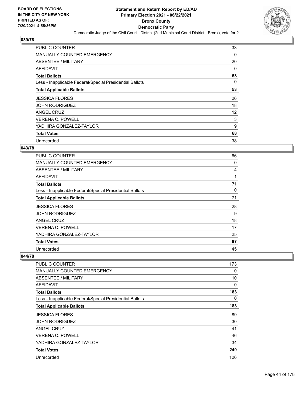

| PUBLIC COUNTER                                           | 33 |
|----------------------------------------------------------|----|
| <b>MANUALLY COUNTED EMERGENCY</b>                        | 0  |
| ABSENTEE / MILITARY                                      | 20 |
| AFFIDAVIT                                                | 0  |
| <b>Total Ballots</b>                                     | 53 |
| Less - Inapplicable Federal/Special Presidential Ballots | 0  |
| <b>Total Applicable Ballots</b>                          | 53 |
| <b>JESSICA FLORES</b>                                    | 26 |
| <b>JOHN RODRIGUEZ</b>                                    | 18 |
| ANGEL CRUZ                                               | 12 |
| <b>VERENA C. POWELL</b>                                  | 3  |
| YADHIRA GONZALEZ-TAYLOR                                  | 9  |
| <b>Total Votes</b>                                       | 68 |
| Unrecorded                                               | 38 |

### **043/78**

| <b>PUBLIC COUNTER</b>                                    | 66 |
|----------------------------------------------------------|----|
| MANUALLY COUNTED EMERGENCY                               | 0  |
| ABSENTEE / MILITARY                                      | 4  |
| AFFIDAVIT                                                | 1  |
| <b>Total Ballots</b>                                     | 71 |
| Less - Inapplicable Federal/Special Presidential Ballots | 0  |
| <b>Total Applicable Ballots</b>                          | 71 |
| <b>JESSICA FLORES</b>                                    | 28 |
| <b>JOHN RODRIGUEZ</b>                                    | 9  |
| ANGEL CRUZ                                               | 18 |
| <b>VERENA C. POWELL</b>                                  | 17 |
| YADHIRA GONZALEZ-TAYLOR                                  | 25 |
| <b>Total Votes</b>                                       | 97 |
| Unrecorded                                               | 45 |

| <b>PUBLIC COUNTER</b>                                    | 173      |
|----------------------------------------------------------|----------|
| <b>MANUALLY COUNTED EMERGENCY</b>                        | 0        |
| <b>ABSENTEE / MILITARY</b>                               | 10       |
| <b>AFFIDAVIT</b>                                         | $\Omega$ |
| <b>Total Ballots</b>                                     | 183      |
| Less - Inapplicable Federal/Special Presidential Ballots | $\Omega$ |
| <b>Total Applicable Ballots</b>                          | 183      |
| <b>JESSICA FLORES</b>                                    | 89       |
| <b>JOHN RODRIGUEZ</b>                                    | 30       |
| ANGEL CRUZ                                               | 41       |
| <b>VERENA C. POWELL</b>                                  | 46       |
| YADHIRA GONZALEZ-TAYLOR                                  | 34       |
| <b>Total Votes</b>                                       | 240      |
| Unrecorded                                               | 126      |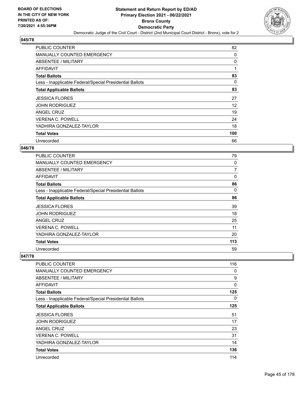

| <b>PUBLIC COUNTER</b>                                    | 82       |
|----------------------------------------------------------|----------|
| <b>MANUALLY COUNTED EMERGENCY</b>                        | 0        |
| ABSENTEE / MILITARY                                      | 0        |
| AFFIDAVIT                                                | 1        |
| <b>Total Ballots</b>                                     | 83       |
| Less - Inapplicable Federal/Special Presidential Ballots | $\Omega$ |
| <b>Total Applicable Ballots</b>                          | 83       |
| <b>JESSICA FLORES</b>                                    | 27       |
| <b>JOHN RODRIGUEZ</b>                                    | 12       |
| ANGEL CRUZ                                               | 19       |
| <b>VERENA C. POWELL</b>                                  | 24       |
| YADHIRA GONZALEZ-TAYLOR                                  | 18       |
| <b>Total Votes</b>                                       | 100      |
| Unrecorded                                               | 66       |

### **046/78**

| <b>PUBLIC COUNTER</b>                                    | 79             |
|----------------------------------------------------------|----------------|
| <b>MANUALLY COUNTED EMERGENCY</b>                        | 0              |
| ABSENTEE / MILITARY                                      | $\overline{7}$ |
| <b>AFFIDAVIT</b>                                         | 0              |
| <b>Total Ballots</b>                                     | 86             |
| Less - Inapplicable Federal/Special Presidential Ballots | 0              |
| <b>Total Applicable Ballots</b>                          | 86             |
| <b>JESSICA FLORES</b>                                    | 39             |
| <b>JOHN RODRIGUEZ</b>                                    | 18             |
| ANGEL CRUZ                                               | 25             |
| <b>VERENA C. POWELL</b>                                  | 11             |
| YADHIRA GONZALEZ-TAYLOR                                  | 20             |
| <b>Total Votes</b>                                       | 113            |
| Unrecorded                                               | 59             |

| PUBLIC COUNTER                                           | 116      |
|----------------------------------------------------------|----------|
| <b>MANUALLY COUNTED EMERGENCY</b>                        | 0        |
| ABSENTEE / MILITARY                                      | 9        |
| <b>AFFIDAVIT</b>                                         | $\Omega$ |
| <b>Total Ballots</b>                                     | 125      |
| Less - Inapplicable Federal/Special Presidential Ballots | 0        |
| <b>Total Applicable Ballots</b>                          | 125      |
| <b>JESSICA FLORES</b>                                    | 51       |
| JOHN RODRIGUEZ                                           | 17       |
| ANGEL CRUZ                                               | 23       |
| <b>VERENA C. POWELL</b>                                  | 31       |
| YADHIRA GONZALEZ-TAYLOR                                  | 14       |
| <b>Total Votes</b>                                       | 136      |
| Unrecorded                                               | 114      |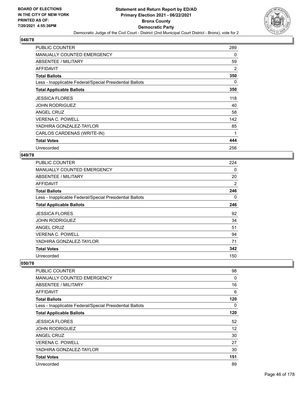

| <b>PUBLIC COUNTER</b>                                    | 289      |
|----------------------------------------------------------|----------|
| <b>MANUALLY COUNTED EMERGENCY</b>                        | 0        |
| ABSENTEE / MILITARY                                      | 59       |
| AFFIDAVIT                                                | 2        |
| <b>Total Ballots</b>                                     | 350      |
| Less - Inapplicable Federal/Special Presidential Ballots | $\Omega$ |
| <b>Total Applicable Ballots</b>                          | 350      |
| <b>JESSICA FLORES</b>                                    | 118      |
| <b>JOHN RODRIGUEZ</b>                                    | 40       |
| ANGEL CRUZ                                               | 58       |
| <b>VERENA C. POWELL</b>                                  | 142      |
| YADHIRA GONZALEZ-TAYLOR                                  | 85       |
| CARLOS CARDENAS (WRITE-IN)                               | 1        |
| <b>Total Votes</b>                                       | 444      |
| Unrecorded                                               | 256      |

### **049/78**

| <b>PUBLIC COUNTER</b>                                    | 224 |
|----------------------------------------------------------|-----|
| <b>MANUALLY COUNTED EMERGENCY</b>                        | 0   |
| ABSENTEE / MILITARY                                      | 20  |
| AFFIDAVIT                                                | 2   |
| <b>Total Ballots</b>                                     | 246 |
| Less - Inapplicable Federal/Special Presidential Ballots | 0   |
| <b>Total Applicable Ballots</b>                          | 246 |
| <b>JESSICA FLORES</b>                                    | 92  |
| <b>JOHN RODRIGUEZ</b>                                    | 34  |
| ANGEL CRUZ                                               | 51  |
| <b>VERENA C. POWELL</b>                                  | 94  |
| YADHIRA GONZALEZ-TAYLOR                                  | 71  |
| <b>Total Votes</b>                                       | 342 |
| Unrecorded                                               | 150 |

| PUBLIC COUNTER                                           | 98  |
|----------------------------------------------------------|-----|
| <b>MANUALLY COUNTED EMERGENCY</b>                        | 0   |
| ABSENTEE / MILITARY                                      | 16  |
| AFFIDAVIT                                                | 6   |
| <b>Total Ballots</b>                                     | 120 |
| Less - Inapplicable Federal/Special Presidential Ballots | 0   |
| <b>Total Applicable Ballots</b>                          | 120 |
| <b>JESSICA FLORES</b>                                    | 52  |
| <b>JOHN RODRIGUEZ</b>                                    | 12  |
| <b>ANGEL CRUZ</b>                                        | 30  |
| <b>VERENA C. POWELL</b>                                  | 27  |
| YADHIRA GONZALEZ-TAYLOR                                  | 30  |
| <b>Total Votes</b>                                       | 151 |
| Unrecorded                                               | 89  |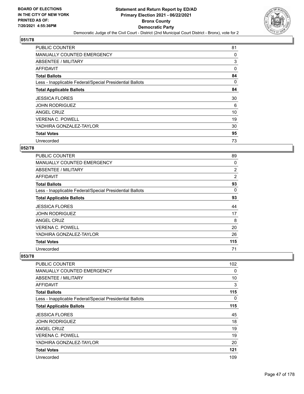

| <b>PUBLIC COUNTER</b>                                    | 81 |
|----------------------------------------------------------|----|
| <b>MANUALLY COUNTED EMERGENCY</b>                        | 0  |
| ABSENTEE / MILITARY                                      | 3  |
| AFFIDAVIT                                                | 0  |
| <b>Total Ballots</b>                                     | 84 |
| Less - Inapplicable Federal/Special Presidential Ballots | 0  |
| <b>Total Applicable Ballots</b>                          | 84 |
| <b>JESSICA FLORES</b>                                    | 30 |
| <b>JOHN RODRIGUEZ</b>                                    | 6  |
| ANGEL CRUZ                                               | 10 |
| <b>VERENA C. POWELL</b>                                  | 19 |
| YADHIRA GONZALEZ-TAYLOR                                  | 30 |
| <b>Total Votes</b>                                       | 95 |
| Unrecorded                                               | 73 |

# **052/78**

| <b>PUBLIC COUNTER</b>                                    | 89  |
|----------------------------------------------------------|-----|
| <b>MANUALLY COUNTED EMERGENCY</b>                        | 0   |
| ABSENTEE / MILITARY                                      | 2   |
| <b>AFFIDAVIT</b>                                         | 2   |
| <b>Total Ballots</b>                                     | 93  |
| Less - Inapplicable Federal/Special Presidential Ballots | 0   |
| <b>Total Applicable Ballots</b>                          | 93  |
| <b>JESSICA FLORES</b>                                    | 44  |
| <b>JOHN RODRIGUEZ</b>                                    | 17  |
| ANGEL CRUZ                                               | 8   |
| <b>VERENA C. POWELL</b>                                  | 20  |
| YADHIRA GONZALEZ-TAYLOR                                  | 26  |
| <b>Total Votes</b>                                       | 115 |
| Unrecorded                                               | 71  |

| PUBLIC COUNTER                                           | 102      |
|----------------------------------------------------------|----------|
|                                                          |          |
| <b>MANUALLY COUNTED EMERGENCY</b>                        | $\Omega$ |
| <b>ABSENTEE / MILITARY</b>                               | 10       |
| <b>AFFIDAVIT</b>                                         | 3        |
| <b>Total Ballots</b>                                     | 115      |
| Less - Inapplicable Federal/Special Presidential Ballots | $\Omega$ |
| <b>Total Applicable Ballots</b>                          | 115      |
| <b>JESSICA FLORES</b>                                    | 45       |
| <b>JOHN RODRIGUEZ</b>                                    | 18       |
| ANGEL CRUZ                                               | 19       |
| <b>VERENA C. POWELL</b>                                  | 19       |
| YADHIRA GONZALEZ-TAYLOR                                  | 20       |
| <b>Total Votes</b>                                       | 121      |
| Unrecorded                                               | 109      |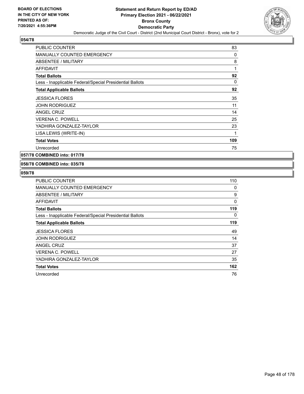

| PUBLIC COUNTER                                           | 83           |
|----------------------------------------------------------|--------------|
| <b>MANUALLY COUNTED EMERGENCY</b>                        | 0            |
| <b>ABSENTEE / MILITARY</b>                               | 8            |
| <b>AFFIDAVIT</b>                                         | $\mathbf{1}$ |
| <b>Total Ballots</b>                                     | 92           |
| Less - Inapplicable Federal/Special Presidential Ballots | $\Omega$     |
| <b>Total Applicable Ballots</b>                          | 92           |
| <b>JESSICA FLORES</b>                                    | 35           |
| <b>JOHN RODRIGUEZ</b>                                    | 11           |
| <b>ANGEL CRUZ</b>                                        | 14           |
| <b>VERENA C. POWELL</b>                                  | 25           |
| YADHIRA GONZALEZ-TAYLOR                                  | 23           |
| LISA LEWIS (WRITE-IN)                                    | 1            |
| <b>Total Votes</b>                                       | 109          |
| Unrecorded                                               | 75           |

**057/78 COMBINED into: 017/78**

## **058/78 COMBINED into: 035/78**

| PUBLIC COUNTER                                           | 110 |
|----------------------------------------------------------|-----|
| MANUALLY COUNTED EMERGENCY                               | 0   |
| ABSENTEE / MILITARY                                      | 9   |
| AFFIDAVIT                                                | 0   |
| <b>Total Ballots</b>                                     | 119 |
| Less - Inapplicable Federal/Special Presidential Ballots | 0   |
| <b>Total Applicable Ballots</b>                          | 119 |
| <b>JESSICA FLORES</b>                                    | 49  |
| <b>JOHN RODRIGUEZ</b>                                    | 14  |
| ANGEL CRUZ                                               | 37  |
| <b>VERENA C. POWELL</b>                                  | 27  |
| YADHIRA GONZALEZ-TAYLOR                                  | 35  |
| <b>Total Votes</b>                                       | 162 |
| Unrecorded                                               | 76  |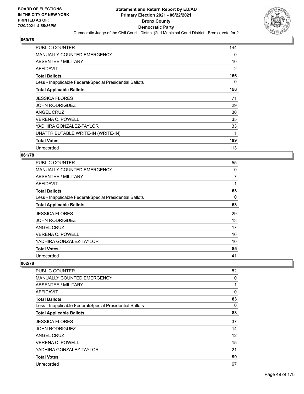

| <b>PUBLIC COUNTER</b>                                    | 144      |
|----------------------------------------------------------|----------|
| MANUALLY COUNTED EMERGENCY                               | 0        |
| <b>ABSENTEE / MILITARY</b>                               | 10       |
| AFFIDAVIT                                                | 2        |
| <b>Total Ballots</b>                                     | 156      |
| Less - Inapplicable Federal/Special Presidential Ballots | $\Omega$ |
| <b>Total Applicable Ballots</b>                          | 156      |
| <b>JESSICA FLORES</b>                                    | 71       |
| <b>JOHN RODRIGUEZ</b>                                    | 29       |
| ANGEL CRUZ                                               | 30       |
| <b>VERENA C. POWELL</b>                                  | 35       |
| YADHIRA GONZALEZ-TAYLOR                                  | 33       |
| UNATTRIBUTABLE WRITE-IN (WRITE-IN)                       | 1        |
| <b>Total Votes</b>                                       | 199      |
| Unrecorded                                               | 113      |

## **061/78**

| PUBLIC COUNTER                                           | 55             |
|----------------------------------------------------------|----------------|
| MANUALLY COUNTED EMERGENCY                               | 0              |
| ABSENTEE / MILITARY                                      | $\overline{7}$ |
| AFFIDAVIT                                                |                |
| <b>Total Ballots</b>                                     | 63             |
| Less - Inapplicable Federal/Special Presidential Ballots | 0              |
| <b>Total Applicable Ballots</b>                          | 63             |
| <b>JESSICA FLORES</b>                                    | 29             |
| <b>JOHN RODRIGUEZ</b>                                    | 13             |
| ANGEL CRUZ                                               | 17             |
| <b>VERENA C. POWELL</b>                                  | 16             |
| YADHIRA GONZALEZ-TAYLOR                                  | 10             |
| <b>Total Votes</b>                                       | 85             |
| Unrecorded                                               | 41             |

| PUBLIC COUNTER                                           | 82 |
|----------------------------------------------------------|----|
| <b>MANUALLY COUNTED EMERGENCY</b>                        | 0  |
| ABSENTEE / MILITARY                                      | 1  |
| AFFIDAVIT                                                | 0  |
| <b>Total Ballots</b>                                     | 83 |
| Less - Inapplicable Federal/Special Presidential Ballots | 0  |
| <b>Total Applicable Ballots</b>                          | 83 |
| <b>JESSICA FLORES</b>                                    | 37 |
| <b>JOHN RODRIGUEZ</b>                                    | 14 |
| ANGEL CRUZ                                               | 12 |
| <b>VERENA C. POWELL</b>                                  | 15 |
| YADHIRA GONZALEZ-TAYLOR                                  | 21 |
| <b>Total Votes</b>                                       | 99 |
| Unrecorded                                               | 67 |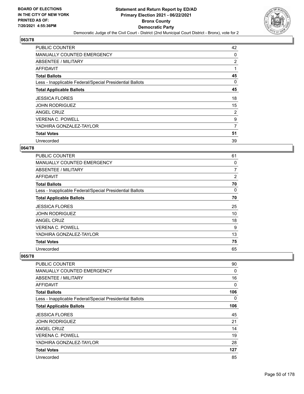

| PUBLIC COUNTER                                           | 42             |
|----------------------------------------------------------|----------------|
| <b>MANUALLY COUNTED EMERGENCY</b>                        | 0              |
| ABSENTEE / MILITARY                                      | $\overline{2}$ |
| AFFIDAVIT                                                | 1              |
| <b>Total Ballots</b>                                     | 45             |
| Less - Inapplicable Federal/Special Presidential Ballots | 0              |
| <b>Total Applicable Ballots</b>                          | 45             |
| <b>JESSICA FLORES</b>                                    | 18             |
| <b>JOHN RODRIGUEZ</b>                                    | 15             |
| ANGEL CRUZ                                               | 2              |
| <b>VERENA C. POWELL</b>                                  | 9              |
| YADHIRA GONZALEZ-TAYLOR                                  | 7              |
| <b>Total Votes</b>                                       | 51             |
| Unrecorded                                               | 39             |

# **064/78**

| <b>PUBLIC COUNTER</b>                                    | 61 |
|----------------------------------------------------------|----|
| <b>MANUALLY COUNTED EMERGENCY</b>                        | 0  |
| ABSENTEE / MILITARY                                      | 7  |
| <b>AFFIDAVIT</b>                                         | 2  |
| <b>Total Ballots</b>                                     | 70 |
| Less - Inapplicable Federal/Special Presidential Ballots | 0  |
| <b>Total Applicable Ballots</b>                          | 70 |
| <b>JESSICA FLORES</b>                                    | 25 |
| <b>JOHN RODRIGUEZ</b>                                    | 10 |
| ANGEL CRUZ                                               | 18 |
| <b>VERENA C. POWELL</b>                                  | 9  |
| YADHIRA GONZALEZ-TAYLOR                                  | 13 |
| <b>Total Votes</b>                                       | 75 |
| Unrecorded                                               | 65 |

| PUBLIC COUNTER                                           | 90           |
|----------------------------------------------------------|--------------|
| <b>MANUALLY COUNTED EMERGENCY</b>                        | 0            |
| <b>ABSENTEE / MILITARY</b>                               | 16           |
| <b>AFFIDAVIT</b>                                         | $\mathbf{0}$ |
| <b>Total Ballots</b>                                     | 106          |
| Less - Inapplicable Federal/Special Presidential Ballots | $\Omega$     |
| <b>Total Applicable Ballots</b>                          | 106          |
| <b>JESSICA FLORES</b>                                    | 45           |
| <b>JOHN RODRIGUEZ</b>                                    | 21           |
| ANGEL CRUZ                                               | 14           |
| <b>VERENA C. POWELL</b>                                  | 19           |
| YADHIRA GONZALEZ-TAYLOR                                  | 28           |
| <b>Total Votes</b>                                       | 127          |
| Unrecorded                                               | 85           |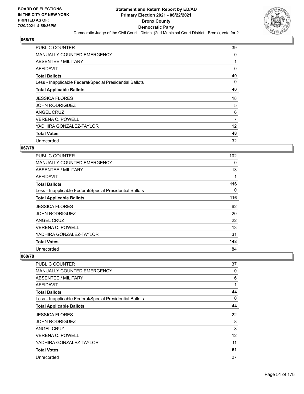

| <b>PUBLIC COUNTER</b>                                    | 39 |
|----------------------------------------------------------|----|
| MANUALLY COUNTED EMERGENCY                               | 0  |
| ABSENTEE / MILITARY                                      |    |
| AFFIDAVIT                                                | 0  |
| <b>Total Ballots</b>                                     | 40 |
| Less - Inapplicable Federal/Special Presidential Ballots | 0  |
| <b>Total Applicable Ballots</b>                          | 40 |
| <b>JESSICA FLORES</b>                                    | 18 |
| <b>JOHN RODRIGUEZ</b>                                    | 5  |
| ANGEL CRUZ                                               | 6  |
| <b>VERENA C. POWELL</b>                                  | 7  |
| YADHIRA GONZALEZ-TAYLOR                                  | 12 |
| <b>Total Votes</b>                                       | 48 |
| Unrecorded                                               | 32 |

# **067/78**

| <b>PUBLIC COUNTER</b>                                    | 102 |
|----------------------------------------------------------|-----|
| <b>MANUALLY COUNTED EMERGENCY</b>                        | 0   |
| ABSENTEE / MILITARY                                      | 13  |
| AFFIDAVIT                                                | 1   |
| <b>Total Ballots</b>                                     | 116 |
| Less - Inapplicable Federal/Special Presidential Ballots | 0   |
| <b>Total Applicable Ballots</b>                          | 116 |
| <b>JESSICA FLORES</b>                                    | 62  |
| <b>JOHN RODRIGUEZ</b>                                    | 20  |
| ANGEL CRUZ                                               | 22  |
| <b>VERENA C. POWELL</b>                                  | 13  |
| YADHIRA GONZALEZ-TAYLOR                                  | 31  |
| <b>Total Votes</b>                                       | 148 |
| Unrecorded                                               | 84  |

| PUBLIC COUNTER                                           | 37       |
|----------------------------------------------------------|----------|
| <b>MANUALLY COUNTED EMERGENCY</b>                        | $\Omega$ |
| ABSENTEE / MILITARY                                      | 6        |
| <b>AFFIDAVIT</b>                                         | 1        |
| <b>Total Ballots</b>                                     | 44       |
| Less - Inapplicable Federal/Special Presidential Ballots | $\Omega$ |
| <b>Total Applicable Ballots</b>                          | 44       |
| <b>JESSICA FLORES</b>                                    | 22       |
| <b>JOHN RODRIGUEZ</b>                                    | 8        |
| ANGEL CRUZ                                               | 8        |
| VERENA C. POWELL                                         | 12       |
| YADHIRA GONZALEZ-TAYLOR                                  | 11       |
| <b>Total Votes</b>                                       | 61       |
| Unrecorded                                               | 27       |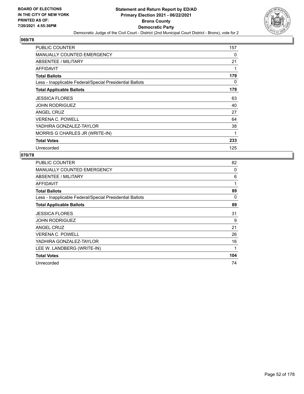

| <b>PUBLIC COUNTER</b>                                    | 157 |
|----------------------------------------------------------|-----|
| <b>MANUALLY COUNTED EMERGENCY</b>                        | 0   |
| ABSENTEE / MILITARY                                      | 21  |
| AFFIDAVIT                                                |     |
| <b>Total Ballots</b>                                     | 179 |
| Less - Inapplicable Federal/Special Presidential Ballots | 0   |
| <b>Total Applicable Ballots</b>                          | 179 |
| <b>JESSICA FLORES</b>                                    | 63  |
| <b>JOHN RODRIGUEZ</b>                                    | 40  |
| <b>ANGEL CRUZ</b>                                        | 27  |
| <b>VERENA C. POWELL</b>                                  | 64  |
| YADHIRA GONZALEZ-TAYLOR                                  | 38  |
| MORRIS G CHARLES JR (WRITE-IN)                           | 1   |
| <b>Total Votes</b>                                       | 233 |
| Unrecorded                                               | 125 |

| PUBLIC COUNTER                                           | 82  |
|----------------------------------------------------------|-----|
| <b>MANUALLY COUNTED EMERGENCY</b>                        | 0   |
| ABSENTEE / MILITARY                                      | 6   |
| AFFIDAVIT                                                | 1   |
| <b>Total Ballots</b>                                     | 89  |
| Less - Inapplicable Federal/Special Presidential Ballots | 0   |
| <b>Total Applicable Ballots</b>                          | 89  |
| <b>JESSICA FLORES</b>                                    | 31  |
| <b>JOHN RODRIGUEZ</b>                                    | 9   |
| ANGEL CRUZ                                               | 21  |
| <b>VERENA C. POWELL</b>                                  | 26  |
| YADHIRA GONZALEZ-TAYLOR                                  | 16  |
| LEE W. LANDBERG (WRITE-IN)                               | 1   |
| <b>Total Votes</b>                                       | 104 |
| Unrecorded                                               | 74  |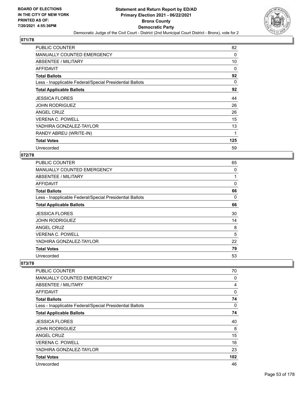

| PUBLIC COUNTER                                           | 82       |
|----------------------------------------------------------|----------|
| MANUALLY COUNTED EMERGENCY                               | 0        |
| ABSENTEE / MILITARY                                      | 10       |
| <b>AFFIDAVIT</b>                                         | 0        |
| <b>Total Ballots</b>                                     | 92       |
| Less - Inapplicable Federal/Special Presidential Ballots | $\Omega$ |
| <b>Total Applicable Ballots</b>                          | 92       |
| <b>JESSICA FLORES</b>                                    | 44       |
| <b>JOHN RODRIGUEZ</b>                                    | 26       |
| ANGEL CRUZ                                               | 26       |
| <b>VERENA C. POWELL</b>                                  | 15       |
| YADHIRA GONZALEZ-TAYLOR                                  | 13       |
| RANDY ABREU (WRITE-IN)                                   | 1        |
| <b>Total Votes</b>                                       | 125      |
| Unrecorded                                               | 59       |

### **072/78**

| PUBLIC COUNTER                                           | 65 |
|----------------------------------------------------------|----|
| MANUALLY COUNTED EMERGENCY                               | 0  |
| ABSENTEE / MILITARY                                      | 1  |
| AFFIDAVIT                                                | 0  |
| <b>Total Ballots</b>                                     | 66 |
| Less - Inapplicable Federal/Special Presidential Ballots | 0  |
| <b>Total Applicable Ballots</b>                          | 66 |
| <b>JESSICA FLORES</b>                                    | 30 |
| <b>JOHN RODRIGUEZ</b>                                    | 14 |
| ANGEL CRUZ                                               | 8  |
| <b>VERENA C. POWELL</b>                                  | 5  |
| YADHIRA GONZALEZ-TAYLOR                                  | 22 |
| <b>Total Votes</b>                                       | 79 |
| Unrecorded                                               | 53 |

| PUBLIC COUNTER                                           | 70  |
|----------------------------------------------------------|-----|
| <b>MANUALLY COUNTED EMERGENCY</b>                        | 0   |
| ABSENTEE / MILITARY                                      | 4   |
| AFFIDAVIT                                                | 0   |
| <b>Total Ballots</b>                                     | 74  |
| Less - Inapplicable Federal/Special Presidential Ballots | 0   |
| <b>Total Applicable Ballots</b>                          | 74  |
| <b>JESSICA FLORES</b>                                    | 40  |
| <b>JOHN RODRIGUEZ</b>                                    | 8   |
| ANGEL CRUZ                                               | 15  |
| <b>VERENA C. POWELL</b>                                  | 16  |
| YADHIRA GONZALEZ-TAYLOR                                  | 23  |
| <b>Total Votes</b>                                       | 102 |
| Unrecorded                                               | 46  |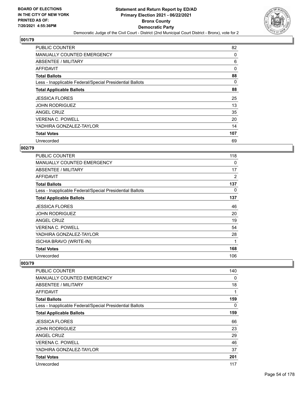

| <b>PUBLIC COUNTER</b>                                    | 82  |
|----------------------------------------------------------|-----|
| MANUALLY COUNTED EMERGENCY                               | 0   |
| ABSENTEE / MILITARY                                      | 6   |
| AFFIDAVIT                                                | 0   |
| <b>Total Ballots</b>                                     | 88  |
| Less - Inapplicable Federal/Special Presidential Ballots | 0   |
| <b>Total Applicable Ballots</b>                          | 88  |
| <b>JESSICA FLORES</b>                                    | 25  |
| <b>JOHN RODRIGUEZ</b>                                    | 13  |
| ANGEL CRUZ                                               | 35  |
| <b>VERENA C. POWELL</b>                                  | 20  |
| YADHIRA GONZALEZ-TAYLOR                                  | 14  |
| <b>Total Votes</b>                                       | 107 |
| Unrecorded                                               | 69  |

# **002/79**

| PUBLIC COUNTER                                           | 118            |
|----------------------------------------------------------|----------------|
| <b>MANUALLY COUNTED EMERGENCY</b>                        | 0              |
| <b>ABSENTEE / MILITARY</b>                               | 17             |
| AFFIDAVIT                                                | $\overline{2}$ |
| <b>Total Ballots</b>                                     | 137            |
| Less - Inapplicable Federal/Special Presidential Ballots | 0              |
| <b>Total Applicable Ballots</b>                          | 137            |
| <b>JESSICA FLORES</b>                                    | 46             |
| <b>JOHN RODRIGUEZ</b>                                    | 20             |
| ANGEL CRUZ                                               | 19             |
| VERENA C. POWELL                                         | 54             |
| YADHIRA GONZALEZ-TAYLOR                                  | 28             |
| <b>ISCHIA BRAVO (WRITE-IN)</b>                           | 1              |
| <b>Total Votes</b>                                       | 168            |
| Unrecorded                                               | 106            |

| PUBLIC COUNTER                                           | 140 |
|----------------------------------------------------------|-----|
| <b>MANUALLY COUNTED EMERGENCY</b>                        | 0   |
| ABSENTEE / MILITARY                                      | 18  |
| AFFIDAVIT                                                | 1   |
| <b>Total Ballots</b>                                     | 159 |
| Less - Inapplicable Federal/Special Presidential Ballots | 0   |
| <b>Total Applicable Ballots</b>                          | 159 |
| <b>JESSICA FLORES</b>                                    | 66  |
| <b>JOHN RODRIGUEZ</b>                                    | 23  |
| <b>ANGEL CRUZ</b>                                        | 29  |
| <b>VERENA C. POWELL</b>                                  | 46  |
| YADHIRA GONZALEZ-TAYLOR                                  | 37  |
| <b>Total Votes</b>                                       | 201 |
| Unrecorded                                               | 117 |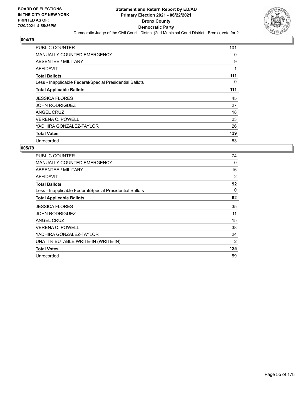

| <b>PUBLIC COUNTER</b>                                    | 101 |
|----------------------------------------------------------|-----|
| <b>MANUALLY COUNTED EMERGENCY</b>                        | 0   |
| ABSENTEE / MILITARY                                      | 9   |
| AFFIDAVIT                                                | 1   |
| <b>Total Ballots</b>                                     | 111 |
| Less - Inapplicable Federal/Special Presidential Ballots | 0   |
| <b>Total Applicable Ballots</b>                          | 111 |
| <b>JESSICA FLORES</b>                                    | 45  |
| <b>JOHN RODRIGUEZ</b>                                    | 27  |
| ANGEL CRUZ                                               | 18  |
| <b>VERENA C. POWELL</b>                                  | 23  |
| YADHIRA GONZALEZ-TAYLOR                                  | 26  |
| <b>Total Votes</b>                                       | 139 |
| Unrecorded                                               | 83  |

| PUBLIC COUNTER                                           | 74             |
|----------------------------------------------------------|----------------|
| <b>MANUALLY COUNTED EMERGENCY</b>                        | 0              |
| <b>ABSENTEE / MILITARY</b>                               | 16             |
| <b>AFFIDAVIT</b>                                         | $\overline{2}$ |
| <b>Total Ballots</b>                                     | 92             |
| Less - Inapplicable Federal/Special Presidential Ballots | 0              |
| <b>Total Applicable Ballots</b>                          | 92             |
| <b>JESSICA FLORES</b>                                    | 35             |
| <b>JOHN RODRIGUEZ</b>                                    | 11             |
| <b>ANGEL CRUZ</b>                                        | 15             |
| <b>VERENA C. POWELL</b>                                  | 38             |
| YADHIRA GONZALEZ-TAYLOR                                  | 24             |
| UNATTRIBUTABLE WRITE-IN (WRITE-IN)                       | 2              |
| <b>Total Votes</b>                                       | 125            |
| Unrecorded                                               | 59             |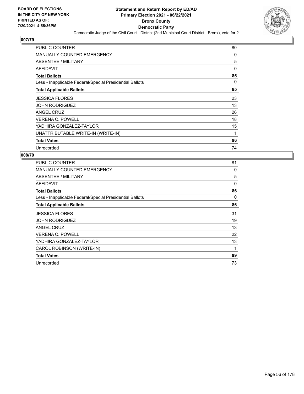

| <b>PUBLIC COUNTER</b>                                    | 80       |
|----------------------------------------------------------|----------|
| <b>MANUALLY COUNTED EMERGENCY</b>                        | 0        |
| ABSENTEE / MILITARY                                      | 5        |
| AFFIDAVIT                                                | $\Omega$ |
| <b>Total Ballots</b>                                     | 85       |
| Less - Inapplicable Federal/Special Presidential Ballots | $\Omega$ |
| <b>Total Applicable Ballots</b>                          | 85       |
| <b>JESSICA FLORES</b>                                    | 23       |
| <b>JOHN RODRIGUEZ</b>                                    | 13       |
| <b>ANGEL CRUZ</b>                                        | 26       |
| <b>VERENA C. POWELL</b>                                  | 18       |
| YADHIRA GONZALEZ-TAYLOR                                  | 15       |
| UNATTRIBUTABLE WRITE-IN (WRITE-IN)                       | 1        |
| <b>Total Votes</b>                                       | 96       |
| Unrecorded                                               | 74       |

| <b>PUBLIC COUNTER</b>                                    | 81 |
|----------------------------------------------------------|----|
| <b>MANUALLY COUNTED EMERGENCY</b>                        | 0  |
| ABSENTEE / MILITARY                                      | 5  |
| AFFIDAVIT                                                | 0  |
| <b>Total Ballots</b>                                     | 86 |
| Less - Inapplicable Federal/Special Presidential Ballots | 0  |
| <b>Total Applicable Ballots</b>                          | 86 |
| <b>JESSICA FLORES</b>                                    | 31 |
| <b>JOHN RODRIGUEZ</b>                                    | 19 |
| ANGEL CRUZ                                               | 13 |
| <b>VERENA C. POWELL</b>                                  | 22 |
| YADHIRA GONZALEZ-TAYLOR                                  | 13 |
| CAROL ROBINSON (WRITE-IN)                                | 1  |
| <b>Total Votes</b>                                       | 99 |
| Unrecorded                                               | 73 |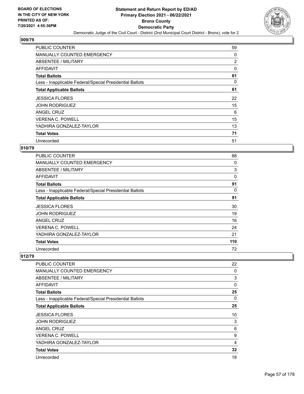

| <b>PUBLIC COUNTER</b>                                    | 59             |
|----------------------------------------------------------|----------------|
| MANUALLY COUNTED EMERGENCY                               | 0              |
| ABSENTEE / MILITARY                                      | $\overline{2}$ |
| AFFIDAVIT                                                | 0              |
| <b>Total Ballots</b>                                     | 61             |
| Less - Inapplicable Federal/Special Presidential Ballots | 0              |
| <b>Total Applicable Ballots</b>                          | 61             |
| <b>JESSICA FLORES</b>                                    | 22             |
| <b>JOHN RODRIGUEZ</b>                                    | 15             |
| ANGEL CRUZ                                               | 6              |
| <b>VERENA C. POWELL</b>                                  | 15             |
| YADHIRA GONZALEZ-TAYLOR                                  | 13             |
| <b>Total Votes</b>                                       | 71             |
| Unrecorded                                               | 51             |

# **010/79**

| <b>PUBLIC COUNTER</b>                                    | 88  |
|----------------------------------------------------------|-----|
| <b>MANUALLY COUNTED EMERGENCY</b>                        | 0   |
| ABSENTEE / MILITARY                                      | 3   |
| AFFIDAVIT                                                | 0   |
| <b>Total Ballots</b>                                     | 91  |
| Less - Inapplicable Federal/Special Presidential Ballots | 0   |
| <b>Total Applicable Ballots</b>                          | 91  |
| <b>JESSICA FLORES</b>                                    | 30  |
| <b>JOHN RODRIGUEZ</b>                                    | 19  |
| ANGEL CRUZ                                               | 16  |
| <b>VERENA C. POWELL</b>                                  | 24  |
| YADHIRA GONZALEZ-TAYLOR                                  | 21  |
| <b>Total Votes</b>                                       | 110 |
| Unrecorded                                               | 72  |

| PUBLIC COUNTER                                           | 22       |
|----------------------------------------------------------|----------|
| <b>MANUALLY COUNTED EMERGENCY</b>                        | 0        |
| ABSENTEE / MILITARY                                      | 3        |
| AFFIDAVIT                                                | $\Omega$ |
| <b>Total Ballots</b>                                     | 25       |
| Less - Inapplicable Federal/Special Presidential Ballots | $\Omega$ |
| <b>Total Applicable Ballots</b>                          | 25       |
| <b>JESSICA FLORES</b>                                    | 10       |
| <b>JOHN RODRIGUEZ</b>                                    | 3        |
| ANGEL CRUZ                                               | 6        |
| <b>VERENA C. POWELL</b>                                  | 9        |
| YADHIRA GONZALEZ-TAYLOR                                  | 4        |
| <b>Total Votes</b>                                       | 32       |
| Unrecorded                                               | 18       |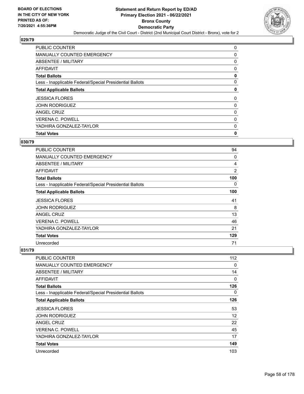

| <b>Total Votes</b>                                       | 0 |
|----------------------------------------------------------|---|
| YADHIRA GONZALEZ-TAYLOR                                  | 0 |
| <b>VERENA C. POWELL</b>                                  | 0 |
| ANGEL CRUZ                                               | 0 |
| <b>JOHN RODRIGUEZ</b>                                    | 0 |
| <b>JESSICA FLORES</b>                                    | 0 |
| <b>Total Applicable Ballots</b>                          | 0 |
| Less - Inapplicable Federal/Special Presidential Ballots | 0 |
| <b>Total Ballots</b>                                     | 0 |
| <b>AFFIDAVIT</b>                                         | 0 |
| ABSENTEE / MILITARY                                      | 0 |
| <b>MANUALLY COUNTED EMERGENCY</b>                        | 0 |
| <b>PUBLIC COUNTER</b>                                    | 0 |

## **030/79**

| PUBLIC COUNTER                                           | 94             |
|----------------------------------------------------------|----------------|
| <b>MANUALLY COUNTED EMERGENCY</b>                        | 0              |
| <b>ABSENTEE / MILITARY</b>                               | 4              |
| <b>AFFIDAVIT</b>                                         | $\overline{2}$ |
| <b>Total Ballots</b>                                     | 100            |
| Less - Inapplicable Federal/Special Presidential Ballots | 0              |
| <b>Total Applicable Ballots</b>                          | 100            |
| <b>JESSICA FLORES</b>                                    | 41             |
| <b>JOHN RODRIGUEZ</b>                                    | 8              |
| ANGEL CRUZ                                               | 13             |
| <b>VERENA C. POWELL</b>                                  | 46             |
| YADHIRA GONZALEZ-TAYLOR                                  | 21             |
| <b>Total Votes</b>                                       | 129            |
| Unrecorded                                               | 71             |

| <b>PUBLIC COUNTER</b>                                    | 112 |
|----------------------------------------------------------|-----|
| MANUALLY COUNTED EMERGENCY                               | 0   |
| ABSENTEE / MILITARY                                      | 14  |
| AFFIDAVIT                                                | 0   |
| <b>Total Ballots</b>                                     | 126 |
| Less - Inapplicable Federal/Special Presidential Ballots | 0   |
| <b>Total Applicable Ballots</b>                          | 126 |
| <b>JESSICA FLORES</b>                                    | 53  |
| <b>JOHN RODRIGUEZ</b>                                    | 12  |
| ANGEL CRUZ                                               | 22  |
| <b>VERENA C. POWELL</b>                                  | 45  |
| YADHIRA GONZALEZ-TAYLOR                                  | 17  |
| <b>Total Votes</b>                                       | 149 |
| Unrecorded                                               | 103 |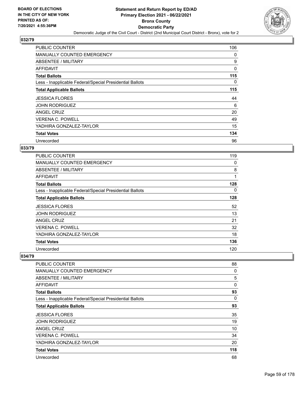

| PUBLIC COUNTER                                           | 106 |
|----------------------------------------------------------|-----|
| MANUALLY COUNTED EMERGENCY                               | 0   |
| ABSENTEE / MILITARY                                      | 9   |
| AFFIDAVIT                                                | 0   |
| <b>Total Ballots</b>                                     | 115 |
| Less - Inapplicable Federal/Special Presidential Ballots | 0   |
| <b>Total Applicable Ballots</b>                          | 115 |
| <b>JESSICA FLORES</b>                                    | 44  |
| <b>JOHN RODRIGUEZ</b>                                    | 6   |
| ANGEL CRUZ                                               | 20  |
| <b>VERENA C. POWELL</b>                                  | 49  |
| YADHIRA GONZALEZ-TAYLOR                                  | 15  |
| <b>Total Votes</b>                                       | 134 |
| Unrecorded                                               | 96  |

### **033/79**

| <b>PUBLIC COUNTER</b>                                    | 119 |
|----------------------------------------------------------|-----|
| <b>MANUALLY COUNTED EMERGENCY</b>                        | 0   |
| <b>ABSENTEE / MILITARY</b>                               | 8   |
| AFFIDAVIT                                                | 1   |
| <b>Total Ballots</b>                                     | 128 |
| Less - Inapplicable Federal/Special Presidential Ballots | 0   |
| <b>Total Applicable Ballots</b>                          | 128 |
| <b>JESSICA FLORES</b>                                    | 52  |
| <b>JOHN RODRIGUEZ</b>                                    | 13  |
| <b>ANGEL CRUZ</b>                                        | 21  |
| <b>VERENA C. POWELL</b>                                  | 32  |
| YADHIRA GONZALEZ-TAYLOR                                  | 18  |
| <b>Total Votes</b>                                       | 136 |
| Unrecorded                                               | 120 |

| PUBLIC COUNTER                                           | 88           |
|----------------------------------------------------------|--------------|
| <b>MANUALLY COUNTED EMERGENCY</b>                        | 0            |
| <b>ABSENTEE / MILITARY</b>                               | 5            |
| <b>AFFIDAVIT</b>                                         | $\mathbf{0}$ |
| <b>Total Ballots</b>                                     | 93           |
| Less - Inapplicable Federal/Special Presidential Ballots | 0            |
| <b>Total Applicable Ballots</b>                          | 93           |
| <b>JESSICA FLORES</b>                                    | 35           |
| <b>JOHN RODRIGUEZ</b>                                    | 19           |
| ANGEL CRUZ                                               | 10           |
| <b>VERENA C. POWELL</b>                                  | 34           |
| YADHIRA GONZALEZ-TAYLOR                                  | 20           |
| <b>Total Votes</b>                                       | 118          |
| Unrecorded                                               | 68           |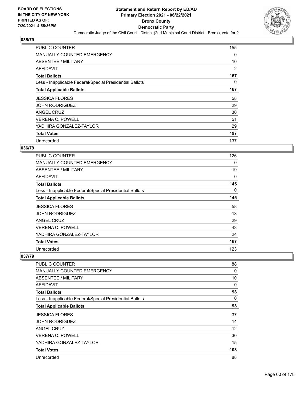

| PUBLIC COUNTER                                           | 155 |
|----------------------------------------------------------|-----|
| MANUALLY COUNTED EMERGENCY                               | 0   |
| ABSENTEE / MILITARY                                      | 10  |
| AFFIDAVIT                                                | 2   |
| <b>Total Ballots</b>                                     | 167 |
| Less - Inapplicable Federal/Special Presidential Ballots | 0   |
| <b>Total Applicable Ballots</b>                          | 167 |
| <b>JESSICA FLORES</b>                                    | 58  |
| <b>JOHN RODRIGUEZ</b>                                    | 29  |
| ANGEL CRUZ                                               | 30  |
| <b>VERENA C. POWELL</b>                                  | 51  |
| YADHIRA GONZALEZ-TAYLOR                                  | 29  |
| <b>Total Votes</b>                                       | 197 |
| Unrecorded                                               | 137 |

# **036/79**

| <b>PUBLIC COUNTER</b>                                    | 126 |
|----------------------------------------------------------|-----|
| <b>MANUALLY COUNTED EMERGENCY</b>                        | 0   |
| ABSENTEE / MILITARY                                      | 19  |
| <b>AFFIDAVIT</b>                                         | 0   |
| <b>Total Ballots</b>                                     | 145 |
| Less - Inapplicable Federal/Special Presidential Ballots | 0   |
| <b>Total Applicable Ballots</b>                          | 145 |
| <b>JESSICA FLORES</b>                                    | 58  |
| <b>JOHN RODRIGUEZ</b>                                    | 13  |
| ANGEL CRUZ                                               | 29  |
| <b>VERENA C. POWELL</b>                                  | 43  |
| YADHIRA GONZALEZ-TAYLOR                                  | 24  |
| <b>Total Votes</b>                                       | 167 |
| Unrecorded                                               | 123 |

| PUBLIC COUNTER                                           | 88       |
|----------------------------------------------------------|----------|
| <b>MANUALLY COUNTED EMERGENCY</b>                        | 0        |
| <b>ABSENTEE / MILITARY</b>                               | 10       |
| <b>AFFIDAVIT</b>                                         | 0        |
| <b>Total Ballots</b>                                     | 98       |
| Less - Inapplicable Federal/Special Presidential Ballots | $\Omega$ |
| <b>Total Applicable Ballots</b>                          | 98       |
| <b>JESSICA FLORES</b>                                    | 37       |
| <b>JOHN RODRIGUEZ</b>                                    | 14       |
| ANGEL CRUZ                                               | 12       |
| <b>VERENA C. POWELL</b>                                  | 30       |
| YADHIRA GONZALEZ-TAYLOR                                  | 15       |
| <b>Total Votes</b>                                       | 108      |
| Unrecorded                                               | 88       |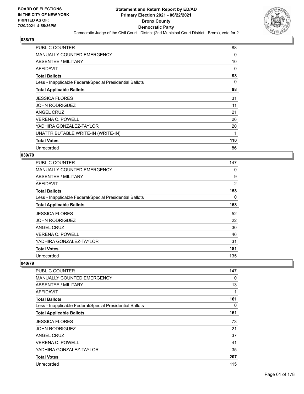

| <b>PUBLIC COUNTER</b>                                    | 88       |
|----------------------------------------------------------|----------|
| MANUALLY COUNTED EMERGENCY                               | 0        |
| ABSENTEE / MILITARY                                      | 10       |
| AFFIDAVIT                                                | 0        |
| <b>Total Ballots</b>                                     | 98       |
| Less - Inapplicable Federal/Special Presidential Ballots | $\Omega$ |
| <b>Total Applicable Ballots</b>                          | 98       |
| <b>JESSICA FLORES</b>                                    | 31       |
| <b>JOHN RODRIGUEZ</b>                                    | 11       |
| ANGEL CRUZ                                               | 21       |
| <b>VERENA C. POWELL</b>                                  | 26       |
| YADHIRA GONZALEZ-TAYLOR                                  | 20       |
| UNATTRIBUTABLE WRITE-IN (WRITE-IN)                       | 1        |
| <b>Total Votes</b>                                       | 110      |
| Unrecorded                                               | 86       |

### **039/79**

| <b>PUBLIC COUNTER</b>                                    | 147 |
|----------------------------------------------------------|-----|
| MANUALLY COUNTED EMERGENCY                               | 0   |
| ABSENTEE / MILITARY                                      | 9   |
| AFFIDAVIT                                                | 2   |
| <b>Total Ballots</b>                                     | 158 |
| Less - Inapplicable Federal/Special Presidential Ballots | 0   |
| <b>Total Applicable Ballots</b>                          | 158 |
| <b>JESSICA FLORES</b>                                    | 52  |
| <b>JOHN RODRIGUEZ</b>                                    | 22  |
| ANGEL CRUZ                                               | 30  |
| <b>VERENA C. POWELL</b>                                  | 46  |
| YADHIRA GONZALEZ-TAYLOR                                  | 31  |
| <b>Total Votes</b>                                       | 181 |
| Unrecorded                                               | 135 |

| PUBLIC COUNTER                                           | 147 |
|----------------------------------------------------------|-----|
| <b>MANUALLY COUNTED EMERGENCY</b>                        | 0   |
| ABSENTEE / MILITARY                                      | 13  |
| AFFIDAVIT                                                | 1   |
| <b>Total Ballots</b>                                     | 161 |
| Less - Inapplicable Federal/Special Presidential Ballots | 0   |
| <b>Total Applicable Ballots</b>                          | 161 |
| <b>JESSICA FLORES</b>                                    | 73  |
| <b>JOHN RODRIGUEZ</b>                                    | 21  |
| <b>ANGEL CRUZ</b>                                        | 37  |
| <b>VERENA C. POWELL</b>                                  | 41  |
| YADHIRA GONZALEZ-TAYLOR                                  | 35  |
| <b>Total Votes</b>                                       | 207 |
| Unrecorded                                               | 115 |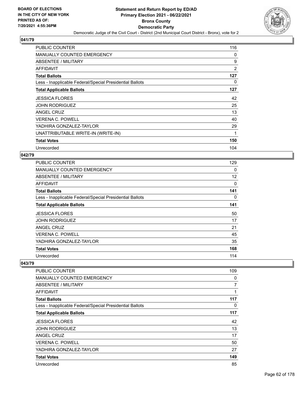

| <b>PUBLIC COUNTER</b>                                    | 116      |
|----------------------------------------------------------|----------|
| MANUALLY COUNTED EMERGENCY                               | 0        |
| ABSENTEE / MILITARY                                      | 9        |
| AFFIDAVIT                                                | 2        |
| <b>Total Ballots</b>                                     | 127      |
| Less - Inapplicable Federal/Special Presidential Ballots | $\Omega$ |
| <b>Total Applicable Ballots</b>                          | 127      |
| <b>JESSICA FLORES</b>                                    | 42       |
| <b>JOHN RODRIGUEZ</b>                                    | 25       |
| ANGEL CRUZ                                               | 13       |
| <b>VERENA C. POWELL</b>                                  | 40       |
| YADHIRA GONZALEZ-TAYLOR                                  | 29       |
| UNATTRIBUTABLE WRITE-IN (WRITE-IN)                       | 1        |
| <b>Total Votes</b>                                       | 150      |
| Unrecorded                                               | 104      |

### **042/79**

| <b>PUBLIC COUNTER</b>                                    | 129 |
|----------------------------------------------------------|-----|
| <b>MANUALLY COUNTED EMERGENCY</b>                        | 0   |
| ABSENTEE / MILITARY                                      | 12  |
| AFFIDAVIT                                                | 0   |
| <b>Total Ballots</b>                                     | 141 |
| Less - Inapplicable Federal/Special Presidential Ballots | 0   |
| <b>Total Applicable Ballots</b>                          | 141 |
| <b>JESSICA FLORES</b>                                    | 50  |
| <b>JOHN RODRIGUEZ</b>                                    | 17  |
| ANGEL CRUZ                                               | 21  |
| <b>VERENA C. POWELL</b>                                  | 45  |
| YADHIRA GONZALEZ-TAYLOR                                  | 35  |
| <b>Total Votes</b>                                       | 168 |
| Unrecorded                                               | 114 |

| PUBLIC COUNTER                                           | 109 |
|----------------------------------------------------------|-----|
| <b>MANUALLY COUNTED EMERGENCY</b>                        | 0   |
| ABSENTEE / MILITARY                                      | 7   |
| AFFIDAVIT                                                | 1   |
| <b>Total Ballots</b>                                     | 117 |
| Less - Inapplicable Federal/Special Presidential Ballots | 0   |
| <b>Total Applicable Ballots</b>                          | 117 |
| <b>JESSICA FLORES</b>                                    | 42  |
| <b>JOHN RODRIGUEZ</b>                                    | 13  |
| ANGEL CRUZ                                               | 17  |
| <b>VERENA C. POWELL</b>                                  | 50  |
| YADHIRA GONZALEZ-TAYLOR                                  | 27  |
| <b>Total Votes</b>                                       | 149 |
| Unrecorded                                               | 85  |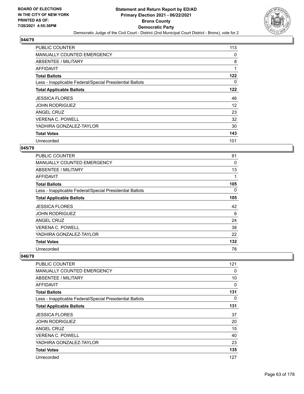

| <b>PUBLIC COUNTER</b>                                    | 113 |
|----------------------------------------------------------|-----|
| MANUALLY COUNTED EMERGENCY                               | 0   |
| ABSENTEE / MILITARY                                      | 8   |
| AFFIDAVIT                                                | 1   |
| <b>Total Ballots</b>                                     | 122 |
| Less - Inapplicable Federal/Special Presidential Ballots | 0   |
| <b>Total Applicable Ballots</b>                          | 122 |
| <b>JESSICA FLORES</b>                                    | 46  |
| <b>JOHN RODRIGUEZ</b>                                    | 12  |
| ANGEL CRUZ                                               | 23  |
| <b>VERENA C. POWELL</b>                                  | 32  |
| YADHIRA GONZALEZ-TAYLOR                                  | 30  |
| <b>Total Votes</b>                                       | 143 |
| Unrecorded                                               | 101 |

### **045/79**

| <b>PUBLIC COUNTER</b>                                    | 91  |
|----------------------------------------------------------|-----|
| MANUALLY COUNTED EMERGENCY                               | 0   |
| ABSENTEE / MILITARY                                      | 13  |
| AFFIDAVIT                                                |     |
| <b>Total Ballots</b>                                     | 105 |
| Less - Inapplicable Federal/Special Presidential Ballots | 0   |
| <b>Total Applicable Ballots</b>                          | 105 |
| <b>JESSICA FLORES</b>                                    | 42  |
| <b>JOHN RODRIGUEZ</b>                                    | 6   |
| ANGEL CRUZ                                               | 24  |
| <b>VERENA C. POWELL</b>                                  | 38  |
| YADHIRA GONZALEZ-TAYLOR                                  | 22  |
| <b>Total Votes</b>                                       | 132 |
| Unrecorded                                               | 78  |

| PUBLIC COUNTER                                           | 121 |
|----------------------------------------------------------|-----|
| <b>MANUALLY COUNTED EMERGENCY</b>                        | 0   |
| <b>ABSENTEE / MILITARY</b>                               | 10  |
| <b>AFFIDAVIT</b>                                         | 0   |
| <b>Total Ballots</b>                                     | 131 |
| Less - Inapplicable Federal/Special Presidential Ballots | 0   |
| <b>Total Applicable Ballots</b>                          | 131 |
| <b>JESSICA FLORES</b>                                    | 37  |
| <b>JOHN RODRIGUEZ</b>                                    | 20  |
| ANGEL CRUZ                                               | 15  |
| <b>VERENA C. POWELL</b>                                  | 40  |
| YADHIRA GONZALEZ-TAYLOR                                  | 23  |
| <b>Total Votes</b>                                       | 135 |
| Unrecorded                                               | 127 |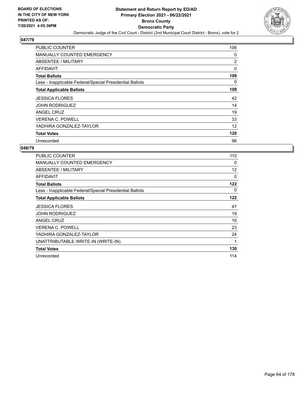

| <b>PUBLIC COUNTER</b>                                    | 106            |
|----------------------------------------------------------|----------------|
| <b>MANUALLY COUNTED EMERGENCY</b>                        | 0              |
| ABSENTEE / MILITARY                                      | $\overline{2}$ |
| AFFIDAVIT                                                | 0              |
| <b>Total Ballots</b>                                     | 108            |
| Less - Inapplicable Federal/Special Presidential Ballots | $\Omega$       |
| <b>Total Applicable Ballots</b>                          | 108            |
| <b>JESSICA FLORES</b>                                    | 42             |
| <b>JOHN RODRIGUEZ</b>                                    | 14             |
| ANGEL CRUZ                                               | 19             |
| <b>VERENA C. POWELL</b>                                  | 33             |
| YADHIRA GONZALEZ-TAYLOR                                  | 12             |
| <b>Total Votes</b>                                       | 120            |
| Unrecorded                                               | 96             |

| PUBLIC COUNTER                                           | 110 |
|----------------------------------------------------------|-----|
| <b>MANUALLY COUNTED EMERGENCY</b>                        | 0   |
| <b>ABSENTEE / MILITARY</b>                               | 12  |
| <b>AFFIDAVIT</b>                                         | 0   |
| <b>Total Ballots</b>                                     | 122 |
| Less - Inapplicable Federal/Special Presidential Ballots | 0   |
| <b>Total Applicable Ballots</b>                          | 122 |
| <b>JESSICA FLORES</b>                                    | 47  |
| <b>JOHN RODRIGUEZ</b>                                    | 19  |
| ANGEL CRUZ                                               | 16  |
| <b>VERENA C. POWELL</b>                                  | 23  |
| YADHIRA GONZALEZ-TAYLOR                                  | 24  |
| UNATTRIBUTABLE WRITE-IN (WRITE-IN)                       | 1   |
| <b>Total Votes</b>                                       | 130 |
| Unrecorded                                               | 114 |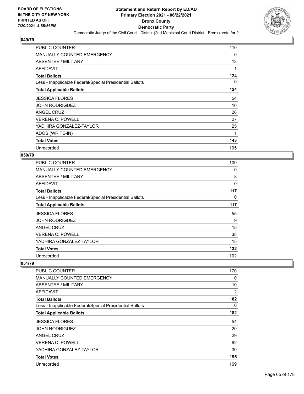

| <b>PUBLIC COUNTER</b>                                    | 110 |
|----------------------------------------------------------|-----|
| <b>MANUALLY COUNTED EMERGENCY</b>                        | 0   |
| ABSENTEE / MILITARY                                      | 13  |
| AFFIDAVIT                                                | 1   |
| <b>Total Ballots</b>                                     | 124 |
| Less - Inapplicable Federal/Special Presidential Ballots | 0   |
| <b>Total Applicable Ballots</b>                          | 124 |
| <b>JESSICA FLORES</b>                                    | 54  |
| <b>JOHN RODRIGUEZ</b>                                    | 10  |
| ANGEL CRUZ                                               | 26  |
| <b>VERENA C. POWELL</b>                                  | 27  |
| YADHIRA GONZALEZ-TAYLOR                                  | 25  |
| ADOS (WRITE-IN)                                          | 1   |
| <b>Total Votes</b>                                       | 143 |
| Unrecorded                                               | 105 |

## **050/79**

| <b>PUBLIC COUNTER</b>                                    | 109 |
|----------------------------------------------------------|-----|
| <b>MANUALLY COUNTED EMERGENCY</b>                        | 0   |
| ABSENTEE / MILITARY                                      | 8   |
| AFFIDAVIT                                                | 0   |
| <b>Total Ballots</b>                                     | 117 |
| Less - Inapplicable Federal/Special Presidential Ballots | 0   |
| <b>Total Applicable Ballots</b>                          | 117 |
| <b>JESSICA FLORES</b>                                    | 55  |
| <b>JOHN RODRIGUEZ</b>                                    | 9   |
| ANGEL CRUZ                                               | 15  |
| <b>VERENA C. POWELL</b>                                  | 38  |
| YADHIRA GONZALEZ-TAYLOR                                  | 15  |
| <b>Total Votes</b>                                       | 132 |
| Unrecorded                                               | 102 |

| PUBLIC COUNTER                                           | 170 |
|----------------------------------------------------------|-----|
| <b>MANUALLY COUNTED EMERGENCY</b>                        | 0   |
| <b>ABSENTEE / MILITARY</b>                               | 10  |
| AFFIDAVIT                                                | 2   |
| <b>Total Ballots</b>                                     | 182 |
| Less - Inapplicable Federal/Special Presidential Ballots | 0   |
| <b>Total Applicable Ballots</b>                          | 182 |
| <b>JESSICA FLORES</b>                                    | 54  |
| <b>JOHN RODRIGUEZ</b>                                    | 20  |
| <b>ANGEL CRUZ</b>                                        | 29  |
| <b>VERENA C. POWELL</b>                                  | 62  |
| YADHIRA GONZALEZ-TAYLOR                                  | 30  |
| <b>Total Votes</b>                                       | 195 |
| Unrecorded                                               | 169 |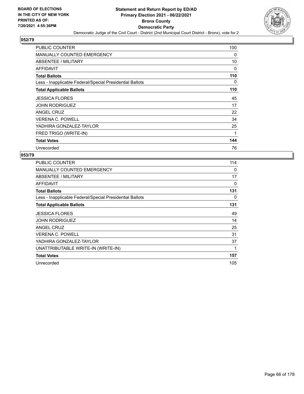

| <b>PUBLIC COUNTER</b>                                    | 100      |
|----------------------------------------------------------|----------|
| MANUALLY COUNTED EMERGENCY                               | 0        |
| <b>ABSENTEE / MILITARY</b>                               | 10       |
| AFFIDAVIT                                                | 0        |
| <b>Total Ballots</b>                                     | 110      |
| Less - Inapplicable Federal/Special Presidential Ballots | $\Omega$ |
| <b>Total Applicable Ballots</b>                          | 110      |
| <b>JESSICA FLORES</b>                                    | 45       |
| <b>JOHN RODRIGUEZ</b>                                    | 17       |
| ANGEL CRUZ                                               | 22       |
| <b>VERENA C. POWELL</b>                                  | 34       |
| YADHIRA GONZALEZ-TAYLOR                                  | 25       |
| FRED TRIGO (WRITE-IN)                                    | 1        |
| <b>Total Votes</b>                                       | 144      |
| Unrecorded                                               | 76       |

| PUBLIC COUNTER                                           | 114         |
|----------------------------------------------------------|-------------|
| MANUALLY COUNTED EMERGENCY                               | $\Omega$    |
| <b>ABSENTEE / MILITARY</b>                               | 17          |
| AFFIDAVIT                                                | 0           |
| <b>Total Ballots</b>                                     | 131         |
| Less - Inapplicable Federal/Special Presidential Ballots | 0           |
| <b>Total Applicable Ballots</b>                          | 131         |
| <b>JESSICA FLORES</b>                                    | 49          |
| <b>JOHN RODRIGUEZ</b>                                    | 14          |
| ANGEL CRUZ                                               | 25          |
| <b>VERENA C. POWELL</b>                                  | 31          |
| YADHIRA GONZALEZ-TAYLOR                                  | 37          |
| UNATTRIBUTABLE WRITE-IN (WRITE-IN)                       | $\mathbf 1$ |
| <b>Total Votes</b>                                       | 157         |
| Unrecorded                                               | 105         |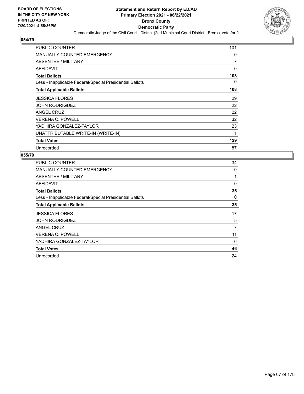

| <b>PUBLIC COUNTER</b>                                    | 101 |
|----------------------------------------------------------|-----|
| MANUALLY COUNTED EMERGENCY                               | 0   |
| ABSENTEE / MILITARY                                      | 7   |
| AFFIDAVIT                                                | 0   |
| <b>Total Ballots</b>                                     | 108 |
| Less - Inapplicable Federal/Special Presidential Ballots | 0   |
| <b>Total Applicable Ballots</b>                          | 108 |
| <b>JESSICA FLORES</b>                                    | 29  |
| <b>JOHN RODRIGUEZ</b>                                    | 22  |
| <b>ANGEL CRUZ</b>                                        | 22  |
| <b>VERENA C. POWELL</b>                                  | 32  |
| YADHIRA GONZALEZ-TAYLOR                                  | 23  |
| UNATTRIBUTABLE WRITE-IN (WRITE-IN)                       | 1   |
| <b>Total Votes</b>                                       | 129 |
| Unrecorded                                               | 87  |

| PUBLIC COUNTER                                           | 34       |
|----------------------------------------------------------|----------|
| MANUALLY COUNTED EMERGENCY                               | 0        |
| ABSENTEE / MILITARY                                      |          |
| AFFIDAVIT                                                | 0        |
| <b>Total Ballots</b>                                     | 35       |
| Less - Inapplicable Federal/Special Presidential Ballots | $\Omega$ |
| <b>Total Applicable Ballots</b>                          | 35       |
| <b>JESSICA FLORES</b>                                    | 17       |
| <b>JOHN RODRIGUEZ</b>                                    | 5        |
| ANGEL CRUZ                                               | 7        |
| <b>VERENA C. POWELL</b>                                  | 11       |
| YADHIRA GONZALEZ-TAYLOR                                  | 6        |
| <b>Total Votes</b>                                       | 46       |
|                                                          |          |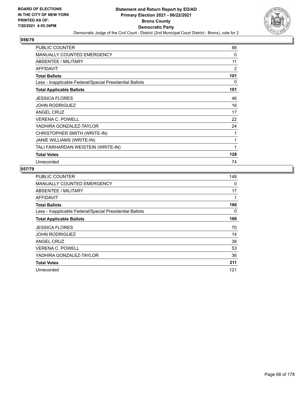

| <b>PUBLIC COUNTER</b>                                    | 88  |
|----------------------------------------------------------|-----|
| <b>MANUALLY COUNTED EMERGENCY</b>                        | 0   |
| ABSENTEE / MILITARY                                      | 11  |
| <b>AFFIDAVIT</b>                                         | 2   |
| <b>Total Ballots</b>                                     | 101 |
| Less - Inapplicable Federal/Special Presidential Ballots | 0   |
| <b>Total Applicable Ballots</b>                          | 101 |
| <b>JESSICA FLORES</b>                                    | 46  |
| <b>JOHN RODRIGUEZ</b>                                    | 16  |
| <b>ANGEL CRUZ</b>                                        | 17  |
| <b>VERENA C. POWELL</b>                                  | 22  |
| YADHIRA GONZALEZ-TAYLOR                                  | 24  |
| CHRISTOPHER SMITH (WRITE-IN)                             | 1   |
| JANIE WILLIAMS (WRITE-IN)                                | 1   |
| TALI FARHARDAN WEISTEIN (WRITE-IN)                       | 1   |
| <b>Total Votes</b>                                       | 128 |
| Unrecorded                                               | 74  |

| <b>PUBLIC COUNTER</b>                                    | 148 |
|----------------------------------------------------------|-----|
| MANUALLY COUNTED EMERGENCY                               | 0   |
| ABSENTEE / MILITARY                                      | 17  |
| AFFIDAVIT                                                | 1   |
| <b>Total Ballots</b>                                     | 166 |
| Less - Inapplicable Federal/Special Presidential Ballots | 0   |
| <b>Total Applicable Ballots</b>                          | 166 |
| <b>JESSICA FLORES</b>                                    | 70  |
| <b>JOHN RODRIGUEZ</b>                                    | 14  |
| <b>ANGEL CRUZ</b>                                        | 38  |
| <b>VERENA C. POWELL</b>                                  | 53  |
| YADHIRA GONZALEZ-TAYLOR                                  | 36  |
| <b>Total Votes</b>                                       | 211 |
| Unrecorded                                               | 121 |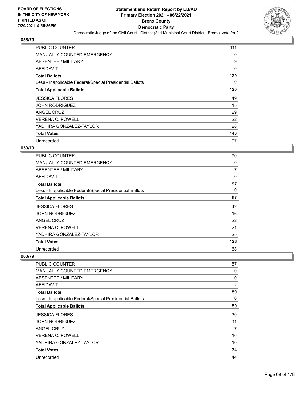

| <b>PUBLIC COUNTER</b>                                    | 111 |
|----------------------------------------------------------|-----|
| MANUALLY COUNTED EMERGENCY                               | 0   |
| ABSENTEE / MILITARY                                      | 9   |
| AFFIDAVIT                                                | 0   |
| <b>Total Ballots</b>                                     | 120 |
| Less - Inapplicable Federal/Special Presidential Ballots | 0   |
| <b>Total Applicable Ballots</b>                          | 120 |
| <b>JESSICA FLORES</b>                                    | 49  |
| <b>JOHN RODRIGUEZ</b>                                    | 15  |
| ANGEL CRUZ                                               | 29  |
| <b>VERENA C. POWELL</b>                                  | 22  |
| YADHIRA GONZALEZ-TAYLOR                                  | 28  |
| <b>Total Votes</b>                                       | 143 |
| Unrecorded                                               | 97  |

# **059/79**

| <b>PUBLIC COUNTER</b>                                    | 90  |
|----------------------------------------------------------|-----|
| <b>MANUALLY COUNTED EMERGENCY</b>                        | 0   |
| ABSENTEE / MILITARY                                      | 7   |
| <b>AFFIDAVIT</b>                                         | 0   |
| <b>Total Ballots</b>                                     | 97  |
| Less - Inapplicable Federal/Special Presidential Ballots | 0   |
| <b>Total Applicable Ballots</b>                          | 97  |
| <b>JESSICA FLORES</b>                                    | 42  |
| <b>JOHN RODRIGUEZ</b>                                    | 16  |
| <b>ANGEL CRUZ</b>                                        | 22  |
| <b>VERENA C. POWELL</b>                                  | 21  |
| YADHIRA GONZALEZ-TAYLOR                                  | 25  |
| <b>Total Votes</b>                                       | 126 |
| Unrecorded                                               | 68  |

| PUBLIC COUNTER                                           | 57 |
|----------------------------------------------------------|----|
| <b>MANUALLY COUNTED EMERGENCY</b>                        | 0  |
| <b>ABSENTEE / MILITARY</b>                               | 0  |
| <b>AFFIDAVIT</b>                                         | 2  |
| <b>Total Ballots</b>                                     | 59 |
| Less - Inapplicable Federal/Special Presidential Ballots | 0  |
| <b>Total Applicable Ballots</b>                          | 59 |
| <b>JESSICA FLORES</b>                                    | 30 |
| <b>JOHN RODRIGUEZ</b>                                    | 11 |
| ANGEL CRUZ                                               | 7  |
| VERENA C. POWELL                                         | 16 |
| YADHIRA GONZALEZ-TAYLOR                                  | 10 |
| <b>Total Votes</b>                                       | 74 |
| Unrecorded                                               | 44 |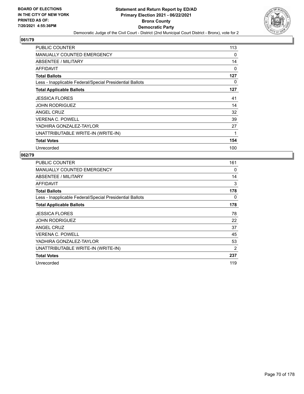

| <b>PUBLIC COUNTER</b>                                    | 113      |
|----------------------------------------------------------|----------|
| <b>MANUALLY COUNTED EMERGENCY</b>                        | 0        |
| ABSENTEE / MILITARY                                      | 14       |
| AFFIDAVIT                                                | $\Omega$ |
| <b>Total Ballots</b>                                     | 127      |
| Less - Inapplicable Federal/Special Presidential Ballots | 0        |
| <b>Total Applicable Ballots</b>                          | 127      |
| <b>JESSICA FLORES</b>                                    | 41       |
| <b>JOHN RODRIGUEZ</b>                                    | 14       |
| ANGEL CRUZ                                               | 32       |
| <b>VERENA C. POWELL</b>                                  | 39       |
| YADHIRA GONZALEZ-TAYLOR                                  | 27       |
| UNATTRIBUTABLE WRITE-IN (WRITE-IN)                       | 1        |
| <b>Total Votes</b>                                       | 154      |
| Unrecorded                                               | 100      |

| <b>PUBLIC COUNTER</b>                                    | 161      |
|----------------------------------------------------------|----------|
| <b>MANUALLY COUNTED EMERGENCY</b>                        | $\Omega$ |
| ABSENTEE / MILITARY                                      | 14       |
| AFFIDAVIT                                                | 3        |
| <b>Total Ballots</b>                                     | 178      |
| Less - Inapplicable Federal/Special Presidential Ballots | 0        |
| <b>Total Applicable Ballots</b>                          | 178      |
| <b>JESSICA FLORES</b>                                    | 78       |
| <b>JOHN RODRIGUEZ</b>                                    | 22       |
| ANGEL CRUZ                                               | 37       |
| <b>VERENA C. POWELL</b>                                  | 45       |
| YADHIRA GONZALEZ-TAYLOR                                  | 53       |
| UNATTRIBUTABLE WRITE-IN (WRITE-IN)                       | 2        |
| <b>Total Votes</b>                                       | 237      |
| Unrecorded                                               | 119      |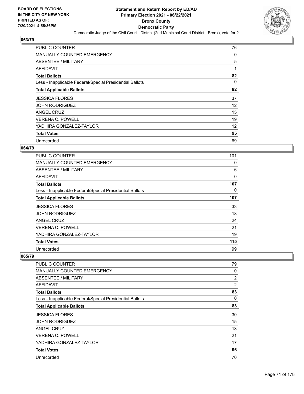

| <b>PUBLIC COUNTER</b>                                    | 76 |
|----------------------------------------------------------|----|
| MANUALLY COUNTED EMERGENCY                               | 0  |
| ABSENTEE / MILITARY                                      | 5  |
| AFFIDAVIT                                                | 1  |
| <b>Total Ballots</b>                                     | 82 |
| Less - Inapplicable Federal/Special Presidential Ballots | 0  |
| <b>Total Applicable Ballots</b>                          | 82 |
| <b>JESSICA FLORES</b>                                    | 37 |
| <b>JOHN RODRIGUEZ</b>                                    | 12 |
| ANGEL CRUZ                                               | 15 |
| <b>VERENA C. POWELL</b>                                  | 19 |
| YADHIRA GONZALEZ-TAYLOR                                  | 12 |
| <b>Total Votes</b>                                       | 95 |
| Unrecorded                                               | 69 |

### **064/79**

| <b>PUBLIC COUNTER</b>                                    | 101 |
|----------------------------------------------------------|-----|
| <b>MANUALLY COUNTED EMERGENCY</b>                        | 0   |
| ABSENTEE / MILITARY                                      | 6   |
| <b>AFFIDAVIT</b>                                         | 0   |
| <b>Total Ballots</b>                                     | 107 |
| Less - Inapplicable Federal/Special Presidential Ballots | 0   |
| <b>Total Applicable Ballots</b>                          | 107 |
| <b>JESSICA FLORES</b>                                    | 33  |
| <b>JOHN RODRIGUEZ</b>                                    | 18  |
| <b>ANGEL CRUZ</b>                                        | 24  |
| <b>VERENA C. POWELL</b>                                  | 21  |
| YADHIRA GONZALEZ-TAYLOR                                  | 19  |
| <b>Total Votes</b>                                       | 115 |
| Unrecorded                                               | 99  |

| <b>PUBLIC COUNTER</b>                                    | 79             |
|----------------------------------------------------------|----------------|
| <b>MANUALLY COUNTED EMERGENCY</b>                        | 0              |
| <b>ABSENTEE / MILITARY</b>                               | $\overline{2}$ |
| <b>AFFIDAVIT</b>                                         | $\overline{2}$ |
| <b>Total Ballots</b>                                     | 83             |
| Less - Inapplicable Federal/Special Presidential Ballots | $\Omega$       |
| <b>Total Applicable Ballots</b>                          | 83             |
| <b>JESSICA FLORES</b>                                    | 30             |
| <b>JOHN RODRIGUEZ</b>                                    | 15             |
| ANGEL CRUZ                                               | 13             |
| <b>VERENA C. POWELL</b>                                  | 21             |
| YADHIRA GONZALEZ-TAYLOR                                  | 17             |
| <b>Total Votes</b>                                       | 96             |
| Unrecorded                                               | 70             |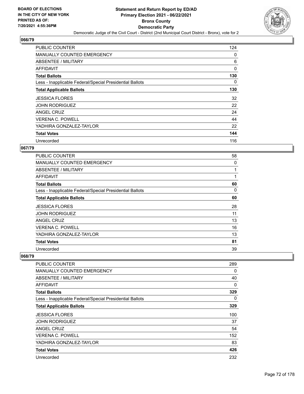

| <b>PUBLIC COUNTER</b>                                    | 124 |
|----------------------------------------------------------|-----|
| MANUALLY COUNTED EMERGENCY                               | 0   |
| ABSENTEE / MILITARY                                      | 6   |
| AFFIDAVIT                                                | 0   |
| <b>Total Ballots</b>                                     | 130 |
| Less - Inapplicable Federal/Special Presidential Ballots | 0   |
| <b>Total Applicable Ballots</b>                          | 130 |
| <b>JESSICA FLORES</b>                                    | 32  |
| <b>JOHN RODRIGUEZ</b>                                    | 22  |
| ANGEL CRUZ                                               | 24  |
| <b>VERENA C. POWELL</b>                                  | 44  |
| YADHIRA GONZALEZ-TAYLOR                                  | 22  |
| <b>Total Votes</b>                                       | 144 |
| Unrecorded                                               | 116 |

### **067/79**

| <b>PUBLIC COUNTER</b>                                    | 58 |
|----------------------------------------------------------|----|
| MANUALLY COUNTED EMERGENCY                               | 0  |
| ABSENTEE / MILITARY                                      |    |
| AFFIDAVIT                                                | 1  |
| <b>Total Ballots</b>                                     | 60 |
| Less - Inapplicable Federal/Special Presidential Ballots | 0  |
| <b>Total Applicable Ballots</b>                          | 60 |
| <b>JESSICA FLORES</b>                                    | 28 |
| <b>JOHN RODRIGUEZ</b>                                    | 11 |
| ANGEL CRUZ                                               | 13 |
| <b>VERENA C. POWELL</b>                                  | 16 |
| YADHIRA GONZALEZ-TAYLOR                                  | 13 |
| <b>Total Votes</b>                                       | 81 |
| Unrecorded                                               | 39 |

| <b>PUBLIC COUNTER</b>                                    | 289 |
|----------------------------------------------------------|-----|
| <b>MANUALLY COUNTED EMERGENCY</b>                        | 0   |
| <b>ABSENTEE / MILITARY</b>                               | 40  |
| <b>AFFIDAVIT</b>                                         | 0   |
| <b>Total Ballots</b>                                     | 329 |
| Less - Inapplicable Federal/Special Presidential Ballots | 0   |
| <b>Total Applicable Ballots</b>                          | 329 |
| <b>JESSICA FLORES</b>                                    | 100 |
| <b>JOHN RODRIGUEZ</b>                                    | 37  |
| ANGEL CRUZ                                               | 54  |
| <b>VERENA C. POWELL</b>                                  | 152 |
| YADHIRA GONZALEZ-TAYLOR                                  | 83  |
| <b>Total Votes</b>                                       | 426 |
| Unrecorded                                               | 232 |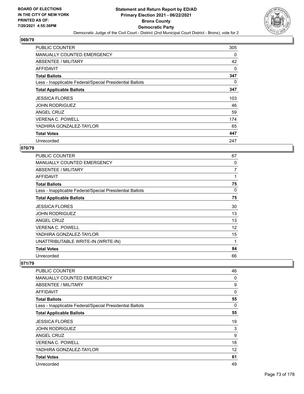

| PUBLIC COUNTER                                           | 305      |
|----------------------------------------------------------|----------|
| <b>MANUALLY COUNTED EMERGENCY</b>                        | 0        |
| ABSENTEE / MILITARY                                      | 42       |
| AFFIDAVIT                                                | 0        |
| <b>Total Ballots</b>                                     | 347      |
| Less - Inapplicable Federal/Special Presidential Ballots | $\Omega$ |
| <b>Total Applicable Ballots</b>                          | 347      |
| <b>JESSICA FLORES</b>                                    | 103      |
| <b>JOHN RODRIGUEZ</b>                                    | 46       |
| ANGEL CRUZ                                               | 59       |
| <b>VERENA C. POWELL</b>                                  | 174      |
| YADHIRA GONZALEZ-TAYLOR                                  | 65       |
| <b>Total Votes</b>                                       | 447      |
| Unrecorded                                               | 247      |

# **070/79**

| <b>PUBLIC COUNTER</b>                                    | 67 |
|----------------------------------------------------------|----|
| MANUALLY COUNTED EMERGENCY                               | 0  |
| ABSENTEE / MILITARY                                      | 7  |
| AFFIDAVIT                                                | 1  |
| <b>Total Ballots</b>                                     | 75 |
| Less - Inapplicable Federal/Special Presidential Ballots | 0  |
| <b>Total Applicable Ballots</b>                          | 75 |
| <b>JESSICA FLORES</b>                                    | 30 |
| <b>JOHN RODRIGUEZ</b>                                    | 13 |
| ANGEL CRUZ                                               | 13 |
| <b>VERENA C. POWELL</b>                                  | 12 |
| YADHIRA GONZALEZ-TAYLOR                                  | 15 |
| UNATTRIBUTABLE WRITE-IN (WRITE-IN)                       | 1  |
| <b>Total Votes</b>                                       | 84 |
| Unrecorded                                               | 66 |

| <b>PUBLIC COUNTER</b>                                    | 46 |
|----------------------------------------------------------|----|
| <b>MANUALLY COUNTED EMERGENCY</b>                        | 0  |
| ABSENTEE / MILITARY                                      | 9  |
| AFFIDAVIT                                                | 0  |
| <b>Total Ballots</b>                                     | 55 |
| Less - Inapplicable Federal/Special Presidential Ballots | 0  |
| <b>Total Applicable Ballots</b>                          | 55 |
| <b>JESSICA FLORES</b>                                    | 19 |
| <b>JOHN RODRIGUEZ</b>                                    | 3  |
| ANGEL CRUZ                                               | 9  |
| <b>VERENA C. POWELL</b>                                  | 18 |
| YADHIRA GONZALEZ-TAYLOR                                  | 12 |
| <b>Total Votes</b>                                       | 61 |
| Unrecorded                                               | 49 |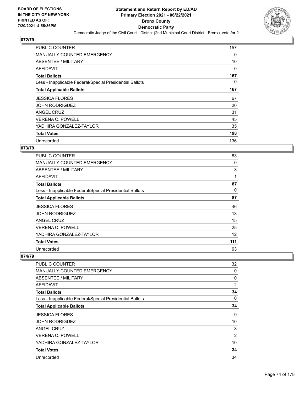

| <b>PUBLIC COUNTER</b>                                    | 157 |
|----------------------------------------------------------|-----|
| <b>MANUALLY COUNTED EMERGENCY</b>                        | 0   |
| ABSENTEE / MILITARY                                      | 10  |
| AFFIDAVIT                                                | 0   |
| <b>Total Ballots</b>                                     | 167 |
| Less - Inapplicable Federal/Special Presidential Ballots | 0   |
| <b>Total Applicable Ballots</b>                          | 167 |
| <b>JESSICA FLORES</b>                                    | 67  |
| <b>JOHN RODRIGUEZ</b>                                    | 20  |
| ANGEL CRUZ                                               | 31  |
| <b>VERENA C. POWELL</b>                                  | 45  |
| YADHIRA GONZALEZ-TAYLOR                                  | 35  |
| <b>Total Votes</b>                                       | 198 |
| Unrecorded                                               | 136 |

# **073/79**

| <b>PUBLIC COUNTER</b>                                    | 83  |
|----------------------------------------------------------|-----|
| MANUALLY COUNTED EMERGENCY                               | 0   |
| ABSENTEE / MILITARY                                      | 3   |
| AFFIDAVIT                                                | 1   |
| <b>Total Ballots</b>                                     | 87  |
| Less - Inapplicable Federal/Special Presidential Ballots | 0   |
| <b>Total Applicable Ballots</b>                          | 87  |
| <b>JESSICA FLORES</b>                                    | 46  |
| <b>JOHN RODRIGUEZ</b>                                    | 13  |
| ANGEL CRUZ                                               | 15  |
| <b>VERENA C. POWELL</b>                                  | 25  |
| YADHIRA GONZALEZ-TAYLOR                                  | 12  |
| <b>Total Votes</b>                                       | 111 |
| Unrecorded                                               | 63  |

| <b>PUBLIC COUNTER</b>                                    | 32 |
|----------------------------------------------------------|----|
| <b>MANUALLY COUNTED EMERGENCY</b>                        | 0  |
| <b>ABSENTEE / MILITARY</b>                               | 0  |
| <b>AFFIDAVIT</b>                                         | 2  |
| <b>Total Ballots</b>                                     | 34 |
| Less - Inapplicable Federal/Special Presidential Ballots | 0  |
| <b>Total Applicable Ballots</b>                          | 34 |
| <b>JESSICA FLORES</b>                                    | 9  |
| <b>JOHN RODRIGUEZ</b>                                    | 10 |
| ANGEL CRUZ                                               | 3  |
| VERENA C. POWELL                                         | 2  |
| YADHIRA GONZALEZ-TAYLOR                                  | 10 |
| <b>Total Votes</b>                                       | 34 |
| Unrecorded                                               | 34 |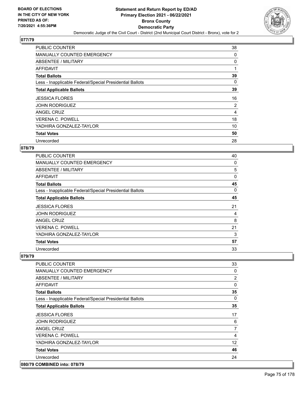

| <b>PUBLIC COUNTER</b>                                    | 38 |
|----------------------------------------------------------|----|
| MANUALLY COUNTED EMERGENCY                               | 0  |
| ABSENTEE / MILITARY                                      | 0  |
| AFFIDAVIT                                                | 1  |
| <b>Total Ballots</b>                                     | 39 |
| Less - Inapplicable Federal/Special Presidential Ballots | 0  |
| <b>Total Applicable Ballots</b>                          | 39 |
| <b>JESSICA FLORES</b>                                    | 16 |
| <b>JOHN RODRIGUEZ</b>                                    | 2  |
| ANGEL CRUZ                                               | 4  |
| <b>VERENA C. POWELL</b>                                  | 18 |
| YADHIRA GONZALEZ-TAYLOR                                  | 10 |
| <b>Total Votes</b>                                       | 50 |
| Unrecorded                                               | 28 |

### **078/79**

| <b>PUBLIC COUNTER</b>                                    | 40 |
|----------------------------------------------------------|----|
| MANUALLY COUNTED EMERGENCY                               | 0  |
| ABSENTEE / MILITARY                                      | 5  |
| AFFIDAVIT                                                | 0  |
| <b>Total Ballots</b>                                     | 45 |
| Less - Inapplicable Federal/Special Presidential Ballots | 0  |
| <b>Total Applicable Ballots</b>                          | 45 |
| <b>JESSICA FLORES</b>                                    | 21 |
| <b>JOHN RODRIGUEZ</b>                                    | 4  |
| ANGEL CRUZ                                               | 8  |
| <b>VERENA C. POWELL</b>                                  | 21 |
| YADHIRA GONZALEZ-TAYLOR                                  | 3  |
| <b>Total Votes</b>                                       | 57 |
| Unrecorded                                               | 33 |

| <b>PUBLIC COUNTER</b>                                    | 33             |
|----------------------------------------------------------|----------------|
| MANUALLY COUNTED EMERGENCY                               | 0              |
| ABSENTEE / MILITARY                                      | 2              |
| AFFIDAVIT                                                | 0              |
| <b>Total Ballots</b>                                     | 35             |
| Less - Inapplicable Federal/Special Presidential Ballots | $\Omega$       |
| <b>Total Applicable Ballots</b>                          | 35             |
| <b>JESSICA FLORES</b>                                    | 17             |
| <b>JOHN RODRIGUEZ</b>                                    | 6              |
| ANGEL CRUZ                                               | $\overline{7}$ |
| <b>VERENA C. POWELL</b>                                  | 4              |
| YADHIRA GONZALEZ-TAYLOR                                  | 12             |
| <b>Total Votes</b>                                       | 46             |
| Unrecorded                                               | 24             |
| 080/79 COMBINED into: 078/79                             |                |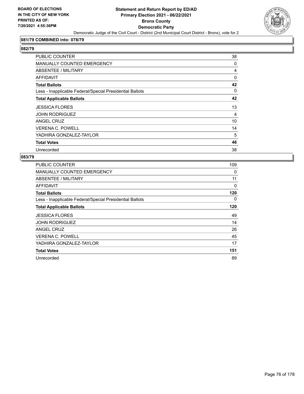

# **081/79 COMBINED into: 078/79**

# **082/79**

| <b>PUBLIC COUNTER</b>                                    | 38       |
|----------------------------------------------------------|----------|
| <b>MANUALLY COUNTED EMERGENCY</b>                        | 0        |
| ABSENTEE / MILITARY                                      | 4        |
| AFFIDAVIT                                                | $\Omega$ |
| <b>Total Ballots</b>                                     | 42       |
| Less - Inapplicable Federal/Special Presidential Ballots | $\Omega$ |
| <b>Total Applicable Ballots</b>                          | 42       |
| <b>JESSICA FLORES</b>                                    | 13       |
| <b>JOHN RODRIGUEZ</b>                                    | 4        |
| ANGEL CRUZ                                               | 10       |
| <b>VERENA C. POWELL</b>                                  | 14       |
| YADHIRA GONZALEZ-TAYLOR                                  | 5        |
| <b>Total Votes</b>                                       | 46       |
| Unrecorded                                               | 38       |

| <b>PUBLIC COUNTER</b>                                    | 109 |
|----------------------------------------------------------|-----|
| <b>MANUALLY COUNTED EMERGENCY</b>                        | 0   |
| ABSENTEE / MILITARY                                      | 11  |
| AFFIDAVIT                                                | 0   |
| <b>Total Ballots</b>                                     | 120 |
| Less - Inapplicable Federal/Special Presidential Ballots | 0   |
| <b>Total Applicable Ballots</b>                          | 120 |
| <b>JESSICA FLORES</b>                                    | 49  |
| <b>JOHN RODRIGUEZ</b>                                    | 14  |
| <b>ANGEL CRUZ</b>                                        | 26  |
| <b>VERENA C. POWELL</b>                                  | 45  |
| YADHIRA GONZALEZ-TAYLOR                                  | 17  |
|                                                          |     |
| <b>Total Votes</b>                                       | 151 |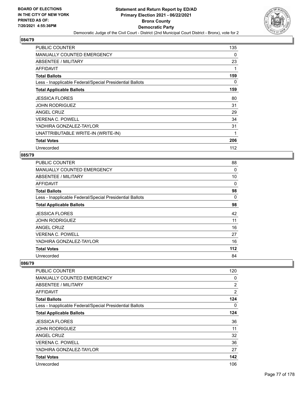

| <b>PUBLIC COUNTER</b>                                    | 135 |
|----------------------------------------------------------|-----|
| <b>MANUALLY COUNTED EMERGENCY</b>                        | 0   |
| ABSENTEE / MILITARY                                      | 23  |
| AFFIDAVIT                                                | 1   |
| <b>Total Ballots</b>                                     | 159 |
| Less - Inapplicable Federal/Special Presidential Ballots | 0   |
| <b>Total Applicable Ballots</b>                          | 159 |
| <b>JESSICA FLORES</b>                                    | 80  |
| <b>JOHN RODRIGUEZ</b>                                    | 31  |
| ANGEL CRUZ                                               | 29  |
| <b>VERENA C. POWELL</b>                                  | 34  |
| YADHIRA GONZALEZ-TAYLOR                                  | 31  |
| UNATTRIBUTABLE WRITE-IN (WRITE-IN)                       | 1   |
| <b>Total Votes</b>                                       | 206 |
| Unrecorded                                               | 112 |

### **085/79**

| PUBLIC COUNTER                                           | 88    |
|----------------------------------------------------------|-------|
| MANUALLY COUNTED EMERGENCY                               | 0     |
| ABSENTEE / MILITARY                                      | 10    |
| AFFIDAVIT                                                | 0     |
| <b>Total Ballots</b>                                     | 98    |
| Less - Inapplicable Federal/Special Presidential Ballots | 0     |
| <b>Total Applicable Ballots</b>                          | 98    |
| <b>JESSICA FLORES</b>                                    | 42    |
| <b>JOHN RODRIGUEZ</b>                                    | 11    |
| ANGEL CRUZ                                               | 16    |
| <b>VERENA C. POWELL</b>                                  | 27    |
| YADHIRA GONZALEZ-TAYLOR                                  | 16    |
| <b>Total Votes</b>                                       | $112$ |
| Unrecorded                                               | 84    |

| PUBLIC COUNTER                                           | 120            |
|----------------------------------------------------------|----------------|
| <b>MANUALLY COUNTED EMERGENCY</b>                        | $\Omega$       |
| ABSENTEE / MILITARY                                      | $\overline{2}$ |
| AFFIDAVIT                                                | $\overline{2}$ |
| <b>Total Ballots</b>                                     | 124            |
| Less - Inapplicable Federal/Special Presidential Ballots | 0              |
| <b>Total Applicable Ballots</b>                          | 124            |
| <b>JESSICA FLORES</b>                                    | 36             |
| <b>JOHN RODRIGUEZ</b>                                    | 11             |
| ANGEL CRUZ                                               | 32             |
| <b>VERENA C. POWELL</b>                                  | 36             |
| YADHIRA GONZALEZ-TAYLOR                                  | 27             |
| <b>Total Votes</b>                                       | 142            |
| Unrecorded                                               | 106            |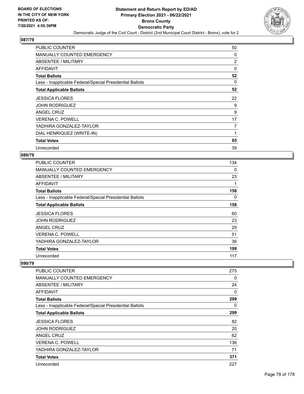

| <b>PUBLIC COUNTER</b>                                    | 50       |
|----------------------------------------------------------|----------|
| MANUALLY COUNTED EMERGENCY                               | 0        |
| ABSENTEE / MILITARY                                      | 2        |
| AFFIDAVIT                                                | 0        |
| <b>Total Ballots</b>                                     | 52       |
| Less - Inapplicable Federal/Special Presidential Ballots | $\Omega$ |
| <b>Total Applicable Ballots</b>                          | 52       |
| <b>JESSICA FLORES</b>                                    | 22       |
| <b>JOHN RODRIGUEZ</b>                                    | 9        |
| ANGEL CRUZ                                               | 9        |
| <b>VERENA C. POWELL</b>                                  | 17       |
| YADHIRA GONZALEZ-TAYLOR                                  | 7        |
| DIAL HENRIQUEZ (WRITE-IN)                                |          |
| <b>Total Votes</b>                                       | 65       |
| Unrecorded                                               | 39       |

### **089/79**

| <b>PUBLIC COUNTER</b>                                    | 134 |
|----------------------------------------------------------|-----|
| <b>MANUALLY COUNTED EMERGENCY</b>                        | 0   |
| ABSENTEE / MILITARY                                      | 23  |
| AFFIDAVIT                                                | 1   |
| <b>Total Ballots</b>                                     | 158 |
| Less - Inapplicable Federal/Special Presidential Ballots | 0   |
| <b>Total Applicable Ballots</b>                          | 158 |
| <b>JESSICA FLORES</b>                                    | 60  |
| <b>JOHN RODRIGUEZ</b>                                    | 23  |
| ANGEL CRUZ                                               | 29  |
| <b>VERENA C. POWELL</b>                                  | 51  |
| YADHIRA GONZALEZ-TAYLOR                                  | 36  |
| <b>Total Votes</b>                                       | 199 |
| Unrecorded                                               | 117 |

| <b>PUBLIC COUNTER</b>                                    | 275 |
|----------------------------------------------------------|-----|
| <b>MANUALLY COUNTED EMERGENCY</b>                        | 0   |
| ABSENTEE / MILITARY                                      | 24  |
| AFFIDAVIT                                                | 0   |
| <b>Total Ballots</b>                                     | 299 |
| Less - Inapplicable Federal/Special Presidential Ballots | 0   |
| <b>Total Applicable Ballots</b>                          | 299 |
| <b>JESSICA FLORES</b>                                    | 82  |
| <b>JOHN RODRIGUEZ</b>                                    | 20  |
| <b>ANGEL CRUZ</b>                                        | 62  |
| <b>VERENA C. POWELL</b>                                  | 136 |
| YADHIRA GONZALEZ-TAYLOR                                  | 71  |
| <b>Total Votes</b>                                       | 371 |
| Unrecorded                                               | 227 |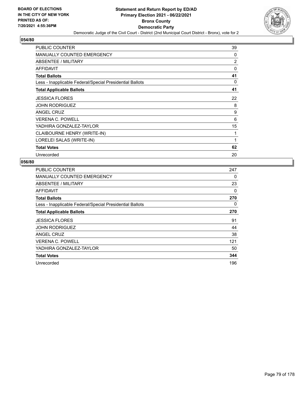

| <b>PUBLIC COUNTER</b>                                    | 39             |
|----------------------------------------------------------|----------------|
| <b>MANUALLY COUNTED EMERGENCY</b>                        | 0              |
| ABSENTEE / MILITARY                                      | $\overline{2}$ |
| <b>AFFIDAVIT</b>                                         | 0              |
| <b>Total Ballots</b>                                     | 41             |
| Less - Inapplicable Federal/Special Presidential Ballots | 0              |
| <b>Total Applicable Ballots</b>                          | 41             |
| <b>JESSICA FLORES</b>                                    | 22             |
| <b>JOHN RODRIGUEZ</b>                                    | 8              |
| <b>ANGEL CRUZ</b>                                        | 9              |
| <b>VERENA C. POWELL</b>                                  | 6              |
| YADHIRA GONZALEZ-TAYLOR                                  | 15             |
| CLAIBOURNE HENRY (WRITE-IN)                              | 1              |
| LORELEI SALAS (WRITE-IN)                                 | $\mathbf{1}$   |
| <b>Total Votes</b>                                       | 62             |
| Unrecorded                                               | 20             |

| <b>PUBLIC COUNTER</b>                                    | 247 |
|----------------------------------------------------------|-----|
| MANUALLY COUNTED EMERGENCY                               | 0   |
| ABSENTEE / MILITARY                                      | 23  |
| AFFIDAVIT                                                | 0   |
| <b>Total Ballots</b>                                     | 270 |
| Less - Inapplicable Federal/Special Presidential Ballots | 0   |
| <b>Total Applicable Ballots</b>                          | 270 |
| <b>JESSICA FLORES</b>                                    | 91  |
| <b>JOHN RODRIGUEZ</b>                                    | 44  |
| ANGEL CRUZ                                               | 38  |
| <b>VERENA C. POWELL</b>                                  | 121 |
| YADHIRA GONZALEZ-TAYLOR                                  | 50  |
| <b>Total Votes</b>                                       | 344 |
| Unrecorded                                               | 196 |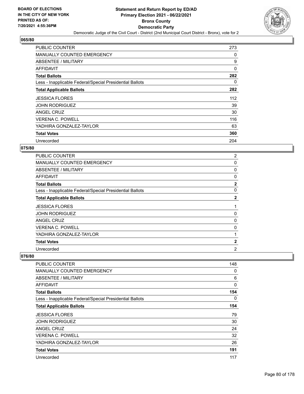

| <b>PUBLIC COUNTER</b>                                    | 273      |
|----------------------------------------------------------|----------|
| <b>MANUALLY COUNTED EMERGENCY</b>                        | 0        |
| ABSENTEE / MILITARY                                      | 9        |
| AFFIDAVIT                                                | 0        |
| <b>Total Ballots</b>                                     | 282      |
| Less - Inapplicable Federal/Special Presidential Ballots | $\Omega$ |
| <b>Total Applicable Ballots</b>                          | 282      |
| JESSICA FLORES                                           | 112      |
| <b>JOHN RODRIGUEZ</b>                                    | 39       |
| ANGEL CRUZ                                               | 30       |
| <b>VERENA C. POWELL</b>                                  | 116      |
| YADHIRA GONZALEZ-TAYLOR                                  | 63       |
| <b>Total Votes</b>                                       | 360      |
| Unrecorded                                               | 204      |

# **075/80**

| <b>PUBLIC COUNTER</b>                                    | $\overline{2}$ |
|----------------------------------------------------------|----------------|
| MANUALLY COUNTED EMERGENCY                               | 0              |
| ABSENTEE / MILITARY                                      | 0              |
| AFFIDAVIT                                                | 0              |
| <b>Total Ballots</b>                                     | $\mathbf{2}$   |
| Less - Inapplicable Federal/Special Presidential Ballots | 0              |
| <b>Total Applicable Ballots</b>                          | $\mathbf{2}$   |
| <b>JESSICA FLORES</b>                                    |                |
| <b>JOHN RODRIGUEZ</b>                                    | 0              |
| ANGEL CRUZ                                               | 0              |
| <b>VERENA C. POWELL</b>                                  | 0              |
| YADHIRA GONZALEZ-TAYLOR                                  | 1              |
| <b>Total Votes</b>                                       | $\mathbf{2}$   |
| Unrecorded                                               | 2              |

| <b>PUBLIC COUNTER</b>                                    | 148 |
|----------------------------------------------------------|-----|
| <b>MANUALLY COUNTED EMERGENCY</b>                        | 0   |
| ABSENTEE / MILITARY                                      | 6   |
| AFFIDAVIT                                                | 0   |
| <b>Total Ballots</b>                                     | 154 |
| Less - Inapplicable Federal/Special Presidential Ballots | 0   |
| <b>Total Applicable Ballots</b>                          | 154 |
| <b>JESSICA FLORES</b>                                    | 79  |
| <b>JOHN RODRIGUEZ</b>                                    | 30  |
| <b>ANGEL CRUZ</b>                                        | 24  |
| <b>VERENA C. POWELL</b>                                  | 32  |
| YADHIRA GONZALEZ-TAYLOR                                  | 26  |
| <b>Total Votes</b>                                       | 191 |
| Unrecorded                                               | 117 |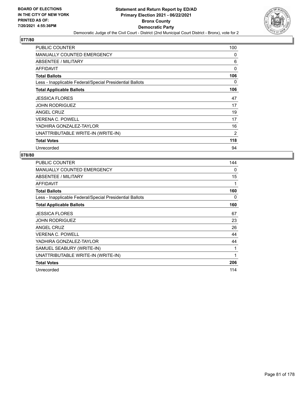

| <b>PUBLIC COUNTER</b>                                    | 100      |
|----------------------------------------------------------|----------|
| <b>MANUALLY COUNTED EMERGENCY</b>                        | 0        |
| ABSENTEE / MILITARY                                      | 6        |
| AFFIDAVIT                                                | $\Omega$ |
| <b>Total Ballots</b>                                     | 106      |
| Less - Inapplicable Federal/Special Presidential Ballots | 0        |
| <b>Total Applicable Ballots</b>                          | 106      |
| <b>JESSICA FLORES</b>                                    | 47       |
| <b>JOHN RODRIGUEZ</b>                                    | 17       |
| <b>ANGEL CRUZ</b>                                        | 19       |
| <b>VERENA C. POWELL</b>                                  | 17       |
| YADHIRA GONZALEZ-TAYLOR                                  | 16       |
| UNATTRIBUTABLE WRITE-IN (WRITE-IN)                       | 2        |
| <b>Total Votes</b>                                       | 118      |
| Unrecorded                                               | 94       |

| <b>PUBLIC COUNTER</b>                                    | 144 |
|----------------------------------------------------------|-----|
| <b>MANUALLY COUNTED EMERGENCY</b>                        | 0   |
| ABSENTEE / MILITARY                                      | 15  |
| <b>AFFIDAVIT</b>                                         |     |
| <b>Total Ballots</b>                                     | 160 |
| Less - Inapplicable Federal/Special Presidential Ballots | 0   |
| <b>Total Applicable Ballots</b>                          | 160 |
| <b>JESSICA FLORES</b>                                    | 67  |
| <b>JOHN RODRIGUEZ</b>                                    | 23  |
| ANGEL CRUZ                                               | 26  |
| <b>VERENA C. POWELL</b>                                  | 44  |
| YADHIRA GONZALEZ-TAYLOR                                  | 44  |
| SAMUEL SEABURY (WRITE-IN)                                | 1   |
| UNATTRIBUTABLE WRITE-IN (WRITE-IN)                       | 1   |
| <b>Total Votes</b>                                       | 206 |
| Unrecorded                                               | 114 |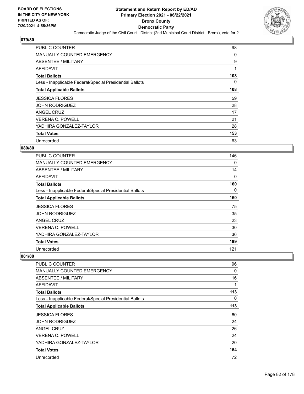

| <b>PUBLIC COUNTER</b>                                    | 98  |
|----------------------------------------------------------|-----|
| <b>MANUALLY COUNTED EMERGENCY</b>                        | 0   |
| ABSENTEE / MILITARY                                      | 9   |
| AFFIDAVIT                                                | 1   |
| <b>Total Ballots</b>                                     | 108 |
| Less - Inapplicable Federal/Special Presidential Ballots | 0   |
| <b>Total Applicable Ballots</b>                          | 108 |
| <b>JESSICA FLORES</b>                                    | 59  |
| <b>JOHN RODRIGUEZ</b>                                    | 28  |
| ANGEL CRUZ                                               | 17  |
| <b>VERENA C. POWELL</b>                                  | 21  |
| YADHIRA GONZALEZ-TAYLOR                                  | 28  |
| <b>Total Votes</b>                                       | 153 |
| Unrecorded                                               | 63  |

# **080/80**

| PUBLIC COUNTER                                           | 146 |
|----------------------------------------------------------|-----|
| <b>MANUALLY COUNTED EMERGENCY</b>                        | 0   |
| ABSENTEE / MILITARY                                      | 14  |
| <b>AFFIDAVIT</b>                                         | 0   |
| <b>Total Ballots</b>                                     | 160 |
| Less - Inapplicable Federal/Special Presidential Ballots | 0   |
| <b>Total Applicable Ballots</b>                          | 160 |
| <b>JESSICA FLORES</b>                                    | 75  |
| <b>JOHN RODRIGUEZ</b>                                    | 35  |
| <b>ANGEL CRUZ</b>                                        | 23  |
| <b>VERENA C. POWELL</b>                                  | 30  |
| YADHIRA GONZALEZ-TAYLOR                                  | 36  |
| <b>Total Votes</b>                                       | 199 |
| Unrecorded                                               | 121 |

| <b>PUBLIC COUNTER</b>                                    | 96       |
|----------------------------------------------------------|----------|
| <b>MANUALLY COUNTED EMERGENCY</b>                        | 0        |
| <b>ABSENTEE / MILITARY</b>                               | 16       |
| <b>AFFIDAVIT</b>                                         | 1        |
| <b>Total Ballots</b>                                     | 113      |
| Less - Inapplicable Federal/Special Presidential Ballots | $\Omega$ |
| <b>Total Applicable Ballots</b>                          | 113      |
| <b>JESSICA FLORES</b>                                    | 60       |
| <b>JOHN RODRIGUEZ</b>                                    | 24       |
| ANGEL CRUZ                                               | 26       |
| <b>VERENA C. POWELL</b>                                  | 24       |
| YADHIRA GONZALEZ-TAYLOR                                  | 20       |
| <b>Total Votes</b>                                       | 154      |
| Unrecorded                                               | 72       |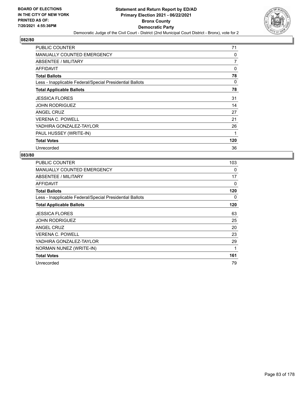

| <b>PUBLIC COUNTER</b>                                    | 71  |
|----------------------------------------------------------|-----|
| MANUALLY COUNTED EMERGENCY                               | 0   |
| ABSENTEE / MILITARY                                      | 7   |
| AFFIDAVIT                                                | 0   |
| <b>Total Ballots</b>                                     | 78  |
| Less - Inapplicable Federal/Special Presidential Ballots | 0   |
| <b>Total Applicable Ballots</b>                          | 78  |
| <b>JESSICA FLORES</b>                                    | 31  |
| <b>JOHN RODRIGUEZ</b>                                    | 14  |
| ANGEL CRUZ                                               | 27  |
| <b>VERENA C. POWELL</b>                                  | 21  |
| YADHIRA GONZALEZ-TAYLOR                                  | 26  |
| PAUL HUSSEY (WRITE-IN)                                   | 1   |
| <b>Total Votes</b>                                       | 120 |
| Unrecorded                                               | 36  |

| PUBLIC COUNTER                                           | 103 |
|----------------------------------------------------------|-----|
| <b>MANUALLY COUNTED EMERGENCY</b>                        | 0   |
| <b>ABSENTEE / MILITARY</b>                               | 17  |
| <b>AFFIDAVIT</b>                                         | 0   |
| <b>Total Ballots</b>                                     | 120 |
| Less - Inapplicable Federal/Special Presidential Ballots | 0   |
| <b>Total Applicable Ballots</b>                          | 120 |
| <b>JESSICA FLORES</b>                                    | 63  |
| <b>JOHN RODRIGUEZ</b>                                    | 25  |
| <b>ANGEL CRUZ</b>                                        | 20  |
| <b>VERENA C. POWELL</b>                                  | 23  |
| YADHIRA GONZALEZ-TAYLOR                                  | 29  |
| NORMAN NUNEZ (WRITE-IN)                                  | 1   |
| <b>Total Votes</b>                                       | 161 |
| Unrecorded                                               | 79  |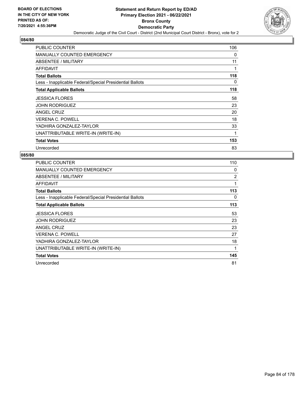

| <b>PUBLIC COUNTER</b>                                    | 106 |
|----------------------------------------------------------|-----|
| <b>MANUALLY COUNTED EMERGENCY</b>                        | 0   |
| ABSENTEE / MILITARY                                      | 11  |
| AFFIDAVIT                                                | 1   |
| <b>Total Ballots</b>                                     | 118 |
| Less - Inapplicable Federal/Special Presidential Ballots | 0   |
| <b>Total Applicable Ballots</b>                          | 118 |
| <b>JESSICA FLORES</b>                                    | 58  |
| <b>JOHN RODRIGUEZ</b>                                    | 23  |
| <b>ANGEL CRUZ</b>                                        | 20  |
| <b>VERENA C. POWELL</b>                                  | 18  |
| YADHIRA GONZALEZ-TAYLOR                                  | 33  |
| UNATTRIBUTABLE WRITE-IN (WRITE-IN)                       | 1   |
| <b>Total Votes</b>                                       | 153 |
| Unrecorded                                               | 83  |

| <b>PUBLIC COUNTER</b>                                    | 110 |
|----------------------------------------------------------|-----|
| <b>MANUALLY COUNTED EMERGENCY</b>                        | 0   |
| ABSENTEE / MILITARY                                      | 2   |
| AFFIDAVIT                                                | 1   |
| <b>Total Ballots</b>                                     | 113 |
| Less - Inapplicable Federal/Special Presidential Ballots | 0   |
| <b>Total Applicable Ballots</b>                          | 113 |
| <b>JESSICA FLORES</b>                                    | 53  |
| <b>JOHN RODRIGUEZ</b>                                    | 23  |
| ANGEL CRUZ                                               | 23  |
| <b>VERENA C. POWELL</b>                                  | 27  |
| YADHIRA GONZALEZ-TAYLOR                                  | 18  |
| UNATTRIBUTABLE WRITE-IN (WRITE-IN)                       | 1   |
| <b>Total Votes</b>                                       | 145 |
| Unrecorded                                               | 81  |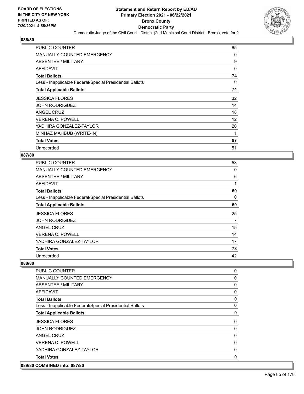

| PUBLIC COUNTER                                           | 65       |
|----------------------------------------------------------|----------|
| <b>MANUALLY COUNTED EMERGENCY</b>                        | 0        |
| ABSENTEE / MILITARY                                      | 9        |
| AFFIDAVIT                                                | 0        |
| <b>Total Ballots</b>                                     | 74       |
| Less - Inapplicable Federal/Special Presidential Ballots | $\Omega$ |
| <b>Total Applicable Ballots</b>                          | 74       |
| <b>JESSICA FLORES</b>                                    | 32       |
| <b>JOHN RODRIGUEZ</b>                                    | 14       |
| ANGEL CRUZ                                               | 18       |
| <b>VERENA C. POWELL</b>                                  | 12       |
| YADHIRA GONZALEZ-TAYLOR                                  | 20       |
| MINHAZ MAHBUB (WRITE-IN)                                 | 1        |
| <b>Total Votes</b>                                       | 97       |
| Unrecorded                                               | 51       |

### **087/80**

| PUBLIC COUNTER                                           | 53       |
|----------------------------------------------------------|----------|
| MANUALLY COUNTED EMERGENCY                               | 0        |
| ABSENTEE / MILITARY                                      | 6        |
| AFFIDAVIT                                                | 1        |
| <b>Total Ballots</b>                                     | 60       |
| Less - Inapplicable Federal/Special Presidential Ballots | $\Omega$ |
| <b>Total Applicable Ballots</b>                          | 60       |
| <b>JESSICA FLORES</b>                                    | 25       |
| <b>JOHN RODRIGUEZ</b>                                    | 7        |
| ANGEL CRUZ                                               | 15       |
| <b>VERENA C. POWELL</b>                                  | 14       |
| YADHIRA GONZALEZ-TAYLOR                                  | 17       |
| <b>Total Votes</b>                                       | 78       |
| Unrecorded                                               | 42       |

### **088/80**

| <b>PUBLIC COUNTER</b>                                    | 0 |
|----------------------------------------------------------|---|
| <b>MANUALLY COUNTED EMERGENCY</b>                        | 0 |
| ABSENTEE / MILITARY                                      | 0 |
| AFFIDAVIT                                                | 0 |
| <b>Total Ballots</b>                                     | 0 |
| Less - Inapplicable Federal/Special Presidential Ballots | 0 |
| <b>Total Applicable Ballots</b>                          | 0 |
| <b>JESSICA FLORES</b>                                    | 0 |
| <b>JOHN RODRIGUEZ</b>                                    | 0 |
| ANGEL CRUZ                                               | 0 |
| <b>VERENA C. POWELL</b>                                  | 0 |
| YADHIRA GONZALEZ-TAYLOR                                  | 0 |
| <b>Total Votes</b>                                       | 0 |

### **089/80 COMBINED into: 087/80**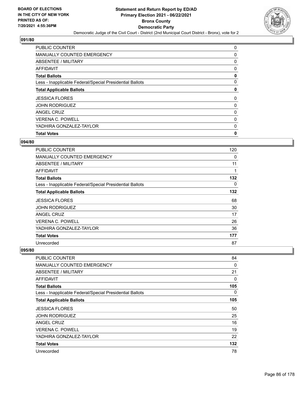

| <b>Total Votes</b>                                       | 0 |
|----------------------------------------------------------|---|
| YADHIRA GONZALEZ-TAYLOR                                  | 0 |
| <b>VERENA C. POWELL</b>                                  | 0 |
| ANGEL CRUZ                                               | 0 |
| <b>JOHN RODRIGUEZ</b>                                    | 0 |
| <b>JESSICA FLORES</b>                                    | 0 |
| <b>Total Applicable Ballots</b>                          | 0 |
| Less - Inapplicable Federal/Special Presidential Ballots | 0 |
| <b>Total Ballots</b>                                     | 0 |
| AFFIDAVIT                                                | 0 |
| ABSENTEE / MILITARY                                      | 0 |
| <b>MANUALLY COUNTED EMERGENCY</b>                        | 0 |
| <b>PUBLIC COUNTER</b>                                    | 0 |

## **094/80**

| <b>PUBLIC COUNTER</b>                                    | 120 |
|----------------------------------------------------------|-----|
| <b>MANUALLY COUNTED EMERGENCY</b>                        | 0   |
| ABSENTEE / MILITARY                                      | 11  |
| <b>AFFIDAVIT</b>                                         | 1   |
| <b>Total Ballots</b>                                     | 132 |
| Less - Inapplicable Federal/Special Presidential Ballots | 0   |
| <b>Total Applicable Ballots</b>                          | 132 |
| <b>JESSICA FLORES</b>                                    | 68  |
| <b>JOHN RODRIGUEZ</b>                                    | 30  |
| <b>ANGEL CRUZ</b>                                        | 17  |
| <b>VERENA C. POWELL</b>                                  | 26  |
| YADHIRA GONZALEZ-TAYLOR                                  | 36  |
| <b>Total Votes</b>                                       | 177 |
| Unrecorded                                               | 87  |

| <b>PUBLIC COUNTER</b>                                    | 84  |
|----------------------------------------------------------|-----|
| MANUALLY COUNTED EMERGENCY                               | 0   |
| ABSENTEE / MILITARY                                      | 21  |
| AFFIDAVIT                                                | 0   |
| <b>Total Ballots</b>                                     | 105 |
| Less - Inapplicable Federal/Special Presidential Ballots | 0   |
| <b>Total Applicable Ballots</b>                          | 105 |
| <b>JESSICA FLORES</b>                                    | 50  |
| <b>JOHN RODRIGUEZ</b>                                    | 25  |
| ANGEL CRUZ                                               | 16  |
| <b>VERENA C. POWELL</b>                                  | 19  |
| YADHIRA GONZALEZ-TAYLOR                                  | 22  |
| <b>Total Votes</b>                                       | 132 |
| Unrecorded                                               | 78  |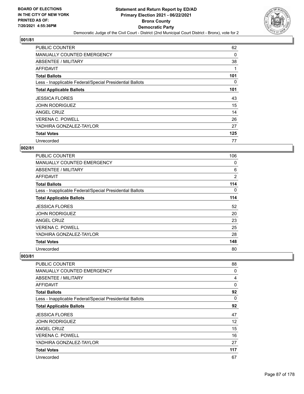

| <b>PUBLIC COUNTER</b>                                    | 62  |
|----------------------------------------------------------|-----|
| <b>MANUALLY COUNTED EMERGENCY</b>                        | 0   |
| ABSENTEE / MILITARY                                      | 38  |
| AFFIDAVIT                                                |     |
| <b>Total Ballots</b>                                     | 101 |
| Less - Inapplicable Federal/Special Presidential Ballots | 0   |
| <b>Total Applicable Ballots</b>                          | 101 |
| <b>JESSICA FLORES</b>                                    | 43  |
| <b>JOHN RODRIGUEZ</b>                                    | 15  |
| ANGEL CRUZ                                               | 14  |
| <b>VERENA C. POWELL</b>                                  | 26  |
| YADHIRA GONZALEZ-TAYLOR                                  | 27  |
| <b>Total Votes</b>                                       | 125 |
| Unrecorded                                               | 77  |

# **002/81**

| <b>PUBLIC COUNTER</b>                                    | 106            |
|----------------------------------------------------------|----------------|
| <b>MANUALLY COUNTED EMERGENCY</b>                        | 0              |
| ABSENTEE / MILITARY                                      | 6              |
| AFFIDAVIT                                                | $\overline{2}$ |
| <b>Total Ballots</b>                                     | 114            |
| Less - Inapplicable Federal/Special Presidential Ballots | 0              |
| <b>Total Applicable Ballots</b>                          | 114            |
| <b>JESSICA FLORES</b>                                    | 52             |
| <b>JOHN RODRIGUEZ</b>                                    | 20             |
| <b>ANGEL CRUZ</b>                                        | 23             |
| <b>VERENA C. POWELL</b>                                  | 25             |
| YADHIRA GONZALEZ-TAYLOR                                  | 28             |
| <b>Total Votes</b>                                       | 148            |
| Unrecorded                                               | 80             |

| <b>PUBLIC COUNTER</b>                                    | 88             |
|----------------------------------------------------------|----------------|
| <b>MANUALLY COUNTED EMERGENCY</b>                        | 0              |
| ABSENTEE / MILITARY                                      | $\overline{4}$ |
| AFFIDAVIT                                                | $\Omega$       |
| <b>Total Ballots</b>                                     | 92             |
| Less - Inapplicable Federal/Special Presidential Ballots | $\Omega$       |
| <b>Total Applicable Ballots</b>                          | 92             |
| <b>JESSICA FLORES</b>                                    | 47             |
| <b>JOHN RODRIGUEZ</b>                                    | 12             |
| <b>ANGEL CRUZ</b>                                        | 15             |
| <b>VERENA C. POWELL</b>                                  | 16             |
| YADHIRA GONZALEZ-TAYLOR                                  | 27             |
| <b>Total Votes</b>                                       | 117            |
| Unrecorded                                               | 67             |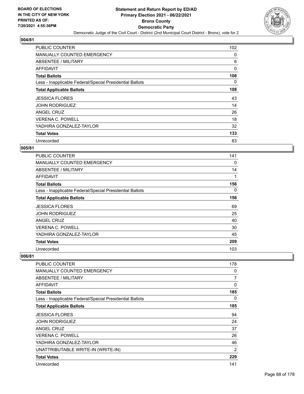

| <b>PUBLIC COUNTER</b>                                    | 102 |
|----------------------------------------------------------|-----|
| MANUALLY COUNTED EMERGENCY                               | 0   |
| ABSENTEE / MILITARY                                      | 6   |
| AFFIDAVIT                                                | 0   |
| <b>Total Ballots</b>                                     | 108 |
| Less - Inapplicable Federal/Special Presidential Ballots | 0   |
| <b>Total Applicable Ballots</b>                          | 108 |
| <b>JESSICA FLORES</b>                                    | 43  |
| <b>JOHN RODRIGUEZ</b>                                    | 14  |
| ANGEL CRUZ                                               | 26  |
| <b>VERENA C. POWELL</b>                                  | 18  |
| YADHIRA GONZALEZ-TAYLOR                                  | 32  |
| <b>Total Votes</b>                                       | 133 |
| Unrecorded                                               | 83  |

# **005/81**

| <b>PUBLIC COUNTER</b>                                    | 141 |
|----------------------------------------------------------|-----|
| <b>MANUALLY COUNTED EMERGENCY</b>                        | 0   |
| <b>ABSENTEE / MILITARY</b>                               | 14  |
| AFFIDAVIT                                                | 1   |
| <b>Total Ballots</b>                                     | 156 |
| Less - Inapplicable Federal/Special Presidential Ballots | 0   |
| <b>Total Applicable Ballots</b>                          | 156 |
| <b>JESSICA FLORES</b>                                    | 69  |
| <b>JOHN RODRIGUEZ</b>                                    | 25  |
| <b>ANGEL CRUZ</b>                                        | 40  |
| <b>VERENA C. POWELL</b>                                  | 30  |
| YADHIRA GONZALEZ-TAYLOR                                  | 45  |
| <b>Total Votes</b>                                       | 209 |
| Unrecorded                                               | 103 |

| PUBLIC COUNTER                                           | 178            |
|----------------------------------------------------------|----------------|
| <b>MANUALLY COUNTED EMERGENCY</b>                        | 0              |
| <b>ABSENTEE / MILITARY</b>                               | 7              |
| <b>AFFIDAVIT</b>                                         | 0              |
| <b>Total Ballots</b>                                     | 185            |
| Less - Inapplicable Federal/Special Presidential Ballots | 0              |
| <b>Total Applicable Ballots</b>                          | 185            |
| <b>JESSICA FLORES</b>                                    | 94             |
| <b>JOHN RODRIGUEZ</b>                                    | 24             |
| <b>ANGEL CRUZ</b>                                        | 37             |
| <b>VERENA C. POWELL</b>                                  | 26             |
| YADHIRA GONZALEZ-TAYLOR                                  | 46             |
| UNATTRIBUTABLE WRITE-IN (WRITE-IN)                       | $\overline{2}$ |
| <b>Total Votes</b>                                       | 229            |
| Unrecorded                                               | 141            |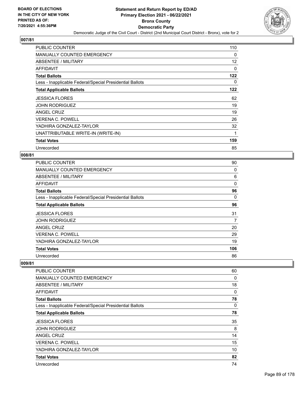

| <b>PUBLIC COUNTER</b>                                    | 110 |
|----------------------------------------------------------|-----|
| <b>MANUALLY COUNTED EMERGENCY</b>                        | 0   |
| ABSENTEE / MILITARY                                      | 12  |
| AFFIDAVIT                                                | 0   |
| <b>Total Ballots</b>                                     | 122 |
| Less - Inapplicable Federal/Special Presidential Ballots | 0   |
| <b>Total Applicable Ballots</b>                          | 122 |
| <b>JESSICA FLORES</b>                                    | 62  |
| <b>JOHN RODRIGUEZ</b>                                    | 19  |
| <b>ANGEL CRUZ</b>                                        | 19  |
| <b>VERENA C. POWELL</b>                                  | 26  |
| YADHIRA GONZALEZ-TAYLOR                                  | 32  |
| UNATTRIBUTABLE WRITE-IN (WRITE-IN)                       | 1   |
| <b>Total Votes</b>                                       | 159 |
| Unrecorded                                               | 85  |

## **008/81**

| PUBLIC COUNTER                                           | 90       |
|----------------------------------------------------------|----------|
| MANUALLY COUNTED EMERGENCY                               | 0        |
| ABSENTEE / MILITARY                                      | 6        |
| AFFIDAVIT                                                | $\Omega$ |
| <b>Total Ballots</b>                                     | 96       |
| Less - Inapplicable Federal/Special Presidential Ballots | $\Omega$ |
| <b>Total Applicable Ballots</b>                          | 96       |
| <b>JESSICA FLORES</b>                                    | 31       |
| <b>JOHN RODRIGUEZ</b>                                    | 7        |
| ANGEL CRUZ                                               | 20       |
| <b>VERENA C. POWELL</b>                                  | 29       |
| YADHIRA GONZALEZ-TAYLOR                                  | 19       |
| <b>Total Votes</b>                                       | 106      |
| Unrecorded                                               | 86       |

| PUBLIC COUNTER                                           | 60 |
|----------------------------------------------------------|----|
| <b>MANUALLY COUNTED EMERGENCY</b>                        | 0  |
| ABSENTEE / MILITARY                                      | 18 |
| AFFIDAVIT                                                | 0  |
| <b>Total Ballots</b>                                     | 78 |
| Less - Inapplicable Federal/Special Presidential Ballots | 0  |
| <b>Total Applicable Ballots</b>                          | 78 |
| <b>JESSICA FLORES</b>                                    | 35 |
| <b>JOHN RODRIGUEZ</b>                                    | 8  |
| <b>ANGEL CRUZ</b>                                        | 14 |
| <b>VERENA C. POWELL</b>                                  | 15 |
| YADHIRA GONZALEZ-TAYLOR                                  | 10 |
| <b>Total Votes</b>                                       | 82 |
| Unrecorded                                               | 74 |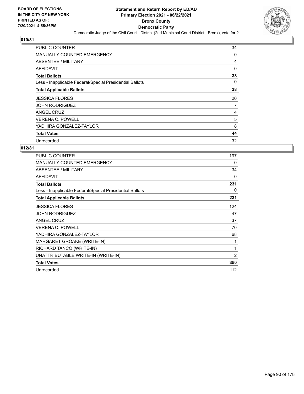

| <b>PUBLIC COUNTER</b>                                    | 34 |
|----------------------------------------------------------|----|
| <b>MANUALLY COUNTED EMERGENCY</b>                        | 0  |
| ABSENTEE / MILITARY                                      | 4  |
| AFFIDAVIT                                                | 0  |
| <b>Total Ballots</b>                                     | 38 |
| Less - Inapplicable Federal/Special Presidential Ballots | 0  |
| <b>Total Applicable Ballots</b>                          | 38 |
| <b>JESSICA FLORES</b>                                    | 20 |
| <b>JOHN RODRIGUEZ</b>                                    | 7  |
| ANGEL CRUZ                                               | 4  |
| <b>VERENA C. POWELL</b>                                  | 5  |
| YADHIRA GONZALEZ-TAYLOR                                  | 8  |
| <b>Total Votes</b>                                       | 44 |
| Unrecorded                                               | 32 |

| <b>PUBLIC COUNTER</b>                                    | 197            |
|----------------------------------------------------------|----------------|
| <b>MANUALLY COUNTED EMERGENCY</b>                        | 0              |
| ABSENTEE / MILITARY                                      | 34             |
| <b>AFFIDAVIT</b>                                         | 0              |
| <b>Total Ballots</b>                                     | 231            |
| Less - Inapplicable Federal/Special Presidential Ballots | 0              |
| <b>Total Applicable Ballots</b>                          | 231            |
| <b>JESSICA FLORES</b>                                    | 124            |
| <b>JOHN RODRIGUEZ</b>                                    | 47             |
| ANGEL CRUZ                                               | 37             |
| <b>VERENA C. POWELL</b>                                  | 70             |
| YADHIRA GONZALEZ-TAYLOR                                  | 68             |
| MARGARET GROAKE (WRITE-IN)                               | 1              |
| RICHARD TANCO (WRITE-IN)                                 | 1              |
| UNATTRIBUTABLE WRITE-IN (WRITE-IN)                       | $\overline{2}$ |
| <b>Total Votes</b>                                       | 350            |
| Unrecorded                                               | 112            |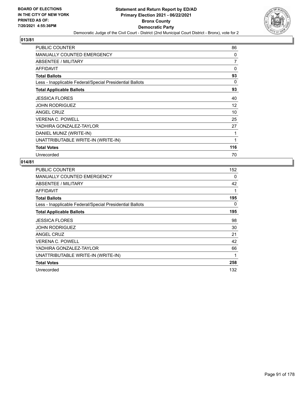

| <b>PUBLIC COUNTER</b>                                    | 86           |
|----------------------------------------------------------|--------------|
| MANUALLY COUNTED EMERGENCY                               | 0            |
| ABSENTEE / MILITARY                                      | 7            |
| AFFIDAVIT                                                | $\mathbf{0}$ |
| <b>Total Ballots</b>                                     | 93           |
| Less - Inapplicable Federal/Special Presidential Ballots | 0            |
| <b>Total Applicable Ballots</b>                          | 93           |
| <b>JESSICA FLORES</b>                                    | 40           |
| <b>JOHN RODRIGUEZ</b>                                    | 12           |
| <b>ANGEL CRUZ</b>                                        | 10           |
| <b>VERENA C. POWELL</b>                                  | 25           |
| YADHIRA GONZALEZ-TAYLOR                                  | 27           |
| DANIEL MUNIZ (WRITE-IN)                                  | 1            |
| UNATTRIBUTABLE WRITE-IN (WRITE-IN)                       | $\mathbf{1}$ |
| <b>Total Votes</b>                                       | 116          |
| Unrecorded                                               | 70           |

| <b>PUBLIC COUNTER</b>                                    | 152 |
|----------------------------------------------------------|-----|
| MANUALLY COUNTED EMERGENCY                               | 0   |
| ABSENTEE / MILITARY                                      | 42  |
| <b>AFFIDAVIT</b>                                         | 1   |
| <b>Total Ballots</b>                                     | 195 |
| Less - Inapplicable Federal/Special Presidential Ballots | 0   |
| <b>Total Applicable Ballots</b>                          | 195 |
| <b>JESSICA FLORES</b>                                    | 98  |
| <b>JOHN RODRIGUEZ</b>                                    | 30  |
| ANGEL CRUZ                                               | 21  |
| <b>VERENA C. POWELL</b>                                  | 42  |
| YADHIRA GONZALEZ-TAYLOR                                  | 66  |
| UNATTRIBUTABLE WRITE-IN (WRITE-IN)                       | 1   |
| <b>Total Votes</b>                                       | 258 |
| Unrecorded                                               | 132 |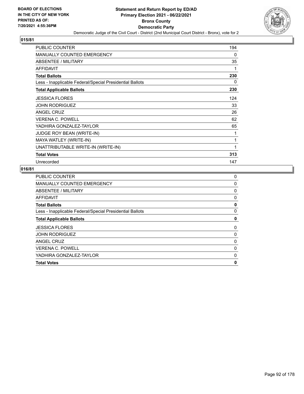

| <b>PUBLIC COUNTER</b>                                    | 194 |
|----------------------------------------------------------|-----|
| <b>MANUALLY COUNTED EMERGENCY</b>                        | 0   |
| ABSENTEE / MILITARY                                      | 35  |
| <b>AFFIDAVIT</b>                                         | 1   |
| <b>Total Ballots</b>                                     | 230 |
| Less - Inapplicable Federal/Special Presidential Ballots | 0   |
| <b>Total Applicable Ballots</b>                          | 230 |
| <b>JESSICA FLORES</b>                                    | 124 |
| <b>JOHN RODRIGUEZ</b>                                    | 33  |
| <b>ANGEL CRUZ</b>                                        | 26  |
| <b>VERENA C. POWELL</b>                                  | 62  |
| YADHIRA GONZALEZ-TAYLOR                                  | 65  |
| JUDGE ROY BEAN (WRITE-IN)                                | 1   |
| MAYA WATLEY (WRITE-IN)                                   | 1   |
| UNATTRIBUTABLE WRITE-IN (WRITE-IN)                       | 1   |
| <b>Total Votes</b>                                       | 313 |
| Unrecorded                                               | 147 |

| <b>Total Votes</b>                                       | 0 |
|----------------------------------------------------------|---|
| YADHIRA GONZALEZ-TAYLOR                                  | 0 |
| <b>VERENA C. POWELL</b>                                  | 0 |
| ANGEL CRUZ                                               | 0 |
| <b>JOHN RODRIGUEZ</b>                                    | 0 |
| <b>JESSICA FLORES</b>                                    | 0 |
| <b>Total Applicable Ballots</b>                          | 0 |
| Less - Inapplicable Federal/Special Presidential Ballots | 0 |
| <b>Total Ballots</b>                                     | 0 |
| AFFIDAVIT                                                | 0 |
| ABSENTEE / MILITARY                                      | 0 |
| MANUALLY COUNTED EMERGENCY                               | 0 |
| <b>PUBLIC COUNTER</b>                                    | 0 |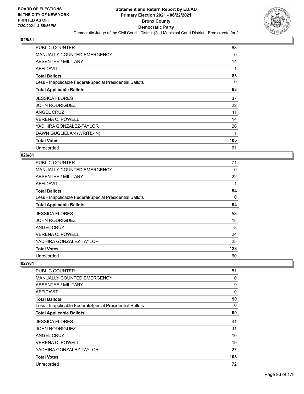

| <b>PUBLIC COUNTER</b>                                    | 68          |
|----------------------------------------------------------|-------------|
| <b>MANUALLY COUNTED EMERGENCY</b>                        | 0           |
| ABSENTEE / MILITARY                                      | 14          |
| AFFIDAVIT                                                | 1           |
| <b>Total Ballots</b>                                     | 83          |
| Less - Inapplicable Federal/Special Presidential Ballots | 0           |
| <b>Total Applicable Ballots</b>                          | 83          |
| <b>JESSICA FLORES</b>                                    | 37          |
| <b>JOHN RODRIGUEZ</b>                                    | 22          |
| ANGEL CRUZ                                               | 11          |
| <b>VERENA C. POWELL</b>                                  | 14          |
| YADHIRA GONZALEZ-TAYLOR                                  | 20          |
| DAWN GUGLIELAN (WRITE-IN)                                | $\mathbf 1$ |
| <b>Total Votes</b>                                       | 105         |
| Unrecorded                                               | 61          |

### **026/81**

| PUBLIC COUNTER                                           | 71       |
|----------------------------------------------------------|----------|
| <b>MANUALLY COUNTED EMERGENCY</b>                        | 0        |
| ABSENTEE / MILITARY                                      | 22       |
| AFFIDAVIT                                                |          |
| <b>Total Ballots</b>                                     | 94       |
| Less - Inapplicable Federal/Special Presidential Ballots | $\Omega$ |
| <b>Total Applicable Ballots</b>                          | 94       |
| <b>JESSICA FLORES</b>                                    | 53       |
| <b>JOHN RODRIGUEZ</b>                                    | 18       |
| ANGEL CRUZ                                               | 8        |
| <b>VERENA C. POWELL</b>                                  | 24       |
| YADHIRA GONZALEZ-TAYLOR                                  | 25       |
| <b>Total Votes</b>                                       | 128      |
| Unrecorded                                               | 60       |

| PUBLIC COUNTER                                           | 81           |
|----------------------------------------------------------|--------------|
| <b>MANUALLY COUNTED EMERGENCY</b>                        | 0            |
| ABSENTEE / MILITARY                                      | 9            |
| AFFIDAVIT                                                | $\mathbf{0}$ |
| <b>Total Ballots</b>                                     | 90           |
| Less - Inapplicable Federal/Special Presidential Ballots | 0            |
| <b>Total Applicable Ballots</b>                          | 90           |
| <b>JESSICA FLORES</b>                                    | 41           |
| <b>JOHN RODRIGUEZ</b>                                    | 11           |
| <b>ANGEL CRUZ</b>                                        | 10           |
| <b>VERENA C. POWELL</b>                                  | 19           |
| YADHIRA GONZALEZ-TAYLOR                                  | 27           |
| <b>Total Votes</b>                                       | 108          |
| Unrecorded                                               | 72           |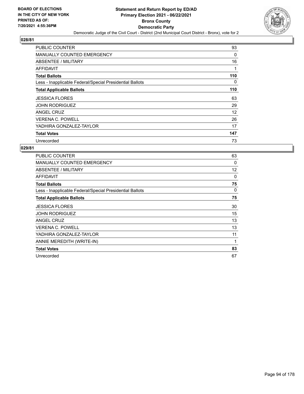

| <b>PUBLIC COUNTER</b>                                    | 93  |
|----------------------------------------------------------|-----|
| <b>MANUALLY COUNTED EMERGENCY</b>                        | 0   |
| <b>ABSENTEE / MILITARY</b>                               | 16  |
| AFFIDAVIT                                                |     |
| <b>Total Ballots</b>                                     | 110 |
| Less - Inapplicable Federal/Special Presidential Ballots | 0   |
| <b>Total Applicable Ballots</b>                          | 110 |
| <b>JESSICA FLORES</b>                                    | 63  |
| <b>JOHN RODRIGUEZ</b>                                    | 29  |
| ANGEL CRUZ                                               | 12  |
| <b>VERENA C. POWELL</b>                                  | 26  |
| YADHIRA GONZALEZ-TAYLOR                                  | 17  |
| <b>Total Votes</b>                                       | 147 |
| Unrecorded                                               | 73  |

| PUBLIC COUNTER                                           | 63 |
|----------------------------------------------------------|----|
| <b>MANUALLY COUNTED EMERGENCY</b>                        | 0  |
| <b>ABSENTEE / MILITARY</b>                               | 12 |
| AFFIDAVIT                                                | 0  |
| <b>Total Ballots</b>                                     | 75 |
| Less - Inapplicable Federal/Special Presidential Ballots | 0  |
| <b>Total Applicable Ballots</b>                          | 75 |
| <b>JESSICA FLORES</b>                                    | 30 |
| <b>JOHN RODRIGUEZ</b>                                    | 15 |
| <b>ANGEL CRUZ</b>                                        | 13 |
| <b>VERENA C. POWELL</b>                                  | 13 |
| YADHIRA GONZALEZ-TAYLOR                                  | 11 |
| ANNIE MEREDITH (WRITE-IN)                                | 1  |
| <b>Total Votes</b>                                       | 83 |
| Unrecorded                                               | 67 |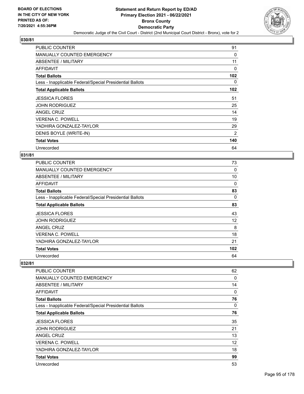

| <b>PUBLIC COUNTER</b>                                    | 91  |
|----------------------------------------------------------|-----|
| <b>MANUALLY COUNTED EMERGENCY</b>                        | 0   |
| ABSENTEE / MILITARY                                      | 11  |
| AFFIDAVIT                                                | 0   |
| <b>Total Ballots</b>                                     | 102 |
| Less - Inapplicable Federal/Special Presidential Ballots | 0   |
| <b>Total Applicable Ballots</b>                          | 102 |
| <b>JESSICA FLORES</b>                                    | 51  |
| <b>JOHN RODRIGUEZ</b>                                    | 25  |
| ANGEL CRUZ                                               | 14  |
| <b>VERENA C. POWELL</b>                                  | 19  |
| YADHIRA GONZALEZ-TAYLOR                                  | 29  |
| DENIS BOYLE (WRITE-IN)                                   | 2   |
| <b>Total Votes</b>                                       | 140 |
| Unrecorded                                               | 64  |

## **031/81**

| PUBLIC COUNTER                                           | 73       |
|----------------------------------------------------------|----------|
| <b>MANUALLY COUNTED EMERGENCY</b>                        | 0        |
| ABSENTEE / MILITARY                                      | 10       |
| AFFIDAVIT                                                | $\Omega$ |
| <b>Total Ballots</b>                                     | 83       |
| Less - Inapplicable Federal/Special Presidential Ballots | $\Omega$ |
| <b>Total Applicable Ballots</b>                          | 83       |
| <b>JESSICA FLORES</b>                                    | 43       |
| <b>JOHN RODRIGUEZ</b>                                    | 12       |
| ANGEL CRUZ                                               | 8        |
| <b>VERENA C. POWELL</b>                                  | 18       |
| YADHIRA GONZALEZ-TAYLOR                                  | 21       |
| <b>Total Votes</b>                                       | 102      |
| Unrecorded                                               | 64       |

| PUBLIC COUNTER                                           | 62 |
|----------------------------------------------------------|----|
| <b>MANUALLY COUNTED EMERGENCY</b>                        | 0  |
| ABSENTEE / MILITARY                                      | 14 |
| AFFIDAVIT                                                | 0  |
| <b>Total Ballots</b>                                     | 76 |
| Less - Inapplicable Federal/Special Presidential Ballots | 0  |
| <b>Total Applicable Ballots</b>                          | 76 |
| <b>JESSICA FLORES</b>                                    | 35 |
| <b>JOHN RODRIGUEZ</b>                                    | 21 |
| <b>ANGEL CRUZ</b>                                        | 13 |
| <b>VERENA C. POWELL</b>                                  | 12 |
| YADHIRA GONZALEZ-TAYLOR                                  | 18 |
| <b>Total Votes</b>                                       | 99 |
| Unrecorded                                               | 53 |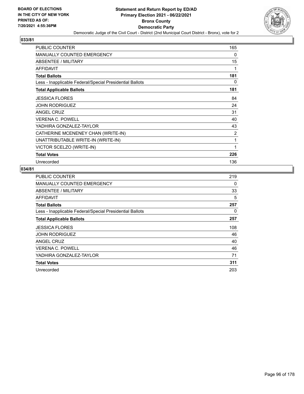

| <b>PUBLIC COUNTER</b>                                    | 165 |
|----------------------------------------------------------|-----|
| <b>MANUALLY COUNTED EMERGENCY</b>                        | 0   |
| ABSENTEE / MILITARY                                      | 15  |
| <b>AFFIDAVIT</b>                                         | 1   |
| <b>Total Ballots</b>                                     | 181 |
| Less - Inapplicable Federal/Special Presidential Ballots | 0   |
| <b>Total Applicable Ballots</b>                          | 181 |
| <b>JESSICA FLORES</b>                                    | 84  |
| <b>JOHN RODRIGUEZ</b>                                    | 24  |
| <b>ANGEL CRUZ</b>                                        | 31  |
| <b>VERENA C. POWELL</b>                                  | 40  |
| YADHIRA GONZALEZ-TAYLOR                                  | 43  |
| CATHERINE MCENENEY CHAN (WRITE-IN)                       | 2   |
| UNATTRIBUTABLE WRITE-IN (WRITE-IN)                       | 1   |
| VICTOR SCELZO (WRITE-IN)                                 | 1   |
| <b>Total Votes</b>                                       | 226 |
| Unrecorded                                               | 136 |

| PUBLIC COUNTER                                           | 219 |
|----------------------------------------------------------|-----|
| <b>MANUALLY COUNTED EMERGENCY</b>                        | 0   |
| ABSENTEE / MILITARY                                      | 33  |
| AFFIDAVIT                                                | 5   |
| <b>Total Ballots</b>                                     | 257 |
| Less - Inapplicable Federal/Special Presidential Ballots | 0   |
| <b>Total Applicable Ballots</b>                          | 257 |
| <b>JESSICA FLORES</b>                                    | 108 |
| <b>JOHN RODRIGUEZ</b>                                    | 46  |
| <b>ANGEL CRUZ</b>                                        | 40  |
| <b>VERENA C. POWELL</b>                                  | 46  |
| YADHIRA GONZALEZ-TAYLOR                                  | 71  |
| <b>Total Votes</b>                                       | 311 |
| Unrecorded                                               | 203 |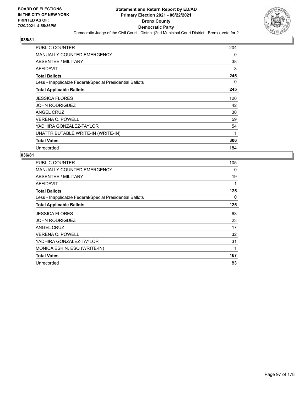

| <b>PUBLIC COUNTER</b>                                    | 204 |
|----------------------------------------------------------|-----|
| <b>MANUALLY COUNTED EMERGENCY</b>                        | 0   |
| ABSENTEE / MILITARY                                      | 38  |
| AFFIDAVIT                                                | 3   |
| <b>Total Ballots</b>                                     | 245 |
| Less - Inapplicable Federal/Special Presidential Ballots | 0   |
| <b>Total Applicable Ballots</b>                          | 245 |
| <b>JESSICA FLORES</b>                                    | 120 |
| <b>JOHN RODRIGUEZ</b>                                    | 42  |
| ANGEL CRUZ                                               | 30  |
| <b>VERENA C. POWELL</b>                                  | 59  |
| YADHIRA GONZALEZ-TAYLOR                                  | 54  |
| UNATTRIBUTABLE WRITE-IN (WRITE-IN)                       | 1   |
| <b>Total Votes</b>                                       | 306 |
| Unrecorded                                               | 184 |

| PUBLIC COUNTER                                           | 105 |
|----------------------------------------------------------|-----|
| <b>MANUALLY COUNTED EMERGENCY</b>                        | 0   |
| <b>ABSENTEE / MILITARY</b>                               | 19  |
| AFFIDAVIT                                                | 1   |
| <b>Total Ballots</b>                                     | 125 |
| Less - Inapplicable Federal/Special Presidential Ballots | 0   |
| <b>Total Applicable Ballots</b>                          | 125 |
| <b>JESSICA FLORES</b>                                    | 63  |
| <b>JOHN RODRIGUEZ</b>                                    | 23  |
| ANGEL CRUZ                                               | 17  |
| <b>VERENA C. POWELL</b>                                  | 32  |
| YADHIRA GONZALEZ-TAYLOR                                  | 31  |
| MONICA ESKIN, ESQ (WRITE-IN)                             | 1   |
| <b>Total Votes</b>                                       | 167 |
| Unrecorded                                               | 83  |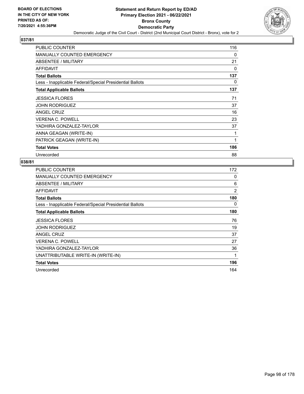

| <b>PUBLIC COUNTER</b>                                    | 116      |
|----------------------------------------------------------|----------|
| MANUALLY COUNTED EMERGENCY                               | $\Omega$ |
| ABSENTEE / MILITARY                                      | 21       |
| <b>AFFIDAVIT</b>                                         | 0        |
| <b>Total Ballots</b>                                     | 137      |
| Less - Inapplicable Federal/Special Presidential Ballots | 0        |
| <b>Total Applicable Ballots</b>                          | 137      |
| <b>JESSICA FLORES</b>                                    | 71       |
| <b>JOHN RODRIGUEZ</b>                                    | 37       |
| <b>ANGEL CRUZ</b>                                        | 16       |
| <b>VERENA C. POWELL</b>                                  | 23       |
| YADHIRA GONZALEZ-TAYLOR                                  | 37       |
| ANNA GEAGAN (WRITE-IN)                                   | 1        |
| PATRICK GEAGAN (WRITE-IN)                                | 1        |
| <b>Total Votes</b>                                       | 186      |
| Unrecorded                                               | 88       |

| PUBLIC COUNTER                                           | 172 |
|----------------------------------------------------------|-----|
| <b>MANUALLY COUNTED EMERGENCY</b>                        | 0   |
| ABSENTEE / MILITARY                                      | 6   |
| <b>AFFIDAVIT</b>                                         | 2   |
| <b>Total Ballots</b>                                     | 180 |
| Less - Inapplicable Federal/Special Presidential Ballots | 0   |
| <b>Total Applicable Ballots</b>                          | 180 |
| <b>JESSICA FLORES</b>                                    | 76  |
| <b>JOHN RODRIGUEZ</b>                                    | 19  |
| <b>ANGEL CRUZ</b>                                        | 37  |
| <b>VERENA C. POWELL</b>                                  | 27  |
| YADHIRA GONZALEZ-TAYLOR                                  | 36  |
| UNATTRIBUTABLE WRITE-IN (WRITE-IN)                       | 1   |
| <b>Total Votes</b>                                       | 196 |
| Unrecorded                                               | 164 |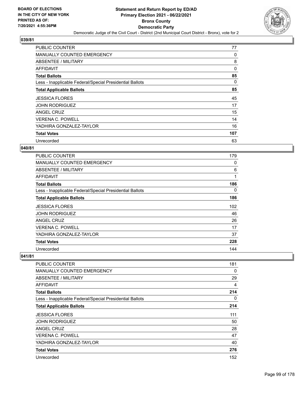

| <b>PUBLIC COUNTER</b>                                    | 77  |
|----------------------------------------------------------|-----|
| MANUALLY COUNTED EMERGENCY                               | 0   |
| ABSENTEE / MILITARY                                      | 8   |
| AFFIDAVIT                                                | 0   |
| <b>Total Ballots</b>                                     | 85  |
| Less - Inapplicable Federal/Special Presidential Ballots | 0   |
| <b>Total Applicable Ballots</b>                          | 85  |
| <b>JESSICA FLORES</b>                                    | 45  |
| <b>JOHN RODRIGUEZ</b>                                    | 17  |
| ANGEL CRUZ                                               | 15  |
| <b>VERENA C. POWELL</b>                                  | 14  |
| YADHIRA GONZALEZ-TAYLOR                                  | 16  |
| <b>Total Votes</b>                                       | 107 |
| Unrecorded                                               | 63  |

# **040/81**

| <b>PUBLIC COUNTER</b>                                    | 179 |
|----------------------------------------------------------|-----|
| <b>MANUALLY COUNTED EMERGENCY</b>                        | 0   |
| <b>ABSENTEE / MILITARY</b>                               | 6   |
| AFFIDAVIT                                                | 1   |
| <b>Total Ballots</b>                                     | 186 |
| Less - Inapplicable Federal/Special Presidential Ballots | 0   |
| <b>Total Applicable Ballots</b>                          | 186 |
| <b>JESSICA FLORES</b>                                    | 102 |
| <b>JOHN RODRIGUEZ</b>                                    | 46  |
| <b>ANGEL CRUZ</b>                                        | 26  |
| <b>VERENA C. POWELL</b>                                  | 17  |
| YADHIRA GONZALEZ-TAYLOR                                  | 37  |
| <b>Total Votes</b>                                       | 228 |
| Unrecorded                                               | 144 |

| <b>PUBLIC COUNTER</b>                                    | 181      |
|----------------------------------------------------------|----------|
| <b>MANUALLY COUNTED EMERGENCY</b>                        | 0        |
| ABSENTEE / MILITARY                                      | 29       |
| AFFIDAVIT                                                | 4        |
| <b>Total Ballots</b>                                     | 214      |
| Less - Inapplicable Federal/Special Presidential Ballots | $\Omega$ |
| <b>Total Applicable Ballots</b>                          | 214      |
| <b>JESSICA FLORES</b>                                    | 111      |
| <b>JOHN RODRIGUEZ</b>                                    | 50       |
| ANGEL CRUZ                                               | 28       |
| <b>VERENA C. POWELL</b>                                  | 47       |
| YADHIRA GONZALEZ-TAYLOR                                  | 40       |
| <b>Total Votes</b>                                       | 276      |
| Unrecorded                                               | 152      |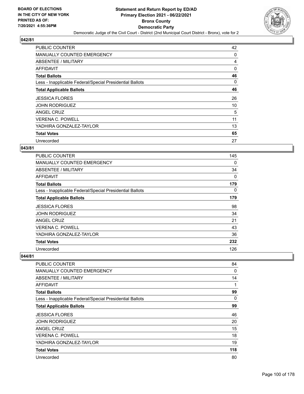

| <b>PUBLIC COUNTER</b>                                    | 42       |
|----------------------------------------------------------|----------|
| MANUALLY COUNTED EMERGENCY                               | 0        |
| ABSENTEE / MILITARY                                      | 4        |
| AFFIDAVIT                                                | $\Omega$ |
| <b>Total Ballots</b>                                     | 46       |
| Less - Inapplicable Federal/Special Presidential Ballots | 0        |
| <b>Total Applicable Ballots</b>                          | 46       |
| <b>JESSICA FLORES</b>                                    | 26       |
| <b>JOHN RODRIGUEZ</b>                                    | 10       |
| ANGEL CRUZ                                               | 5        |
| <b>VERENA C. POWELL</b>                                  | 11       |
| YADHIRA GONZALEZ-TAYLOR                                  | 13       |
| <b>Total Votes</b>                                       | 65       |
| Unrecorded                                               | 27       |

### **043/81**

| <b>PUBLIC COUNTER</b>                                    | 145 |
|----------------------------------------------------------|-----|
| <b>MANUALLY COUNTED EMERGENCY</b>                        | 0   |
| <b>ABSENTEE / MILITARY</b>                               | 34  |
| AFFIDAVIT                                                | 0   |
| <b>Total Ballots</b>                                     | 179 |
| Less - Inapplicable Federal/Special Presidential Ballots | 0   |
| <b>Total Applicable Ballots</b>                          | 179 |
| <b>JESSICA FLORES</b>                                    | 98  |
| <b>JOHN RODRIGUEZ</b>                                    | 34  |
| ANGEL CRUZ                                               | 21  |
| <b>VERENA C. POWELL</b>                                  | 43  |
| YADHIRA GONZALEZ-TAYLOR                                  | 36  |
| <b>Total Votes</b>                                       | 232 |
| Unrecorded                                               | 126 |

| <b>PUBLIC COUNTER</b>                                    | 84       |
|----------------------------------------------------------|----------|
| <b>MANUALLY COUNTED EMERGENCY</b>                        | $\Omega$ |
| ABSENTEE / MILITARY                                      | 14       |
| AFFIDAVIT                                                | 1        |
| <b>Total Ballots</b>                                     | 99       |
| Less - Inapplicable Federal/Special Presidential Ballots | $\Omega$ |
| <b>Total Applicable Ballots</b>                          | 99       |
| <b>JESSICA FLORES</b>                                    | 46       |
| <b>JOHN RODRIGUEZ</b>                                    | 20       |
| ANGEL CRUZ                                               | 15       |
| <b>VERENA C. POWELL</b>                                  | 18       |
| YADHIRA GONZALEZ-TAYLOR                                  | 19       |
| <b>Total Votes</b>                                       | 118      |
| Unrecorded                                               | 80       |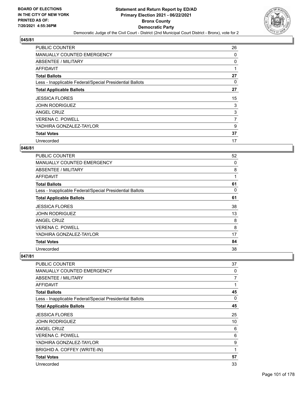

| <b>PUBLIC COUNTER</b>                                    | 26             |
|----------------------------------------------------------|----------------|
| <b>MANUALLY COUNTED EMERGENCY</b>                        | 0              |
| ABSENTEE / MILITARY                                      | 0              |
| AFFIDAVIT                                                | 1              |
| <b>Total Ballots</b>                                     | 27             |
| Less - Inapplicable Federal/Special Presidential Ballots | 0              |
| <b>Total Applicable Ballots</b>                          | 27             |
| <b>JESSICA FLORES</b>                                    | 15             |
| <b>JOHN RODRIGUEZ</b>                                    | 3              |
| ANGEL CRUZ                                               | 3              |
| <b>VERENA C. POWELL</b>                                  | $\overline{7}$ |
| YADHIRA GONZALEZ-TAYLOR                                  | 9              |
| <b>Total Votes</b>                                       | 37             |
| Unrecorded                                               | 17             |

### **046/81**

| <b>PUBLIC COUNTER</b>                                    | 52 |
|----------------------------------------------------------|----|
| <b>MANUALLY COUNTED EMERGENCY</b>                        | 0  |
| ABSENTEE / MILITARY                                      | 8  |
| AFFIDAVIT                                                | 1  |
| <b>Total Ballots</b>                                     | 61 |
| Less - Inapplicable Federal/Special Presidential Ballots | 0  |
| <b>Total Applicable Ballots</b>                          | 61 |
| <b>JESSICA FLORES</b>                                    | 38 |
| <b>JOHN RODRIGUEZ</b>                                    | 13 |
| ANGEL CRUZ                                               | 8  |
| <b>VERENA C. POWELL</b>                                  | 8  |
| YADHIRA GONZALEZ-TAYLOR                                  | 17 |
| <b>Total Votes</b>                                       | 84 |
| Unrecorded                                               | 38 |

| PUBLIC COUNTER                                           | 37 |
|----------------------------------------------------------|----|
| <b>MANUALLY COUNTED EMERGENCY</b>                        | 0  |
| ABSENTEE / MILITARY                                      | 7  |
| AFFIDAVIT                                                | 1  |
| <b>Total Ballots</b>                                     | 45 |
| Less - Inapplicable Federal/Special Presidential Ballots | 0  |
| <b>Total Applicable Ballots</b>                          | 45 |
| <b>JESSICA FLORES</b>                                    | 25 |
| <b>JOHN RODRIGUEZ</b>                                    | 10 |
| ANGEL CRUZ                                               | 6  |
| <b>VERENA C. POWELL</b>                                  | 6  |
| YADHIRA GONZALEZ-TAYLOR                                  | 9  |
| BRIGHID A. COFFEY (WRITE-IN)                             | 1  |
| <b>Total Votes</b>                                       | 57 |
| Unrecorded                                               | 33 |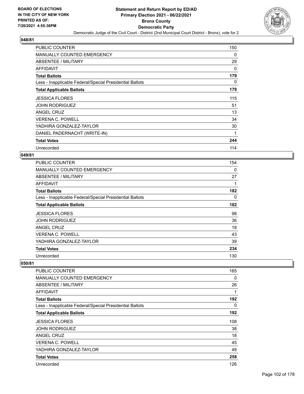

| <b>PUBLIC COUNTER</b>                                    | 150 |
|----------------------------------------------------------|-----|
| <b>MANUALLY COUNTED EMERGENCY</b>                        | 0   |
| ABSENTEE / MILITARY                                      | 29  |
| AFFIDAVIT                                                | 0   |
| <b>Total Ballots</b>                                     | 179 |
| Less - Inapplicable Federal/Special Presidential Ballots | 0   |
| <b>Total Applicable Ballots</b>                          | 179 |
| <b>JESSICA FLORES</b>                                    | 115 |
| <b>JOHN RODRIGUEZ</b>                                    | 51  |
| ANGEL CRUZ                                               | 13  |
| <b>VERENA C. POWELL</b>                                  | 34  |
| YADHIRA GONZALEZ-TAYLOR                                  | 30  |
| DANIEL PADERNACHT (WRITE-IN)                             | 1   |
| <b>Total Votes</b>                                       | 244 |
| Unrecorded                                               | 114 |

### **049/81**

| <b>PUBLIC COUNTER</b>                                    | 154 |
|----------------------------------------------------------|-----|
| MANUALLY COUNTED EMERGENCY                               | 0   |
| ABSENTEE / MILITARY                                      | 27  |
| AFFIDAVIT                                                |     |
| <b>Total Ballots</b>                                     | 182 |
| Less - Inapplicable Federal/Special Presidential Ballots | 0   |
| <b>Total Applicable Ballots</b>                          | 182 |
| <b>JESSICA FLORES</b>                                    | 98  |
| <b>JOHN RODRIGUEZ</b>                                    | 36  |
| ANGEL CRUZ                                               | 18  |
| <b>VERENA C. POWELL</b>                                  | 43  |
| YADHIRA GONZALEZ-TAYLOR                                  | 39  |
| <b>Total Votes</b>                                       | 234 |
| Unrecorded                                               | 130 |

| <b>PUBLIC COUNTER</b>                                    | 165 |
|----------------------------------------------------------|-----|
| <b>MANUALLY COUNTED EMERGENCY</b>                        | 0   |
| ABSENTEE / MILITARY                                      | 26  |
| AFFIDAVIT                                                | 1   |
| <b>Total Ballots</b>                                     | 192 |
| Less - Inapplicable Federal/Special Presidential Ballots | 0   |
| <b>Total Applicable Ballots</b>                          | 192 |
| <b>JESSICA FLORES</b>                                    | 108 |
| <b>JOHN RODRIGUEZ</b>                                    | 38  |
| <b>ANGEL CRUZ</b>                                        | 18  |
| <b>VERENA C. POWELL</b>                                  | 45  |
| YADHIRA GONZALEZ-TAYLOR                                  | 49  |
| <b>Total Votes</b>                                       | 258 |
| Unrecorded                                               | 126 |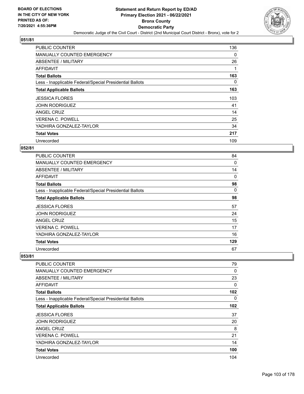

| <b>PUBLIC COUNTER</b>                                    | 136 |
|----------------------------------------------------------|-----|
| <b>MANUALLY COUNTED EMERGENCY</b>                        | 0   |
| ABSENTEE / MILITARY                                      | 26  |
| AFFIDAVIT                                                |     |
| <b>Total Ballots</b>                                     | 163 |
| Less - Inapplicable Federal/Special Presidential Ballots | 0   |
| <b>Total Applicable Ballots</b>                          | 163 |
| <b>JESSICA FLORES</b>                                    | 103 |
| <b>JOHN RODRIGUEZ</b>                                    | 41  |
| ANGEL CRUZ                                               | 14  |
| <b>VERENA C. POWELL</b>                                  | 25  |
| YADHIRA GONZALEZ-TAYLOR                                  | 34  |
| <b>Total Votes</b>                                       | 217 |
| Unrecorded                                               | 109 |

# **052/81**

| <b>PUBLIC COUNTER</b>                                    | 84  |
|----------------------------------------------------------|-----|
| <b>MANUALLY COUNTED EMERGENCY</b>                        | 0   |
| <b>ABSENTEE / MILITARY</b>                               | 14  |
| AFFIDAVIT                                                | 0   |
| <b>Total Ballots</b>                                     | 98  |
| Less - Inapplicable Federal/Special Presidential Ballots | 0   |
| <b>Total Applicable Ballots</b>                          | 98  |
| <b>JESSICA FLORES</b>                                    | 57  |
| <b>JOHN RODRIGUEZ</b>                                    | 24  |
| <b>ANGEL CRUZ</b>                                        | 15  |
| VERENA C. POWELL                                         | 17  |
| YADHIRA GONZALEZ-TAYLOR                                  | 16  |
| <b>Total Votes</b>                                       | 129 |
| Unrecorded                                               | 67  |

| <b>PUBLIC COUNTER</b>                                    | 79       |
|----------------------------------------------------------|----------|
| <b>MANUALLY COUNTED EMERGENCY</b>                        | $\Omega$ |
| ABSENTEE / MILITARY                                      | 23       |
| AFFIDAVIT                                                | 0        |
| <b>Total Ballots</b>                                     | 102      |
| Less - Inapplicable Federal/Special Presidential Ballots | 0        |
| <b>Total Applicable Ballots</b>                          | 102      |
| <b>JESSICA FLORES</b>                                    | 37       |
| <b>JOHN RODRIGUEZ</b>                                    | 20       |
| ANGEL CRUZ                                               | 8        |
| <b>VERENA C. POWELL</b>                                  | 21       |
| YADHIRA GONZALEZ-TAYLOR                                  | 14       |
| <b>Total Votes</b>                                       | 100      |
| Unrecorded                                               | 104      |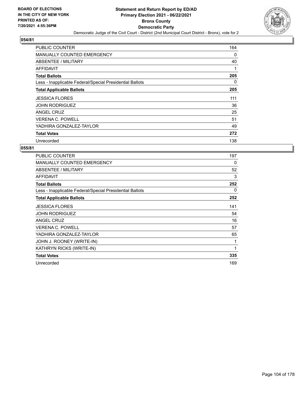

| <b>PUBLIC COUNTER</b>                                    | 164      |
|----------------------------------------------------------|----------|
| <b>MANUALLY COUNTED EMERGENCY</b>                        | 0        |
| ABSENTEE / MILITARY                                      | 40       |
| AFFIDAVIT                                                |          |
| <b>Total Ballots</b>                                     | 205      |
| Less - Inapplicable Federal/Special Presidential Ballots | $\Omega$ |
| <b>Total Applicable Ballots</b>                          | 205      |
| <b>JESSICA FLORES</b>                                    | 111      |
| <b>JOHN RODRIGUEZ</b>                                    | 36       |
| ANGEL CRUZ                                               | 25       |
| <b>VERENA C. POWELL</b>                                  | 51       |
| YADHIRA GONZALEZ-TAYLOR                                  | 49       |
| <b>Total Votes</b>                                       | 272      |
| Unrecorded                                               | 138      |

| <b>PUBLIC COUNTER</b>                                    | 197 |
|----------------------------------------------------------|-----|
| <b>MANUALLY COUNTED EMERGENCY</b>                        | 0   |
| ABSENTEE / MILITARY                                      | 52  |
| <b>AFFIDAVIT</b>                                         | 3   |
| <b>Total Ballots</b>                                     | 252 |
| Less - Inapplicable Federal/Special Presidential Ballots | 0   |
| <b>Total Applicable Ballots</b>                          | 252 |
| <b>JESSICA FLORES</b>                                    | 141 |
| JOHN RODRIGUEZ                                           | 54  |
| <b>ANGEL CRUZ</b>                                        | 16  |
| <b>VERENA C. POWELL</b>                                  | 57  |
| YADHIRA GONZALEZ-TAYLOR                                  | 65  |
| JOHN J. ROONEY (WRITE-IN)                                | 1   |
| KATHRYN RICKS (WRITE-IN)                                 | 1   |
| <b>Total Votes</b>                                       | 335 |
| Unrecorded                                               | 169 |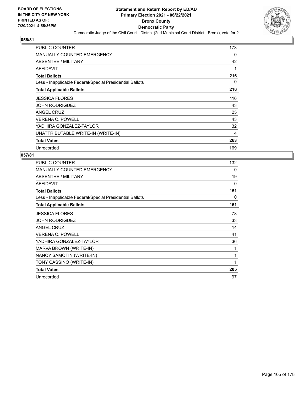

| <b>PUBLIC COUNTER</b>                                    | 173 |
|----------------------------------------------------------|-----|
| <b>MANUALLY COUNTED EMERGENCY</b>                        | 0   |
| ABSENTEE / MILITARY                                      | 42  |
| AFFIDAVIT                                                | 1   |
| <b>Total Ballots</b>                                     | 216 |
| Less - Inapplicable Federal/Special Presidential Ballots | 0   |
| <b>Total Applicable Ballots</b>                          | 216 |
| <b>JESSICA FLORES</b>                                    | 116 |
| <b>JOHN RODRIGUEZ</b>                                    | 43  |
| <b>ANGEL CRUZ</b>                                        | 25  |
| <b>VERENA C. POWELL</b>                                  | 43  |
| YADHIRA GONZALEZ-TAYLOR                                  | 32  |
| UNATTRIBUTABLE WRITE-IN (WRITE-IN)                       | 4   |
| <b>Total Votes</b>                                       | 263 |
| Unrecorded                                               | 169 |

| PUBLIC COUNTER                                           | 132 |
|----------------------------------------------------------|-----|
| <b>MANUALLY COUNTED EMERGENCY</b>                        | 0   |
| ABSENTEE / MILITARY                                      | 19  |
| <b>AFFIDAVIT</b>                                         | 0   |
| <b>Total Ballots</b>                                     | 151 |
| Less - Inapplicable Federal/Special Presidential Ballots | 0   |
| <b>Total Applicable Ballots</b>                          | 151 |
| <b>JESSICA FLORES</b>                                    | 78  |
| <b>JOHN RODRIGUEZ</b>                                    | 33  |
| ANGEL CRUZ                                               | 14  |
| <b>VERENA C. POWELL</b>                                  | 41  |
| YADHIRA GONZALEZ-TAYLOR                                  | 36  |
| MARVA BROWN (WRITE-IN)                                   | 1   |
| NANCY SAMOTIN (WRITE-IN)                                 | 1   |
| TONY CASSINO (WRITE-IN)                                  | 1   |
| <b>Total Votes</b>                                       | 205 |
| Unrecorded                                               | 97  |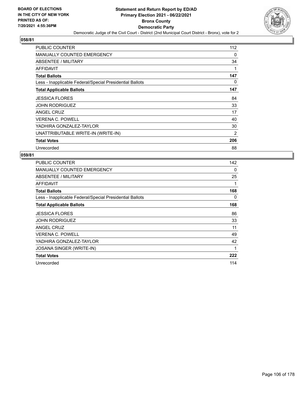

| <b>PUBLIC COUNTER</b>                                    | 112            |
|----------------------------------------------------------|----------------|
| <b>MANUALLY COUNTED EMERGENCY</b>                        | 0              |
| ABSENTEE / MILITARY                                      | 34             |
| AFFIDAVIT                                                | 1              |
| <b>Total Ballots</b>                                     | 147            |
| Less - Inapplicable Federal/Special Presidential Ballots | 0              |
| <b>Total Applicable Ballots</b>                          | 147            |
| <b>JESSICA FLORES</b>                                    | 84             |
| <b>JOHN RODRIGUEZ</b>                                    | 33             |
| ANGEL CRUZ                                               | 17             |
| <b>VERENA C. POWELL</b>                                  | 40             |
| YADHIRA GONZALEZ-TAYLOR                                  | 30             |
| UNATTRIBUTABLE WRITE-IN (WRITE-IN)                       | $\overline{2}$ |
| <b>Total Votes</b>                                       | 206            |
| Unrecorded                                               | 88             |

| PUBLIC COUNTER                                           | 142      |
|----------------------------------------------------------|----------|
| MANUALLY COUNTED EMERGENCY                               | $\Omega$ |
| <b>ABSENTEE / MILITARY</b>                               | 25       |
| AFFIDAVIT                                                | 1        |
| <b>Total Ballots</b>                                     | 168      |
| Less - Inapplicable Federal/Special Presidential Ballots | 0        |
| <b>Total Applicable Ballots</b>                          | 168      |
| <b>JESSICA FLORES</b>                                    | 86       |
| JOHN RODRIGUEZ                                           | 33       |
| ANGEL CRUZ                                               | 11       |
| <b>VERENA C. POWELL</b>                                  | 49       |
| YADHIRA GONZALEZ-TAYLOR                                  | 42       |
| <b>JOSANA SINGER (WRITE-IN)</b>                          | 1        |
| <b>Total Votes</b>                                       | 222      |
| Unrecorded                                               | 114      |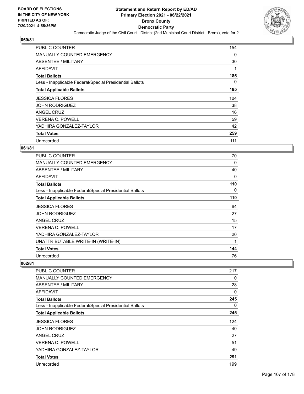

| <b>PUBLIC COUNTER</b>                                    | 154      |
|----------------------------------------------------------|----------|
| <b>MANUALLY COUNTED EMERGENCY</b>                        | $\Omega$ |
| ABSENTEE / MILITARY                                      | 30       |
| AFFIDAVIT                                                |          |
| <b>Total Ballots</b>                                     | 185      |
| Less - Inapplicable Federal/Special Presidential Ballots | 0        |
| <b>Total Applicable Ballots</b>                          | 185      |
| <b>JESSICA FLORES</b>                                    | 104      |
| <b>JOHN RODRIGUEZ</b>                                    | 38       |
| ANGEL CRUZ                                               | 16       |
| <b>VERENA C. POWELL</b>                                  | 59       |
| YADHIRA GONZALEZ-TAYLOR                                  | 42       |
| <b>Total Votes</b>                                       | 259      |
| Unrecorded                                               | 111      |

# **061/81**

| PUBLIC COUNTER                                           | 70  |
|----------------------------------------------------------|-----|
| <b>MANUALLY COUNTED EMERGENCY</b>                        | 0   |
| <b>ABSENTEE / MILITARY</b>                               | 40  |
| AFFIDAVIT                                                | 0   |
| <b>Total Ballots</b>                                     | 110 |
| Less - Inapplicable Federal/Special Presidential Ballots | 0   |
| <b>Total Applicable Ballots</b>                          | 110 |
| <b>JESSICA FLORES</b>                                    | 64  |
| <b>JOHN RODRIGUEZ</b>                                    | 27  |
| <b>ANGEL CRUZ</b>                                        | 15  |
| <b>VERENA C. POWELL</b>                                  | 17  |
| YADHIRA GONZALEZ-TAYLOR                                  | 20  |
| UNATTRIBUTABLE WRITE-IN (WRITE-IN)                       | 1   |
| <b>Total Votes</b>                                       | 144 |
| Unrecorded                                               | 76  |

| <b>PUBLIC COUNTER</b>                                    | 217 |
|----------------------------------------------------------|-----|
| <b>MANUALLY COUNTED EMERGENCY</b>                        | 0   |
| ABSENTEE / MILITARY                                      | 28  |
| AFFIDAVIT                                                | 0   |
| <b>Total Ballots</b>                                     | 245 |
| Less - Inapplicable Federal/Special Presidential Ballots | 0   |
| <b>Total Applicable Ballots</b>                          | 245 |
| <b>JESSICA FLORES</b>                                    | 124 |
| <b>JOHN RODRIGUEZ</b>                                    | 40  |
| <b>ANGEL CRUZ</b>                                        | 27  |
| <b>VERENA C. POWELL</b>                                  | 51  |
| YADHIRA GONZALEZ-TAYLOR                                  | 49  |
| <b>Total Votes</b>                                       | 291 |
| Unrecorded                                               | 199 |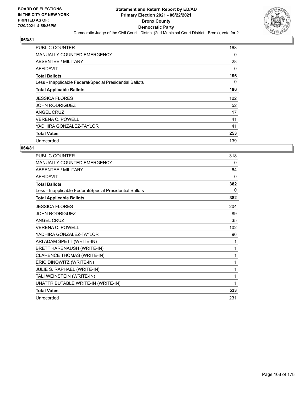

| <b>PUBLIC COUNTER</b>                                    | 168      |
|----------------------------------------------------------|----------|
| <b>MANUALLY COUNTED EMERGENCY</b>                        | $\Omega$ |
| ABSENTEE / MILITARY                                      | 28       |
| AFFIDAVIT                                                | 0        |
| <b>Total Ballots</b>                                     | 196      |
| Less - Inapplicable Federal/Special Presidential Ballots | 0        |
| <b>Total Applicable Ballots</b>                          | 196      |
| <b>JESSICA FLORES</b>                                    | 102      |
| <b>JOHN RODRIGUEZ</b>                                    | 52       |
| ANGEL CRUZ                                               | 17       |
| <b>VERENA C. POWELL</b>                                  | 41       |
| YADHIRA GONZALEZ-TAYLOR                                  | 41       |
| <b>Total Votes</b>                                       | 253      |
| Unrecorded                                               | 139      |

| <b>PUBLIC COUNTER</b>                                    | 318      |
|----------------------------------------------------------|----------|
| MANUALLY COUNTED EMERGENCY                               | 0        |
| ABSENTEE / MILITARY                                      | 64       |
| <b>AFFIDAVIT</b>                                         | $\Omega$ |
| <b>Total Ballots</b>                                     | 382      |
| Less - Inapplicable Federal/Special Presidential Ballots | 0        |
| <b>Total Applicable Ballots</b>                          | 382      |
| <b>JESSICA FLORES</b>                                    | 204      |
| <b>JOHN RODRIGUEZ</b>                                    | 89       |
| <b>ANGEL CRUZ</b>                                        | 35       |
| <b>VERENA C. POWELL</b>                                  | 102      |
| YADHIRA GONZALEZ-TAYLOR                                  | 96       |
| ARI ADAM SPETT (WRITE-IN)                                | 1        |
| BRETT KARENAUSH (WRITE-IN)                               | 1        |
| <b>CLARENCE THOMAS (WRITE-IN)</b>                        | 1        |
| ERIC DINOWITZ (WRITE-IN)                                 | 1        |
| JULIE S. RAPHAEL (WRITE-IN)                              | 1        |
| TALI WEINSTEIN (WRITE-IN)                                | 1        |
| UNATTRIBUTABLE WRITE-IN (WRITE-IN)                       | 1        |
| <b>Total Votes</b>                                       | 533      |
| Unrecorded                                               | 231      |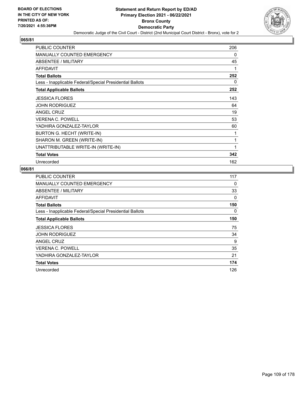

| PUBLIC COUNTER                                           | 206 |
|----------------------------------------------------------|-----|
| <b>MANUALLY COUNTED EMERGENCY</b>                        | 0   |
| ABSENTEE / MILITARY                                      | 45  |
| <b>AFFIDAVIT</b>                                         | 1   |
| <b>Total Ballots</b>                                     | 252 |
| Less - Inapplicable Federal/Special Presidential Ballots | 0   |
| <b>Total Applicable Ballots</b>                          | 252 |
| <b>JESSICA FLORES</b>                                    | 143 |
| <b>JOHN RODRIGUEZ</b>                                    | 64  |
| <b>ANGEL CRUZ</b>                                        | 19  |
| <b>VERENA C. POWELL</b>                                  | 53  |
| YADHIRA GONZALEZ-TAYLOR                                  | 60  |
| BURTON G. HECHT (WRITE-IN)                               | 1   |
| SHARON M. GREEN (WRITE-IN)                               | 1   |
| UNATTRIBUTABLE WRITE-IN (WRITE-IN)                       | 1   |
| <b>Total Votes</b>                                       | 342 |
| Unrecorded                                               | 162 |

| <b>PUBLIC COUNTER</b>                                    | 117 |
|----------------------------------------------------------|-----|
| MANUALLY COUNTED EMERGENCY                               | 0   |
| ABSENTEE / MILITARY                                      | 33  |
| AFFIDAVIT                                                | 0   |
| <b>Total Ballots</b>                                     | 150 |
| Less - Inapplicable Federal/Special Presidential Ballots | 0   |
| <b>Total Applicable Ballots</b>                          | 150 |
| <b>JESSICA FLORES</b>                                    | 75  |
| <b>JOHN RODRIGUEZ</b>                                    | 34  |
| <b>ANGEL CRUZ</b>                                        | 9   |
| <b>VERENA C. POWELL</b>                                  | 35  |
| YADHIRA GONZALEZ-TAYLOR                                  | 21  |
| <b>Total Votes</b>                                       | 174 |
| Unrecorded                                               | 126 |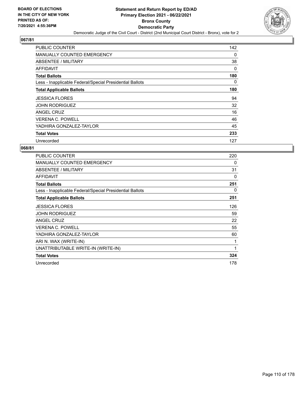

| <b>PUBLIC COUNTER</b>                                    | 142 |
|----------------------------------------------------------|-----|
| <b>MANUALLY COUNTED EMERGENCY</b>                        | 0   |
| ABSENTEE / MILITARY                                      | 38  |
| AFFIDAVIT                                                | 0   |
| <b>Total Ballots</b>                                     | 180 |
| Less - Inapplicable Federal/Special Presidential Ballots | 0   |
| <b>Total Applicable Ballots</b>                          | 180 |
| <b>JESSICA FLORES</b>                                    | 94  |
| <b>JOHN RODRIGUEZ</b>                                    | 32  |
| ANGEL CRUZ                                               | 16  |
| <b>VERENA C. POWELL</b>                                  | 46  |
| YADHIRA GONZALEZ-TAYLOR                                  | 45  |
| <b>Total Votes</b>                                       | 233 |
| Unrecorded                                               | 127 |

| <b>PUBLIC COUNTER</b>                                    | 220 |
|----------------------------------------------------------|-----|
| <b>MANUALLY COUNTED EMERGENCY</b>                        | 0   |
| ABSENTEE / MILITARY                                      | 31  |
| <b>AFFIDAVIT</b>                                         | 0   |
| <b>Total Ballots</b>                                     | 251 |
| Less - Inapplicable Federal/Special Presidential Ballots | 0   |
| <b>Total Applicable Ballots</b>                          | 251 |
| <b>JESSICA FLORES</b>                                    | 126 |
| JOHN RODRIGUEZ                                           | 59  |
| <b>ANGEL CRUZ</b>                                        | 22  |
| <b>VERENA C. POWELL</b>                                  | 55  |
| YADHIRA GONZALEZ-TAYLOR                                  | 60  |
| ARI N. WAX (WRITE-IN)                                    | 1   |
| UNATTRIBUTABLE WRITE-IN (WRITE-IN)                       | 1   |
| <b>Total Votes</b>                                       | 324 |
| Unrecorded                                               | 178 |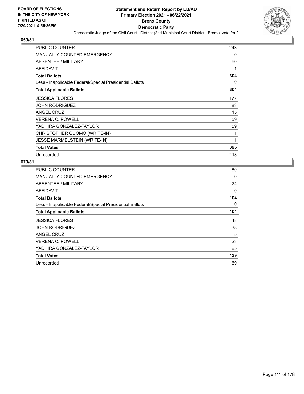

| PUBLIC COUNTER                                           | 243 |
|----------------------------------------------------------|-----|
| <b>MANUALLY COUNTED EMERGENCY</b>                        | 0   |
| ABSENTEE / MILITARY                                      | 60  |
| <b>AFFIDAVIT</b>                                         | 1   |
| <b>Total Ballots</b>                                     | 304 |
| Less - Inapplicable Federal/Special Presidential Ballots | 0   |
| <b>Total Applicable Ballots</b>                          | 304 |
| <b>JESSICA FLORES</b>                                    | 177 |
| <b>JOHN RODRIGUEZ</b>                                    | 83  |
| <b>ANGEL CRUZ</b>                                        | 15  |
| <b>VERENA C. POWELL</b>                                  | 59  |
| YADHIRA GONZALEZ-TAYLOR                                  | 59  |
| CHRISTOPHER CUOMO (WRITE-IN)                             | 1   |
| <b>JESSE MARMELSTEIN (WRITE-IN)</b>                      | 1   |
| <b>Total Votes</b>                                       | 395 |
| Unrecorded                                               | 213 |

| <b>PUBLIC COUNTER</b>                                    | 80       |
|----------------------------------------------------------|----------|
| <b>MANUALLY COUNTED EMERGENCY</b>                        | $\Omega$ |
| ABSENTEE / MILITARY                                      | 24       |
| AFFIDAVIT                                                | 0        |
| <b>Total Ballots</b>                                     | 104      |
| Less - Inapplicable Federal/Special Presidential Ballots | 0        |
| <b>Total Applicable Ballots</b>                          | 104      |
| <b>JESSICA FLORES</b>                                    | 48       |
| <b>JOHN RODRIGUEZ</b>                                    | 38       |
| ANGEL CRUZ                                               | 5        |
| <b>VERENA C. POWELL</b>                                  | 23       |
| YADHIRA GONZALEZ-TAYLOR                                  | 25       |
| <b>Total Votes</b>                                       | 139      |
| Unrecorded                                               | 69       |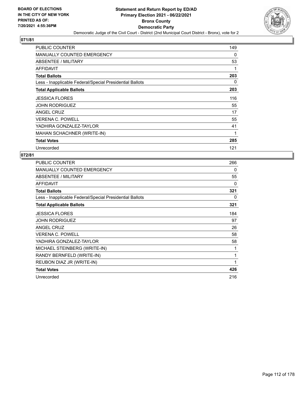

| <b>PUBLIC COUNTER</b>                                    | 149 |
|----------------------------------------------------------|-----|
| <b>MANUALLY COUNTED EMERGENCY</b>                        | 0   |
| ABSENTEE / MILITARY                                      | 53  |
| AFFIDAVIT                                                |     |
| <b>Total Ballots</b>                                     | 203 |
| Less - Inapplicable Federal/Special Presidential Ballots | 0   |
| <b>Total Applicable Ballots</b>                          | 203 |
| <b>JESSICA FLORES</b>                                    | 116 |
| <b>JOHN RODRIGUEZ</b>                                    | 55  |
| ANGEL CRUZ                                               | 17  |
| <b>VERENA C. POWELL</b>                                  | 55  |
| YADHIRA GONZALEZ-TAYLOR                                  | 41  |
| MAHAN SCHACHNER (WRITE-IN)                               | 1   |
| <b>Total Votes</b>                                       | 285 |
| Unrecorded                                               | 121 |

| PUBLIC COUNTER                                           | 266 |
|----------------------------------------------------------|-----|
| <b>MANUALLY COUNTED EMERGENCY</b>                        | 0   |
| ABSENTEE / MILITARY                                      | 55  |
| <b>AFFIDAVIT</b>                                         | 0   |
| <b>Total Ballots</b>                                     | 321 |
| Less - Inapplicable Federal/Special Presidential Ballots | 0   |
| <b>Total Applicable Ballots</b>                          | 321 |
| <b>JESSICA FLORES</b>                                    | 184 |
| <b>JOHN RODRIGUEZ</b>                                    | 97  |
| ANGEL CRUZ                                               | 26  |
| <b>VERENA C. POWELL</b>                                  | 58  |
| YADHIRA GONZALEZ-TAYLOR                                  | 58  |
| MICHAEL STEINBERG (WRITE-IN)                             | 1   |
| RANDY BERNFELD (WRITE-IN)                                | 1   |
| REUBON DIAZ JR (WRITE-IN)                                | 1   |
| <b>Total Votes</b>                                       | 426 |
| Unrecorded                                               | 216 |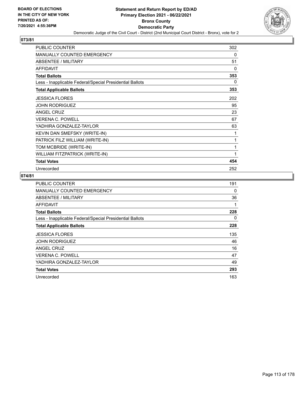

| PUBLIC COUNTER                                           | 302 |
|----------------------------------------------------------|-----|
| MANUALLY COUNTED EMERGENCY                               | 0   |
| ABSENTEE / MILITARY                                      | 51  |
| <b>AFFIDAVIT</b>                                         | 0   |
| <b>Total Ballots</b>                                     | 353 |
| Less - Inapplicable Federal/Special Presidential Ballots | 0   |
| <b>Total Applicable Ballots</b>                          | 353 |
| <b>JESSICA FLORES</b>                                    | 202 |
| <b>JOHN RODRIGUEZ</b>                                    | 95  |
| <b>ANGEL CRUZ</b>                                        | 23  |
| <b>VERENA C. POWELL</b>                                  | 67  |
| YADHIRA GONZALEZ-TAYLOR                                  | 63  |
| KEVIN DAN SMEFSKY (WRITE-IN)                             | 1   |
| PATRICK FILZ WILLIAM (WRITE-IN)                          | 1   |
| TOM MCBRIDE (WRITE-IN)                                   | 1   |
| WILLIAM FITZPATRICK (WRITE-IN)                           | 1   |
| <b>Total Votes</b>                                       | 454 |
| Unrecorded                                               | 252 |

| <b>PUBLIC COUNTER</b>                                    | 191 |
|----------------------------------------------------------|-----|
| MANUALLY COUNTED EMERGENCY                               | 0   |
| ABSENTEE / MILITARY                                      | 36  |
| <b>AFFIDAVIT</b>                                         |     |
| <b>Total Ballots</b>                                     | 228 |
| Less - Inapplicable Federal/Special Presidential Ballots | 0   |
| <b>Total Applicable Ballots</b>                          | 228 |
| <b>JESSICA FLORES</b>                                    | 135 |
| <b>JOHN RODRIGUEZ</b>                                    | 46  |
| ANGEL CRUZ                                               | 16  |
| <b>VERENA C. POWELL</b>                                  | 47  |
| YADHIRA GONZALEZ-TAYLOR                                  | 49  |
| <b>Total Votes</b>                                       | 293 |
| Unrecorded                                               | 163 |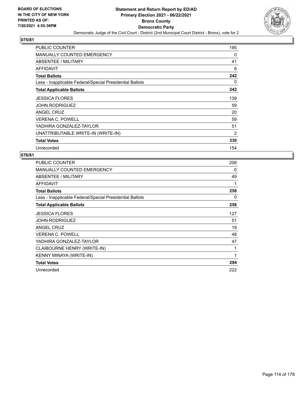

| <b>PUBLIC COUNTER</b>                                    | 195 |
|----------------------------------------------------------|-----|
| MANUALLY COUNTED EMERGENCY                               | 0   |
| ABSENTEE / MILITARY                                      | 41  |
| AFFIDAVIT                                                | 6   |
| <b>Total Ballots</b>                                     | 242 |
| Less - Inapplicable Federal/Special Presidential Ballots | 0   |
| <b>Total Applicable Ballots</b>                          | 242 |
| <b>JESSICA FLORES</b>                                    | 139 |
| <b>JOHN RODRIGUEZ</b>                                    | 59  |
| ANGEL CRUZ                                               | 20  |
| <b>VERENA C. POWELL</b>                                  | 59  |
| YADHIRA GONZALEZ-TAYLOR                                  | 51  |
| UNATTRIBUTABLE WRITE-IN (WRITE-IN)                       | 2   |
| <b>Total Votes</b>                                       | 330 |
| Unrecorded                                               | 154 |

| PUBLIC COUNTER                                           | 208 |
|----------------------------------------------------------|-----|
| MANUALLY COUNTED EMERGENCY                               | 0   |
| ABSENTEE / MILITARY                                      | 49  |
| AFFIDAVIT                                                | 1   |
| <b>Total Ballots</b>                                     | 258 |
| Less - Inapplicable Federal/Special Presidential Ballots | 0   |
| <b>Total Applicable Ballots</b>                          | 258 |
| <b>JESSICA FLORES</b>                                    | 127 |
| <b>JOHN RODRIGUEZ</b>                                    | 51  |
| ANGEL CRUZ                                               | 19  |
| <b>VERENA C. POWELL</b>                                  | 48  |
| YADHIRA GONZALEZ-TAYLOR                                  | 47  |
| CLAIBOURNE HENRY (WRITE-IN)                              | 1   |
| KENNY MINAYA (WRITE-IN)                                  | 1   |
| <b>Total Votes</b>                                       | 294 |
| Unrecorded                                               | 222 |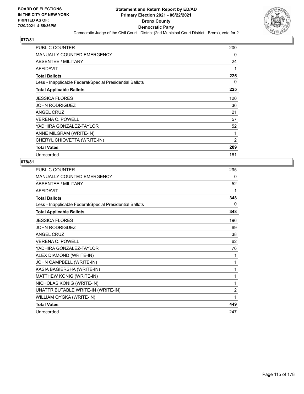

| PUBLIC COUNTER                                           | 200 |
|----------------------------------------------------------|-----|
| <b>MANUALLY COUNTED EMERGENCY</b>                        | 0   |
| ABSENTEE / MILITARY                                      | 24  |
| <b>AFFIDAVIT</b>                                         | 1   |
| <b>Total Ballots</b>                                     | 225 |
| Less - Inapplicable Federal/Special Presidential Ballots | 0   |
| <b>Total Applicable Ballots</b>                          | 225 |
| <b>JESSICA FLORES</b>                                    | 120 |
| <b>JOHN RODRIGUEZ</b>                                    | 36  |
| <b>ANGEL CRUZ</b>                                        | 21  |
| <b>VERENA C. POWELL</b>                                  | 57  |
| YADHIRA GONZALEZ-TAYLOR                                  | 52  |
| ANNE MILGRAM (WRITE-IN)                                  | 1   |
| CHERYL CHIOVETTA (WRITE-IN)                              | 2   |
| <b>Total Votes</b>                                       | 289 |
| Unrecorded                                               | 161 |

| PUBLIC COUNTER                                           | 295            |
|----------------------------------------------------------|----------------|
| MANUALLY COUNTED EMERGENCY                               | 0              |
| ABSENTEE / MILITARY                                      | 52             |
| <b>AFFIDAVIT</b>                                         | 1              |
| <b>Total Ballots</b>                                     | 348            |
| Less - Inapplicable Federal/Special Presidential Ballots | 0              |
| <b>Total Applicable Ballots</b>                          | 348            |
| <b>JESSICA FLORES</b>                                    | 196            |
| <b>JOHN RODRIGUEZ</b>                                    | 69             |
| <b>ANGEL CRUZ</b>                                        | 38             |
| <b>VERENA C. POWELL</b>                                  | 62             |
| YADHIRA GONZALEZ-TAYLOR                                  | 76             |
| ALEX DIAMOND (WRITE-IN)                                  | 1              |
| JOHN CAMPBELL (WRITE-IN)                                 | 1              |
| KASIA BAGIERSHA (WRITE-IN)                               | 1              |
| MATTHEW KONIG (WRITE-IN)                                 | 1              |
| NICHOLAS KONIG (WRITE-IN)                                | 1              |
| UNATTRIBUTABLE WRITE-IN (WRITE-IN)                       | $\overline{2}$ |
| WILLIAM QYGKA (WRITE-IN)                                 | 1              |
| <b>Total Votes</b>                                       | 449            |
| Unrecorded                                               | 247            |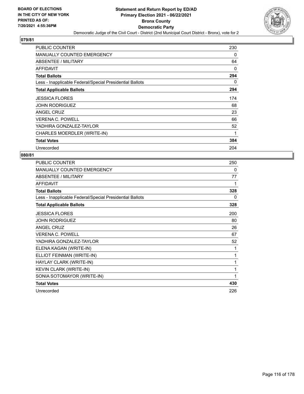

| <b>PUBLIC COUNTER</b>                                    | 230 |
|----------------------------------------------------------|-----|
| <b>MANUALLY COUNTED EMERGENCY</b>                        | 0   |
| ABSENTEE / MILITARY                                      | 64  |
| AFFIDAVIT                                                | 0   |
| <b>Total Ballots</b>                                     | 294 |
| Less - Inapplicable Federal/Special Presidential Ballots | 0   |
| <b>Total Applicable Ballots</b>                          | 294 |
| <b>JESSICA FLORES</b>                                    | 174 |
| <b>JOHN RODRIGUEZ</b>                                    | 68  |
| ANGEL CRUZ                                               | 23  |
| <b>VERENA C. POWELL</b>                                  | 66  |
| YADHIRA GONZALEZ-TAYLOR                                  | 52  |
| CHARLES MOERDLER (WRITE-IN)                              | 1   |
| <b>Total Votes</b>                                       | 384 |
| Unrecorded                                               | 204 |

| <b>PUBLIC COUNTER</b>                                    | 250 |
|----------------------------------------------------------|-----|
| <b>MANUALLY COUNTED EMERGENCY</b>                        | 0   |
| <b>ABSENTEE / MILITARY</b>                               | 77  |
| <b>AFFIDAVIT</b>                                         | 1   |
| <b>Total Ballots</b>                                     | 328 |
| Less - Inapplicable Federal/Special Presidential Ballots | 0   |
| <b>Total Applicable Ballots</b>                          | 328 |
| <b>JESSICA FLORES</b>                                    | 200 |
| <b>JOHN RODRIGUEZ</b>                                    | 80  |
| ANGEL CRUZ                                               | 26  |
| <b>VERENA C. POWELL</b>                                  | 67  |
| YADHIRA GONZALEZ-TAYLOR                                  | 52  |
| ELENA KAGAN (WRITE-IN)                                   | 1   |
| ELLIOT FEINMAN (WRITE-IN)                                | 1   |
| HAYLAY CLARK (WRITE-IN)                                  | 1   |
| KEVIN CLARK (WRITE-IN)                                   | 1   |
| SONIA SOTOMAYOR (WRITE-IN)                               | 1   |
| <b>Total Votes</b>                                       | 430 |
| Unrecorded                                               | 226 |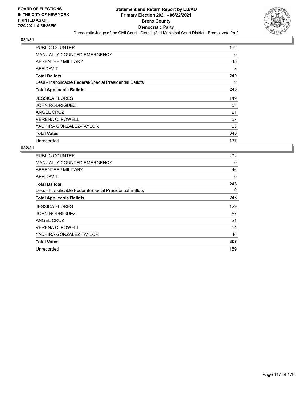

| <b>PUBLIC COUNTER</b>                                    | 192      |
|----------------------------------------------------------|----------|
| <b>MANUALLY COUNTED EMERGENCY</b>                        | 0        |
| ABSENTEE / MILITARY                                      | 45       |
| AFFIDAVIT                                                | 3        |
| <b>Total Ballots</b>                                     | 240      |
| Less - Inapplicable Federal/Special Presidential Ballots | $\Omega$ |
| <b>Total Applicable Ballots</b>                          | 240      |
| <b>JESSICA FLORES</b>                                    | 149      |
| <b>JOHN RODRIGUEZ</b>                                    | 53       |
| ANGEL CRUZ                                               | 21       |
| <b>VERENA C. POWELL</b>                                  | 57       |
| YADHIRA GONZALEZ-TAYLOR                                  | 63       |
| <b>Total Votes</b>                                       | 343      |
| Unrecorded                                               | 137      |

| PUBLIC COUNTER                                           | 202 |
|----------------------------------------------------------|-----|
| <b>MANUALLY COUNTED EMERGENCY</b>                        | 0   |
| ABSENTEE / MILITARY                                      | 46  |
| AFFIDAVIT                                                | 0   |
| <b>Total Ballots</b>                                     | 248 |
| Less - Inapplicable Federal/Special Presidential Ballots | 0   |
| <b>Total Applicable Ballots</b>                          | 248 |
| <b>JESSICA FLORES</b>                                    | 129 |
| <b>JOHN RODRIGUEZ</b>                                    | 57  |
| ANGEL CRUZ                                               | 21  |
| <b>VERENA C. POWELL</b>                                  | 54  |
| YADHIRA GONZALEZ-TAYLOR                                  | 46  |
| <b>Total Votes</b>                                       | 307 |
| Unrecorded                                               | 189 |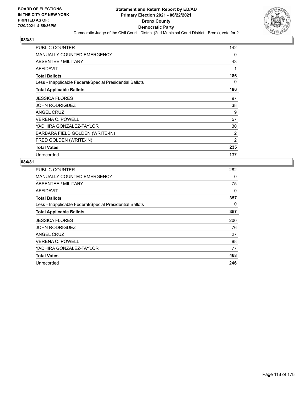

| <b>PUBLIC COUNTER</b>                                    | 142            |
|----------------------------------------------------------|----------------|
| <b>MANUALLY COUNTED EMERGENCY</b>                        | 0              |
| ABSENTEE / MILITARY                                      | 43             |
| AFFIDAVIT                                                | 1              |
| <b>Total Ballots</b>                                     | 186            |
| Less - Inapplicable Federal/Special Presidential Ballots | 0              |
| <b>Total Applicable Ballots</b>                          | 186            |
| <b>JESSICA FLORES</b>                                    | 97             |
| <b>JOHN RODRIGUEZ</b>                                    | 38             |
| ANGEL CRUZ                                               | 9              |
| <b>VERENA C. POWELL</b>                                  | 57             |
| YADHIRA GONZALEZ-TAYLOR                                  | 30             |
| BARBARA FIELD GOLDEN (WRITE-IN)                          | 2              |
| FRED GOLDEN (WRITE-IN)                                   | $\overline{2}$ |
| <b>Total Votes</b>                                       | 235            |
| Unrecorded                                               | 137            |

| <b>PUBLIC COUNTER</b>                                    | 282 |
|----------------------------------------------------------|-----|
| MANUALLY COUNTED EMERGENCY                               | 0   |
| ABSENTEE / MILITARY                                      | 75  |
| AFFIDAVIT                                                | 0   |
| <b>Total Ballots</b>                                     | 357 |
| Less - Inapplicable Federal/Special Presidential Ballots | 0   |
| <b>Total Applicable Ballots</b>                          | 357 |
| <b>JESSICA FLORES</b>                                    | 200 |
| <b>JOHN RODRIGUEZ</b>                                    | 76  |
| <b>ANGEL CRUZ</b>                                        | 27  |
| <b>VERENA C. POWELL</b>                                  | 88  |
| YADHIRA GONZALEZ-TAYLOR                                  | 77  |
| <b>Total Votes</b>                                       | 468 |
| Unrecorded                                               | 246 |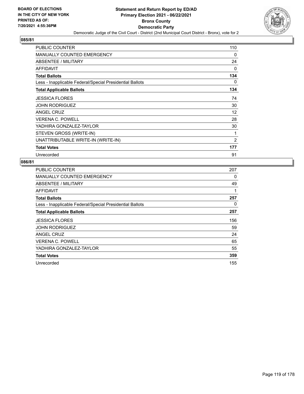

| PUBLIC COUNTER                                           | 110 |
|----------------------------------------------------------|-----|
| <b>MANUALLY COUNTED EMERGENCY</b>                        | 0   |
| ABSENTEE / MILITARY                                      | 24  |
| <b>AFFIDAVIT</b>                                         | 0   |
| <b>Total Ballots</b>                                     | 134 |
| Less - Inapplicable Federal/Special Presidential Ballots | 0   |
| <b>Total Applicable Ballots</b>                          | 134 |
| <b>JESSICA FLORES</b>                                    | 74  |
| <b>JOHN RODRIGUEZ</b>                                    | 30  |
| <b>ANGEL CRUZ</b>                                        | 12  |
| <b>VERENA C. POWELL</b>                                  | 28  |
| YADHIRA GONZALEZ-TAYLOR                                  | 30  |
| STEVEN GROSS (WRITE-IN)                                  | 1   |
| UNATTRIBUTABLE WRITE-IN (WRITE-IN)                       | 2   |
| <b>Total Votes</b>                                       | 177 |
| Unrecorded                                               | 91  |

| <b>PUBLIC COUNTER</b>                                    | 207 |
|----------------------------------------------------------|-----|
| <b>MANUALLY COUNTED EMERGENCY</b>                        | 0   |
| ABSENTEE / MILITARY                                      | 49  |
| AFFIDAVIT                                                | 1   |
| <b>Total Ballots</b>                                     | 257 |
| Less - Inapplicable Federal/Special Presidential Ballots | 0   |
| <b>Total Applicable Ballots</b>                          | 257 |
| <b>JESSICA FLORES</b>                                    | 156 |
| <b>JOHN RODRIGUEZ</b>                                    | 59  |
| ANGEL CRUZ                                               | 24  |
| <b>VERENA C. POWELL</b>                                  | 65  |
| YADHIRA GONZALEZ-TAYLOR                                  | 55  |
| <b>Total Votes</b>                                       | 359 |
| Unrecorded                                               | 155 |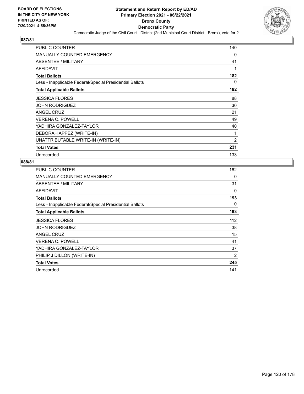

| PUBLIC COUNTER                                           | 140            |
|----------------------------------------------------------|----------------|
| <b>MANUALLY COUNTED EMERGENCY</b>                        | 0              |
| ABSENTEE / MILITARY                                      | 41             |
| <b>AFFIDAVIT</b>                                         | 1              |
| <b>Total Ballots</b>                                     | 182            |
| Less - Inapplicable Federal/Special Presidential Ballots | 0              |
| <b>Total Applicable Ballots</b>                          | 182            |
| <b>JESSICA FLORES</b>                                    | 88             |
| JOHN RODRIGUEZ                                           | 30             |
| <b>ANGEL CRUZ</b>                                        | 21             |
| <b>VERENA C. POWELL</b>                                  | 49             |
| YADHIRA GONZALEZ-TAYLOR                                  | 40             |
| DEBORAH APPEZ (WRITE-IN)                                 | 1              |
| UNATTRIBUTABLE WRITE-IN (WRITE-IN)                       | $\overline{2}$ |
| <b>Total Votes</b>                                       | 231            |
| Unrecorded                                               | 133            |

| <b>PUBLIC COUNTER</b>                                    | 162      |
|----------------------------------------------------------|----------|
| <b>MANUALLY COUNTED EMERGENCY</b>                        | 0        |
| ABSENTEE / MILITARY                                      | 31       |
| <b>AFFIDAVIT</b>                                         | $\Omega$ |
| <b>Total Ballots</b>                                     | 193      |
| Less - Inapplicable Federal/Special Presidential Ballots | 0        |
| <b>Total Applicable Ballots</b>                          | 193      |
| <b>JESSICA FLORES</b>                                    | 112      |
| <b>JOHN RODRIGUEZ</b>                                    | 38       |
| <b>ANGEL CRUZ</b>                                        | 15       |
| <b>VERENA C. POWELL</b>                                  | 41       |
| YADHIRA GONZALEZ-TAYLOR                                  | 37       |
| PHILIP J DILLON (WRITE-IN)                               | 2        |
| <b>Total Votes</b>                                       | 245      |
| Unrecorded                                               | 141      |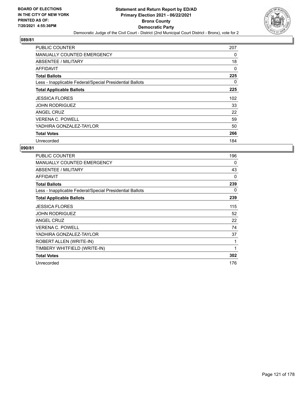

| <b>PUBLIC COUNTER</b>                                    | 207 |
|----------------------------------------------------------|-----|
| <b>MANUALLY COUNTED EMERGENCY</b>                        | 0   |
| ABSENTEE / MILITARY                                      | 18  |
| AFFIDAVIT                                                | 0   |
| <b>Total Ballots</b>                                     | 225 |
| Less - Inapplicable Federal/Special Presidential Ballots | 0   |
| <b>Total Applicable Ballots</b>                          | 225 |
| <b>JESSICA FLORES</b>                                    | 102 |
| <b>JOHN RODRIGUEZ</b>                                    | 33  |
| ANGEL CRUZ                                               | 22  |
| <b>VERENA C. POWELL</b>                                  | 59  |
| YADHIRA GONZALEZ-TAYLOR                                  | 50  |
| <b>Total Votes</b>                                       | 266 |
| Unrecorded                                               | 184 |

| PUBLIC COUNTER                                           | 196 |
|----------------------------------------------------------|-----|
| MANUALLY COUNTED EMERGENCY                               | 0   |
| <b>ABSENTEE / MILITARY</b>                               | 43  |
| <b>AFFIDAVIT</b>                                         | 0   |
| <b>Total Ballots</b>                                     | 239 |
| Less - Inapplicable Federal/Special Presidential Ballots | 0   |
| <b>Total Applicable Ballots</b>                          | 239 |
| <b>JESSICA FLORES</b>                                    | 115 |
| <b>JOHN RODRIGUEZ</b>                                    | 52  |
| <b>ANGEL CRUZ</b>                                        | 22  |
| <b>VERENA C. POWELL</b>                                  | 74  |
| YADHIRA GONZALEZ-TAYLOR                                  | 37  |
| ROBERT ALLEN (WRITE-IN)                                  | 1   |
| TIMBERY WHITFIELD (WRITE-IN)                             | 1   |
| <b>Total Votes</b>                                       | 302 |
| Unrecorded                                               | 176 |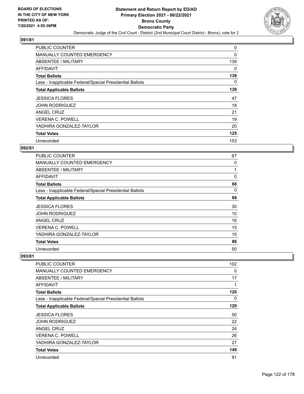

| PUBLIC COUNTER                                           | 0        |
|----------------------------------------------------------|----------|
| <b>MANUALLY COUNTED EMERGENCY</b>                        | 0        |
| ABSENTEE / MILITARY                                      | 139      |
| AFFIDAVIT                                                | 0        |
| <b>Total Ballots</b>                                     | 139      |
| Less - Inapplicable Federal/Special Presidential Ballots | $\Omega$ |
| <b>Total Applicable Ballots</b>                          | 139      |
| <b>JESSICA FLORES</b>                                    | 47       |
| <b>JOHN RODRIGUEZ</b>                                    | 18       |
| ANGEL CRUZ                                               | 21       |
| <b>VERENA C. POWELL</b>                                  | 19       |
| YADHIRA GONZALEZ-TAYLOR                                  | 20       |
| <b>Total Votes</b>                                       | 125      |
| Unrecorded                                               | 153      |

# **092/81**

| <b>PUBLIC COUNTER</b>                                    | 67 |
|----------------------------------------------------------|----|
| <b>MANUALLY COUNTED EMERGENCY</b>                        | 0  |
| ABSENTEE / MILITARY                                      |    |
| AFFIDAVIT                                                | 0  |
| <b>Total Ballots</b>                                     | 68 |
| Less - Inapplicable Federal/Special Presidential Ballots | 0  |
| <b>Total Applicable Ballots</b>                          | 68 |
| <b>JESSICA FLORES</b>                                    | 30 |
| <b>JOHN RODRIGUEZ</b>                                    | 10 |
| <b>ANGEL CRUZ</b>                                        | 16 |
| <b>VERENA C. POWELL</b>                                  | 15 |
| YADHIRA GONZALEZ-TAYLOR                                  | 15 |
| <b>Total Votes</b>                                       | 86 |
| Unrecorded                                               | 50 |

| <b>PUBLIC COUNTER</b>                                    | 102 |
|----------------------------------------------------------|-----|
| <b>MANUALLY COUNTED EMERGENCY</b>                        | 0   |
| ABSENTEE / MILITARY                                      | 17  |
| AFFIDAVIT                                                | 1   |
| <b>Total Ballots</b>                                     | 120 |
| Less - Inapplicable Federal/Special Presidential Ballots | 0   |
| <b>Total Applicable Ballots</b>                          | 120 |
| <b>JESSICA FLORES</b>                                    | 50  |
| <b>JOHN RODRIGUEZ</b>                                    | 22  |
| ANGEL CRUZ                                               | 24  |
| <b>VERENA C. POWELL</b>                                  | 26  |
| YADHIRA GONZALEZ-TAYLOR                                  | 27  |
| <b>Total Votes</b>                                       | 149 |
| Unrecorded                                               | 91  |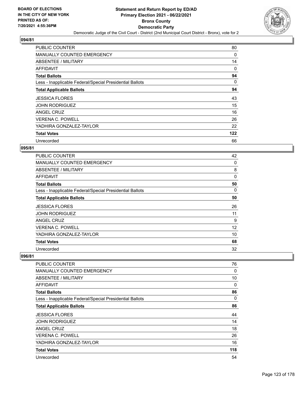

| <b>PUBLIC COUNTER</b>                                    | 80  |
|----------------------------------------------------------|-----|
| <b>MANUALLY COUNTED EMERGENCY</b>                        | 0   |
| ABSENTEE / MILITARY                                      | 14  |
| AFFIDAVIT                                                | 0   |
| <b>Total Ballots</b>                                     | 94  |
| Less - Inapplicable Federal/Special Presidential Ballots | 0   |
| <b>Total Applicable Ballots</b>                          | 94  |
| <b>JESSICA FLORES</b>                                    | 43  |
| <b>JOHN RODRIGUEZ</b>                                    | 15  |
| ANGEL CRUZ                                               | 16  |
| <b>VERENA C. POWELL</b>                                  | 26  |
| YADHIRA GONZALEZ-TAYLOR                                  | 22  |
| <b>Total Votes</b>                                       | 122 |
| Unrecorded                                               | 66  |

#### **095/81**

| <b>PUBLIC COUNTER</b>                                    | 42 |
|----------------------------------------------------------|----|
| MANUALLY COUNTED EMERGENCY                               | 0  |
| ABSENTEE / MILITARY                                      | 8  |
| AFFIDAVIT                                                | 0  |
| <b>Total Ballots</b>                                     | 50 |
| Less - Inapplicable Federal/Special Presidential Ballots | 0  |
| <b>Total Applicable Ballots</b>                          | 50 |
| <b>JESSICA FLORES</b>                                    | 26 |
| <b>JOHN RODRIGUEZ</b>                                    | 11 |
| ANGEL CRUZ                                               | 9  |
| <b>VERENA C. POWELL</b>                                  | 12 |
| YADHIRA GONZALEZ-TAYLOR                                  | 10 |
| <b>Total Votes</b>                                       | 68 |
| Unrecorded                                               | 32 |

| <b>PUBLIC COUNTER</b>                                    | 76       |
|----------------------------------------------------------|----------|
| <b>MANUALLY COUNTED EMERGENCY</b>                        | 0        |
| ABSENTEE / MILITARY                                      | 10       |
| AFFIDAVIT                                                | $\Omega$ |
| <b>Total Ballots</b>                                     | 86       |
| Less - Inapplicable Federal/Special Presidential Ballots | $\Omega$ |
| <b>Total Applicable Ballots</b>                          | 86       |
| <b>JESSICA FLORES</b>                                    | 44       |
| <b>JOHN RODRIGUEZ</b>                                    | 14       |
| ANGEL CRUZ                                               | 18       |
| <b>VERENA C. POWELL</b>                                  | 26       |
| YADHIRA GONZALEZ-TAYLOR                                  | 16       |
| <b>Total Votes</b>                                       | 118      |
| Unrecorded                                               | 54       |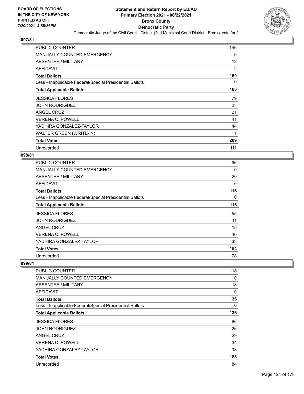

| <b>PUBLIC COUNTER</b>                                    | 146 |
|----------------------------------------------------------|-----|
| <b>MANUALLY COUNTED EMERGENCY</b>                        | 0   |
| ABSENTEE / MILITARY                                      | 12  |
| AFFIDAVIT                                                | 2   |
| <b>Total Ballots</b>                                     | 160 |
| Less - Inapplicable Federal/Special Presidential Ballots | 0   |
| <b>Total Applicable Ballots</b>                          | 160 |
| <b>JESSICA FLORES</b>                                    | 79  |
| <b>JOHN RODRIGUEZ</b>                                    | 23  |
| ANGEL CRUZ                                               | 21  |
| <b>VERENA C. POWELL</b>                                  | 41  |
| YADHIRA GONZALEZ-TAYLOR                                  | 44  |
| WALTER GREEN (WRITE-IN)                                  | 1   |
| <b>Total Votes</b>                                       | 209 |
| Unrecorded                                               | 111 |

#### **098/81**

| <b>PUBLIC COUNTER</b>                                    | 96  |
|----------------------------------------------------------|-----|
| MANUALLY COUNTED EMERGENCY                               | 0   |
| ABSENTEE / MILITARY                                      | 20  |
| AFFIDAVIT                                                | 0   |
| <b>Total Ballots</b>                                     | 116 |
| Less - Inapplicable Federal/Special Presidential Ballots | 0   |
| <b>Total Applicable Ballots</b>                          | 116 |
| <b>JESSICA FLORES</b>                                    | 55  |
| <b>JOHN RODRIGUEZ</b>                                    | 11  |
| ANGEL CRUZ                                               | 15  |
| <b>VERENA C. POWELL</b>                                  | 40  |
| YADHIRA GONZALEZ-TAYLOR                                  | 33  |
| <b>Total Votes</b>                                       | 154 |
|                                                          |     |

| PUBLIC COUNTER                                           | 118 |
|----------------------------------------------------------|-----|
| <b>MANUALLY COUNTED EMERGENCY</b>                        | 0   |
| ABSENTEE / MILITARY                                      | 18  |
| AFFIDAVIT                                                | 0   |
| <b>Total Ballots</b>                                     | 136 |
| Less - Inapplicable Federal/Special Presidential Ballots | 0   |
| <b>Total Applicable Ballots</b>                          | 136 |
| <b>JESSICA FLORES</b>                                    | 66  |
| <b>JOHN RODRIGUEZ</b>                                    | 26  |
| ANGEL CRUZ                                               | 29  |
| <b>VERENA C. POWELL</b>                                  | 34  |
| YADHIRA GONZALEZ-TAYLOR                                  | 33  |
| <b>Total Votes</b>                                       | 188 |
| Unrecorded                                               | 84  |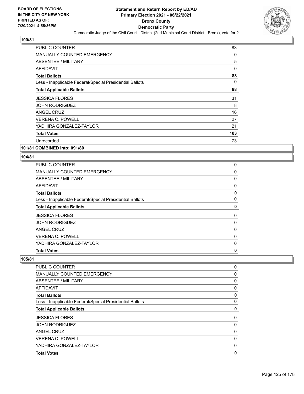

| PUBLIC COUNTER                                           | 83  |
|----------------------------------------------------------|-----|
| <b>MANUALLY COUNTED EMERGENCY</b>                        | 0   |
| <b>ABSENTEE / MILITARY</b>                               | 5   |
| AFFIDAVIT                                                | 0   |
| <b>Total Ballots</b>                                     | 88  |
| Less - Inapplicable Federal/Special Presidential Ballots | 0   |
| <b>Total Applicable Ballots</b>                          | 88  |
| <b>JESSICA FLORES</b>                                    | 31  |
| <b>JOHN RODRIGUEZ</b>                                    | 8   |
| ANGEL CRUZ                                               | 16  |
| <b>VERENA C. POWELL</b>                                  | 27  |
| YADHIRA GONZALEZ-TAYLOR                                  | 21  |
| <b>Total Votes</b>                                       | 103 |
| Unrecorded                                               | 73  |

**101/81 COMBINED into: 091/80**

### **104/81**

| <b>MANUALLY COUNTED EMERGENCY</b><br>ABSENTEE / MILITARY<br>AFFIDAVIT<br><b>Total Ballots</b><br>Less - Inapplicable Federal/Special Presidential Ballots<br><b>Total Applicable Ballots</b><br><b>JESSICA FLORES</b><br><b>JOHN RODRIGUEZ</b><br>ANGEL CRUZ<br><b>VERENA C. POWELL</b><br>YADHIRA GONZALEZ-TAYLOR<br><b>Total Votes</b> | <b>PUBLIC COUNTER</b> | 0 |
|------------------------------------------------------------------------------------------------------------------------------------------------------------------------------------------------------------------------------------------------------------------------------------------------------------------------------------------|-----------------------|---|
|                                                                                                                                                                                                                                                                                                                                          |                       | 0 |
|                                                                                                                                                                                                                                                                                                                                          |                       | 0 |
|                                                                                                                                                                                                                                                                                                                                          |                       | 0 |
|                                                                                                                                                                                                                                                                                                                                          |                       | 0 |
|                                                                                                                                                                                                                                                                                                                                          |                       | 0 |
|                                                                                                                                                                                                                                                                                                                                          |                       | 0 |
|                                                                                                                                                                                                                                                                                                                                          |                       | 0 |
|                                                                                                                                                                                                                                                                                                                                          |                       | 0 |
|                                                                                                                                                                                                                                                                                                                                          |                       | 0 |
|                                                                                                                                                                                                                                                                                                                                          |                       | 0 |
|                                                                                                                                                                                                                                                                                                                                          |                       | 0 |
|                                                                                                                                                                                                                                                                                                                                          |                       | 0 |

| <b>PUBLIC COUNTER</b>                                    | 0            |
|----------------------------------------------------------|--------------|
| <b>MANUALLY COUNTED EMERGENCY</b>                        | 0            |
| ABSENTEE / MILITARY                                      | 0            |
| AFFIDAVIT                                                | 0            |
| <b>Total Ballots</b>                                     | 0            |
| Less - Inapplicable Federal/Special Presidential Ballots | $\mathbf{0}$ |
| <b>Total Applicable Ballots</b>                          | 0            |
| <b>JESSICA FLORES</b>                                    | 0            |
| <b>JOHN RODRIGUEZ</b>                                    | 0            |
| <b>ANGEL CRUZ</b>                                        | 0            |
| <b>VERENA C. POWELL</b>                                  | 0            |
| YADHIRA GONZALEZ-TAYLOR                                  | 0            |
| <b>Total Votes</b>                                       | 0            |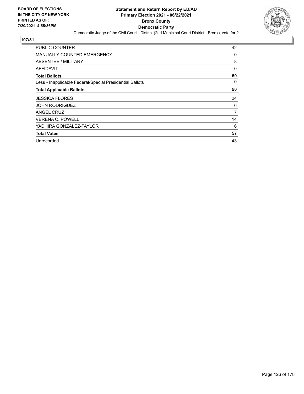

| <b>PUBLIC COUNTER</b>                                    | 42 |
|----------------------------------------------------------|----|
| MANUALLY COUNTED EMERGENCY                               | 0  |
| ABSENTEE / MILITARY                                      | 8  |
| <b>AFFIDAVIT</b>                                         | 0  |
| <b>Total Ballots</b>                                     | 50 |
| Less - Inapplicable Federal/Special Presidential Ballots | 0  |
| <b>Total Applicable Ballots</b>                          | 50 |
| <b>JESSICA FLORES</b>                                    | 24 |
| <b>JOHN RODRIGUEZ</b>                                    | 6  |
| ANGEL CRUZ                                               | 7  |
| <b>VERENA C. POWELL</b>                                  | 14 |
| YADHIRA GONZALEZ-TAYLOR                                  | 6  |
| <b>Total Votes</b>                                       | 57 |
| Unrecorded                                               | 43 |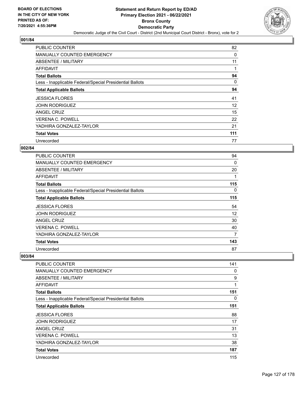

| PUBLIC COUNTER                                           | 82  |
|----------------------------------------------------------|-----|
| MANUALLY COUNTED EMERGENCY                               | 0   |
| ABSENTEE / MILITARY                                      | 11  |
| AFFIDAVIT                                                |     |
| <b>Total Ballots</b>                                     | 94  |
| Less - Inapplicable Federal/Special Presidential Ballots | 0   |
| <b>Total Applicable Ballots</b>                          | 94  |
| <b>JESSICA FLORES</b>                                    | 41  |
| <b>JOHN RODRIGUEZ</b>                                    | 12  |
| ANGEL CRUZ                                               | 15  |
| <b>VERENA C. POWELL</b>                                  | 22  |
| YADHIRA GONZALEZ-TAYLOR                                  | 21  |
| <b>Total Votes</b>                                       | 111 |
| Unrecorded                                               | 77  |

# **002/84**

| <b>PUBLIC COUNTER</b>                                    | 94  |
|----------------------------------------------------------|-----|
| <b>MANUALLY COUNTED EMERGENCY</b>                        | 0   |
| ABSENTEE / MILITARY                                      | 20  |
| <b>AFFIDAVIT</b>                                         |     |
| <b>Total Ballots</b>                                     | 115 |
| Less - Inapplicable Federal/Special Presidential Ballots | 0   |
| <b>Total Applicable Ballots</b>                          | 115 |
| <b>JESSICA FLORES</b>                                    | 54  |
| <b>JOHN RODRIGUEZ</b>                                    | 12  |
| <b>ANGEL CRUZ</b>                                        | 30  |
| <b>VERENA C. POWELL</b>                                  | 40  |
| YADHIRA GONZALEZ-TAYLOR                                  | 7   |
| <b>Total Votes</b>                                       | 143 |
| Unrecorded                                               | 87  |

| <b>PUBLIC COUNTER</b>                                    | 141 |
|----------------------------------------------------------|-----|
| <b>MANUALLY COUNTED EMERGENCY</b>                        | 0   |
| <b>ABSENTEE / MILITARY</b>                               | 9   |
| <b>AFFIDAVIT</b>                                         | 1   |
| <b>Total Ballots</b>                                     | 151 |
| Less - Inapplicable Federal/Special Presidential Ballots | 0   |
| <b>Total Applicable Ballots</b>                          | 151 |
| <b>JESSICA FLORES</b>                                    | 88  |
| <b>JOHN RODRIGUEZ</b>                                    | 17  |
| ANGEL CRUZ                                               | 31  |
| <b>VERENA C. POWELL</b>                                  | 13  |
| YADHIRA GONZALEZ-TAYLOR                                  | 38  |
| <b>Total Votes</b>                                       | 187 |
| Unrecorded                                               | 115 |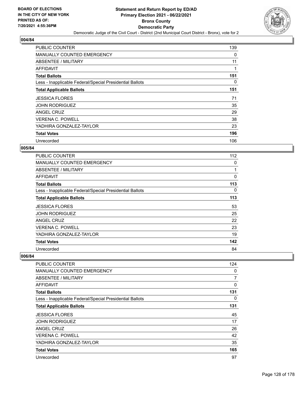

| <b>PUBLIC COUNTER</b>                                    | 139 |
|----------------------------------------------------------|-----|
| <b>MANUALLY COUNTED EMERGENCY</b>                        | 0   |
| ABSENTEE / MILITARY                                      | 11  |
| AFFIDAVIT                                                | 1   |
| <b>Total Ballots</b>                                     | 151 |
| Less - Inapplicable Federal/Special Presidential Ballots | 0   |
| <b>Total Applicable Ballots</b>                          | 151 |
| <b>JESSICA FLORES</b>                                    | 71  |
| <b>JOHN RODRIGUEZ</b>                                    | 35  |
| ANGEL CRUZ                                               | 29  |
| <b>VERENA C. POWELL</b>                                  | 38  |
| YADHIRA GONZALEZ-TAYLOR                                  | 23  |
| <b>Total Votes</b>                                       | 196 |
| Unrecorded                                               | 106 |

# **005/84**

| <b>PUBLIC COUNTER</b>                                    | 112 |
|----------------------------------------------------------|-----|
| <b>MANUALLY COUNTED EMERGENCY</b>                        | 0   |
| ABSENTEE / MILITARY                                      |     |
| AFFIDAVIT                                                | 0   |
| <b>Total Ballots</b>                                     | 113 |
| Less - Inapplicable Federal/Special Presidential Ballots | 0   |
| <b>Total Applicable Ballots</b>                          | 113 |
| <b>JESSICA FLORES</b>                                    | 53  |
| <b>JOHN RODRIGUEZ</b>                                    | 25  |
| <b>ANGEL CRUZ</b>                                        | 22  |
| <b>VERENA C. POWELL</b>                                  | 23  |
| YADHIRA GONZALEZ-TAYLOR                                  | 19  |
| <b>Total Votes</b>                                       | 142 |
| Unrecorded                                               | 84  |

| <b>PUBLIC COUNTER</b>                                    | 124      |
|----------------------------------------------------------|----------|
| <b>MANUALLY COUNTED EMERGENCY</b>                        | 0        |
| <b>ABSENTEE / MILITARY</b>                               | 7        |
| <b>AFFIDAVIT</b>                                         | $\Omega$ |
| <b>Total Ballots</b>                                     | 131      |
| Less - Inapplicable Federal/Special Presidential Ballots | $\Omega$ |
| <b>Total Applicable Ballots</b>                          | 131      |
| <b>JESSICA FLORES</b>                                    | 45       |
| <b>JOHN RODRIGUEZ</b>                                    | 17       |
| ANGEL CRUZ                                               | 26       |
| <b>VERENA C. POWELL</b>                                  | 42       |
| YADHIRA GONZALEZ-TAYLOR                                  | 35       |
| <b>Total Votes</b>                                       | 165      |
| Unrecorded                                               | 97       |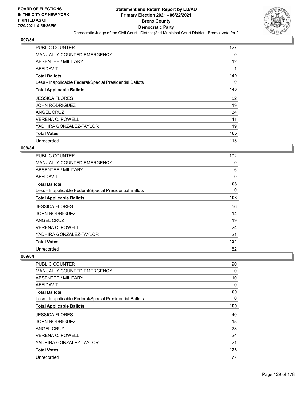

| <b>PUBLIC COUNTER</b>                                    | 127 |
|----------------------------------------------------------|-----|
| <b>MANUALLY COUNTED EMERGENCY</b>                        | 0   |
| ABSENTEE / MILITARY                                      | 12  |
| AFFIDAVIT                                                |     |
| <b>Total Ballots</b>                                     | 140 |
| Less - Inapplicable Federal/Special Presidential Ballots | 0   |
| <b>Total Applicable Ballots</b>                          | 140 |
| <b>JESSICA FLORES</b>                                    | 52  |
| <b>JOHN RODRIGUEZ</b>                                    | 19  |
| ANGEL CRUZ                                               | 34  |
| <b>VERENA C. POWELL</b>                                  | 41  |
| YADHIRA GONZALEZ-TAYLOR                                  | 19  |
| <b>Total Votes</b>                                       | 165 |
| Unrecorded                                               | 115 |

# **008/84**

| <b>PUBLIC COUNTER</b>                                    | 102 |
|----------------------------------------------------------|-----|
| <b>MANUALLY COUNTED EMERGENCY</b>                        | 0   |
| ABSENTEE / MILITARY                                      | 6   |
| AFFIDAVIT                                                | 0   |
| <b>Total Ballots</b>                                     | 108 |
| Less - Inapplicable Federal/Special Presidential Ballots | 0   |
| <b>Total Applicable Ballots</b>                          | 108 |
| <b>JESSICA FLORES</b>                                    | 56  |
| <b>JOHN RODRIGUEZ</b>                                    | 14  |
| <b>ANGEL CRUZ</b>                                        | 19  |
| <b>VERENA C. POWELL</b>                                  | 24  |
| YADHIRA GONZALEZ-TAYLOR                                  | 21  |
| <b>Total Votes</b>                                       | 134 |
| Unrecorded                                               | 82  |

| <b>PUBLIC COUNTER</b>                                    | 90  |
|----------------------------------------------------------|-----|
| <b>MANUALLY COUNTED EMERGENCY</b>                        | 0   |
| <b>ABSENTEE / MILITARY</b>                               | 10  |
| <b>AFFIDAVIT</b>                                         | 0   |
| <b>Total Ballots</b>                                     | 100 |
| Less - Inapplicable Federal/Special Presidential Ballots | 0   |
| <b>Total Applicable Ballots</b>                          | 100 |
| <b>JESSICA FLORES</b>                                    | 40  |
| <b>JOHN RODRIGUEZ</b>                                    | 15  |
| ANGEL CRUZ                                               | 23  |
| <b>VERENA C. POWELL</b>                                  | 24  |
| YADHIRA GONZALEZ-TAYLOR                                  | 21  |
| <b>Total Votes</b>                                       | 123 |
| Unrecorded                                               | 77  |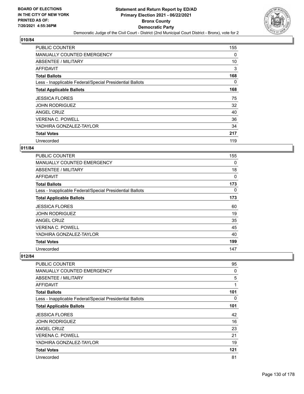

| <b>PUBLIC COUNTER</b>                                    | 155 |
|----------------------------------------------------------|-----|
| <b>MANUALLY COUNTED EMERGENCY</b>                        | 0   |
| <b>ABSENTEE / MILITARY</b>                               | 10  |
| AFFIDAVIT                                                | 3   |
| <b>Total Ballots</b>                                     | 168 |
| Less - Inapplicable Federal/Special Presidential Ballots | 0   |
| <b>Total Applicable Ballots</b>                          | 168 |
| <b>JESSICA FLORES</b>                                    | 75  |
| <b>JOHN RODRIGUEZ</b>                                    | 32  |
| ANGEL CRUZ                                               | 40  |
| <b>VERENA C. POWELL</b>                                  | 36  |
| YADHIRA GONZALEZ-TAYLOR                                  | 34  |
| <b>Total Votes</b>                                       | 217 |
| Unrecorded                                               | 119 |

# **011/84**

| <b>PUBLIC COUNTER</b>                                    | 155 |
|----------------------------------------------------------|-----|
| <b>MANUALLY COUNTED EMERGENCY</b>                        | 0   |
| <b>ABSENTEE / MILITARY</b>                               | 18  |
| AFFIDAVIT                                                | 0   |
| <b>Total Ballots</b>                                     | 173 |
| Less - Inapplicable Federal/Special Presidential Ballots | 0   |
| <b>Total Applicable Ballots</b>                          | 173 |
| <b>JESSICA FLORES</b>                                    | 60  |
| <b>JOHN RODRIGUEZ</b>                                    | 19  |
| ANGEL CRUZ                                               | 35  |
| <b>VERENA C. POWELL</b>                                  | 45  |
| YADHIRA GONZALEZ-TAYLOR                                  | 40  |
| <b>Total Votes</b>                                       | 199 |
| Unrecorded                                               | 147 |

| <b>PUBLIC COUNTER</b>                                    | 95  |
|----------------------------------------------------------|-----|
| <b>MANUALLY COUNTED EMERGENCY</b>                        | 0   |
| <b>ABSENTEE / MILITARY</b>                               | 5   |
| <b>AFFIDAVIT</b>                                         | 1   |
| <b>Total Ballots</b>                                     | 101 |
| Less - Inapplicable Federal/Special Presidential Ballots | 0   |
| <b>Total Applicable Ballots</b>                          | 101 |
| <b>JESSICA FLORES</b>                                    | 42  |
| <b>JOHN RODRIGUEZ</b>                                    | 16  |
| ANGEL CRUZ                                               | 23  |
| <b>VERENA C. POWELL</b>                                  | 21  |
| YADHIRA GONZALEZ-TAYLOR                                  | 19  |
| <b>Total Votes</b>                                       | 121 |
| Unrecorded                                               | 81  |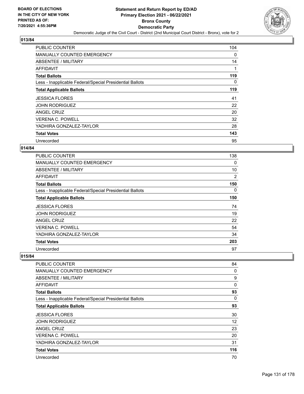

| <b>PUBLIC COUNTER</b>                                    | 104      |
|----------------------------------------------------------|----------|
| MANUALLY COUNTED EMERGENCY                               | $\Omega$ |
| ABSENTEE / MILITARY                                      | 14       |
| AFFIDAVIT                                                | 1        |
| <b>Total Ballots</b>                                     | 119      |
| Less - Inapplicable Federal/Special Presidential Ballots | 0        |
| <b>Total Applicable Ballots</b>                          | 119      |
| <b>JESSICA FLORES</b>                                    | 41       |
| <b>JOHN RODRIGUEZ</b>                                    | 22       |
| ANGEL CRUZ                                               | 20       |
| <b>VERENA C. POWELL</b>                                  | 32       |
| YADHIRA GONZALEZ-TAYLOR                                  | 28       |
| <b>Total Votes</b>                                       | 143      |
| Unrecorded                                               | 95       |

# **014/84**

| <b>PUBLIC COUNTER</b>                                    | 138 |
|----------------------------------------------------------|-----|
| <b>MANUALLY COUNTED EMERGENCY</b>                        | 0   |
| ABSENTEE / MILITARY                                      | 10  |
| AFFIDAVIT                                                | 2   |
| <b>Total Ballots</b>                                     | 150 |
| Less - Inapplicable Federal/Special Presidential Ballots | 0   |
| <b>Total Applicable Ballots</b>                          | 150 |
| <b>JESSICA FLORES</b>                                    | 74  |
| <b>JOHN RODRIGUEZ</b>                                    | 19  |
| <b>ANGEL CRUZ</b>                                        | 22  |
| <b>VERENA C. POWELL</b>                                  | 54  |
| YADHIRA GONZALEZ-TAYLOR                                  | 34  |
| <b>Total Votes</b>                                       | 203 |
| Unrecorded                                               | 97  |

| <b>PUBLIC COUNTER</b>                                    | 84       |
|----------------------------------------------------------|----------|
| <b>MANUALLY COUNTED EMERGENCY</b>                        | 0        |
| <b>ABSENTEE / MILITARY</b>                               | 9        |
| <b>AFFIDAVIT</b>                                         | $\Omega$ |
| <b>Total Ballots</b>                                     | 93       |
| Less - Inapplicable Federal/Special Presidential Ballots | $\Omega$ |
| <b>Total Applicable Ballots</b>                          | 93       |
| <b>JESSICA FLORES</b>                                    | 30       |
| <b>JOHN RODRIGUEZ</b>                                    | 12       |
| ANGEL CRUZ                                               | 23       |
| <b>VERENA C. POWELL</b>                                  | 20       |
| YADHIRA GONZALEZ-TAYLOR                                  | 31       |
| <b>Total Votes</b>                                       | 116      |
| Unrecorded                                               | 70       |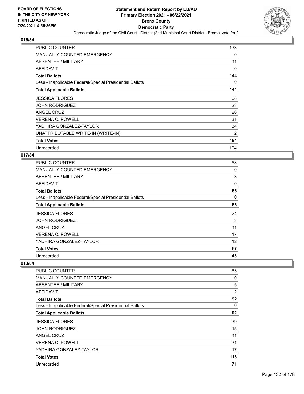

| <b>PUBLIC COUNTER</b>                                    | 133      |
|----------------------------------------------------------|----------|
| MANUALLY COUNTED EMERGENCY                               | 0        |
| ABSENTEE / MILITARY                                      | 11       |
| AFFIDAVIT                                                | 0        |
| <b>Total Ballots</b>                                     | 144      |
| Less - Inapplicable Federal/Special Presidential Ballots | $\Omega$ |
| <b>Total Applicable Ballots</b>                          | 144      |
| <b>JESSICA FLORES</b>                                    | 68       |
| <b>JOHN RODRIGUEZ</b>                                    | 23       |
| ANGEL CRUZ                                               | 26       |
| <b>VERENA C. POWELL</b>                                  | 31       |
| YADHIRA GONZALEZ-TAYLOR                                  | 34       |
| UNATTRIBUTABLE WRITE-IN (WRITE-IN)                       | 2        |
| <b>Total Votes</b>                                       | 184      |
| Unrecorded                                               | 104      |

### **017/84**

| PUBLIC COUNTER                                           | 53       |
|----------------------------------------------------------|----------|
| <b>MANUALLY COUNTED EMERGENCY</b>                        | 0        |
| ABSENTEE / MILITARY                                      | 3        |
| AFFIDAVIT                                                | 0        |
| <b>Total Ballots</b>                                     | 56       |
| Less - Inapplicable Federal/Special Presidential Ballots | $\Omega$ |
| <b>Total Applicable Ballots</b>                          | 56       |
| <b>JESSICA FLORES</b>                                    | 24       |
| <b>JOHN RODRIGUEZ</b>                                    | 3        |
| ANGEL CRUZ                                               | 11       |
| <b>VERENA C. POWELL</b>                                  | 17       |
| YADHIRA GONZALEZ-TAYLOR                                  | 12       |
| <b>Total Votes</b>                                       | 67       |
| Unrecorded                                               | 45       |

| PUBLIC COUNTER                                           | 85       |
|----------------------------------------------------------|----------|
| <b>MANUALLY COUNTED EMERGENCY</b>                        | 0        |
| ABSENTEE / MILITARY                                      | 5        |
| AFFIDAVIT                                                | 2        |
| <b>Total Ballots</b>                                     | 92       |
| Less - Inapplicable Federal/Special Presidential Ballots | $\Omega$ |
| <b>Total Applicable Ballots</b>                          | 92       |
| <b>JESSICA FLORES</b>                                    | 39       |
| <b>JOHN RODRIGUEZ</b>                                    | 15       |
| ANGEL CRUZ                                               | 11       |
| <b>VERENA C. POWELL</b>                                  | 31       |
| YADHIRA GONZALEZ-TAYLOR                                  | 17       |
| <b>Total Votes</b>                                       | 113      |
| Unrecorded                                               | 71       |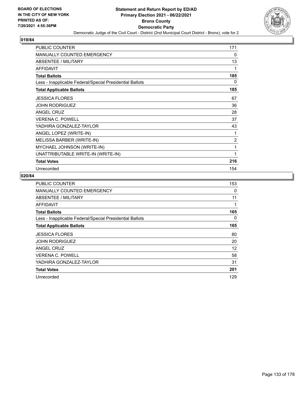

| <b>PUBLIC COUNTER</b>                                    | 171            |
|----------------------------------------------------------|----------------|
| <b>MANUALLY COUNTED EMERGENCY</b>                        | 0              |
| ABSENTEE / MILITARY                                      | 13             |
| <b>AFFIDAVIT</b>                                         | 1              |
| <b>Total Ballots</b>                                     | 185            |
| Less - Inapplicable Federal/Special Presidential Ballots | 0              |
| <b>Total Applicable Ballots</b>                          | 185            |
| <b>JESSICA FLORES</b>                                    | 67             |
| <b>JOHN RODRIGUEZ</b>                                    | 36             |
| <b>ANGEL CRUZ</b>                                        | 28             |
| <b>VERENA C. POWELL</b>                                  | 37             |
| YADHIRA GONZALEZ-TAYLOR                                  | 43             |
| ANGEL LOPEZ (WRITE-IN)                                   | 1              |
| MELISSA BARBER (WRITE-IN)                                | $\overline{2}$ |
| MYCHAEL JOHNSON (WRITE-IN)                               | 1              |
| UNATTRIBUTABLE WRITE-IN (WRITE-IN)                       | 1              |
| <b>Total Votes</b>                                       | 216            |
| Unrecorded                                               | 154            |

| <b>PUBLIC COUNTER</b>                                    | 153 |
|----------------------------------------------------------|-----|
| MANUALLY COUNTED EMERGENCY                               | 0   |
| ABSENTEE / MILITARY                                      | 11  |
| AFFIDAVIT                                                | 1   |
| <b>Total Ballots</b>                                     | 165 |
| Less - Inapplicable Federal/Special Presidential Ballots | 0   |
| <b>Total Applicable Ballots</b>                          | 165 |
| <b>JESSICA FLORES</b>                                    | 80  |
| <b>JOHN RODRIGUEZ</b>                                    | 20  |
| ANGEL CRUZ                                               | 12  |
| <b>VERENA C. POWELL</b>                                  | 58  |
| YADHIRA GONZALEZ-TAYLOR                                  | 31  |
| <b>Total Votes</b>                                       | 201 |
| Unrecorded                                               | 129 |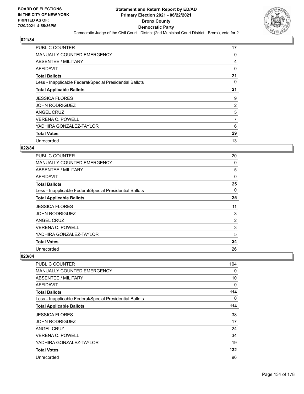

| <b>PUBLIC COUNTER</b>                                    | 17       |
|----------------------------------------------------------|----------|
| <b>MANUALLY COUNTED EMERGENCY</b>                        | 0        |
| ABSENTEE / MILITARY                                      | 4        |
| AFFIDAVIT                                                | $\Omega$ |
| <b>Total Ballots</b>                                     | 21       |
| Less - Inapplicable Federal/Special Presidential Ballots | 0        |
| <b>Total Applicable Ballots</b>                          | 21       |
| <b>JESSICA FLORES</b>                                    | 9        |
| <b>JOHN RODRIGUEZ</b>                                    | 2        |
| ANGEL CRUZ                                               | 5        |
| <b>VERENA C. POWELL</b>                                  | 7        |
| YADHIRA GONZALEZ-TAYLOR                                  | 6        |
|                                                          |          |
| <b>Total Votes</b>                                       | 29       |

# **022/84**

| <b>PUBLIC COUNTER</b>                                    | 20             |
|----------------------------------------------------------|----------------|
| <b>MANUALLY COUNTED EMERGENCY</b>                        | 0              |
| ABSENTEE / MILITARY                                      | 5              |
| <b>AFFIDAVIT</b>                                         | 0              |
| <b>Total Ballots</b>                                     | 25             |
| Less - Inapplicable Federal/Special Presidential Ballots | 0              |
| <b>Total Applicable Ballots</b>                          | 25             |
| <b>JESSICA FLORES</b>                                    | 11             |
| JOHN RODRIGUEZ                                           | 3              |
| <b>ANGEL CRUZ</b>                                        | $\overline{2}$ |
| <b>VERENA C. POWELL</b>                                  | 3              |
| YADHIRA GONZALEZ-TAYLOR                                  | 5              |
| <b>Total Votes</b>                                       | 24             |
| Unrecorded                                               | 26             |

| <b>PUBLIC COUNTER</b>                                    | 104      |
|----------------------------------------------------------|----------|
| <b>MANUALLY COUNTED EMERGENCY</b>                        | $\Omega$ |
| <b>ABSENTEE / MILITARY</b>                               | 10       |
| <b>AFFIDAVIT</b>                                         | 0        |
| <b>Total Ballots</b>                                     | 114      |
| Less - Inapplicable Federal/Special Presidential Ballots | $\Omega$ |
| <b>Total Applicable Ballots</b>                          | 114      |
| <b>JESSICA FLORES</b>                                    | 38       |
| <b>JOHN RODRIGUEZ</b>                                    | 17       |
| ANGEL CRUZ                                               | 24       |
| <b>VERENA C. POWELL</b>                                  | 34       |
| YADHIRA GONZALEZ-TAYLOR                                  | 19       |
| <b>Total Votes</b>                                       | 132      |
| Unrecorded                                               | 96       |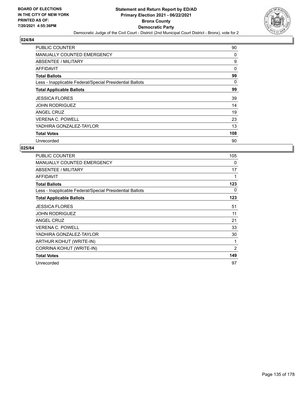

| <b>PUBLIC COUNTER</b>                                    | 90  |
|----------------------------------------------------------|-----|
| <b>MANUALLY COUNTED EMERGENCY</b>                        | 0   |
| ABSENTEE / MILITARY                                      | 9   |
| AFFIDAVIT                                                | 0   |
| <b>Total Ballots</b>                                     | 99  |
| Less - Inapplicable Federal/Special Presidential Ballots | 0   |
| <b>Total Applicable Ballots</b>                          | 99  |
| <b>JESSICA FLORES</b>                                    | 39  |
| <b>JOHN RODRIGUEZ</b>                                    | 14  |
| ANGEL CRUZ                                               | 19  |
| <b>VERENA C. POWELL</b>                                  | 23  |
| YADHIRA GONZALEZ-TAYLOR                                  | 13  |
| <b>Total Votes</b>                                       | 108 |
| Unrecorded                                               | 90  |

| PUBLIC COUNTER                                           | 105 |
|----------------------------------------------------------|-----|
| <b>MANUALLY COUNTED EMERGENCY</b>                        | 0   |
| ABSENTEE / MILITARY                                      | 17  |
| <b>AFFIDAVIT</b>                                         | 1   |
| <b>Total Ballots</b>                                     | 123 |
| Less - Inapplicable Federal/Special Presidential Ballots | 0   |
| <b>Total Applicable Ballots</b>                          | 123 |
| <b>JESSICA FLORES</b>                                    | 51  |
| JOHN RODRIGUEZ                                           | 11  |
| <b>ANGEL CRUZ</b>                                        | 21  |
| <b>VERENA C. POWELL</b>                                  | 33  |
| YADHIRA GONZALEZ-TAYLOR                                  | 30  |
| ARTHUR KOHUT (WRITE-IN)                                  | 1   |
| CORRINA KOHUT (WRITE-IN)                                 | 2   |
| <b>Total Votes</b>                                       | 149 |
| Unrecorded                                               | 97  |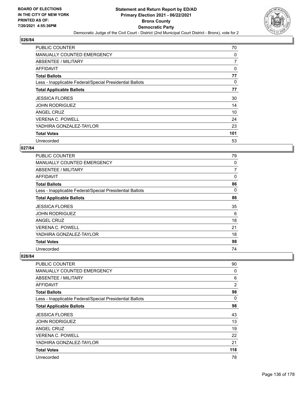

| PUBLIC COUNTER                                           | 70       |
|----------------------------------------------------------|----------|
| MANUALLY COUNTED EMERGENCY                               | 0        |
| ABSENTEE / MILITARY                                      | 7        |
| AFFIDAVIT                                                | 0        |
| <b>Total Ballots</b>                                     | 77       |
| Less - Inapplicable Federal/Special Presidential Ballots | $\Omega$ |
| <b>Total Applicable Ballots</b>                          | 77       |
| <b>JESSICA FLORES</b>                                    | 30       |
| <b>JOHN RODRIGUEZ</b>                                    | 14       |
| ANGEL CRUZ                                               | 10       |
| <b>VERENA C. POWELL</b>                                  | 24       |
| YADHIRA GONZALEZ-TAYLOR                                  | 23       |
| <b>Total Votes</b>                                       | 101      |
| Unrecorded                                               | 53       |

# **027/84**

| <b>PUBLIC COUNTER</b>                                    | 79 |
|----------------------------------------------------------|----|
| <b>MANUALLY COUNTED EMERGENCY</b>                        | 0  |
| ABSENTEE / MILITARY                                      | 7  |
| <b>AFFIDAVIT</b>                                         | 0  |
| <b>Total Ballots</b>                                     | 86 |
| Less - Inapplicable Federal/Special Presidential Ballots | 0  |
| <b>Total Applicable Ballots</b>                          | 86 |
| <b>JESSICA FLORES</b>                                    | 35 |
| <b>JOHN RODRIGUEZ</b>                                    | 6  |
| <b>ANGEL CRUZ</b>                                        | 18 |
| <b>VERENA C. POWELL</b>                                  | 21 |
| YADHIRA GONZALEZ-TAYLOR                                  | 18 |
| <b>Total Votes</b>                                       | 98 |
| Unrecorded                                               | 74 |

| <b>PUBLIC COUNTER</b>                                    | 90             |
|----------------------------------------------------------|----------------|
| <b>MANUALLY COUNTED EMERGENCY</b>                        | 0              |
| <b>ABSENTEE / MILITARY</b>                               | 6              |
| <b>AFFIDAVIT</b>                                         | $\overline{2}$ |
| <b>Total Ballots</b>                                     | 98             |
| Less - Inapplicable Federal/Special Presidential Ballots | $\Omega$       |
| <b>Total Applicable Ballots</b>                          | 98             |
| <b>JESSICA FLORES</b>                                    | 43             |
| <b>JOHN RODRIGUEZ</b>                                    | 13             |
| ANGEL CRUZ                                               | 19             |
| <b>VERENA C. POWELL</b>                                  | 22             |
| YADHIRA GONZALEZ-TAYLOR                                  | 21             |
| <b>Total Votes</b>                                       | 118            |
| Unrecorded                                               | 78             |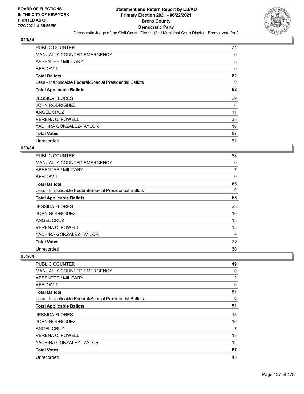

| <b>PUBLIC COUNTER</b>                                    | 74 |
|----------------------------------------------------------|----|
| <b>MANUALLY COUNTED EMERGENCY</b>                        | 0  |
| ABSENTEE / MILITARY                                      | 8  |
| AFFIDAVIT                                                | 0  |
| <b>Total Ballots</b>                                     | 82 |
| Less - Inapplicable Federal/Special Presidential Ballots | 0  |
| <b>Total Applicable Ballots</b>                          | 82 |
| <b>JESSICA FLORES</b>                                    | 29 |
| <b>JOHN RODRIGUEZ</b>                                    | 6  |
| ANGEL CRUZ                                               | 11 |
| <b>VERENA C. POWELL</b>                                  | 35 |
| YADHIRA GONZALEZ-TAYLOR                                  | 16 |
| <b>Total Votes</b>                                       | 97 |
| Unrecorded                                               | 67 |

# **030/84**

| <b>PUBLIC COUNTER</b>                                    | 58 |
|----------------------------------------------------------|----|
| <b>MANUALLY COUNTED EMERGENCY</b>                        | 0  |
| ABSENTEE / MILITARY                                      | 7  |
| <b>AFFIDAVIT</b>                                         | 0  |
| <b>Total Ballots</b>                                     | 65 |
| Less - Inapplicable Federal/Special Presidential Ballots | 0  |
| <b>Total Applicable Ballots</b>                          | 65 |
| <b>JESSICA FLORES</b>                                    | 23 |
| <b>JOHN RODRIGUEZ</b>                                    | 10 |
| <b>ANGEL CRUZ</b>                                        | 13 |
| <b>VERENA C. POWELL</b>                                  | 15 |
| YADHIRA GONZALEZ-TAYLOR                                  | 9  |
| <b>Total Votes</b>                                       | 70 |
| Unrecorded                                               | 60 |

| <b>PUBLIC COUNTER</b>                                    | 49       |
|----------------------------------------------------------|----------|
| <b>MANUALLY COUNTED EMERGENCY</b>                        | $\Omega$ |
| ABSENTEE / MILITARY                                      | 2        |
| <b>AFFIDAVIT</b>                                         | 0        |
| <b>Total Ballots</b>                                     | 51       |
| Less - Inapplicable Federal/Special Presidential Ballots | 0        |
| <b>Total Applicable Ballots</b>                          | 51       |
| <b>JESSICA FLORES</b>                                    | 15       |
| JOHN RODRIGUEZ                                           | 10       |
| ANGEL CRUZ                                               | 7        |
| VERENA C. POWELL                                         | 13       |
| YADHIRA GONZALEZ-TAYLOR                                  | 12       |
| <b>Total Votes</b>                                       | 57       |
| Unrecorded                                               | 45       |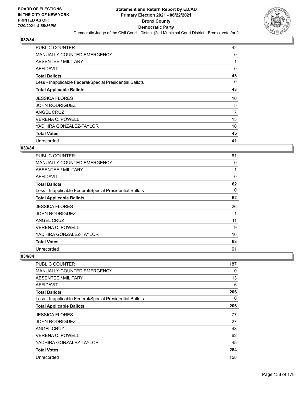

| <b>PUBLIC COUNTER</b>                                    | 42 |
|----------------------------------------------------------|----|
| <b>MANUALLY COUNTED EMERGENCY</b>                        | 0  |
| ABSENTEE / MILITARY                                      |    |
| AFFIDAVIT                                                | 0  |
| <b>Total Ballots</b>                                     | 43 |
| Less - Inapplicable Federal/Special Presidential Ballots | 0  |
| <b>Total Applicable Ballots</b>                          | 43 |
| <b>JESSICA FLORES</b>                                    | 10 |
| <b>JOHN RODRIGUEZ</b>                                    | 5  |
| ANGEL CRUZ                                               | 7  |
| <b>VERENA C. POWELL</b>                                  | 13 |
| YADHIRA GONZALEZ-TAYLOR                                  | 10 |
| <b>Total Votes</b>                                       | 45 |
| Unrecorded                                               | 41 |

# **033/84**

| <b>PUBLIC COUNTER</b>                                    | 61 |
|----------------------------------------------------------|----|
| <b>MANUALLY COUNTED EMERGENCY</b>                        | 0  |
| ABSENTEE / MILITARY                                      |    |
| <b>AFFIDAVIT</b>                                         | 0  |
| <b>Total Ballots</b>                                     | 62 |
| Less - Inapplicable Federal/Special Presidential Ballots | 0  |
| <b>Total Applicable Ballots</b>                          | 62 |
| <b>JESSICA FLORES</b>                                    | 26 |
| <b>JOHN RODRIGUEZ</b>                                    |    |
| <b>ANGEL CRUZ</b>                                        | 11 |
| <b>VERENA C. POWELL</b>                                  | 9  |
| YADHIRA GONZALEZ-TAYLOR                                  | 16 |
| <b>Total Votes</b>                                       | 63 |
| Unrecorded                                               | 61 |

| <b>PUBLIC COUNTER</b>                                    | 187 |
|----------------------------------------------------------|-----|
| <b>MANUALLY COUNTED EMERGENCY</b>                        | 0   |
| <b>ABSENTEE / MILITARY</b>                               | 13  |
| <b>AFFIDAVIT</b>                                         | 6   |
| <b>Total Ballots</b>                                     | 206 |
| Less - Inapplicable Federal/Special Presidential Ballots | 0   |
| <b>Total Applicable Ballots</b>                          | 206 |
| <b>JESSICA FLORES</b>                                    | 77  |
| <b>JOHN RODRIGUEZ</b>                                    | 27  |
| ANGEL CRUZ                                               | 43  |
| <b>VERENA C. POWELL</b>                                  | 62  |
| YADHIRA GONZALEZ-TAYLOR                                  | 45  |
| <b>Total Votes</b>                                       | 254 |
| Unrecorded                                               | 158 |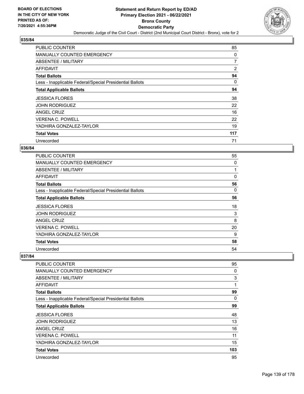

| <b>PUBLIC COUNTER</b>                                    | 85             |
|----------------------------------------------------------|----------------|
| MANUALLY COUNTED EMERGENCY                               | 0              |
| ABSENTEE / MILITARY                                      | $\overline{7}$ |
| AFFIDAVIT                                                | 2              |
| <b>Total Ballots</b>                                     | 94             |
| Less - Inapplicable Federal/Special Presidential Ballots | 0              |
| <b>Total Applicable Ballots</b>                          | 94             |
| <b>JESSICA FLORES</b>                                    | 38             |
| <b>JOHN RODRIGUEZ</b>                                    | 22             |
| ANGEL CRUZ                                               | 16             |
| <b>VERENA C. POWELL</b>                                  | 22             |
| YADHIRA GONZALEZ-TAYLOR                                  | 19             |
| <b>Total Votes</b>                                       | 117            |
| Unrecorded                                               | 71             |

# **036/84**

| <b>PUBLIC COUNTER</b>                                    | 55 |
|----------------------------------------------------------|----|
| <b>MANUALLY COUNTED EMERGENCY</b>                        | 0  |
| ABSENTEE / MILITARY                                      |    |
| <b>AFFIDAVIT</b>                                         | 0  |
| <b>Total Ballots</b>                                     | 56 |
| Less - Inapplicable Federal/Special Presidential Ballots | 0  |
| <b>Total Applicable Ballots</b>                          | 56 |
| <b>JESSICA FLORES</b>                                    | 18 |
| <b>JOHN RODRIGUEZ</b>                                    | 3  |
| <b>ANGEL CRUZ</b>                                        | 8  |
| <b>VERENA C. POWELL</b>                                  | 20 |
| YADHIRA GONZALEZ-TAYLOR                                  | 9  |
| <b>Total Votes</b>                                       | 58 |
| Unrecorded                                               | 54 |

| PUBLIC COUNTER                                           | 95  |
|----------------------------------------------------------|-----|
| <b>MANUALLY COUNTED EMERGENCY</b>                        | 0   |
| <b>ABSENTEE / MILITARY</b>                               | 3   |
| AFFIDAVIT                                                | 1   |
| <b>Total Ballots</b>                                     | 99  |
| Less - Inapplicable Federal/Special Presidential Ballots | 0   |
| <b>Total Applicable Ballots</b>                          | 99  |
| <b>JESSICA FLORES</b>                                    | 48  |
| JOHN RODRIGUEZ                                           | 13  |
| ANGEL CRUZ                                               | 16  |
| <b>VERENA C. POWELL</b>                                  | 11  |
| YADHIRA GONZALEZ-TAYLOR                                  | 15  |
| <b>Total Votes</b>                                       | 103 |
| Unrecorded                                               | 95  |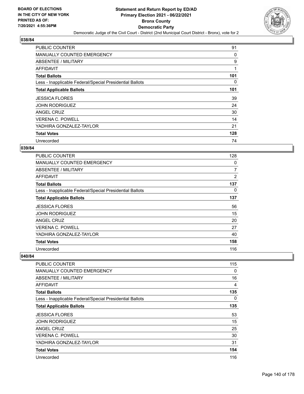

| <b>PUBLIC COUNTER</b>                                    | 91  |
|----------------------------------------------------------|-----|
| <b>MANUALLY COUNTED EMERGENCY</b>                        | 0   |
| ABSENTEE / MILITARY                                      | 9   |
| AFFIDAVIT                                                | 1   |
| <b>Total Ballots</b>                                     | 101 |
| Less - Inapplicable Federal/Special Presidential Ballots | 0   |
| <b>Total Applicable Ballots</b>                          | 101 |
| <b>JESSICA FLORES</b>                                    | 39  |
| <b>JOHN RODRIGUEZ</b>                                    | 24  |
| ANGEL CRUZ                                               | 30  |
| <b>VERENA C. POWELL</b>                                  | 14  |
| YADHIRA GONZALEZ-TAYLOR                                  | 21  |
| <b>Total Votes</b>                                       | 128 |
| Unrecorded                                               | 74  |

# **039/84**

| PUBLIC COUNTER                                           | 128            |
|----------------------------------------------------------|----------------|
| <b>MANUALLY COUNTED EMERGENCY</b>                        | 0              |
| <b>ABSENTEE / MILITARY</b>                               | $\overline{7}$ |
| AFFIDAVIT                                                | $\overline{2}$ |
| <b>Total Ballots</b>                                     | 137            |
| Less - Inapplicable Federal/Special Presidential Ballots | 0              |
| <b>Total Applicable Ballots</b>                          | 137            |
| <b>JESSICA FLORES</b>                                    | 56             |
| <b>JOHN RODRIGUEZ</b>                                    | 15             |
| ANGEL CRUZ                                               | 20             |
| <b>VERENA C. POWELL</b>                                  | 27             |
| YADHIRA GONZALEZ-TAYLOR                                  | 40             |
| <b>Total Votes</b>                                       | 158            |
| Unrecorded                                               | 116            |

| <b>PUBLIC COUNTER</b>                                    | 115 |
|----------------------------------------------------------|-----|
| <b>MANUALLY COUNTED EMERGENCY</b>                        | 0   |
| <b>ABSENTEE / MILITARY</b>                               | 16  |
| <b>AFFIDAVIT</b>                                         | 4   |
| <b>Total Ballots</b>                                     | 135 |
| Less - Inapplicable Federal/Special Presidential Ballots | 0   |
| <b>Total Applicable Ballots</b>                          | 135 |
| <b>JESSICA FLORES</b>                                    | 53  |
| <b>JOHN RODRIGUEZ</b>                                    | 15  |
| <b>ANGEL CRUZ</b>                                        | 25  |
| <b>VERENA C. POWELL</b>                                  | 30  |
| YADHIRA GONZALEZ-TAYLOR                                  | 31  |
| <b>Total Votes</b>                                       | 154 |
| Unrecorded                                               | 116 |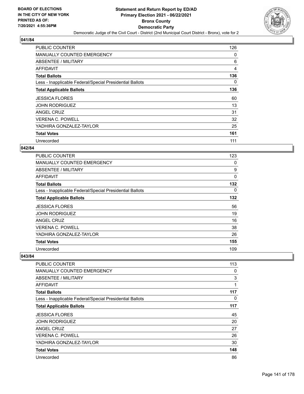

| <b>PUBLIC COUNTER</b>                                    | 126      |
|----------------------------------------------------------|----------|
| <b>MANUALLY COUNTED EMERGENCY</b>                        | 0        |
| ABSENTEE / MILITARY                                      | 6        |
| AFFIDAVIT                                                | 4        |
| <b>Total Ballots</b>                                     | 136      |
| Less - Inapplicable Federal/Special Presidential Ballots | $\Omega$ |
| <b>Total Applicable Ballots</b>                          | 136      |
| <b>JESSICA FLORES</b>                                    | 60       |
| <b>JOHN RODRIGUEZ</b>                                    | 13       |
| ANGEL CRUZ                                               | 31       |
| <b>VERENA C. POWELL</b>                                  | 32       |
| YADHIRA GONZALEZ-TAYLOR                                  | 25       |
| <b>Total Votes</b>                                       | 161      |
| Unrecorded                                               | 111      |

# **042/84**

| PUBLIC COUNTER                                           | 123 |
|----------------------------------------------------------|-----|
| <b>MANUALLY COUNTED EMERGENCY</b>                        | 0   |
| ABSENTEE / MILITARY                                      | 9   |
| <b>AFFIDAVIT</b>                                         | 0   |
| <b>Total Ballots</b>                                     | 132 |
| Less - Inapplicable Federal/Special Presidential Ballots | 0   |
| <b>Total Applicable Ballots</b>                          | 132 |
| <b>JESSICA FLORES</b>                                    | 56  |
| <b>JOHN RODRIGUEZ</b>                                    | 19  |
| <b>ANGEL CRUZ</b>                                        | 16  |
| <b>VERENA C. POWELL</b>                                  | 38  |
| YADHIRA GONZALEZ-TAYLOR                                  | 26  |
| <b>Total Votes</b>                                       | 155 |
| Unrecorded                                               | 109 |

| PUBLIC COUNTER                                           | 113      |
|----------------------------------------------------------|----------|
| MANUALLY COUNTED EMERGENCY                               | 0        |
| ABSENTEE / MILITARY                                      | 3        |
| <b>AFFIDAVIT</b>                                         | 1        |
| <b>Total Ballots</b>                                     | 117      |
| Less - Inapplicable Federal/Special Presidential Ballots | $\Omega$ |
| <b>Total Applicable Ballots</b>                          | 117      |
| <b>JESSICA FLORES</b>                                    | 45       |
| <b>JOHN RODRIGUEZ</b>                                    | 20       |
| <b>ANGEL CRUZ</b>                                        | 27       |
| <b>VERENA C. POWELL</b>                                  | 26       |
| YADHIRA GONZALEZ-TAYLOR                                  | 30       |
| <b>Total Votes</b>                                       | 148      |
| Unrecorded                                               | 86       |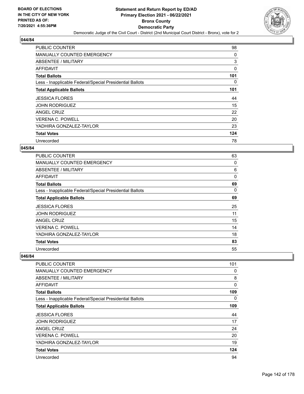

| <b>PUBLIC COUNTER</b>                                    | 98  |
|----------------------------------------------------------|-----|
| MANUALLY COUNTED EMERGENCY                               | 0   |
| ABSENTEE / MILITARY                                      | 3   |
| AFFIDAVIT                                                | 0   |
| <b>Total Ballots</b>                                     | 101 |
| Less - Inapplicable Federal/Special Presidential Ballots | 0   |
| <b>Total Applicable Ballots</b>                          | 101 |
| <b>JESSICA FLORES</b>                                    | 44  |
|                                                          |     |
| <b>JOHN RODRIGUEZ</b>                                    | 15  |
| ANGEL CRUZ                                               | 22  |
| <b>VERENA C. POWELL</b>                                  | 20  |
| YADHIRA GONZALEZ-TAYLOR                                  | 23  |
| <b>Total Votes</b>                                       | 124 |

#### **045/84**

| <b>PUBLIC COUNTER</b>                                    | 63 |
|----------------------------------------------------------|----|
| <b>MANUALLY COUNTED EMERGENCY</b>                        | 0  |
| ABSENTEE / MILITARY                                      | 6  |
| <b>AFFIDAVIT</b>                                         | 0  |
| <b>Total Ballots</b>                                     | 69 |
| Less - Inapplicable Federal/Special Presidential Ballots | 0  |
| <b>Total Applicable Ballots</b>                          | 69 |
| <b>JESSICA FLORES</b>                                    | 25 |
| <b>JOHN RODRIGUEZ</b>                                    | 11 |
| <b>ANGEL CRUZ</b>                                        | 15 |
| <b>VERENA C. POWELL</b>                                  | 14 |
| YADHIRA GONZALEZ-TAYLOR                                  | 18 |
| <b>Total Votes</b>                                       | 83 |
| Unrecorded                                               | 55 |

| <b>PUBLIC COUNTER</b>                                    | 101      |
|----------------------------------------------------------|----------|
| <b>MANUALLY COUNTED EMERGENCY</b>                        | 0        |
| <b>ABSENTEE / MILITARY</b>                               | 8        |
| <b>AFFIDAVIT</b>                                         | 0        |
| <b>Total Ballots</b>                                     | 109      |
| Less - Inapplicable Federal/Special Presidential Ballots | $\Omega$ |
| <b>Total Applicable Ballots</b>                          | 109      |
| <b>JESSICA FLORES</b>                                    | 44       |
| <b>JOHN RODRIGUEZ</b>                                    | 17       |
| ANGEL CRUZ                                               | 24       |
| <b>VERENA C. POWELL</b>                                  | 20       |
| YADHIRA GONZALEZ-TAYLOR                                  | 19       |
| <b>Total Votes</b>                                       | 124      |
| Unrecorded                                               | 94       |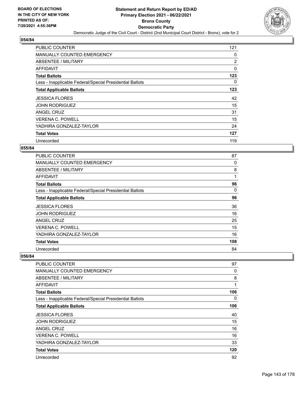

| <b>PUBLIC COUNTER</b>                                    | 121 |
|----------------------------------------------------------|-----|
| <b>MANUALLY COUNTED EMERGENCY</b>                        | 0   |
| ABSENTEE / MILITARY                                      | 2   |
| AFFIDAVIT                                                | 0   |
| <b>Total Ballots</b>                                     | 123 |
| Less - Inapplicable Federal/Special Presidential Ballots | 0   |
| <b>Total Applicable Ballots</b>                          | 123 |
| <b>JESSICA FLORES</b>                                    | 42  |
| <b>JOHN RODRIGUEZ</b>                                    | 15  |
| ANGEL CRUZ                                               | 31  |
| <b>VERENA C. POWELL</b>                                  | 15  |
| YADHIRA GONZALEZ-TAYLOR                                  | 24  |
|                                                          |     |
| <b>Total Votes</b>                                       | 127 |

#### **055/84**

| <b>PUBLIC COUNTER</b>                                    | 87  |
|----------------------------------------------------------|-----|
| <b>MANUALLY COUNTED EMERGENCY</b>                        | 0   |
| ABSENTEE / MILITARY                                      | 8   |
| AFFIDAVIT                                                | 1   |
| <b>Total Ballots</b>                                     | 96  |
| Less - Inapplicable Federal/Special Presidential Ballots | 0   |
| <b>Total Applicable Ballots</b>                          | 96  |
| <b>JESSICA FLORES</b>                                    | 36  |
| <b>JOHN RODRIGUEZ</b>                                    | 16  |
| <b>ANGEL CRUZ</b>                                        | 25  |
| VERENA C. POWELL                                         | 15  |
| YADHIRA GONZALEZ-TAYLOR                                  | 16  |
| <b>Total Votes</b>                                       | 108 |
| Unrecorded                                               | 84  |

| <b>PUBLIC COUNTER</b>                                    | 97  |
|----------------------------------------------------------|-----|
| <b>MANUALLY COUNTED EMERGENCY</b>                        | 0   |
| <b>ABSENTEE / MILITARY</b>                               | 8   |
| <b>AFFIDAVIT</b>                                         | 1   |
| <b>Total Ballots</b>                                     | 106 |
| Less - Inapplicable Federal/Special Presidential Ballots | 0   |
| <b>Total Applicable Ballots</b>                          | 106 |
| <b>JESSICA FLORES</b>                                    | 40  |
| <b>JOHN RODRIGUEZ</b>                                    | 15  |
| ANGEL CRUZ                                               | 16  |
| <b>VERENA C. POWELL</b>                                  | 16  |
| YADHIRA GONZALEZ-TAYLOR                                  | 33  |
| <b>Total Votes</b>                                       | 120 |
| Unrecorded                                               | 92  |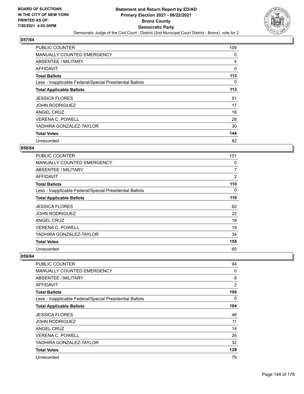

| <b>PUBLIC COUNTER</b>                                    | 109      |
|----------------------------------------------------------|----------|
| <b>MANUALLY COUNTED EMERGENCY</b>                        | 0        |
| ABSENTEE / MILITARY                                      | 4        |
| AFFIDAVIT                                                | $\Omega$ |
| <b>Total Ballots</b>                                     | 113      |
| Less - Inapplicable Federal/Special Presidential Ballots | 0        |
| <b>Total Applicable Ballots</b>                          | 113      |
| <b>JESSICA FLORES</b>                                    | 51       |
| <b>JOHN RODRIGUEZ</b>                                    | 17       |
| ANGEL CRUZ                                               | 18       |
| <b>VERENA C. POWELL</b>                                  | 28       |
| YADHIRA GONZALEZ-TAYLOR                                  | 30       |
| <b>Total Votes</b>                                       | 144      |
| Unrecorded                                               | 82       |

# **058/84**

| <b>PUBLIC COUNTER</b>                                    | 101            |
|----------------------------------------------------------|----------------|
| <b>MANUALLY COUNTED EMERGENCY</b>                        | 0              |
| ABSENTEE / MILITARY                                      | $\overline{7}$ |
| <b>AFFIDAVIT</b>                                         | $\overline{2}$ |
| <b>Total Ballots</b>                                     | 110            |
| Less - Inapplicable Federal/Special Presidential Ballots | 0              |
| <b>Total Applicable Ballots</b>                          | 110            |
| <b>JESSICA FLORES</b>                                    | 62             |
| <b>JOHN RODRIGUEZ</b>                                    | 22             |
| <b>ANGEL CRUZ</b>                                        | 18             |
| <b>VERENA C. POWELL</b>                                  | 19             |
| YADHIRA GONZALEZ-TAYLOR                                  | 34             |
| <b>Total Votes</b>                                       | 155            |
| Unrecorded                                               | 65             |

| <b>PUBLIC COUNTER</b>                                    | 94       |
|----------------------------------------------------------|----------|
| <b>MANUALLY COUNTED EMERGENCY</b>                        | 0        |
| <b>ABSENTEE / MILITARY</b>                               | 8        |
| <b>AFFIDAVIT</b>                                         | 2        |
| <b>Total Ballots</b>                                     | 104      |
| Less - Inapplicable Federal/Special Presidential Ballots | $\Omega$ |
| <b>Total Applicable Ballots</b>                          | 104      |
| <b>JESSICA FLORES</b>                                    | 46       |
| <b>JOHN RODRIGUEZ</b>                                    | 11       |
| <b>ANGEL CRUZ</b>                                        | 14       |
| <b>VERENA C. POWELL</b>                                  | 26       |
| YADHIRA GONZALEZ-TAYLOR                                  | 32       |
| <b>Total Votes</b>                                       | 129      |
| Unrecorded                                               | 79       |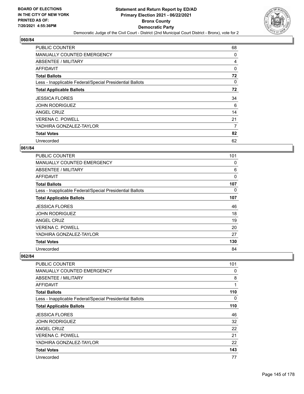

| <b>PUBLIC COUNTER</b>                                    | 68       |
|----------------------------------------------------------|----------|
| <b>MANUALLY COUNTED EMERGENCY</b>                        | 0        |
| ABSENTEE / MILITARY                                      | 4        |
| AFFIDAVIT                                                | $\Omega$ |
| <b>Total Ballots</b>                                     | 72       |
| Less - Inapplicable Federal/Special Presidential Ballots | 0        |
| <b>Total Applicable Ballots</b>                          | 72       |
| <b>JESSICA FLORES</b>                                    | 34       |
| <b>JOHN RODRIGUEZ</b>                                    | 6        |
| ANGEL CRUZ                                               | 14       |
| <b>VERENA C. POWELL</b>                                  | 21       |
| YADHIRA GONZALEZ-TAYLOR                                  | 7        |
| <b>Total Votes</b>                                       | 82       |
|                                                          |          |

## **061/84**

| PUBLIC COUNTER                                           | 101 |
|----------------------------------------------------------|-----|
| <b>MANUALLY COUNTED EMERGENCY</b>                        | 0   |
| ABSENTEE / MILITARY                                      | 6   |
| <b>AFFIDAVIT</b>                                         | 0   |
| <b>Total Ballots</b>                                     | 107 |
| Less - Inapplicable Federal/Special Presidential Ballots | 0   |
| <b>Total Applicable Ballots</b>                          | 107 |
| <b>JESSICA FLORES</b>                                    | 46  |
| <b>JOHN RODRIGUEZ</b>                                    | 18  |
| <b>ANGEL CRUZ</b>                                        | 19  |
| <b>VERENA C. POWELL</b>                                  | 20  |
| YADHIRA GONZALEZ-TAYLOR                                  | 27  |
| <b>Total Votes</b>                                       | 130 |
| Unrecorded                                               | 84  |

| PUBLIC COUNTER                                           | 101 |
|----------------------------------------------------------|-----|
| <b>MANUALLY COUNTED EMERGENCY</b>                        | 0   |
| <b>ABSENTEE / MILITARY</b>                               | 8   |
| <b>AFFIDAVIT</b>                                         | 1   |
| <b>Total Ballots</b>                                     | 110 |
| Less - Inapplicable Federal/Special Presidential Ballots | 0   |
| <b>Total Applicable Ballots</b>                          | 110 |
| <b>JESSICA FLORES</b>                                    | 46  |
| <b>JOHN RODRIGUEZ</b>                                    | 32  |
| ANGEL CRUZ                                               | 22  |
| <b>VERENA C. POWELL</b>                                  | 21  |
| YADHIRA GONZALEZ-TAYLOR                                  | 22  |
| <b>Total Votes</b>                                       | 143 |
| Unrecorded                                               | 77  |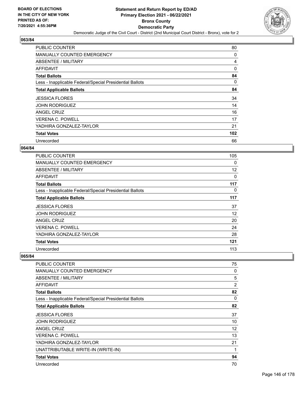

| <b>PUBLIC COUNTER</b>                                    | 80       |
|----------------------------------------------------------|----------|
| <b>MANUALLY COUNTED EMERGENCY</b>                        | 0        |
| <b>ABSENTEE / MILITARY</b>                               | 4        |
| AFFIDAVIT                                                | $\Omega$ |
| <b>Total Ballots</b>                                     | 84       |
| Less - Inapplicable Federal/Special Presidential Ballots | 0        |
| <b>Total Applicable Ballots</b>                          | 84       |
| <b>JESSICA FLORES</b>                                    | 34       |
| <b>JOHN RODRIGUEZ</b>                                    | 14       |
| ANGEL CRUZ                                               | 16       |
| <b>VERENA C. POWELL</b>                                  | 17       |
| YADHIRA GONZALEZ-TAYLOR                                  | 21       |
| <b>Total Votes</b>                                       | 102      |
| Unrecorded                                               | 66       |

### **064/84**

| <b>PUBLIC COUNTER</b>                                    | 105      |
|----------------------------------------------------------|----------|
| <b>MANUALLY COUNTED EMERGENCY</b>                        | $\Omega$ |
| ABSENTEE / MILITARY                                      | 12       |
| <b>AFFIDAVIT</b>                                         | 0        |
| <b>Total Ballots</b>                                     | 117      |
| Less - Inapplicable Federal/Special Presidential Ballots | 0        |
| <b>Total Applicable Ballots</b>                          | 117      |
| <b>JESSICA FLORES</b>                                    | 37       |
| <b>JOHN RODRIGUEZ</b>                                    | 12       |
| ANGEL CRUZ                                               | 20       |
| <b>VERENA C. POWELL</b>                                  | 24       |
| YADHIRA GONZALEZ-TAYLOR                                  | 28       |
| <b>Total Votes</b>                                       | 121      |
| Unrecorded                                               | 113      |

| PUBLIC COUNTER                                           | 75 |
|----------------------------------------------------------|----|
| <b>MANUALLY COUNTED EMERGENCY</b>                        | 0  |
| ABSENTEE / MILITARY                                      | 5  |
| AFFIDAVIT                                                | 2  |
| <b>Total Ballots</b>                                     | 82 |
| Less - Inapplicable Federal/Special Presidential Ballots | 0  |
| <b>Total Applicable Ballots</b>                          | 82 |
| <b>JESSICA FLORES</b>                                    | 37 |
| <b>JOHN RODRIGUEZ</b>                                    | 10 |
| ANGEL CRUZ                                               | 12 |
| <b>VERENA C. POWELL</b>                                  | 13 |
| YADHIRA GONZALEZ-TAYLOR                                  | 21 |
| UNATTRIBUTABLE WRITE-IN (WRITE-IN)                       | 1  |
| <b>Total Votes</b>                                       | 94 |
| Unrecorded                                               | 70 |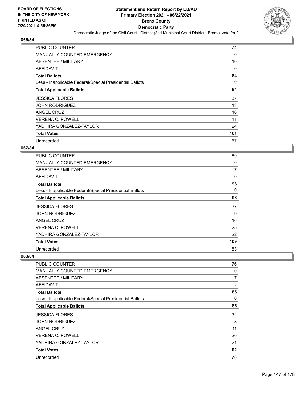

| <b>PUBLIC COUNTER</b>                                    | 74  |
|----------------------------------------------------------|-----|
| <b>MANUALLY COUNTED EMERGENCY</b>                        | 0   |
| ABSENTEE / MILITARY                                      | 10  |
| AFFIDAVIT                                                | 0   |
| <b>Total Ballots</b>                                     | 84  |
| Less - Inapplicable Federal/Special Presidential Ballots | 0   |
| <b>Total Applicable Ballots</b>                          | 84  |
| <b>JESSICA FLORES</b>                                    | 37  |
| <b>JOHN RODRIGUEZ</b>                                    | 13  |
| ANGEL CRUZ                                               | 16  |
| <b>VERENA C. POWELL</b>                                  | 11  |
| YADHIRA GONZALEZ-TAYLOR                                  | 24  |
| <b>Total Votes</b>                                       | 101 |
| Unrecorded                                               | 67  |

## **067/84**

| <b>PUBLIC COUNTER</b>                                    | 89  |
|----------------------------------------------------------|-----|
| <b>MANUALLY COUNTED EMERGENCY</b>                        | 0   |
| ABSENTEE / MILITARY                                      | 7   |
| <b>AFFIDAVIT</b>                                         | 0   |
| <b>Total Ballots</b>                                     | 96  |
| Less - Inapplicable Federal/Special Presidential Ballots | 0   |
| <b>Total Applicable Ballots</b>                          | 96  |
| <b>JESSICA FLORES</b>                                    | 37  |
| <b>JOHN RODRIGUEZ</b>                                    | 9   |
| ANGEL CRUZ                                               | 16  |
| <b>VERENA C. POWELL</b>                                  | 25  |
| YADHIRA GONZALEZ-TAYLOR                                  | 22  |
| <b>Total Votes</b>                                       | 109 |
| Unrecorded                                               | 83  |

| <b>PUBLIC COUNTER</b>                                    | 76       |
|----------------------------------------------------------|----------|
| <b>MANUALLY COUNTED EMERGENCY</b>                        | 0        |
| <b>ABSENTEE / MILITARY</b>                               | 7        |
| <b>AFFIDAVIT</b>                                         | 2        |
| <b>Total Ballots</b>                                     | 85       |
| Less - Inapplicable Federal/Special Presidential Ballots | $\Omega$ |
| <b>Total Applicable Ballots</b>                          | 85       |
| <b>JESSICA FLORES</b>                                    | 32       |
| <b>JOHN RODRIGUEZ</b>                                    | 8        |
| ANGEL CRUZ                                               | 11       |
| <b>VERENA C. POWELL</b>                                  | 20       |
| YADHIRA GONZALEZ-TAYLOR                                  | 21       |
| <b>Total Votes</b>                                       | 92       |
| Unrecorded                                               | 78       |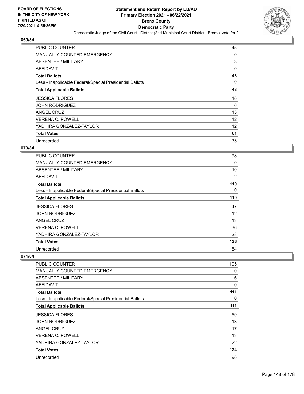

| <b>PUBLIC COUNTER</b>                                    | 45 |
|----------------------------------------------------------|----|
| <b>MANUALLY COUNTED EMERGENCY</b>                        | 0  |
| ABSENTEE / MILITARY                                      | 3  |
| AFFIDAVIT                                                | 0  |
| <b>Total Ballots</b>                                     | 48 |
| Less - Inapplicable Federal/Special Presidential Ballots | 0  |
| <b>Total Applicable Ballots</b>                          | 48 |
| <b>JESSICA FLORES</b>                                    | 18 |
| <b>JOHN RODRIGUEZ</b>                                    | 6  |
| ANGEL CRUZ                                               | 13 |
| <b>VERENA C. POWELL</b>                                  | 12 |
| YADHIRA GONZALEZ-TAYLOR                                  | 12 |
| <b>Total Votes</b>                                       | 61 |
| Unrecorded                                               | 35 |

## **070/84**

| <b>PUBLIC COUNTER</b>                                    | 98  |
|----------------------------------------------------------|-----|
| <b>MANUALLY COUNTED EMERGENCY</b>                        | 0   |
| ABSENTEE / MILITARY                                      | 10  |
| <b>AFFIDAVIT</b>                                         | 2   |
| <b>Total Ballots</b>                                     | 110 |
| Less - Inapplicable Federal/Special Presidential Ballots | 0   |
| <b>Total Applicable Ballots</b>                          | 110 |
| <b>JESSICA FLORES</b>                                    | 47  |
| <b>JOHN RODRIGUEZ</b>                                    | 12  |
| ANGEL CRUZ                                               | 13  |
| <b>VERENA C. POWELL</b>                                  | 36  |
| YADHIRA GONZALEZ-TAYLOR                                  | 28  |
| <b>Total Votes</b>                                       | 136 |
| Unrecorded                                               | 84  |

| PUBLIC COUNTER                                           | 105      |
|----------------------------------------------------------|----------|
| <b>MANUALLY COUNTED EMERGENCY</b>                        | 0        |
| <b>ABSENTEE / MILITARY</b>                               | 6        |
| <b>AFFIDAVIT</b>                                         | $\Omega$ |
| <b>Total Ballots</b>                                     | 111      |
| Less - Inapplicable Federal/Special Presidential Ballots | 0        |
| <b>Total Applicable Ballots</b>                          | 111      |
| <b>JESSICA FLORES</b>                                    | 59       |
| <b>JOHN RODRIGUEZ</b>                                    | 13       |
| ANGEL CRUZ                                               | 17       |
| <b>VERENA C. POWELL</b>                                  | 13       |
| YADHIRA GONZALEZ-TAYLOR                                  | 22       |
| <b>Total Votes</b>                                       | 124      |
| Unrecorded                                               | 98       |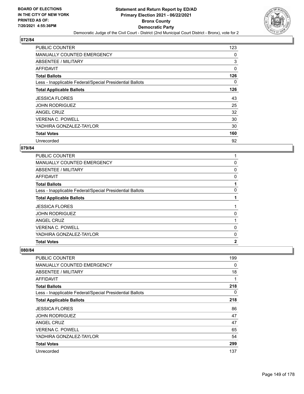

| <b>PUBLIC COUNTER</b>                                    | 123      |
|----------------------------------------------------------|----------|
| <b>MANUALLY COUNTED EMERGENCY</b>                        | 0        |
| ABSENTEE / MILITARY                                      | 3        |
| AFFIDAVIT                                                | 0        |
| <b>Total Ballots</b>                                     | 126      |
| Less - Inapplicable Federal/Special Presidential Ballots | $\Omega$ |
| <b>Total Applicable Ballots</b>                          | 126      |
| <b>JESSICA FLORES</b>                                    | 43       |
| <b>JOHN RODRIGUEZ</b>                                    | 25       |
| ANGEL CRUZ                                               | 32       |
| <b>VERENA C. POWELL</b>                                  | 30       |
| YADHIRA GONZALEZ-TAYLOR                                  | 30       |
| <b>Total Votes</b>                                       | 160      |
| Unrecorded                                               | 92       |

## **079/84**

| <b>PUBLIC COUNTER</b>                                    |              |
|----------------------------------------------------------|--------------|
| <b>MANUALLY COUNTED EMERGENCY</b>                        | 0            |
| ABSENTEE / MILITARY                                      | 0            |
| AFFIDAVIT                                                | 0            |
| <b>Total Ballots</b>                                     |              |
| Less - Inapplicable Federal/Special Presidential Ballots | $\Omega$     |
| <b>Total Applicable Ballots</b>                          |              |
| <b>JESSICA FLORES</b>                                    | 1            |
| <b>JOHN RODRIGUEZ</b>                                    | 0            |
| <b>ANGEL CRUZ</b>                                        |              |
| <b>VERENA C. POWELL</b>                                  | 0            |
| YADHIRA GONZALEZ-TAYLOR                                  | $\mathbf{0}$ |
| <b>Total Votes</b>                                       | $\mathbf{2}$ |

| PUBLIC COUNTER                                           | 199 |
|----------------------------------------------------------|-----|
| <b>MANUALLY COUNTED EMERGENCY</b>                        | 0   |
| ABSENTEE / MILITARY                                      | 18  |
| AFFIDAVIT                                                | 1   |
| <b>Total Ballots</b>                                     | 218 |
| Less - Inapplicable Federal/Special Presidential Ballots | 0   |
| <b>Total Applicable Ballots</b>                          | 218 |
| <b>JESSICA FLORES</b>                                    | 86  |
| <b>JOHN RODRIGUEZ</b>                                    | 47  |
| ANGEL CRUZ                                               | 47  |
| <b>VERENA C. POWELL</b>                                  | 65  |
| YADHIRA GONZALEZ-TAYLOR                                  | 54  |
| <b>Total Votes</b>                                       | 299 |
| Unrecorded                                               | 137 |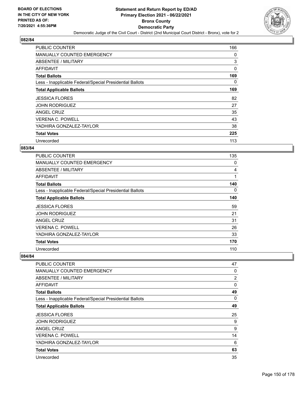

| <b>PUBLIC COUNTER</b>                                    | 166 |
|----------------------------------------------------------|-----|
| MANUALLY COUNTED EMERGENCY                               | 0   |
| ABSENTEE / MILITARY                                      | 3   |
| AFFIDAVIT                                                | 0   |
| <b>Total Ballots</b>                                     | 169 |
| Less - Inapplicable Federal/Special Presidential Ballots | 0   |
| <b>Total Applicable Ballots</b>                          | 169 |
| <b>JESSICA FLORES</b>                                    | 82  |
| <b>JOHN RODRIGUEZ</b>                                    | 27  |
| ANGEL CRUZ                                               | 35  |
| <b>VERENA C. POWELL</b>                                  | 43  |
| YADHIRA GONZALEZ-TAYLOR                                  | 38  |
| <b>Total Votes</b>                                       | 225 |
| Unrecorded                                               | 113 |

## **083/84**

| PUBLIC COUNTER                                           | 135 |
|----------------------------------------------------------|-----|
| <b>MANUALLY COUNTED EMERGENCY</b>                        | 0   |
| <b>ABSENTEE / MILITARY</b>                               | 4   |
| AFFIDAVIT                                                | 1   |
| <b>Total Ballots</b>                                     | 140 |
| Less - Inapplicable Federal/Special Presidential Ballots | 0   |
| <b>Total Applicable Ballots</b>                          | 140 |
| <b>JESSICA FLORES</b>                                    | 59  |
| <b>JOHN RODRIGUEZ</b>                                    | 21  |
| <b>ANGEL CRUZ</b>                                        | 31  |
| <b>VERENA C. POWELL</b>                                  | 26  |
| YADHIRA GONZALEZ-TAYLOR                                  | 33  |
| <b>Total Votes</b>                                       | 170 |
| Unrecorded                                               | 110 |

| <b>PUBLIC COUNTER</b>                                    | 47             |
|----------------------------------------------------------|----------------|
| <b>MANUALLY COUNTED EMERGENCY</b>                        | 0              |
| <b>ABSENTEE / MILITARY</b>                               | $\overline{2}$ |
| <b>AFFIDAVIT</b>                                         | $\mathbf{0}$   |
| <b>Total Ballots</b>                                     | 49             |
| Less - Inapplicable Federal/Special Presidential Ballots | $\Omega$       |
| <b>Total Applicable Ballots</b>                          | 49             |
| <b>JESSICA FLORES</b>                                    | 25             |
| <b>JOHN RODRIGUEZ</b>                                    | 9              |
| ANGEL CRUZ                                               | 9              |
| <b>VERENA C. POWELL</b>                                  | 14             |
| YADHIRA GONZALEZ-TAYLOR                                  | 6              |
| <b>Total Votes</b>                                       | 63             |
| Unrecorded                                               | 35             |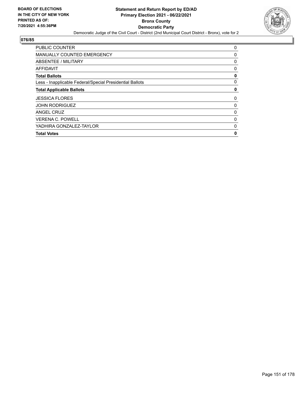

| <b>PUBLIC COUNTER</b>                                    | 0            |
|----------------------------------------------------------|--------------|
| <b>MANUALLY COUNTED EMERGENCY</b>                        | 0            |
| ABSENTEE / MILITARY                                      | 0            |
| <b>AFFIDAVIT</b>                                         | 0            |
| <b>Total Ballots</b>                                     | 0            |
| Less - Inapplicable Federal/Special Presidential Ballots | 0            |
| <b>Total Applicable Ballots</b>                          | 0            |
| <b>JESSICA FLORES</b>                                    | 0            |
| <b>JOHN RODRIGUEZ</b>                                    | 0            |
| ANGEL CRUZ                                               | 0            |
| <b>VERENA C. POWELL</b>                                  | 0            |
| YADHIRA GONZALEZ-TAYLOR                                  | $\mathbf{0}$ |
| <b>Total Votes</b>                                       | 0            |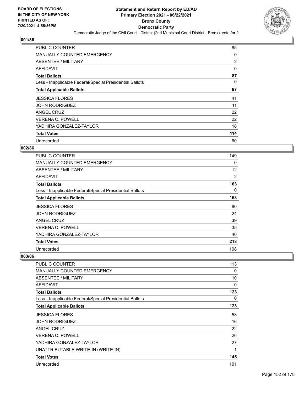

| <b>PUBLIC COUNTER</b>                                    | 85  |
|----------------------------------------------------------|-----|
| MANUALLY COUNTED EMERGENCY                               | 0   |
| ABSENTEE / MILITARY                                      | 2   |
| AFFIDAVIT                                                | 0   |
| <b>Total Ballots</b>                                     | 87  |
| Less - Inapplicable Federal/Special Presidential Ballots | 0   |
| <b>Total Applicable Ballots</b>                          | 87  |
| <b>JESSICA FLORES</b>                                    | 41  |
| <b>JOHN RODRIGUEZ</b>                                    | 11  |
| ANGEL CRUZ                                               | 22  |
| <b>VERENA C. POWELL</b>                                  | 22  |
| YADHIRA GONZALEZ-TAYLOR                                  | 18  |
| <b>Total Votes</b>                                       | 114 |
| Unrecorded                                               | 60  |

## **002/86**

| PUBLIC COUNTER                                           | 149 |
|----------------------------------------------------------|-----|
| <b>MANUALLY COUNTED EMERGENCY</b>                        | 0   |
| <b>ABSENTEE / MILITARY</b>                               | 12  |
| AFFIDAVIT                                                | 2   |
| <b>Total Ballots</b>                                     | 163 |
| Less - Inapplicable Federal/Special Presidential Ballots | 0   |
| <b>Total Applicable Ballots</b>                          | 163 |
| <b>JESSICA FLORES</b>                                    | 80  |
| <b>JOHN RODRIGUEZ</b>                                    | 24  |
| ANGEL CRUZ                                               | 39  |
| <b>VERENA C. POWELL</b>                                  | 35  |
| YADHIRA GONZALEZ-TAYLOR                                  | 40  |
| <b>Total Votes</b>                                       | 218 |
| Unrecorded                                               | 108 |

| PUBLIC COUNTER                                           | 113 |
|----------------------------------------------------------|-----|
| <b>MANUALLY COUNTED EMERGENCY</b>                        | 0   |
| ABSENTEE / MILITARY                                      | 10  |
| AFFIDAVIT                                                | 0   |
| <b>Total Ballots</b>                                     | 123 |
| Less - Inapplicable Federal/Special Presidential Ballots | 0   |
| <b>Total Applicable Ballots</b>                          | 123 |
| <b>JESSICA FLORES</b>                                    | 53  |
| <b>JOHN RODRIGUEZ</b>                                    | 16  |
| ANGEL CRUZ                                               | 22  |
| <b>VERENA C. POWELL</b>                                  | 26  |
| YADHIRA GONZALEZ-TAYLOR                                  | 27  |
| UNATTRIBUTABLE WRITE-IN (WRITE-IN)                       | 1   |
| <b>Total Votes</b>                                       | 145 |
| Unrecorded                                               | 101 |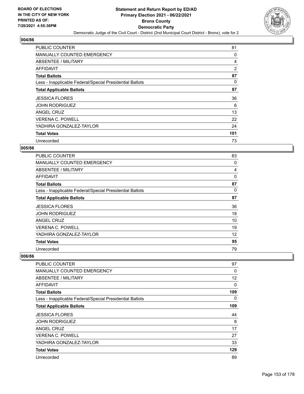

| <b>PUBLIC COUNTER</b>                                    | 81  |
|----------------------------------------------------------|-----|
| MANUALLY COUNTED EMERGENCY                               | 0   |
| ABSENTEE / MILITARY                                      | 4   |
| AFFIDAVIT                                                | 2   |
| <b>Total Ballots</b>                                     | 87  |
| Less - Inapplicable Federal/Special Presidential Ballots | 0   |
| <b>Total Applicable Ballots</b>                          | 87  |
| <b>JESSICA FLORES</b>                                    | 36  |
| <b>JOHN RODRIGUEZ</b>                                    | 6   |
| ANGEL CRUZ                                               | 13  |
| <b>VERENA C. POWELL</b>                                  | 22  |
| YADHIRA GONZALEZ-TAYLOR                                  | 24  |
| <b>Total Votes</b>                                       | 101 |
| Unrecorded                                               | 73  |

## **005/86**

| <b>PUBLIC COUNTER</b>                                    | 83 |
|----------------------------------------------------------|----|
| <b>MANUALLY COUNTED EMERGENCY</b>                        | 0  |
| ABSENTEE / MILITARY                                      | 4  |
| <b>AFFIDAVIT</b>                                         | 0  |
| <b>Total Ballots</b>                                     | 87 |
| Less - Inapplicable Federal/Special Presidential Ballots | 0  |
| <b>Total Applicable Ballots</b>                          | 87 |
| <b>JESSICA FLORES</b>                                    | 36 |
| <b>JOHN RODRIGUEZ</b>                                    | 18 |
| ANGEL CRUZ                                               | 10 |
| <b>VERENA C. POWELL</b>                                  | 19 |
| YADHIRA GONZALEZ-TAYLOR                                  | 12 |
| <b>Total Votes</b>                                       | 95 |
| Unrecorded                                               | 79 |

| <b>PUBLIC COUNTER</b>                                    | 97  |
|----------------------------------------------------------|-----|
| <b>MANUALLY COUNTED EMERGENCY</b>                        | 0   |
| ABSENTEE / MILITARY                                      | 12  |
| <b>AFFIDAVIT</b>                                         | 0   |
| <b>Total Ballots</b>                                     | 109 |
| Less - Inapplicable Federal/Special Presidential Ballots | 0   |
| <b>Total Applicable Ballots</b>                          | 109 |
| <b>JESSICA FLORES</b>                                    | 44  |
| <b>JOHN RODRIGUEZ</b>                                    | 8   |
| ANGEL CRUZ                                               | 17  |
| VERENA C. POWELL                                         | 27  |
| YADHIRA GONZALEZ-TAYLOR                                  | 33  |
| <b>Total Votes</b>                                       | 129 |
| Unrecorded                                               | 89  |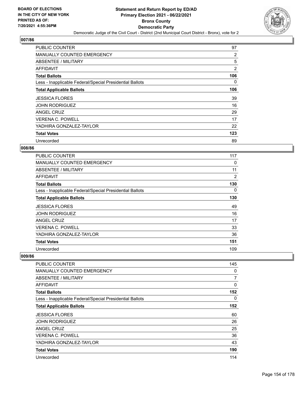

| <b>PUBLIC COUNTER</b>                                    | 97             |
|----------------------------------------------------------|----------------|
| <b>MANUALLY COUNTED EMERGENCY</b>                        | 2              |
| ABSENTEE / MILITARY                                      | 5              |
| AFFIDAVIT                                                | $\overline{2}$ |
| <b>Total Ballots</b>                                     | 106            |
| Less - Inapplicable Federal/Special Presidential Ballots | 0              |
| <b>Total Applicable Ballots</b>                          | 106            |
| <b>JESSICA FLORES</b>                                    | 39             |
| <b>JOHN RODRIGUEZ</b>                                    | 16             |
| ANGEL CRUZ                                               | 29             |
| <b>VERENA C. POWELL</b>                                  | 17             |
| YADHIRA GONZALEZ-TAYLOR                                  | 22             |
| <b>Total Votes</b>                                       | 123            |
| Unrecorded                                               | 89             |

## **008/86**

| PUBLIC COUNTER                                           | 117 |
|----------------------------------------------------------|-----|
| <b>MANUALLY COUNTED EMERGENCY</b>                        | 0   |
| <b>ABSENTEE / MILITARY</b>                               | 11  |
| AFFIDAVIT                                                | 2   |
| <b>Total Ballots</b>                                     | 130 |
| Less - Inapplicable Federal/Special Presidential Ballots | 0   |
| <b>Total Applicable Ballots</b>                          | 130 |
| <b>JESSICA FLORES</b>                                    | 49  |
| <b>JOHN RODRIGUEZ</b>                                    | 16  |
| ANGEL CRUZ                                               | 17  |
| <b>VERENA C. POWELL</b>                                  | 33  |
| YADHIRA GONZALEZ-TAYLOR                                  | 36  |
| <b>Total Votes</b>                                       | 151 |
| Unrecorded                                               | 109 |

| <b>PUBLIC COUNTER</b>                                    | 145            |
|----------------------------------------------------------|----------------|
| <b>MANUALLY COUNTED EMERGENCY</b>                        | 0              |
| <b>ABSENTEE / MILITARY</b>                               | $\overline{7}$ |
| <b>AFFIDAVIT</b>                                         | $\Omega$       |
| <b>Total Ballots</b>                                     | 152            |
| Less - Inapplicable Federal/Special Presidential Ballots | 0              |
| <b>Total Applicable Ballots</b>                          | 152            |
| <b>JESSICA FLORES</b>                                    | 60             |
| <b>JOHN RODRIGUEZ</b>                                    | 26             |
| <b>ANGEL CRUZ</b>                                        | 25             |
| <b>VERENA C. POWELL</b>                                  | 36             |
| YADHIRA GONZALEZ-TAYLOR                                  | 43             |
| <b>Total Votes</b>                                       | 190            |
| Unrecorded                                               | 114            |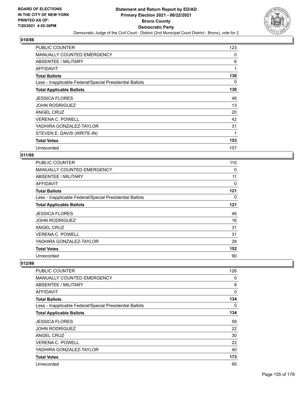

| <b>PUBLIC COUNTER</b>                                    | 123      |
|----------------------------------------------------------|----------|
| <b>MANUALLY COUNTED EMERGENCY</b>                        | 0        |
| <b>ABSENTEE / MILITARY</b>                               | 6        |
| AFFIDAVIT                                                | 1        |
| <b>Total Ballots</b>                                     | 130      |
| Less - Inapplicable Federal/Special Presidential Ballots | $\Omega$ |
| <b>Total Applicable Ballots</b>                          | 130      |
| <b>JESSICA FLORES</b>                                    | 46       |
| <b>JOHN RODRIGUEZ</b>                                    | 13       |
| ANGEL CRUZ                                               | 20       |
| <b>VERENA C. POWELL</b>                                  | 42       |
| YADHIRA GONZALEZ-TAYLOR                                  | 31       |
| STEVEN E. DAVIS (WRITE-IN)                               | 1        |
| <b>Total Votes</b>                                       | 153      |
| Unrecorded                                               | 107      |

## **011/86**

| <b>PUBLIC COUNTER</b>                                    | 110 |
|----------------------------------------------------------|-----|
| MANUALLY COUNTED EMERGENCY                               | 0   |
| ABSENTEE / MILITARY                                      | 11  |
| AFFIDAVIT                                                | 0   |
| <b>Total Ballots</b>                                     | 121 |
| Less - Inapplicable Federal/Special Presidential Ballots | 0   |
| <b>Total Applicable Ballots</b>                          | 121 |
| <b>JESSICA FLORES</b>                                    | 46  |
| <b>JOHN RODRIGUEZ</b>                                    | 16  |
| ANGEL CRUZ                                               | 31  |
| <b>VERENA C. POWELL</b>                                  | 31  |
| YADHIRA GONZALEZ-TAYLOR                                  | 28  |
| <b>Total Votes</b>                                       | 152 |
| Unrecorded                                               | 90  |

| PUBLIC COUNTER                                           | 126          |
|----------------------------------------------------------|--------------|
| <b>MANUALLY COUNTED EMERGENCY</b>                        | 0            |
| ABSENTEE / MILITARY                                      | 8            |
| AFFIDAVIT                                                | $\mathbf{0}$ |
| <b>Total Ballots</b>                                     | 134          |
| Less - Inapplicable Federal/Special Presidential Ballots | 0            |
| <b>Total Applicable Ballots</b>                          | 134          |
| <b>JESSICA FLORES</b>                                    | 59           |
| <b>JOHN RODRIGUEZ</b>                                    | 22           |
| <b>ANGEL CRUZ</b>                                        | 30           |
| <b>VERENA C. POWELL</b>                                  | 22           |
| YADHIRA GONZALEZ-TAYLOR                                  | 40           |
| <b>Total Votes</b>                                       | 173          |
| Unrecorded                                               | 95           |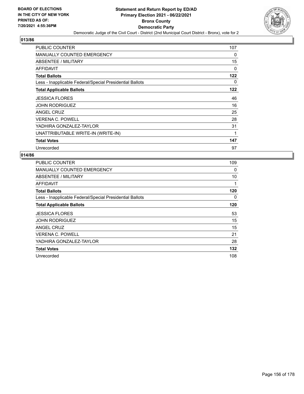

| <b>PUBLIC COUNTER</b>                                    | 107      |
|----------------------------------------------------------|----------|
| MANUALLY COUNTED EMERGENCY                               | 0        |
| <b>ABSENTEE / MILITARY</b>                               | 15       |
| AFFIDAVIT                                                | 0        |
| <b>Total Ballots</b>                                     | 122      |
| Less - Inapplicable Federal/Special Presidential Ballots | $\Omega$ |
| <b>Total Applicable Ballots</b>                          | 122      |
| <b>JESSICA FLORES</b>                                    | 46       |
| <b>JOHN RODRIGUEZ</b>                                    | 16       |
| ANGEL CRUZ                                               | 25       |
| <b>VERENA C. POWELL</b>                                  | 28       |
| YADHIRA GONZALEZ-TAYLOR                                  | 31       |
| UNATTRIBUTABLE WRITE-IN (WRITE-IN)                       |          |
| <b>Total Votes</b>                                       | 147      |
| Unrecorded                                               | 97       |

| <b>PUBLIC COUNTER</b>                                    | 109 |
|----------------------------------------------------------|-----|
| MANUALLY COUNTED EMERGENCY                               | 0   |
| ABSENTEE / MILITARY                                      | 10  |
| AFFIDAVIT                                                |     |
| <b>Total Ballots</b>                                     | 120 |
| Less - Inapplicable Federal/Special Presidential Ballots | 0   |
| <b>Total Applicable Ballots</b>                          | 120 |
| <b>JESSICA FLORES</b>                                    | 53  |
| <b>JOHN RODRIGUEZ</b>                                    | 15  |
| ANGEL CRUZ                                               | 15  |
| <b>VERENA C. POWELL</b>                                  | 21  |
|                                                          |     |
| YADHIRA GONZALEZ-TAYLOR                                  | 28  |
| <b>Total Votes</b>                                       | 132 |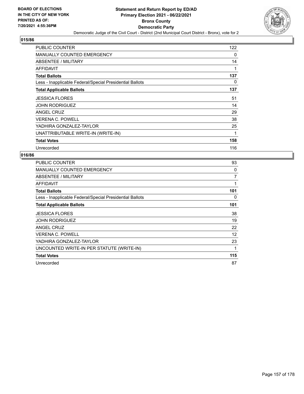

| <b>PUBLIC COUNTER</b>                                    | 122 |
|----------------------------------------------------------|-----|
| MANUALLY COUNTED EMERGENCY                               | 0   |
| ABSENTEE / MILITARY                                      | 14  |
| AFFIDAVIT                                                | 1   |
| <b>Total Ballots</b>                                     | 137 |
| Less - Inapplicable Federal/Special Presidential Ballots | 0   |
| <b>Total Applicable Ballots</b>                          | 137 |
| <b>JESSICA FLORES</b>                                    | 51  |
| <b>JOHN RODRIGUEZ</b>                                    | 14  |
| ANGEL CRUZ                                               | 29  |
| <b>VERENA C. POWELL</b>                                  | 38  |
| YADHIRA GONZALEZ-TAYLOR                                  | 25  |
| UNATTRIBUTABLE WRITE-IN (WRITE-IN)                       | 1   |
| <b>Total Votes</b>                                       | 158 |
| Unrecorded                                               | 116 |

| <b>PUBLIC COUNTER</b>                                    | 93  |
|----------------------------------------------------------|-----|
| <b>MANUALLY COUNTED EMERGENCY</b>                        | 0   |
| ABSENTEE / MILITARY                                      | 7   |
| AFFIDAVIT                                                | 1   |
| <b>Total Ballots</b>                                     | 101 |
| Less - Inapplicable Federal/Special Presidential Ballots | 0   |
| <b>Total Applicable Ballots</b>                          | 101 |
| <b>JESSICA FLORES</b>                                    | 38  |
| <b>JOHN RODRIGUEZ</b>                                    | 19  |
| ANGEL CRUZ                                               | 22  |
| <b>VERENA C. POWELL</b>                                  | 12  |
| YADHIRA GONZALEZ-TAYLOR                                  | 23  |
| UNCOUNTED WRITE-IN PER STATUTE (WRITE-IN)                | 1   |
| <b>Total Votes</b>                                       | 115 |
| Unrecorded                                               | 87  |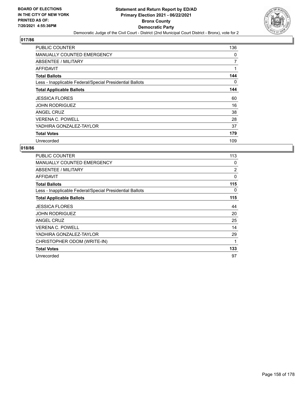

| <b>PUBLIC COUNTER</b>                                    | 136            |
|----------------------------------------------------------|----------------|
| <b>MANUALLY COUNTED EMERGENCY</b>                        | 0              |
| ABSENTEE / MILITARY                                      | $\overline{7}$ |
| AFFIDAVIT                                                | 1              |
| <b>Total Ballots</b>                                     | 144            |
| Less - Inapplicable Federal/Special Presidential Ballots | 0              |
| <b>Total Applicable Ballots</b>                          | 144            |
| <b>JESSICA FLORES</b>                                    | 60             |
| <b>JOHN RODRIGUEZ</b>                                    | 16             |
| ANGEL CRUZ                                               | 38             |
| <b>VERENA C. POWELL</b>                                  | 28             |
| YADHIRA GONZALEZ-TAYLOR                                  | 37             |
| <b>Total Votes</b>                                       | 179            |
| Unrecorded                                               | 109            |

| PUBLIC COUNTER                                           | 113 |
|----------------------------------------------------------|-----|
| <b>MANUALLY COUNTED EMERGENCY</b>                        | 0   |
| ABSENTEE / MILITARY                                      | 2   |
| AFFIDAVIT                                                | 0   |
| <b>Total Ballots</b>                                     | 115 |
| Less - Inapplicable Federal/Special Presidential Ballots | 0   |
| <b>Total Applicable Ballots</b>                          | 115 |
| <b>JESSICA FLORES</b>                                    | 44  |
| <b>JOHN RODRIGUEZ</b>                                    | 20  |
| ANGEL CRUZ                                               | 25  |
| <b>VERENA C. POWELL</b>                                  | 14  |
| YADHIRA GONZALEZ-TAYLOR                                  | 29  |
| CHRISTOPHER ODOM (WRITE-IN)                              | 1   |
| <b>Total Votes</b>                                       | 133 |
| Unrecorded                                               | 97  |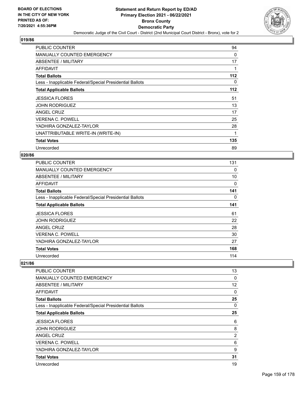

| <b>PUBLIC COUNTER</b>                                    | 94       |
|----------------------------------------------------------|----------|
| MANUALLY COUNTED EMERGENCY                               | 0        |
| <b>ABSENTEE / MILITARY</b>                               | 17       |
| AFFIDAVIT                                                |          |
| <b>Total Ballots</b>                                     | 112      |
| Less - Inapplicable Federal/Special Presidential Ballots | $\Omega$ |
| <b>Total Applicable Ballots</b>                          | 112      |
| <b>JESSICA FLORES</b>                                    | 51       |
| <b>JOHN RODRIGUEZ</b>                                    | 13       |
| ANGEL CRUZ                                               | 17       |
| <b>VERENA C. POWELL</b>                                  | 25       |
| YADHIRA GONZALEZ-TAYLOR                                  | 28       |
| UNATTRIBUTABLE WRITE-IN (WRITE-IN)                       | 1        |
| <b>Total Votes</b>                                       | 135      |
| Unrecorded                                               | 89       |

#### **020/86**

| <b>PUBLIC COUNTER</b>                                    | 131 |
|----------------------------------------------------------|-----|
| MANUALLY COUNTED EMERGENCY                               | 0   |
| ABSENTEE / MILITARY                                      | 10  |
| AFFIDAVIT                                                | 0   |
| <b>Total Ballots</b>                                     | 141 |
| Less - Inapplicable Federal/Special Presidential Ballots | 0   |
| <b>Total Applicable Ballots</b>                          | 141 |
| <b>JESSICA FLORES</b>                                    | 61  |
| <b>JOHN RODRIGUEZ</b>                                    | 22  |
| ANGEL CRUZ                                               | 28  |
| <b>VERENA C. POWELL</b>                                  | 30  |
| YADHIRA GONZALEZ-TAYLOR                                  | 27  |
| <b>Total Votes</b>                                       | 168 |
| Unrecorded                                               | 114 |

| PUBLIC COUNTER                                           | 13             |
|----------------------------------------------------------|----------------|
| <b>MANUALLY COUNTED EMERGENCY</b>                        | 0              |
| ABSENTEE / MILITARY                                      | 12             |
| AFFIDAVIT                                                | 0              |
| <b>Total Ballots</b>                                     | 25             |
| Less - Inapplicable Federal/Special Presidential Ballots | 0              |
| <b>Total Applicable Ballots</b>                          | 25             |
| <b>JESSICA FLORES</b>                                    | 6              |
| <b>JOHN RODRIGUEZ</b>                                    | 8              |
| ANGEL CRUZ                                               | $\overline{2}$ |
| <b>VERENA C. POWELL</b>                                  | 6              |
| YADHIRA GONZALEZ-TAYLOR                                  | 9              |
| <b>Total Votes</b>                                       | 31             |
| Unrecorded                                               | 19             |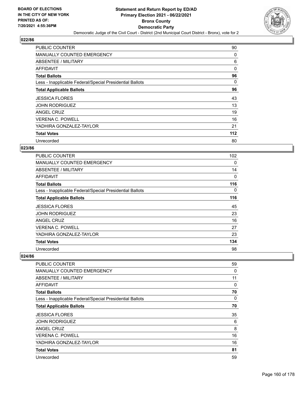

| <b>PUBLIC COUNTER</b>                                    | 90    |
|----------------------------------------------------------|-------|
| <b>MANUALLY COUNTED EMERGENCY</b>                        | 0     |
| ABSENTEE / MILITARY                                      | 6     |
| AFFIDAVIT                                                | 0     |
| <b>Total Ballots</b>                                     | 96    |
| Less - Inapplicable Federal/Special Presidential Ballots | 0     |
| <b>Total Applicable Ballots</b>                          | 96    |
| <b>JESSICA FLORES</b>                                    | 43    |
| <b>JOHN RODRIGUEZ</b>                                    | 13    |
| ANGEL CRUZ                                               | 19    |
| <b>VERENA C. POWELL</b>                                  | 16    |
| YADHIRA GONZALEZ-TAYLOR                                  | 21    |
| <b>Total Votes</b>                                       | $112$ |
| Unrecorded                                               | 80    |

### **023/86**

| PUBLIC COUNTER                                           | 102 |
|----------------------------------------------------------|-----|
| <b>MANUALLY COUNTED EMERGENCY</b>                        | 0   |
| ABSENTEE / MILITARY                                      | 14  |
| <b>AFFIDAVIT</b>                                         | 0   |
| <b>Total Ballots</b>                                     | 116 |
| Less - Inapplicable Federal/Special Presidential Ballots | 0   |
| <b>Total Applicable Ballots</b>                          | 116 |
| <b>JESSICA FLORES</b>                                    | 45  |
| <b>JOHN RODRIGUEZ</b>                                    | 23  |
| <b>ANGEL CRUZ</b>                                        | 16  |
| <b>VERENA C. POWELL</b>                                  | 27  |
| YADHIRA GONZALEZ-TAYLOR                                  | 23  |
| <b>Total Votes</b>                                       | 134 |
| Unrecorded                                               | 98  |

| <b>PUBLIC COUNTER</b>                                    | 59       |
|----------------------------------------------------------|----------|
| <b>MANUALLY COUNTED EMERGENCY</b>                        | 0        |
| ABSENTEE / MILITARY                                      | 11       |
| AFFIDAVIT                                                | 0        |
| <b>Total Ballots</b>                                     | 70       |
| Less - Inapplicable Federal/Special Presidential Ballots | $\Omega$ |
| <b>Total Applicable Ballots</b>                          | 70       |
| <b>JESSICA FLORES</b>                                    | 35       |
| <b>JOHN RODRIGUEZ</b>                                    | 6        |
| ANGEL CRUZ                                               | 8        |
| <b>VERENA C. POWELL</b>                                  | 16       |
| YADHIRA GONZALEZ-TAYLOR                                  | 16       |
| <b>Total Votes</b>                                       | 81       |
| Unrecorded                                               | 59       |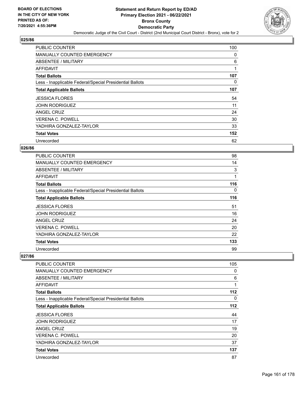

| <b>PUBLIC COUNTER</b>                                    | 100 |
|----------------------------------------------------------|-----|
| <b>MANUALLY COUNTED EMERGENCY</b>                        | 0   |
| ABSENTEE / MILITARY                                      | 6   |
| AFFIDAVIT                                                | 1   |
| <b>Total Ballots</b>                                     | 107 |
| Less - Inapplicable Federal/Special Presidential Ballots | 0   |
| <b>Total Applicable Ballots</b>                          | 107 |
| <b>JESSICA FLORES</b>                                    | 54  |
|                                                          |     |
| <b>JOHN RODRIGUEZ</b>                                    | 11  |
| ANGEL CRUZ                                               | 24  |
| <b>VERENA C. POWELL</b>                                  | 30  |
| YADHIRA GONZALEZ-TAYLOR                                  | 33  |
| <b>Total Votes</b>                                       | 152 |

## **026/86**

| <b>PUBLIC COUNTER</b>                                    | 98  |
|----------------------------------------------------------|-----|
| <b>MANUALLY COUNTED EMERGENCY</b>                        | 14  |
| <b>ABSENTEE / MILITARY</b>                               | 3   |
| AFFIDAVIT                                                | 1   |
| <b>Total Ballots</b>                                     | 116 |
| Less - Inapplicable Federal/Special Presidential Ballots | 0   |
| <b>Total Applicable Ballots</b>                          | 116 |
| <b>JESSICA FLORES</b>                                    | 51  |
| <b>JOHN RODRIGUEZ</b>                                    | 16  |
| <b>ANGEL CRUZ</b>                                        | 24  |
| <b>VERENA C. POWELL</b>                                  | 20  |
| YADHIRA GONZALEZ-TAYLOR                                  | 22  |
| <b>Total Votes</b>                                       | 133 |
| Unrecorded                                               | 99  |

| <b>PUBLIC COUNTER</b>                                    | 105 |
|----------------------------------------------------------|-----|
| <b>MANUALLY COUNTED EMERGENCY</b>                        | 0   |
| <b>ABSENTEE / MILITARY</b>                               | 6   |
| <b>AFFIDAVIT</b>                                         | 1   |
| <b>Total Ballots</b>                                     | 112 |
| Less - Inapplicable Federal/Special Presidential Ballots | 0   |
| <b>Total Applicable Ballots</b>                          | 112 |
| <b>JESSICA FLORES</b>                                    | 44  |
| <b>JOHN RODRIGUEZ</b>                                    | 17  |
| ANGEL CRUZ                                               | 19  |
| <b>VERENA C. POWELL</b>                                  | 20  |
| YADHIRA GONZALEZ-TAYLOR                                  | 37  |
| <b>Total Votes</b>                                       | 137 |
| Unrecorded                                               | 87  |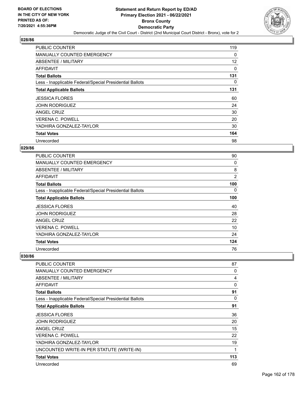

| <b>PUBLIC COUNTER</b>                                    | 119 |
|----------------------------------------------------------|-----|
| <b>MANUALLY COUNTED EMERGENCY</b>                        | 0   |
| ABSENTEE / MILITARY                                      | 12  |
| AFFIDAVIT                                                | 0   |
| <b>Total Ballots</b>                                     | 131 |
| Less - Inapplicable Federal/Special Presidential Ballots | 0   |
| <b>Total Applicable Ballots</b>                          | 131 |
| <b>JESSICA FLORES</b>                                    | 60  |
| <b>JOHN RODRIGUEZ</b>                                    | 24  |
| ANGEL CRUZ                                               | 30  |
| <b>VERENA C. POWELL</b>                                  | 20  |
| YADHIRA GONZALEZ-TAYLOR                                  | 30  |
| <b>Total Votes</b>                                       | 164 |
| Unrecorded                                               | 98  |

## **029/86**

| <b>PUBLIC COUNTER</b>                                    | 90             |
|----------------------------------------------------------|----------------|
| <b>MANUALLY COUNTED EMERGENCY</b>                        | 0              |
| ABSENTEE / MILITARY                                      | 8              |
| AFFIDAVIT                                                | $\overline{2}$ |
| <b>Total Ballots</b>                                     | 100            |
| Less - Inapplicable Federal/Special Presidential Ballots | 0              |
| <b>Total Applicable Ballots</b>                          | 100            |
| <b>JESSICA FLORES</b>                                    | 40             |
| <b>JOHN RODRIGUEZ</b>                                    | 28             |
| ANGEL CRUZ                                               | 22             |
| <b>VERENA C. POWELL</b>                                  | 10             |
| YADHIRA GONZALEZ-TAYLOR                                  | 24             |
| <b>Total Votes</b>                                       | 124            |
| Unrecorded                                               | 76             |

| PUBLIC COUNTER                                           | 87  |
|----------------------------------------------------------|-----|
| <b>MANUALLY COUNTED EMERGENCY</b>                        | 0   |
| <b>ABSENTEE / MILITARY</b>                               | 4   |
| <b>AFFIDAVIT</b>                                         | 0   |
| <b>Total Ballots</b>                                     | 91  |
| Less - Inapplicable Federal/Special Presidential Ballots | 0   |
| <b>Total Applicable Ballots</b>                          | 91  |
| <b>JESSICA FLORES</b>                                    | 36  |
| <b>JOHN RODRIGUEZ</b>                                    | 20  |
| ANGEL CRUZ                                               | 15  |
| <b>VERENA C. POWELL</b>                                  | 22  |
| YADHIRA GONZALEZ-TAYLOR                                  | 19  |
| UNCOUNTED WRITE-IN PER STATUTE (WRITE-IN)                | 1   |
| <b>Total Votes</b>                                       | 113 |
| Unrecorded                                               | 69  |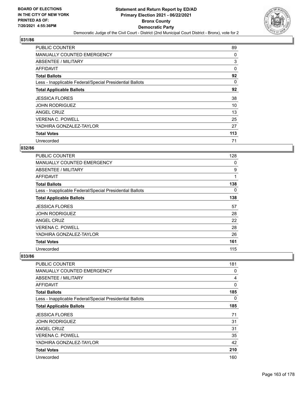

| <b>PUBLIC COUNTER</b>                                    | 89       |
|----------------------------------------------------------|----------|
| <b>MANUALLY COUNTED EMERGENCY</b>                        | 0        |
| <b>ABSENTEE / MILITARY</b>                               | 3        |
| AFFIDAVIT                                                | $\Omega$ |
| <b>Total Ballots</b>                                     | 92       |
| Less - Inapplicable Federal/Special Presidential Ballots | 0        |
| <b>Total Applicable Ballots</b>                          | 92       |
| <b>JESSICA FLORES</b>                                    | 38       |
| <b>JOHN RODRIGUEZ</b>                                    | 10       |
| ANGEL CRUZ                                               | 13       |
| <b>VERENA C. POWELL</b>                                  | 25       |
| YADHIRA GONZALEZ-TAYLOR                                  | 27       |
| <b>Total Votes</b>                                       | 113      |
| Unrecorded                                               | 71       |

## **032/86**

| <b>PUBLIC COUNTER</b>                                    | 128 |
|----------------------------------------------------------|-----|
| <b>MANUALLY COUNTED EMERGENCY</b>                        | 0   |
| ABSENTEE / MILITARY                                      | 9   |
| <b>AFFIDAVIT</b>                                         | 1   |
| <b>Total Ballots</b>                                     | 138 |
| Less - Inapplicable Federal/Special Presidential Ballots | 0   |
| <b>Total Applicable Ballots</b>                          | 138 |
| <b>JESSICA FLORES</b>                                    | 57  |
| <b>JOHN RODRIGUEZ</b>                                    | 28  |
| ANGEL CRUZ                                               | 22  |
| <b>VERENA C. POWELL</b>                                  | 28  |
| YADHIRA GONZALEZ-TAYLOR                                  | 26  |
| <b>Total Votes</b>                                       | 161 |
| Unrecorded                                               | 115 |

| PUBLIC COUNTER                                           | 181      |
|----------------------------------------------------------|----------|
| <b>MANUALLY COUNTED EMERGENCY</b>                        | 0        |
| <b>ABSENTEE / MILITARY</b>                               | 4        |
| AFFIDAVIT                                                | $\Omega$ |
| <b>Total Ballots</b>                                     | 185      |
| Less - Inapplicable Federal/Special Presidential Ballots | $\Omega$ |
| <b>Total Applicable Ballots</b>                          | 185      |
| <b>JESSICA FLORES</b>                                    | 71       |
| <b>JOHN RODRIGUEZ</b>                                    | 31       |
| <b>ANGEL CRUZ</b>                                        | 31       |
| <b>VERENA C. POWELL</b>                                  | 35       |
| YADHIRA GONZALEZ-TAYLOR                                  | 42       |
| <b>Total Votes</b>                                       | 210      |
| Unrecorded                                               | 160      |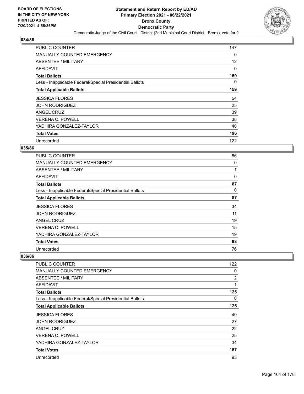

| <b>PUBLIC COUNTER</b>                                    | 147 |
|----------------------------------------------------------|-----|
| <b>MANUALLY COUNTED EMERGENCY</b>                        | 0   |
| ABSENTEE / MILITARY                                      | 12  |
| AFFIDAVIT                                                | 0   |
| <b>Total Ballots</b>                                     | 159 |
| Less - Inapplicable Federal/Special Presidential Ballots | 0   |
| <b>Total Applicable Ballots</b>                          | 159 |
| <b>JESSICA FLORES</b>                                    | 54  |
| <b>JOHN RODRIGUEZ</b>                                    | 25  |
| ANGEL CRUZ                                               | 39  |
| <b>VERENA C. POWELL</b>                                  | 38  |
|                                                          |     |
| YADHIRA GONZALEZ-TAYLOR                                  | 40  |
| <b>Total Votes</b>                                       | 196 |

## **035/86**

| <b>PUBLIC COUNTER</b>                                    | 86 |
|----------------------------------------------------------|----|
| <b>MANUALLY COUNTED EMERGENCY</b>                        | 0  |
| <b>ABSENTEE / MILITARY</b>                               |    |
| AFFIDAVIT                                                | 0  |
| <b>Total Ballots</b>                                     | 87 |
| Less - Inapplicable Federal/Special Presidential Ballots | 0  |
| <b>Total Applicable Ballots</b>                          | 87 |
| <b>JESSICA FLORES</b>                                    | 34 |
| <b>JOHN RODRIGUEZ</b>                                    | 11 |
| <b>ANGEL CRUZ</b>                                        | 19 |
| <b>VERENA C. POWELL</b>                                  | 15 |
| YADHIRA GONZALEZ-TAYLOR                                  | 19 |
| <b>Total Votes</b>                                       | 98 |
| Unrecorded                                               | 76 |

| <b>PUBLIC COUNTER</b>                                    | 122            |
|----------------------------------------------------------|----------------|
| <b>MANUALLY COUNTED EMERGENCY</b>                        | 0              |
| <b>ABSENTEE / MILITARY</b>                               | $\overline{2}$ |
| <b>AFFIDAVIT</b>                                         | 1              |
| <b>Total Ballots</b>                                     | 125            |
| Less - Inapplicable Federal/Special Presidential Ballots | $\Omega$       |
| <b>Total Applicable Ballots</b>                          | 125            |
| <b>JESSICA FLORES</b>                                    | 49             |
| <b>JOHN RODRIGUEZ</b>                                    | 27             |
| ANGEL CRUZ                                               | 22             |
| <b>VERENA C. POWELL</b>                                  | 25             |
| YADHIRA GONZALEZ-TAYLOR                                  | 34             |
| <b>Total Votes</b>                                       | 157            |
| Unrecorded                                               | 93             |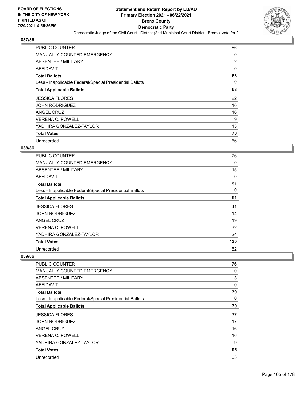

| <b>PUBLIC COUNTER</b>                                    | 66             |
|----------------------------------------------------------|----------------|
| <b>MANUALLY COUNTED EMERGENCY</b>                        | 0              |
| <b>ABSENTEE / MILITARY</b>                               | $\overline{2}$ |
| AFFIDAVIT                                                | $\Omega$       |
| <b>Total Ballots</b>                                     | 68             |
| Less - Inapplicable Federal/Special Presidential Ballots | 0              |
| <b>Total Applicable Ballots</b>                          | 68             |
| <b>JESSICA FLORES</b>                                    | 22             |
| <b>JOHN RODRIGUEZ</b>                                    | 10             |
| ANGEL CRUZ                                               | 16             |
| <b>VERENA C. POWELL</b>                                  | 9              |
| YADHIRA GONZALEZ-TAYLOR                                  | 13             |
| <b>Total Votes</b>                                       | 70             |
| Unrecorded                                               | 66             |

## **038/86**

| <b>PUBLIC COUNTER</b>                                    | 76  |
|----------------------------------------------------------|-----|
| <b>MANUALLY COUNTED EMERGENCY</b>                        | 0   |
| ABSENTEE / MILITARY                                      | 15  |
| <b>AFFIDAVIT</b>                                         | 0   |
| <b>Total Ballots</b>                                     | 91  |
| Less - Inapplicable Federal/Special Presidential Ballots | 0   |
| <b>Total Applicable Ballots</b>                          | 91  |
| <b>JESSICA FLORES</b>                                    | 41  |
| <b>JOHN RODRIGUEZ</b>                                    | 14  |
| <b>ANGEL CRUZ</b>                                        | 19  |
| <b>VERENA C. POWELL</b>                                  | 32  |
| YADHIRA GONZALEZ-TAYLOR                                  | 24  |
| <b>Total Votes</b>                                       | 130 |
| Unrecorded                                               | 52  |

| <b>PUBLIC COUNTER</b>                                    | 76       |
|----------------------------------------------------------|----------|
| <b>MANUALLY COUNTED EMERGENCY</b>                        | 0        |
| <b>ABSENTEE / MILITARY</b>                               | 3        |
| <b>AFFIDAVIT</b>                                         | $\Omega$ |
| <b>Total Ballots</b>                                     | 79       |
| Less - Inapplicable Federal/Special Presidential Ballots | $\Omega$ |
| <b>Total Applicable Ballots</b>                          | 79       |
| <b>JESSICA FLORES</b>                                    | 37       |
| <b>JOHN RODRIGUEZ</b>                                    | 17       |
| ANGEL CRUZ                                               | 16       |
| <b>VERENA C. POWELL</b>                                  | 16       |
| YADHIRA GONZALEZ-TAYLOR                                  | 9        |
| <b>Total Votes</b>                                       | 95       |
| Unrecorded                                               | 63       |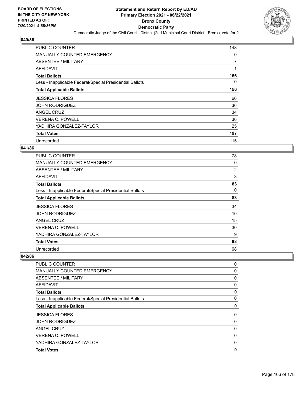

| <b>PUBLIC COUNTER</b>                                    | 148            |
|----------------------------------------------------------|----------------|
| <b>MANUALLY COUNTED EMERGENCY</b>                        | 0              |
| <b>ABSENTEE / MILITARY</b>                               | $\overline{7}$ |
| AFFIDAVIT                                                | 1              |
| <b>Total Ballots</b>                                     | 156            |
| Less - Inapplicable Federal/Special Presidential Ballots | 0              |
| <b>Total Applicable Ballots</b>                          | 156            |
| <b>JESSICA FLORES</b>                                    | 66             |
| <b>JOHN RODRIGUEZ</b>                                    | 36             |
| ANGEL CRUZ                                               | 34             |
| <b>VERENA C. POWELL</b>                                  | 36             |
| YADHIRA GONZALEZ-TAYLOR                                  | 25             |
| <b>Total Votes</b>                                       | 197            |
| Unrecorded                                               | 115            |

### **041/86**

| <b>PUBLIC COUNTER</b>                                    | 78 |
|----------------------------------------------------------|----|
| <b>MANUALLY COUNTED EMERGENCY</b>                        | 0  |
| <b>ABSENTEE / MILITARY</b>                               | 2  |
| AFFIDAVIT                                                | 3  |
| <b>Total Ballots</b>                                     | 83 |
| Less - Inapplicable Federal/Special Presidential Ballots | 0  |
| <b>Total Applicable Ballots</b>                          | 83 |
| <b>JESSICA FLORES</b>                                    | 34 |
| <b>JOHN RODRIGUEZ</b>                                    | 10 |
| <b>ANGEL CRUZ</b>                                        | 15 |
| <b>VERENA C. POWELL</b>                                  | 30 |
| YADHIRA GONZALEZ-TAYLOR                                  | 9  |
| <b>Total Votes</b>                                       | 98 |
| Unrecorded                                               | 68 |

| <b>PUBLIC COUNTER</b>                                    | 0            |
|----------------------------------------------------------|--------------|
| <b>MANUALLY COUNTED EMERGENCY</b>                        | 0            |
| ABSENTEE / MILITARY                                      | 0            |
| AFFIDAVIT                                                | 0            |
| <b>Total Ballots</b>                                     | 0            |
| Less - Inapplicable Federal/Special Presidential Ballots | 0            |
| <b>Total Applicable Ballots</b>                          | 0            |
| <b>JESSICA FLORES</b>                                    | 0            |
| <b>JOHN RODRIGUEZ</b>                                    | 0            |
| <b>ANGEL CRUZ</b>                                        | 0            |
| <b>VERENA C. POWELL</b>                                  | $\mathbf{0}$ |
| YADHIRA GONZALEZ-TAYLOR                                  | 0            |
| <b>Total Votes</b>                                       | 0            |
|                                                          |              |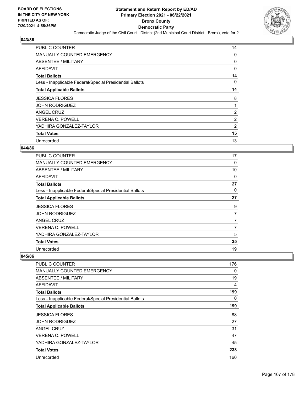

| <b>PUBLIC COUNTER</b>                                    | 14             |
|----------------------------------------------------------|----------------|
| MANUALLY COUNTED EMERGENCY                               | 0              |
| ABSENTEE / MILITARY                                      | 0              |
| AFFIDAVIT                                                | 0              |
| <b>Total Ballots</b>                                     | 14             |
| Less - Inapplicable Federal/Special Presidential Ballots | 0              |
| <b>Total Applicable Ballots</b>                          | 14             |
| <b>JESSICA FLORES</b>                                    | 8              |
| <b>JOHN RODRIGUEZ</b>                                    | 1              |
| ANGEL CRUZ                                               | $\overline{2}$ |
| <b>VERENA C. POWELL</b>                                  | 2              |
| YADHIRA GONZALEZ-TAYLOR                                  | 2              |
| <b>Total Votes</b>                                       | 15             |
| Unrecorded                                               | 13             |

### **044/86**

| <b>PUBLIC COUNTER</b>                                    | 17             |
|----------------------------------------------------------|----------------|
| MANUALLY COUNTED EMERGENCY                               | 0              |
| ABSENTEE / MILITARY                                      | 10             |
| <b>AFFIDAVIT</b>                                         | 0              |
| <b>Total Ballots</b>                                     | 27             |
| Less - Inapplicable Federal/Special Presidential Ballots | 0              |
| <b>Total Applicable Ballots</b>                          | 27             |
| <b>JESSICA FLORES</b>                                    | 9              |
| <b>JOHN RODRIGUEZ</b>                                    | 7              |
| ANGEL CRUZ                                               | $\overline{7}$ |
| <b>VERENA C. POWELL</b>                                  | 7              |
| YADHIRA GONZALEZ-TAYLOR                                  | 5              |
| <b>Total Votes</b>                                       | 35             |
| Unrecorded                                               | 19             |

| <b>PUBLIC COUNTER</b>                                    | 176 |
|----------------------------------------------------------|-----|
| <b>MANUALLY COUNTED EMERGENCY</b>                        | 0   |
| <b>ABSENTEE / MILITARY</b>                               | 19  |
| <b>AFFIDAVIT</b>                                         | 4   |
| <b>Total Ballots</b>                                     | 199 |
| Less - Inapplicable Federal/Special Presidential Ballots | 0   |
| <b>Total Applicable Ballots</b>                          | 199 |
| <b>JESSICA FLORES</b>                                    | 88  |
| <b>JOHN RODRIGUEZ</b>                                    | 27  |
| ANGEL CRUZ                                               | 31  |
| <b>VERENA C. POWELL</b>                                  | 47  |
| YADHIRA GONZALEZ-TAYLOR                                  | 45  |
| <b>Total Votes</b>                                       | 238 |
| Unrecorded                                               | 160 |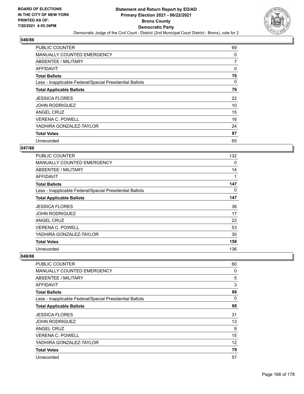

| <b>PUBLIC COUNTER</b>                                    | 69 |
|----------------------------------------------------------|----|
| <b>MANUALLY COUNTED EMERGENCY</b>                        | 0  |
| ABSENTEE / MILITARY                                      | 7  |
| AFFIDAVIT                                                | 0  |
| <b>Total Ballots</b>                                     | 76 |
| Less - Inapplicable Federal/Special Presidential Ballots | 0  |
| <b>Total Applicable Ballots</b>                          | 76 |
| <b>JESSICA FLORES</b>                                    | 22 |
| <b>JOHN RODRIGUEZ</b>                                    | 10 |
| ANGEL CRUZ                                               | 15 |
| <b>VERENA C. POWELL</b>                                  | 16 |
| YADHIRA GONZALEZ-TAYLOR                                  | 24 |
| <b>Total Votes</b>                                       | 87 |
| Unrecorded                                               | 65 |

## **047/86**

| <b>PUBLIC COUNTER</b>                                    | 132 |
|----------------------------------------------------------|-----|
| <b>MANUALLY COUNTED EMERGENCY</b>                        | 0   |
| ABSENTEE / MILITARY                                      | 14  |
| <b>AFFIDAVIT</b>                                         |     |
| <b>Total Ballots</b>                                     | 147 |
| Less - Inapplicable Federal/Special Presidential Ballots | 0   |
| <b>Total Applicable Ballots</b>                          | 147 |
| <b>JESSICA FLORES</b>                                    | 36  |
| <b>JOHN RODRIGUEZ</b>                                    | 17  |
| ANGEL CRUZ                                               | 22  |
| <b>VERENA C. POWELL</b>                                  | 53  |
| YADHIRA GONZALEZ-TAYLOR                                  | 30  |
| <b>Total Votes</b>                                       | 158 |
| Unrecorded                                               | 136 |

| <b>PUBLIC COUNTER</b>                                    | 60 |
|----------------------------------------------------------|----|
| <b>MANUALLY COUNTED EMERGENCY</b>                        | 0  |
| ABSENTEE / MILITARY                                      | 5  |
| <b>AFFIDAVIT</b>                                         | 3  |
| <b>Total Ballots</b>                                     | 68 |
| Less - Inapplicable Federal/Special Presidential Ballots | 0  |
| <b>Total Applicable Ballots</b>                          | 68 |
| <b>JESSICA FLORES</b>                                    | 31 |
| JOHN RODRIGUEZ                                           | 13 |
| ANGEL CRUZ                                               | 8  |
| VERENA C. POWELL                                         | 15 |
| YADHIRA GONZALEZ-TAYLOR                                  | 12 |
| <b>Total Votes</b>                                       | 79 |
| Unrecorded                                               | 57 |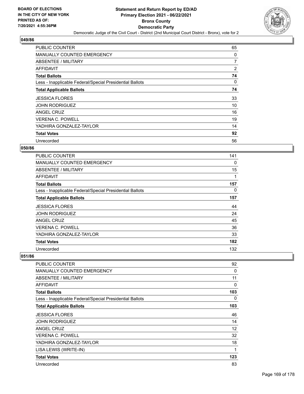

| <b>PUBLIC COUNTER</b>                                    | 65             |
|----------------------------------------------------------|----------------|
| <b>MANUALLY COUNTED EMERGENCY</b>                        | 0              |
| ABSENTEE / MILITARY                                      | $\overline{7}$ |
| AFFIDAVIT                                                | 2              |
| <b>Total Ballots</b>                                     | 74             |
| Less - Inapplicable Federal/Special Presidential Ballots | 0              |
| <b>Total Applicable Ballots</b>                          | 74             |
| <b>JESSICA FLORES</b>                                    | 33             |
| <b>JOHN RODRIGUEZ</b>                                    | 10             |
| ANGEL CRUZ                                               | 16             |
| <b>VERENA C. POWELL</b>                                  | 19             |
| YADHIRA GONZALEZ-TAYLOR                                  | 14             |
| <b>Total Votes</b>                                       | 92             |
| Unrecorded                                               | 56             |

## **050/86**

| <b>PUBLIC COUNTER</b>                                    | 141 |
|----------------------------------------------------------|-----|
| <b>MANUALLY COUNTED EMERGENCY</b>                        | 0   |
| ABSENTEE / MILITARY                                      | 15  |
| <b>AFFIDAVIT</b>                                         |     |
| <b>Total Ballots</b>                                     | 157 |
| Less - Inapplicable Federal/Special Presidential Ballots | 0   |
| <b>Total Applicable Ballots</b>                          | 157 |
| <b>JESSICA FLORES</b>                                    | 44  |
| <b>JOHN RODRIGUEZ</b>                                    | 24  |
| ANGEL CRUZ                                               | 45  |
| <b>VERENA C. POWELL</b>                                  | 36  |
| YADHIRA GONZALEZ-TAYLOR                                  | 33  |
| <b>Total Votes</b>                                       | 182 |
| Unrecorded                                               | 132 |

| PUBLIC COUNTER                                           | 92          |
|----------------------------------------------------------|-------------|
| <b>MANUALLY COUNTED EMERGENCY</b>                        | 0           |
| ABSENTEE / MILITARY                                      | 11          |
| <b>AFFIDAVIT</b>                                         | 0           |
| <b>Total Ballots</b>                                     | 103         |
| Less - Inapplicable Federal/Special Presidential Ballots | 0           |
| <b>Total Applicable Ballots</b>                          | 103         |
| <b>JESSICA FLORES</b>                                    | 46          |
| <b>JOHN RODRIGUEZ</b>                                    | 14          |
| ANGEL CRUZ                                               | 12          |
| <b>VERENA C. POWELL</b>                                  | 32          |
| YADHIRA GONZALEZ-TAYLOR                                  | 18          |
| LISA LEWIS (WRITE-IN)                                    | $\mathbf 1$ |
| <b>Total Votes</b>                                       | 123         |
| Unrecorded                                               | 83          |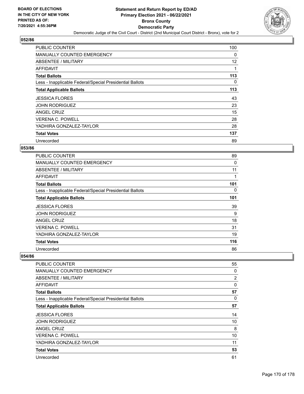

| <b>PUBLIC COUNTER</b>                                    | 100 |
|----------------------------------------------------------|-----|
| <b>MANUALLY COUNTED EMERGENCY</b>                        | 0   |
| <b>ABSENTEE / MILITARY</b>                               | 12  |
| AFFIDAVIT                                                |     |
| <b>Total Ballots</b>                                     | 113 |
| Less - Inapplicable Federal/Special Presidential Ballots | 0   |
| <b>Total Applicable Ballots</b>                          | 113 |
| <b>JESSICA FLORES</b>                                    | 43  |
| <b>JOHN RODRIGUEZ</b>                                    | 23  |
| ANGEL CRUZ                                               | 15  |
| <b>VERENA C. POWELL</b>                                  | 28  |
| YADHIRA GONZALEZ-TAYLOR                                  | 28  |
| <b>Total Votes</b>                                       | 137 |
| Unrecorded                                               | 89  |

## **053/86**

| <b>PUBLIC COUNTER</b>                                    | 89  |
|----------------------------------------------------------|-----|
| <b>MANUALLY COUNTED EMERGENCY</b>                        | 0   |
| ABSENTEE / MILITARY                                      | 11  |
| <b>AFFIDAVIT</b>                                         | 1   |
| <b>Total Ballots</b>                                     | 101 |
| Less - Inapplicable Federal/Special Presidential Ballots | 0   |
| <b>Total Applicable Ballots</b>                          | 101 |
| <b>JESSICA FLORES</b>                                    | 39  |
| <b>JOHN RODRIGUEZ</b>                                    | 9   |
| ANGEL CRUZ                                               | 18  |
| <b>VERENA C. POWELL</b>                                  | 31  |
| YADHIRA GONZALEZ-TAYLOR                                  | 19  |
| <b>Total Votes</b>                                       | 116 |
| Unrecorded                                               | 86  |

| <b>PUBLIC COUNTER</b>                                    | 55             |
|----------------------------------------------------------|----------------|
| <b>MANUALLY COUNTED EMERGENCY</b>                        | 0              |
| ABSENTEE / MILITARY                                      | $\overline{2}$ |
| AFFIDAVIT                                                | 0              |
| <b>Total Ballots</b>                                     | 57             |
| Less - Inapplicable Federal/Special Presidential Ballots | $\Omega$       |
| <b>Total Applicable Ballots</b>                          | 57             |
| <b>JESSICA FLORES</b>                                    | 14             |
| <b>JOHN RODRIGUEZ</b>                                    | 10             |
| <b>ANGEL CRUZ</b>                                        | 8              |
| <b>VERENA C. POWELL</b>                                  | 10             |
| YADHIRA GONZALEZ-TAYLOR                                  | 11             |
| <b>Total Votes</b>                                       | 53             |
| Unrecorded                                               | 61             |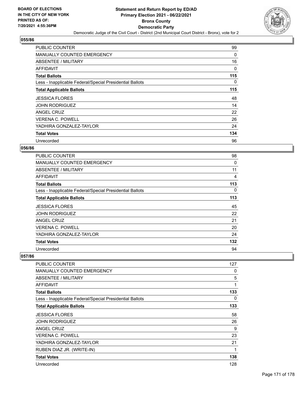

| <b>PUBLIC COUNTER</b>                                    | 99  |
|----------------------------------------------------------|-----|
| <b>MANUALLY COUNTED EMERGENCY</b>                        | 0   |
| ABSENTEE / MILITARY                                      | 16  |
| AFFIDAVIT                                                | 0   |
| <b>Total Ballots</b>                                     | 115 |
| Less - Inapplicable Federal/Special Presidential Ballots | 0   |
| <b>Total Applicable Ballots</b>                          | 115 |
| <b>JESSICA FLORES</b>                                    | 48  |
| <b>JOHN RODRIGUEZ</b>                                    | 14  |
| ANGEL CRUZ                                               | 22  |
| <b>VERENA C. POWELL</b>                                  | 26  |
| YADHIRA GONZALEZ-TAYLOR                                  | 24  |
| <b>Total Votes</b>                                       | 134 |
| Unrecorded                                               | 96  |

## **056/86**

| <b>PUBLIC COUNTER</b>                                    | 98  |
|----------------------------------------------------------|-----|
| <b>MANUALLY COUNTED EMERGENCY</b>                        | 0   |
| ABSENTEE / MILITARY                                      | 11  |
| <b>AFFIDAVIT</b>                                         | 4   |
| <b>Total Ballots</b>                                     | 113 |
| Less - Inapplicable Federal/Special Presidential Ballots | 0   |
| <b>Total Applicable Ballots</b>                          | 113 |
| <b>JESSICA FLORES</b>                                    | 45  |
| <b>JOHN RODRIGUEZ</b>                                    | 22  |
| ANGEL CRUZ                                               | 21  |
| <b>VERENA C. POWELL</b>                                  | 20  |
| YADHIRA GONZALEZ-TAYLOR                                  | 24  |
| <b>Total Votes</b>                                       | 132 |
| Unrecorded                                               | 94  |

| <b>PUBLIC COUNTER</b>                                    | 127 |
|----------------------------------------------------------|-----|
| <b>MANUALLY COUNTED EMERGENCY</b>                        | 0   |
| ABSENTEE / MILITARY                                      | 5   |
| <b>AFFIDAVIT</b>                                         | 1   |
| <b>Total Ballots</b>                                     | 133 |
| Less - Inapplicable Federal/Special Presidential Ballots | 0   |
| <b>Total Applicable Ballots</b>                          | 133 |
| <b>JESSICA FLORES</b>                                    | 58  |
| <b>JOHN RODRIGUEZ</b>                                    | 26  |
| ANGEL CRUZ                                               | 9   |
| <b>VERENA C. POWELL</b>                                  | 23  |
| YADHIRA GONZALEZ-TAYLOR                                  | 21  |
| RUBEN DIAZ JR. (WRITE-IN)                                | 1   |
| <b>Total Votes</b>                                       | 138 |
| Unrecorded                                               | 128 |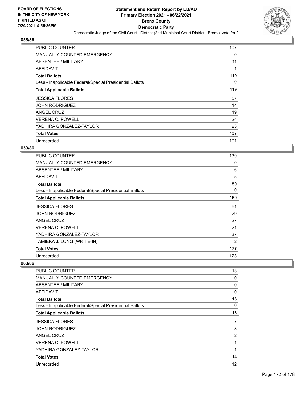

| <b>PUBLIC COUNTER</b>                                    | 107      |
|----------------------------------------------------------|----------|
| <b>MANUALLY COUNTED EMERGENCY</b>                        | 0        |
| ABSENTEE / MILITARY                                      | 11       |
| AFFIDAVIT                                                | 1        |
| <b>Total Ballots</b>                                     | 119      |
| Less - Inapplicable Federal/Special Presidential Ballots | $\Omega$ |
| <b>Total Applicable Ballots</b>                          | 119      |
| <b>JESSICA FLORES</b>                                    | 57       |
| <b>JOHN RODRIGUEZ</b>                                    | 14       |
| ANGEL CRUZ                                               | 19       |
| <b>VERENA C. POWELL</b>                                  | 24       |
| YADHIRA GONZALEZ-TAYLOR                                  | 23       |
| <b>Total Votes</b>                                       | 137      |
| Unrecorded                                               | 101      |

## **059/86**

| PUBLIC COUNTER                                           | 139 |
|----------------------------------------------------------|-----|
| <b>MANUALLY COUNTED EMERGENCY</b>                        | 0   |
| <b>ABSENTEE / MILITARY</b>                               | 6   |
| AFFIDAVIT                                                | 5   |
| <b>Total Ballots</b>                                     | 150 |
| Less - Inapplicable Federal/Special Presidential Ballots | 0   |
| <b>Total Applicable Ballots</b>                          | 150 |
| <b>JESSICA FLORES</b>                                    | 61  |
| <b>JOHN RODRIGUEZ</b>                                    | 29  |
| ANGEL CRUZ                                               | 27  |
| VERENA C. POWELL                                         | 21  |
| YADHIRA GONZALEZ-TAYLOR                                  | 37  |
| TAMIEKA J. LONG (WRITE-IN)                               | 2   |
| <b>Total Votes</b>                                       | 177 |
| Unrecorded                                               | 123 |

| PUBLIC COUNTER                                           | 13             |
|----------------------------------------------------------|----------------|
| <b>MANUALLY COUNTED EMERGENCY</b>                        | 0              |
| ABSENTEE / MILITARY                                      | 0              |
| AFFIDAVIT                                                | 0              |
| <b>Total Ballots</b>                                     | 13             |
| Less - Inapplicable Federal/Special Presidential Ballots | 0              |
| <b>Total Applicable Ballots</b>                          | 13             |
| <b>JESSICA FLORES</b>                                    | 7              |
| <b>JOHN RODRIGUEZ</b>                                    | 3              |
| <b>ANGEL CRUZ</b>                                        | $\overline{2}$ |
| <b>VERENA C. POWELL</b>                                  | 1              |
| YADHIRA GONZALEZ-TAYLOR                                  | 1              |
| <b>Total Votes</b>                                       | 14             |
| Unrecorded                                               | 12             |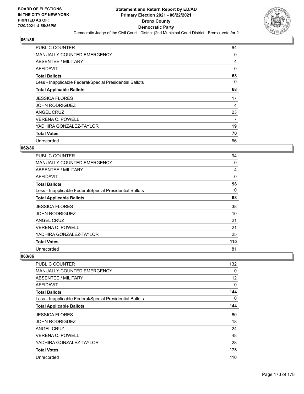

| <b>PUBLIC COUNTER</b>                                    | 64       |
|----------------------------------------------------------|----------|
| <b>MANUALLY COUNTED EMERGENCY</b>                        | 0        |
| <b>ABSENTEE / MILITARY</b>                               | 4        |
| AFFIDAVIT                                                | $\Omega$ |
| <b>Total Ballots</b>                                     | 68       |
| Less - Inapplicable Federal/Special Presidential Ballots | 0        |
| <b>Total Applicable Ballots</b>                          | 68       |
| <b>JESSICA FLORES</b>                                    | 17       |
| <b>JOHN RODRIGUEZ</b>                                    | 4        |
| ANGEL CRUZ                                               | 23       |
| <b>VERENA C. POWELL</b>                                  | 7        |
| YADHIRA GONZALEZ-TAYLOR                                  | 19       |
| <b>Total Votes</b>                                       | 70       |
| Unrecorded                                               | 66       |

## **062/86**

| PUBLIC COUNTER                                           | 94  |
|----------------------------------------------------------|-----|
| <b>MANUALLY COUNTED EMERGENCY</b>                        | 0   |
| ABSENTEE / MILITARY                                      | 4   |
| <b>AFFIDAVIT</b>                                         | 0   |
| <b>Total Ballots</b>                                     | 98  |
| Less - Inapplicable Federal/Special Presidential Ballots | 0   |
| <b>Total Applicable Ballots</b>                          | 98  |
| <b>JESSICA FLORES</b>                                    | 38  |
| <b>JOHN RODRIGUEZ</b>                                    | 10  |
| <b>ANGEL CRUZ</b>                                        | 21  |
| <b>VERENA C. POWELL</b>                                  | 21  |
| YADHIRA GONZALEZ-TAYLOR                                  | 25  |
| <b>Total Votes</b>                                       | 115 |
| Unrecorded                                               | 81  |

| <b>PUBLIC COUNTER</b>                                    | 132      |
|----------------------------------------------------------|----------|
| <b>MANUALLY COUNTED EMERGENCY</b>                        | 0        |
| <b>ABSENTEE / MILITARY</b>                               | 12       |
| <b>AFFIDAVIT</b>                                         | $\Omega$ |
| <b>Total Ballots</b>                                     | 144      |
| Less - Inapplicable Federal/Special Presidential Ballots | $\Omega$ |
| <b>Total Applicable Ballots</b>                          | 144      |
| <b>JESSICA FLORES</b>                                    | 60       |
| <b>JOHN RODRIGUEZ</b>                                    | 18       |
| ANGEL CRUZ                                               | 24       |
| <b>VERENA C. POWELL</b>                                  | 48       |
| YADHIRA GONZALEZ-TAYLOR                                  | 28       |
| <b>Total Votes</b>                                       | 178      |
| Unrecorded                                               | 110      |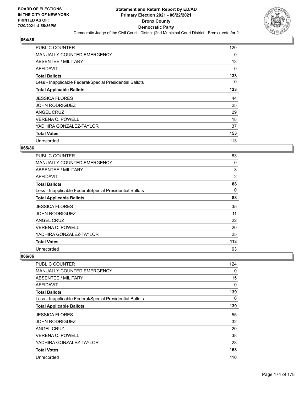

| <b>PUBLIC COUNTER</b>                                    | 120 |
|----------------------------------------------------------|-----|
| <b>MANUALLY COUNTED EMERGENCY</b>                        | 0   |
| ABSENTEE / MILITARY                                      | 13  |
| AFFIDAVIT                                                | 0   |
| <b>Total Ballots</b>                                     | 133 |
| Less - Inapplicable Federal/Special Presidential Ballots | 0   |
| <b>Total Applicable Ballots</b>                          | 133 |
| <b>JESSICA FLORES</b>                                    | 44  |
| <b>JOHN RODRIGUEZ</b>                                    | 25  |
| ANGEL CRUZ                                               | 29  |
| <b>VERENA C. POWELL</b>                                  | 18  |
| YADHIRA GONZALEZ-TAYLOR                                  |     |
|                                                          | 37  |
| <b>Total Votes</b>                                       | 153 |

## **065/86**

| <b>PUBLIC COUNTER</b>                                    | 83  |
|----------------------------------------------------------|-----|
| <b>MANUALLY COUNTED EMERGENCY</b>                        | 0   |
| ABSENTEE / MILITARY                                      | 3   |
| <b>AFFIDAVIT</b>                                         | 2   |
| <b>Total Ballots</b>                                     | 88  |
| Less - Inapplicable Federal/Special Presidential Ballots | 0   |
| <b>Total Applicable Ballots</b>                          | 88  |
| <b>JESSICA FLORES</b>                                    | 35  |
| <b>JOHN RODRIGUEZ</b>                                    | 11  |
| ANGEL CRUZ                                               | 22  |
| <b>VERENA C. POWELL</b>                                  | 20  |
| YADHIRA GONZALEZ-TAYLOR                                  | 25  |
| <b>Total Votes</b>                                       | 113 |
| Unrecorded                                               | 63  |

| PUBLIC COUNTER                                           | 124      |
|----------------------------------------------------------|----------|
| <b>MANUALLY COUNTED EMERGENCY</b>                        | 0        |
| <b>ABSENTEE / MILITARY</b>                               | 15       |
| AFFIDAVIT                                                | 0        |
| <b>Total Ballots</b>                                     | 139      |
| Less - Inapplicable Federal/Special Presidential Ballots | $\Omega$ |
| <b>Total Applicable Ballots</b>                          | 139      |
| <b>JESSICA FLORES</b>                                    | 55       |
| <b>JOHN RODRIGUEZ</b>                                    | 32       |
| <b>ANGEL CRUZ</b>                                        | 20       |
| <b>VERENA C. POWELL</b>                                  | 38       |
| YADHIRA GONZALEZ-TAYLOR                                  | 23       |
| <b>Total Votes</b>                                       | 168      |
| Unrecorded                                               | 110      |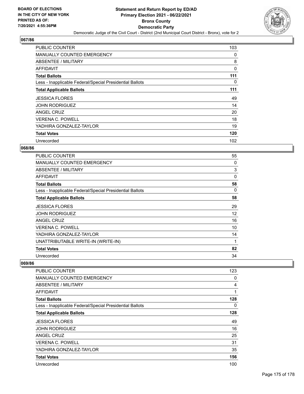

| <b>PUBLIC COUNTER</b>                                    | 103      |
|----------------------------------------------------------|----------|
| <b>MANUALLY COUNTED EMERGENCY</b>                        | 0        |
| ABSENTEE / MILITARY                                      | 8        |
| AFFIDAVIT                                                | $\Omega$ |
| <b>Total Ballots</b>                                     | 111      |
| Less - Inapplicable Federal/Special Presidential Ballots | $\Omega$ |
| <b>Total Applicable Ballots</b>                          | 111      |
| <b>JESSICA FLORES</b>                                    | 49       |
| <b>JOHN RODRIGUEZ</b>                                    | 14       |
| ANGEL CRUZ                                               | 20       |
| <b>VERENA C. POWELL</b>                                  | 18       |
| YADHIRA GONZALEZ-TAYLOR                                  | 19       |
| <b>Total Votes</b>                                       | 120      |
| Unrecorded                                               | 102      |

## **068/86**

| PUBLIC COUNTER                                           | 55 |
|----------------------------------------------------------|----|
| <b>MANUALLY COUNTED EMERGENCY</b>                        | 0  |
| <b>ABSENTEE / MILITARY</b>                               | 3  |
| AFFIDAVIT                                                | 0  |
| <b>Total Ballots</b>                                     | 58 |
| Less - Inapplicable Federal/Special Presidential Ballots | 0  |
| <b>Total Applicable Ballots</b>                          | 58 |
| <b>JESSICA FLORES</b>                                    | 29 |
| JOHN RODRIGUEZ                                           | 12 |
| <b>ANGEL CRUZ</b>                                        | 16 |
| VERENA C. POWELL                                         | 10 |
| YADHIRA GONZALEZ-TAYLOR                                  | 14 |
| UNATTRIBUTABLE WRITE-IN (WRITE-IN)                       | 1  |
| <b>Total Votes</b>                                       | 82 |
| Unrecorded                                               | 34 |

| PUBLIC COUNTER                                           | 123      |
|----------------------------------------------------------|----------|
| MANUALLY COUNTED EMERGENCY                               | 0        |
| ABSENTEE / MILITARY                                      | 4        |
| AFFIDAVIT                                                | 1        |
| <b>Total Ballots</b>                                     | 128      |
| Less - Inapplicable Federal/Special Presidential Ballots | $\Omega$ |
| <b>Total Applicable Ballots</b>                          | 128      |
| <b>JESSICA FLORES</b>                                    | 49       |
| <b>JOHN RODRIGUEZ</b>                                    | 16       |
| ANGEL CRUZ                                               | 25       |
| <b>VERENA C. POWELL</b>                                  | 31       |
| YADHIRA GONZALEZ-TAYLOR                                  | 35       |
| <b>Total Votes</b>                                       | 156      |
| Unrecorded                                               | 100      |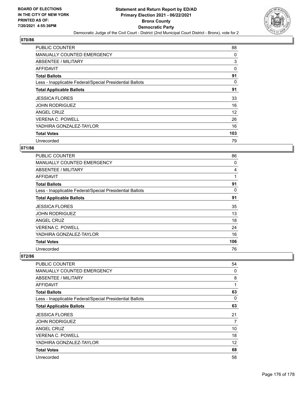

| <b>PUBLIC COUNTER</b>                                    | 88  |
|----------------------------------------------------------|-----|
| <b>MANUALLY COUNTED EMERGENCY</b>                        | 0   |
| ABSENTEE / MILITARY                                      | 3   |
| AFFIDAVIT                                                | 0   |
| <b>Total Ballots</b>                                     | 91  |
| Less - Inapplicable Federal/Special Presidential Ballots | 0   |
| <b>Total Applicable Ballots</b>                          | 91  |
| <b>JESSICA FLORES</b>                                    | 33  |
| <b>JOHN RODRIGUEZ</b>                                    | 16  |
| ANGEL CRUZ                                               | 12  |
| <b>VERENA C. POWELL</b>                                  | 26  |
| YADHIRA GONZALEZ-TAYLOR                                  | 16  |
| <b>Total Votes</b>                                       | 103 |
| Unrecorded                                               | 79  |

## **071/86**

| <b>PUBLIC COUNTER</b>                                    | 86  |
|----------------------------------------------------------|-----|
| <b>MANUALLY COUNTED EMERGENCY</b>                        | 0   |
| ABSENTEE / MILITARY                                      | 4   |
| <b>AFFIDAVIT</b>                                         | 1   |
| <b>Total Ballots</b>                                     | 91  |
| Less - Inapplicable Federal/Special Presidential Ballots | 0   |
| <b>Total Applicable Ballots</b>                          | 91  |
| <b>JESSICA FLORES</b>                                    | 35  |
| <b>JOHN RODRIGUEZ</b>                                    | 13  |
| ANGEL CRUZ                                               | 18  |
| VERENA C. POWELL                                         | 24  |
| YADHIRA GONZALEZ-TAYLOR                                  | 16  |
| <b>Total Votes</b>                                       | 106 |
| Unrecorded                                               | 76  |

| <b>PUBLIC COUNTER</b>                                    | 54       |
|----------------------------------------------------------|----------|
| <b>MANUALLY COUNTED EMERGENCY</b>                        | 0        |
| ABSENTEE / MILITARY                                      | 8        |
| AFFIDAVIT                                                | 1        |
| <b>Total Ballots</b>                                     | 63       |
| Less - Inapplicable Federal/Special Presidential Ballots | $\Omega$ |
| <b>Total Applicable Ballots</b>                          | 63       |
| <b>JESSICA FLORES</b>                                    | 21       |
| <b>JOHN RODRIGUEZ</b>                                    | 7        |
| ANGEL CRUZ                                               | 10       |
| <b>VERENA C. POWELL</b>                                  | 18       |
| YADHIRA GONZALEZ-TAYLOR                                  | 12       |
| <b>Total Votes</b>                                       | 68       |
| Unrecorded                                               | 58       |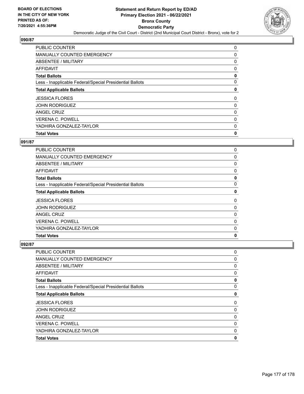

| <b>Total Votes</b>                                       | 0 |
|----------------------------------------------------------|---|
| YADHIRA GONZALEZ-TAYLOR                                  | 0 |
| <b>VERENA C. POWELL</b>                                  | 0 |
| ANGEL CRUZ                                               | 0 |
| <b>JOHN RODRIGUEZ</b>                                    | 0 |
| <b>JESSICA FLORES</b>                                    | 0 |
| <b>Total Applicable Ballots</b>                          | 0 |
| Less - Inapplicable Federal/Special Presidential Ballots | 0 |
| <b>Total Ballots</b>                                     | 0 |
| AFFIDAVIT                                                | 0 |
| ABSENTEE / MILITARY                                      | 0 |
| <b>MANUALLY COUNTED EMERGENCY</b>                        | 0 |
| <b>PUBLIC COUNTER</b>                                    | 0 |

## **091/87**

| <b>PUBLIC COUNTER</b>                                    | 0 |
|----------------------------------------------------------|---|
| <b>MANUALLY COUNTED EMERGENCY</b>                        | 0 |
| <b>ABSENTEE / MILITARY</b>                               | 0 |
| <b>AFFIDAVIT</b>                                         | 0 |
| <b>Total Ballots</b>                                     | 0 |
| Less - Inapplicable Federal/Special Presidential Ballots | 0 |
| <b>Total Applicable Ballots</b>                          | 0 |
| <b>JESSICA FLORES</b>                                    | 0 |
| <b>JOHN RODRIGUEZ</b>                                    | 0 |
| <b>ANGEL CRUZ</b>                                        | 0 |
| <b>VERENA C. POWELL</b>                                  | 0 |
| YADHIRA GONZALEZ-TAYLOR                                  | 0 |
| <b>Total Votes</b>                                       | 0 |

| PUBLIC COUNTER                                           | 0 |
|----------------------------------------------------------|---|
| MANUALLY COUNTED EMERGENCY                               | 0 |
| <b>ABSENTEE / MILITARY</b>                               | 0 |
| AFFIDAVIT                                                | 0 |
| <b>Total Ballots</b>                                     | 0 |
| Less - Inapplicable Federal/Special Presidential Ballots | 0 |
| <b>Total Applicable Ballots</b>                          | 0 |
| <b>JESSICA FLORES</b>                                    | 0 |
| <b>JOHN RODRIGUEZ</b>                                    | 0 |
| ANGEL CRUZ                                               | 0 |
| <b>VERENA C. POWELL</b>                                  | 0 |
| YADHIRA GONZALEZ-TAYLOR                                  | 0 |
| <b>Total Votes</b>                                       | 0 |
|                                                          |   |